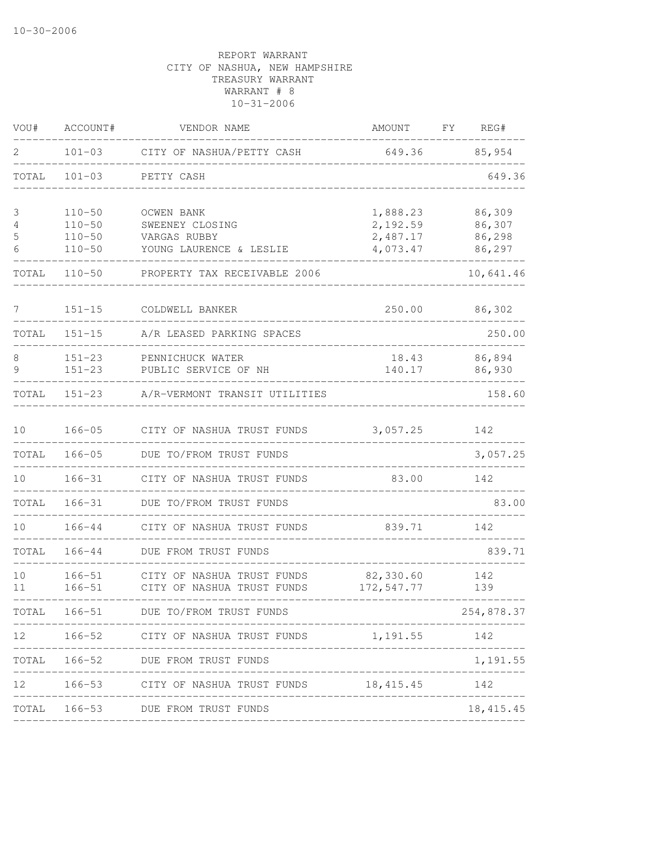| VOU#            | ACCOUNT#                 | VENDOR NAME                                                                     | AMOUNT                  | FΥ<br>REG#       |
|-----------------|--------------------------|---------------------------------------------------------------------------------|-------------------------|------------------|
| 2               | $101 - 03$               | CITY OF NASHUA/PETTY CASH                                                       | 649.36                  | 85,954           |
| TOTAL           | $101 - 03$               | PETTY CASH                                                                      |                         | 649.36           |
| 3               | $110 - 50$               | OCWEN BANK                                                                      | 1,888.23                | 86,309           |
| 4               | $110 - 50$               | SWEENEY CLOSING                                                                 | 2,192.59                | 86,307<br>86,298 |
| 5<br>6          | $110 - 50$<br>$110 - 50$ | VARGAS RUBBY<br>YOUNG LAURENCE & LESLIE                                         | 2,487.17<br>4,073.47    | 86,297           |
| TOTAL           | $110 - 50$               | PROPERTY TAX RECEIVABLE 2006                                                    |                         | 10,641.46        |
| $7\phantom{.}$  | $151 - 15$               | COLDWELL BANKER                                                                 | 250.00                  | 86,302           |
| TOTAL           | $151 - 15$               | A/R LEASED PARKING SPACES                                                       |                         | 250.00           |
| 8               | $151 - 23$               | PENNICHUCK WATER                                                                | 18.43                   | 86,894           |
| 9               | $151 - 23$               | PUBLIC SERVICE OF NH                                                            | 140.17                  | 86,930           |
| TOTAL           | $151 - 23$               | A/R-VERMONT TRANSIT UTILITIES                                                   |                         | 158.60           |
| 10              | $166 - 05$               | CITY OF NASHUA TRUST FUNDS                                                      | 3,057.25                | 142              |
| TOTAL           | $166 - 05$               | DUE TO/FROM TRUST FUNDS                                                         |                         | 3,057.25         |
| 10              | $166 - 31$               | CITY OF NASHUA TRUST FUNDS                                                      | 83.00                   | 142              |
| TOTAL           | $166 - 31$               | DUE TO/FROM TRUST FUNDS                                                         |                         | 83.00            |
| 10              | $166 - 44$               | CITY OF NASHUA TRUST FUNDS                                                      | 839.71                  | 142              |
| TOTAL           | 166-44                   | DUE FROM TRUST FUNDS                                                            |                         | 839.71           |
| 10<br>11        | $166 - 51$<br>$166 - 51$ | CITY OF NASHUA TRUST FUNDS<br>CITY OF NASHUA TRUST FUNDS                        | 82,330.60<br>172,547.77 | 142<br>139       |
|                 |                          | TOTAL 166-51 DUE TO/FROM TRUST FUNDS                                            |                         | 254,878.37       |
| 12 <sup>°</sup> |                          | 166-52 CITY OF NASHUA TRUST FUNDS 1,191.55 142                                  |                         |                  |
| TOTAL           |                          | 166-52 DUE FROM TRUST FUNDS                                                     |                         | 1,191.55         |
|                 |                          | 12 166-53 CITY OF NASHUA TRUST FUNDS 18,415.45 142<br>_________________________ |                         |                  |
| TOTAL           |                          | 166-53 DUE FROM TRUST FUNDS<br>-------------------                              |                         | 18, 415. 45      |
|                 |                          |                                                                                 |                         |                  |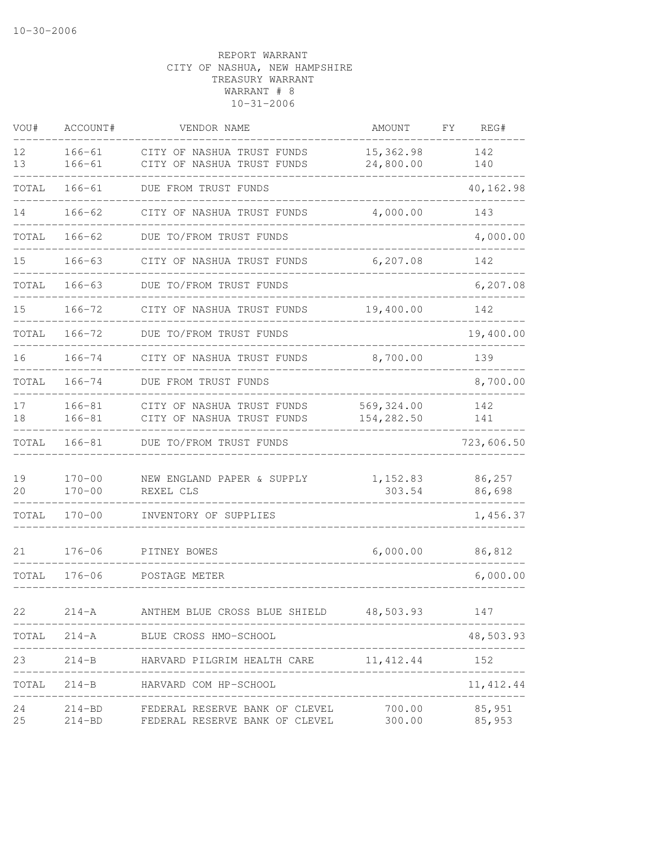| VOU#     | ACCOUNT#                 | VENDOR NAME                                                                    | <b>AMOUNT</b>            | FΥ | REG#             |
|----------|--------------------------|--------------------------------------------------------------------------------|--------------------------|----|------------------|
| 12<br>13 | $166 - 61$<br>$166 - 61$ | CITY OF NASHUA TRUST FUNDS<br>CITY OF NASHUA TRUST FUNDS                       | 15,362.98<br>24,800.00   |    | 142<br>140       |
| TOTAL    | $166 - 61$               | DUE FROM TRUST FUNDS                                                           |                          |    | 40,162.98        |
| 14       | $166 - 62$               | CITY OF NASHUA TRUST FUNDS                                                     | 4,000.00                 |    | 143              |
| TOTAL    | $166 - 62$               | DUE TO/FROM TRUST FUNDS                                                        |                          |    | 4,000.00         |
| 15       | $166 - 63$               | CITY OF NASHUA TRUST FUNDS                                                     | 6,207.08                 |    | 142              |
| TOTAL    | $166 - 63$               | DUE TO/FROM TRUST FUNDS                                                        |                          |    | 6,207.08         |
| 15       | $166 - 72$               | CITY OF NASHUA TRUST FUNDS                                                     | 19,400.00                |    | 142              |
| TOTAL    | $166 - 72$               | DUE TO/FROM TRUST FUNDS                                                        |                          |    | 19,400.00        |
| 16       | $166 - 74$               | CITY OF NASHUA TRUST FUNDS                                                     | 8,700.00                 |    | 139              |
| TOTAL    | $166 - 74$               | DUE FROM TRUST FUNDS                                                           |                          |    | 8,700.00         |
| 17<br>18 | $166 - 81$<br>$166 - 81$ | CITY OF NASHUA TRUST FUNDS<br>CITY OF NASHUA TRUST FUNDS                       | 569,324.00<br>154,282.50 |    | 142<br>141       |
| TOTAL    | $166 - 81$               | DUE TO/FROM TRUST FUNDS                                                        |                          |    | 723,606.50       |
| 19<br>20 | $170 - 00$<br>$170 - 00$ | NEW ENGLAND PAPER & SUPPLY<br>REXEL CLS                                        | 1,152.83<br>303.54       |    | 86,257<br>86,698 |
| TOTAL    | $170 - 00$               | INVENTORY OF SUPPLIES                                                          |                          |    | 1,456.37         |
| 21       | $176 - 06$               | PITNEY BOWES                                                                   | 6,000.00                 |    | 86,812           |
| TOTAL    | $176 - 06$               | POSTAGE METER                                                                  |                          |    | 6,000.00         |
| 22       |                          | 214-A ANTHEM BLUE CROSS BLUE SHIELD 48,503.93 147                              |                          |    |                  |
| TOTAL    |                          | 214-A BLUE CROSS HMO-SCHOOL                                                    |                          |    | 48,503.93        |
| 23       |                          | 214-B HARVARD PILGRIM HEALTH CARE 11, 412.44 152<br>________________________   |                          |    | .                |
| TOTAL    |                          | 214-B HARVARD COM HP-SCHOOL                                                    |                          |    | 11, 412.44       |
| 24<br>25 |                          | 214-BD FEDERAL RESERVE BANK OF CLEVEL<br>214-BD FEDERAL RESERVE BANK OF CLEVEL | 700.00<br>300.00 85,953  |    | 85,951           |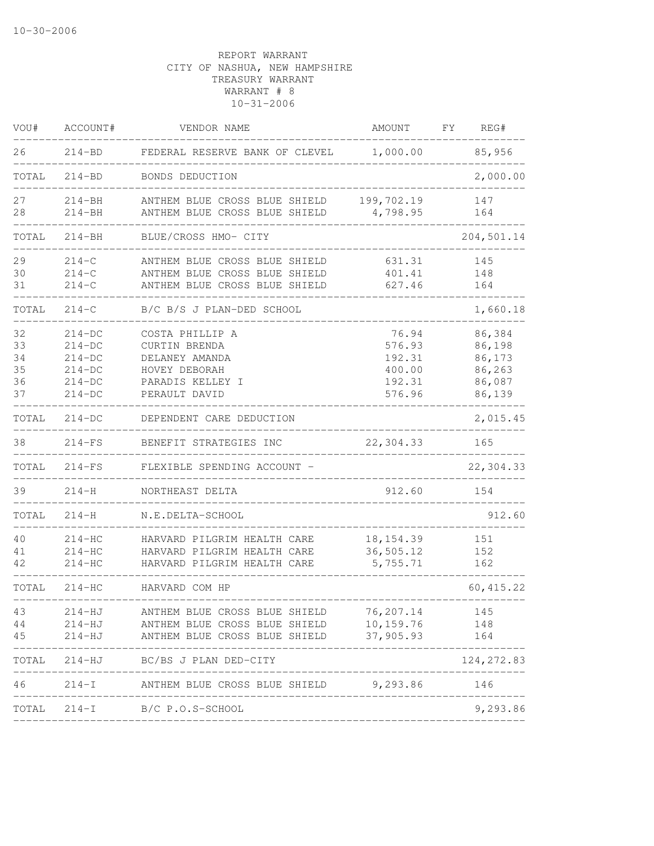| VOU#                             | ACCOUNT#                                                             | VENDOR NAME                                                                                                     | AMOUNT                                                  | FΥ<br>REG#                                               |
|----------------------------------|----------------------------------------------------------------------|-----------------------------------------------------------------------------------------------------------------|---------------------------------------------------------|----------------------------------------------------------|
| 26                               | $214 - BD$                                                           | FEDERAL RESERVE BANK OF CLEVEL                                                                                  | 1,000.00                                                | 85,956                                                   |
| TOTAL                            | $214 - BD$                                                           | BONDS DEDUCTION                                                                                                 |                                                         | 2,000.00                                                 |
| 27<br>28                         | $214 - BH$<br>$214 - BH$                                             | ANTHEM BLUE CROSS BLUE SHIELD<br>ANTHEM BLUE CROSS BLUE SHIELD                                                  | 199,702.19<br>4,798.95                                  | 147<br>164                                               |
| TOTAL                            | $214 - BH$                                                           | BLUE/CROSS HMO- CITY                                                                                            |                                                         | 204,501.14                                               |
| 29<br>30<br>31                   | $214 - C$<br>$214 - C$<br>$214 - C$                                  | ANTHEM BLUE CROSS BLUE SHIELD<br>ANTHEM BLUE CROSS BLUE SHIELD<br>ANTHEM BLUE CROSS BLUE SHIELD                 | 631.31<br>401.41<br>627.46                              | 145<br>148<br>164                                        |
| TOTAL                            | $214 - C$                                                            | B/C B/S J PLAN-DED SCHOOL                                                                                       |                                                         | 1,660.18                                                 |
| 32<br>33<br>34<br>35<br>36<br>37 | $214-DC$<br>$214-DC$<br>$214-DC$<br>$214-DC$<br>$214-DC$<br>$214-DC$ | COSTA PHILLIP A<br><b>CURTIN BRENDA</b><br>DELANEY AMANDA<br>HOVEY DEBORAH<br>PARADIS KELLEY I<br>PERAULT DAVID | 76.94<br>576.93<br>192.31<br>400.00<br>192.31<br>576.96 | 86,384<br>86,198<br>86,173<br>86,263<br>86,087<br>86,139 |
| TOTAL                            | $214-DC$                                                             | DEPENDENT CARE DEDUCTION                                                                                        |                                                         | 2,015.45                                                 |
| 38                               | $214-FS$                                                             | BENEFIT STRATEGIES INC                                                                                          | 22,304.33                                               | 165                                                      |
| TOTAL                            | $214-FS$                                                             | FLEXIBLE SPENDING ACCOUNT -                                                                                     |                                                         | 22,304.33                                                |
| 39                               | $214 - H$                                                            | NORTHEAST DELTA                                                                                                 | 912.60                                                  | 154                                                      |
| TOTAL                            | $214 - H$                                                            | N.E.DELTA-SCHOOL                                                                                                |                                                         | 912.60                                                   |
| 40<br>41<br>42                   | $214-HC$<br>$214-HC$<br>$214 - HC$                                   | HARVARD PILGRIM HEALTH CARE<br>HARVARD PILGRIM HEALTH CARE<br>HARVARD PILGRIM HEALTH CARE                       | 18, 154.39<br>36,505.12<br>5,755.71                     | 151<br>152<br>162                                        |
| TOTAL                            | $214-HC$                                                             | HARVARD COM HP                                                                                                  |                                                         | 60, 415.22                                               |
| 43<br>44<br>45                   | $214 - HJ$<br>$214 - HJ$<br>$214 - HJ$                               | ANTHEM BLUE CROSS BLUE SHIELD<br>ANTHEM BLUE CROSS BLUE SHIELD<br>ANTHEM BLUE CROSS BLUE SHIELD                 | 76,207.14<br>10,159.76<br>37,905.93                     | 145<br>148<br>164                                        |
| TOTAL                            |                                                                      | 214-HJ BC/BS J PLAN DED-CITY                                                                                    |                                                         | 124, 272.83                                              |
| 46                               |                                                                      | 214-I ANTHEM BLUE CROSS BLUE SHIELD 9,293.86 146<br>____________________                                        | __________                                              |                                                          |
|                                  |                                                                      | TOTAL 214-I B/C P.O.S-SCHOOL                                                                                    |                                                         | 9,293.86                                                 |
|                                  |                                                                      |                                                                                                                 |                                                         |                                                          |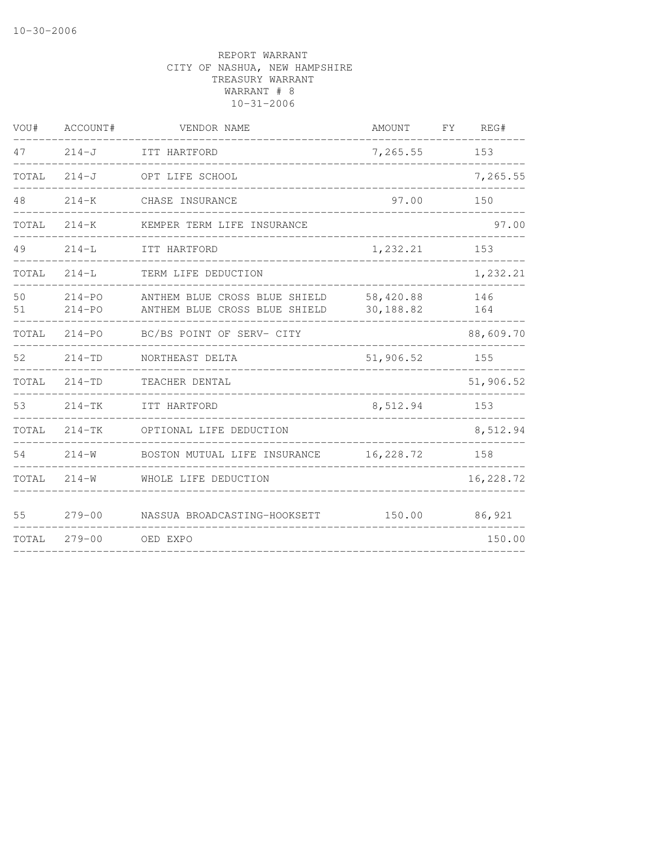| VOU#     | ACCOUNT#                 | VENDOR NAME                                                    | <b>AMOUNT</b>          | FY | REG#       |
|----------|--------------------------|----------------------------------------------------------------|------------------------|----|------------|
| 47       | $214-J$                  | ITT HARTFORD                                                   | 7,265.55               |    | 153        |
| TOTAL    | $214 - J$                | OPT LIFE SCHOOL                                                |                        |    | 7,265.55   |
| 48       | $214 - K$                | CHASE INSURANCE                                                | 97.00                  |    | 150        |
| TOTAL    | $214 - K$                | KEMPER TERM LIFE INSURANCE                                     |                        |    | 97.00      |
| 49       | $214 - L$                | ITT HARTFORD                                                   | 1,232.21               |    | 153        |
| TOTAL    | $214-L$                  | TERM LIFE DEDUCTION                                            |                        |    | 1,232.21   |
| 50<br>51 | $214 - PQ$<br>$214 - PO$ | ANTHEM BLUE CROSS BLUE SHIELD<br>ANTHEM BLUE CROSS BLUE SHIELD | 58,420.88<br>30,188.82 |    | 146<br>164 |
| TOTAL    | $214 - PQ$               | BC/BS POINT OF SERV- CITY                                      |                        |    | 88,609.70  |
| 52       | $214 - TD$               | NORTHEAST DELTA                                                | 51,906.52              |    | 155        |
| TOTAL    | $214 - TD$               | TEACHER DENTAL                                                 |                        |    | 51,906.52  |
| 53       | $214 - TK$               | ITT HARTFORD                                                   | 8,512.94               |    | 153        |
| TOTAL    | $214-TK$                 | OPTIONAL LIFE DEDUCTION                                        |                        |    | 8,512.94   |
| 54       | $214 - W$                | BOSTON MUTUAL LIFE INSURANCE                                   | 16,228.72              |    | 158        |
| TOTAL    | $214 - W$                | WHOLE LIFE DEDUCTION                                           |                        |    | 16,228.72  |
| 55       | $279 - 00$               | NASSUA BROADCASTING-HOOKSETT                                   | 150.00                 |    | 86,921     |
| TOTAL    | $279 - 00$               | OED EXPO                                                       |                        |    | 150.00     |
|          |                          |                                                                |                        |    |            |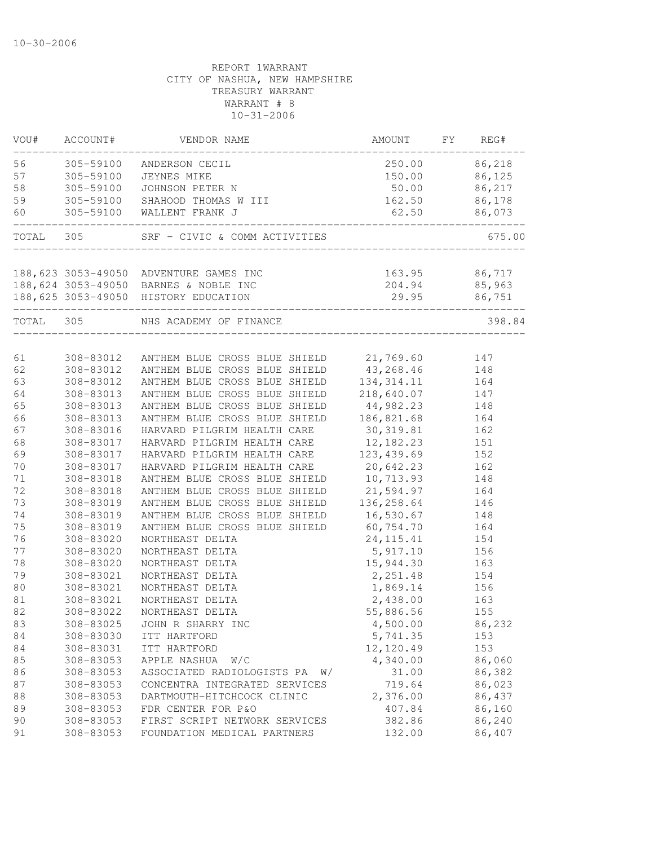| VOU#      | ACCOUNT#  | VENDOR NAME                                       | AMOUNT        | FY | REG#          |
|-----------|-----------|---------------------------------------------------|---------------|----|---------------|
| 56        | 305-59100 | ANDERSON CECIL                                    |               |    | 250.00 86,218 |
| 57        | 305-59100 | JEYNES MIKE                                       |               |    | 150.00 86,125 |
| 58        | 305-59100 | JOHNSON PETER N                                   |               |    | 50.00 86,217  |
| 59        |           | 305-59100 SHAHOOD THOMAS W III                    | 162.50        |    | 86,178        |
| 60        |           | 305-59100 WALLENT FRANK J                         | 62.50         |    | 86,073        |
| TOTAL 305 |           | SRF - CIVIC & COMM ACTIVITIES                     |               |    | 675.00        |
|           |           | 188, 623 3053-49050 ADVENTURE GAMES INC           | 163.95 86,717 |    |               |
|           |           | 188,624 3053-49050 BARNES & NOBLE INC             |               |    | 204.94 85,963 |
|           |           | 188,625 3053-49050 HISTORY EDUCATION              | 29.95         |    | 86,751        |
|           |           |                                                   |               |    | 398.84        |
| TOTAL 305 |           | NHS ACADEMY OF FINANCE                            |               |    |               |
| 61        |           | 308-83012 ANTHEM BLUE CROSS BLUE SHIELD 21,769.60 |               |    | 147           |
| 62        | 308-83012 | ANTHEM BLUE CROSS BLUE SHIELD 43, 268.46          |               |    | 148           |
| 63        | 308-83012 | ANTHEM BLUE CROSS BLUE SHIELD 134, 314.11         |               |    | 164           |
| 64        | 308-83013 | ANTHEM BLUE CROSS BLUE SHIELD                     | 218,640.07    |    | 147           |
| 65        | 308-83013 | ANTHEM BLUE CROSS BLUE SHIELD 44,982.23           |               |    | 148           |
| 66        | 308-83013 | ANTHEM BLUE CROSS BLUE SHIELD 186,821.68          |               |    | 164           |
| 67        | 308-83016 | HARVARD PILGRIM HEALTH CARE                       | 30, 319.81    |    | 162           |
| 68        | 308-83017 | HARVARD PILGRIM HEALTH CARE                       | 12,182.23     |    | 151           |
| 69        | 308-83017 | HARVARD PILGRIM HEALTH CARE                       | 123, 439.69   |    | 152           |
| 70        | 308-83017 | HARVARD PILGRIM HEALTH CARE                       | 20,642.23     |    | 162           |
| 71        | 308-83018 | ANTHEM BLUE CROSS BLUE SHIELD                     | 10,713.93     |    | 148           |
| 72        | 308-83018 | ANTHEM BLUE CROSS BLUE SHIELD 21,594.97           |               |    | 164           |
| 73        | 308-83019 | ANTHEM BLUE CROSS BLUE SHIELD 136,258.64          |               |    | 146           |
| 74        | 308-83019 | ANTHEM BLUE CROSS BLUE SHIELD 16,530.67           |               |    | 148           |
| 75        | 308-83019 | ANTHEM BLUE CROSS BLUE SHIELD                     | 60, 754.70    |    | 164           |
| 76        | 308-83020 | NORTHEAST DELTA                                   | 24, 115. 41   |    | 154           |
| 77        | 308-83020 | NORTHEAST DELTA                                   | 5,917.10      |    | 156           |
| 78        | 308-83020 | NORTHEAST DELTA                                   | 15,944.30     |    | 163           |
| 79        | 308-83021 | NORTHEAST DELTA                                   | 2,251.48      |    | 154           |
| 80        | 308-83021 |                                                   | 1,869.14      |    |               |
| 81        | 308-83021 | NORTHEAST DELTA<br>NORTHEAST DELTA                |               |    | 156           |
|           |           |                                                   | 2,438.00      |    | 163           |
| 82        | 308-83022 | NORTHEAST DELTA                                   | 55,886.56     |    | 155           |
| 83        | 308-83025 | JOHN R SHARRY INC                                 | 4,500.00      |    | 86,232        |
| 84        | 308-83030 | ITT HARTFORD                                      | 5,741.35      |    | 153           |
| 84        | 308-83031 | ITT HARTFORD                                      | 12,120.49     |    | 153           |
| 85        | 308-83053 | APPLE NASHUA<br>W/C                               | 4,340.00      |    | 86,060        |
| 86        | 308-83053 | ASSOCIATED RADIOLOGISTS PA<br>W/                  | 31.00         |    | 86,382        |
| 87        | 308-83053 | CONCENTRA INTEGRATED SERVICES                     | 719.64        |    | 86,023        |
| 88        | 308-83053 | DARTMOUTH-HITCHCOCK CLINIC                        | 2,376.00      |    | 86,437        |
| 89        | 308-83053 | FDR CENTER FOR P&O                                | 407.84        |    | 86,160        |
| 90        | 308-83053 | FIRST SCRIPT NETWORK SERVICES                     | 382.86        |    | 86,240        |
| 91        | 308-83053 | FOUNDATION MEDICAL PARTNERS                       | 132.00        |    | 86,407        |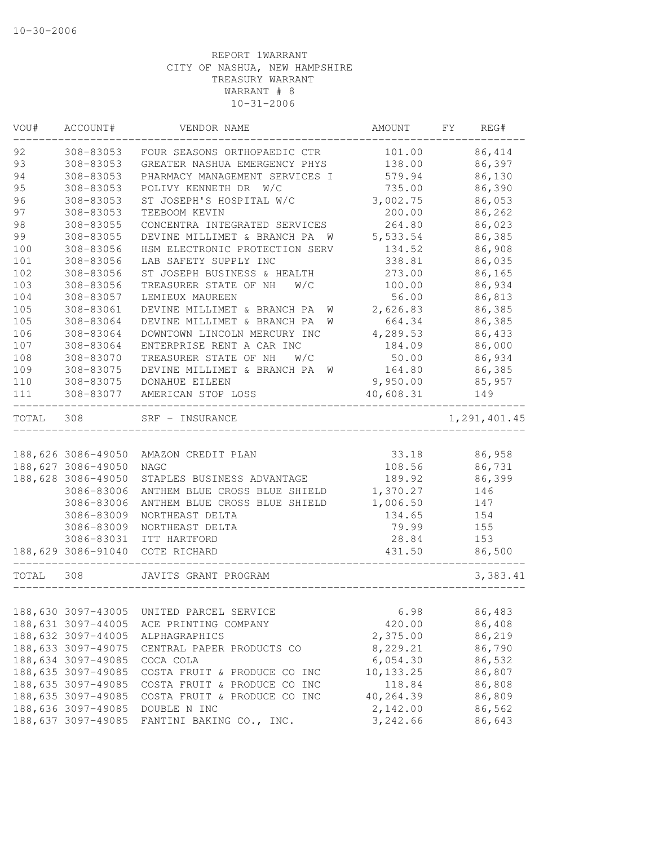| VOU#     | ACCOUNT#               | VENDOR NAME                                                               | AMOUNT             | FY | REG#             |
|----------|------------------------|---------------------------------------------------------------------------|--------------------|----|------------------|
| 92       | 308-83053              | FOUR SEASONS ORTHOPAEDIC CTR                                              | 101.00             |    | 86,414           |
| 93       | 308-83053              | GREATER NASHUA EMERGENCY PHYS                                             | 138.00             |    | 86,397           |
| 94       | 308-83053              | PHARMACY MANAGEMENT SERVICES I                                            | 579.94             |    | 86,130           |
| 95       | 308-83053              | POLIVY KENNETH DR W/C                                                     | 735.00             |    | 86,390           |
| 96       | 308-83053              | ST JOSEPH'S HOSPITAL W/C                                                  | 3,002.75           |    | 86,053           |
| 97       | 308-83053              | TEEBOOM KEVIN                                                             | 200.00             |    | 86,262           |
| 98<br>99 | 308-83055              | CONCENTRA INTEGRATED SERVICES                                             | 264.80             |    | 86,023           |
| 100      | 308-83055<br>308-83056 | DEVINE MILLIMET & BRANCH PA<br><b>M</b><br>HSM ELECTRONIC PROTECTION SERV | 5,533.54<br>134.52 |    | 86,385<br>86,908 |
| 101      | 308-83056              | LAB SAFETY SUPPLY INC                                                     | 338.81             |    | 86,035           |
| 102      | 308-83056              | ST JOSEPH BUSINESS & HEALTH                                               | 273.00             |    | 86,165           |
| 103      | 308-83056              | TREASURER STATE OF NH<br>W/C                                              | 100.00             |    | 86,934           |
| 104      | 308-83057              | LEMIEUX MAUREEN                                                           | 56.00              |    | 86,813           |
| 105      | 308-83061              | DEVINE MILLIMET & BRANCH PA<br>W                                          | 2,626.83           |    | 86,385           |
| 105      | 308-83064              | DEVINE MILLIMET & BRANCH PA<br>W                                          | 664.34             |    | 86,385           |
| 106      | 308-83064              | DOWNTOWN LINCOLN MERCURY INC                                              | 4,289.53           |    | 86,433           |
| 107      | 308-83064              | ENTERPRISE RENT A CAR INC                                                 | 184.09             |    | 86,000           |
| 108      | 308-83070              | TREASURER STATE OF NH<br>W/C                                              | 50.00              |    | 86,934           |
| 109      | 308-83075              | DEVINE MILLIMET & BRANCH PA W                                             | 164.80             |    | 86,385           |
| 110      | 308-83075              | DONAHUE EILEEN                                                            | 9,950.00           |    | 85,957           |
| 111      | 308-83077              | AMERICAN STOP LOSS                                                        | 40,608.31          |    | 149              |
| TOTAL    | 308                    | SRF - INSURANCE                                                           |                    |    | 1,291,401.45     |
|          |                        |                                                                           |                    |    |                  |
|          | 188,626 3086-49050     | AMAZON CREDIT PLAN                                                        | 33.18              |    | 86,958           |
|          | 188,627 3086-49050     | <b>NAGC</b>                                                               | 108.56             |    | 86,731           |
|          | 188,628 3086-49050     | STAPLES BUSINESS ADVANTAGE                                                | 189.92             |    | 86,399           |
|          | 3086-83006             | ANTHEM BLUE CROSS BLUE SHIELD                                             | 1,370.27           |    | 146              |
|          | 3086-83006             | ANTHEM BLUE CROSS BLUE SHIELD                                             | 1,006.50           |    | 147              |
|          | 3086-83009             | NORTHEAST DELTA                                                           | 134.65             |    | 154              |
|          | 3086-83009             | NORTHEAST DELTA                                                           | 79.99              |    | 155              |
|          | 3086-83031             | ITT HARTFORD                                                              | 28.84              |    | 153              |
|          | 188,629 3086-91040     | COTE RICHARD                                                              | 431.50             |    | 86,500           |
| TOTAL    | 308                    | JAVITS GRANT PROGRAM                                                      |                    |    | 3,383.41         |
|          |                        |                                                                           |                    |    |                  |
|          | 188,630 3097-43005     | UNITED PARCEL SERVICE                                                     | 6.98               |    | 86,483           |
|          | 188,631 3097-44005     | ACE PRINTING COMPANY                                                      | 420.00             |    | 86,408           |
|          | 188,632 3097-44005     | ALPHAGRAPHICS                                                             | 2,375.00           |    | 86,219           |
|          | 188,633 3097-49075     | CENTRAL PAPER PRODUCTS CO                                                 | 8,229.21           |    | 86,790           |
|          | 188,634 3097-49085     | COCA COLA                                                                 | 6,054.30           |    | 86,532           |
|          | 188,635 3097-49085     | COSTA FRUIT & PRODUCE CO INC                                              | 10, 133.25         |    | 86,807           |
|          | 188,635 3097-49085     | COSTA FRUIT & PRODUCE CO INC                                              | 118.84             |    | 86,808           |
|          | 188,635 3097-49085     | COSTA FRUIT & PRODUCE CO INC                                              | 40,264.39          |    | 86,809           |
|          | 188,636 3097-49085     | DOUBLE N INC                                                              | 2,142.00           |    | 86,562           |
|          | 188,637 3097-49085     | FANTINI BAKING CO., INC.                                                  | 3,242.66           |    | 86,643           |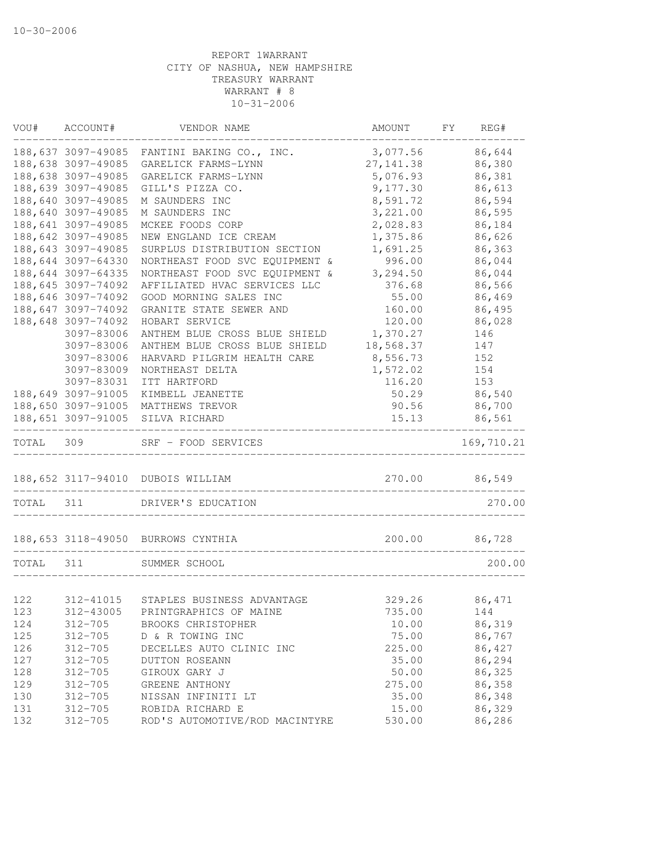|                                                                                                      | FY<br>REG#       |
|------------------------------------------------------------------------------------------------------|------------------|
| 188,637 3097-49085<br>FANTINI BAKING CO., INC.<br>3,077.56                                           | 86,644           |
| 188,638 3097-49085<br>GARELICK FARMS-LYNN<br>27, 141.38                                              | 86,380           |
| 188,638 3097-49085<br>5,076.93<br>GARELICK FARMS-LYNN                                                | 86,381           |
| 188,639 3097-49085<br>GILL'S PIZZA CO.<br>9,177.30                                                   | 86,613           |
| 188,640 3097-49085<br>8,591.72<br>M SAUNDERS INC                                                     | 86,594           |
| 188,640 3097-49085<br>3,221.00<br>M SAUNDERS INC                                                     | 86,595           |
| 188,641 3097-49085<br>2,028.83<br>MCKEE FOODS CORP                                                   | 86,184           |
| 188,642 3097-49085<br>1,375.86<br>NEW ENGLAND ICE CREAM                                              | 86,626           |
| 188,643 3097-49085<br>SURPLUS DISTRIBUTION SECTION<br>1,691.25                                       | 86,363           |
| 188,644 3097-64330<br>NORTHEAST FOOD SVC EQUIPMENT &<br>996.00                                       | 86,044           |
| 188,644 3097-64335<br>NORTHEAST FOOD SVC EQUIPMENT &<br>3,294.50                                     | 86,044           |
| 188,645 3097-74092<br>AFFILIATED HVAC SERVICES LLC<br>376.68                                         | 86,566           |
| 188,646 3097-74092<br>GOOD MORNING SALES INC<br>55.00                                                | 86,469           |
| 188,647 3097-74092<br>GRANITE STATE SEWER AND<br>160.00                                              | 86,495           |
| 188,648 3097-74092<br>HOBART SERVICE<br>120.00                                                       | 86,028           |
| 1,370.27<br>3097-83006<br>ANTHEM BLUE CROSS BLUE SHIELD                                              | 146              |
| 18,568.37<br>3097-83006<br>ANTHEM BLUE CROSS BLUE SHIELD                                             | 147              |
| HARVARD PILGRIM HEALTH CARE<br>8,556.73<br>3097-83006                                                | 152              |
| 3097-83009<br>NORTHEAST DELTA<br>1,572.02                                                            | 154              |
| 3097-83031<br>ITT HARTFORD<br>116.20                                                                 | 153              |
| 188,649 3097-91005<br>KIMBELL JEANETTE<br>50.29                                                      | 86,540           |
| 188,650 3097-91005<br>90.56<br>MATTHEWS TREVOR<br>15.13                                              | 86,700<br>86,561 |
| 188,651 3097-91005<br>SILVA RICHARD                                                                  |                  |
|                                                                                                      |                  |
| TOTAL 309<br>SRF - FOOD SERVICES                                                                     | 169,710.21       |
| 188,652 3117-94010<br>270.00<br>DUBOIS WILLIAM                                                       | 86,549           |
| ----------------------------<br>TOTAL<br>311<br>DRIVER'S EDUCATION                                   | 270.00           |
|                                                                                                      |                  |
| 188, 653 3118-49050 BURROWS CYNTHIA<br>200.00                                                        | 86,728           |
| 311<br>TOTAL<br>SUMMER SCHOOL                                                                        | 200.00           |
|                                                                                                      |                  |
| 122<br>312-41015<br>STAPLES BUSINESS ADVANTAGE<br>329.26                                             | 86,471           |
| 735.00<br>123<br>312-43005<br>PRINTGRAPHICS OF MAINE                                                 | 144              |
| 124<br>$312 - 705$<br>10.00<br>BROOKS CHRISTOPHER                                                    | 86,319           |
| 125<br>$312 - 705$<br>D & R TOWING INC<br>75.00                                                      | 86,767           |
| 126<br>$312 - 705$<br>DECELLES AUTO CLINIC INC<br>225.00                                             | 86,427           |
| 127<br>35.00<br>$312 - 705$<br>DUTTON ROSEANN                                                        | 86,294           |
| 128<br>$312 - 705$<br>GIROUX GARY J<br>50.00                                                         | 86,325           |
| 129<br>$312 - 705$<br>GREENE ANTHONY<br>275.00                                                       | 86,358           |
| 130<br>$312 - 705$<br>NISSAN INFINITI LT<br>35.00<br>131<br>$312 - 705$<br>ROBIDA RICHARD E<br>15.00 | 86,348<br>86,329 |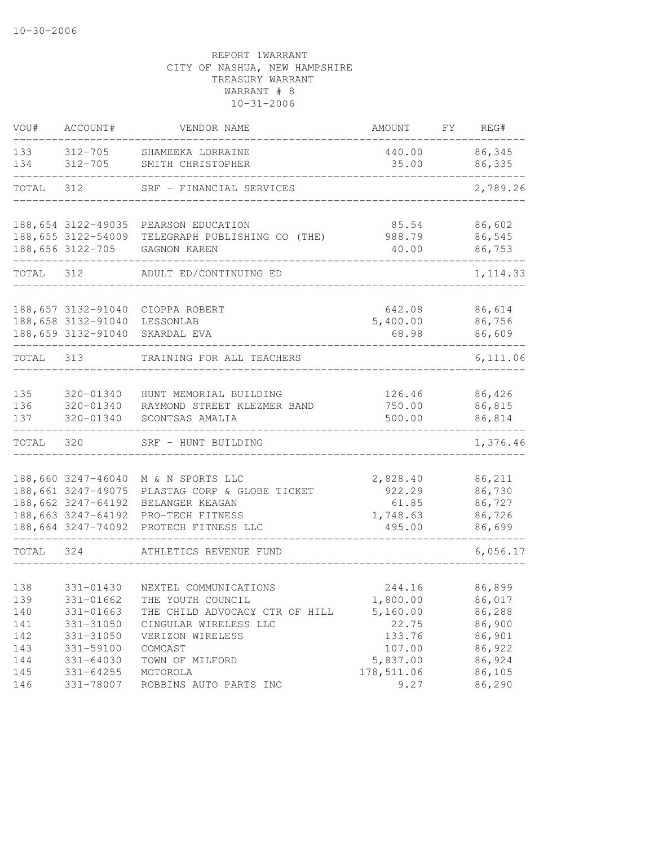| VOU#       | ACCOUNT#                                 | VENDOR NAME                                    | AMOUNT             | FY FY | REG#             |
|------------|------------------------------------------|------------------------------------------------|--------------------|-------|------------------|
| 133        | 312-705                                  | SHAMEEKA LORRAINE                              | 440.00             |       | 86,345           |
| 134        | $312 - 705$                              | SMITH CHRISTOPHER                              | 35.00              |       | 86,335           |
| TOTAL      | 312                                      | SRF - FINANCIAL SERVICES                       |                    |       | 2,789.26         |
|            | 188,654 3122-49035                       | PEARSON EDUCATION                              | 85.54              |       | 86,602           |
|            | 188,655 3122-54009<br>188,656 3122-705   | TELEGRAPH PUBLISHING CO (THE)<br>GAGNON KAREN  | 988.79<br>40.00    |       | 86,545<br>86,753 |
| TOTAL      | 312                                      | ADULT ED/CONTINUING ED                         |                    |       | 1, 114.33        |
|            | 188,657 3132-91040                       | CIOPPA ROBERT                                  | 642.08             |       | 86,614           |
|            | 188,658 3132-91040<br>188,659 3132-91040 | LESSONLAB<br>SKARDAL EVA                       | 5,400.00<br>68.98  |       | 86,756<br>86,609 |
| TOTAL 313  |                                          | TRAINING FOR ALL TEACHERS                      |                    |       | 6,111.06         |
| 135        | 320-01340                                | HUNT MEMORIAL BUILDING                         | 126.46             |       | 86,426           |
| 136<br>137 | 320-01340<br>320-01340                   | RAYMOND STREET KLEZMER BAND<br>SCONTSAS AMALIA | 750.00<br>500.00   |       | 86,815<br>86,814 |
| TOTAL      | 320                                      | SRF - HUNT BUILDING                            |                    |       | 1,376.46         |
|            |                                          |                                                |                    |       |                  |
|            | 188,660 3247-46040<br>188,661 3247-49075 | M & N SPORTS LLC                               | 2,828.40           |       | 86,211           |
|            | 188,662 3247-64192                       | PLASTAG CORP & GLOBE TICKET<br>BELANGER KEAGAN | 922.29<br>61.85    |       | 86,730<br>86,727 |
|            | 188,663 3247-64192<br>188,664 3247-74092 | PRO-TECH FITNESS<br>PROTECH FITNESS LLC        | 1,748.63<br>495.00 |       | 86,726<br>86,699 |
| TOTAL      | 324                                      | ATHLETICS REVENUE FUND                         |                    |       | 6,056.17         |
|            |                                          |                                                |                    |       |                  |
| 138        | 331-01430                                | NEXTEL COMMUNICATIONS                          | 244.16             |       | 86,899           |
| 139        | 331-01662                                | THE YOUTH COUNCIL                              | 1,800.00           |       | 86,017           |
| 140        | 331-01663                                | THE CHILD ADVOCACY CTR OF HILL                 | 5,160.00           |       | 86,288           |
| 141        | 331-31050                                | CINGULAR WIRELESS LLC                          | 22.75              |       | 86,900           |
| 142        | 331-31050                                | VERIZON WIRELESS                               | 133.76             |       | 86,901           |
| 143        | 331-59100                                | COMCAST                                        | 107.00             |       | 86,922           |
| 144        | 331-64030                                | TOWN OF MILFORD                                | 5,837.00           |       | 86,924           |
| 145        | 331-64255                                | MOTOROLA                                       | 178,511.06         |       | 86,105           |
| 146        | 331-78007                                | ROBBINS AUTO PARTS INC                         | 9.27               |       | 86,290           |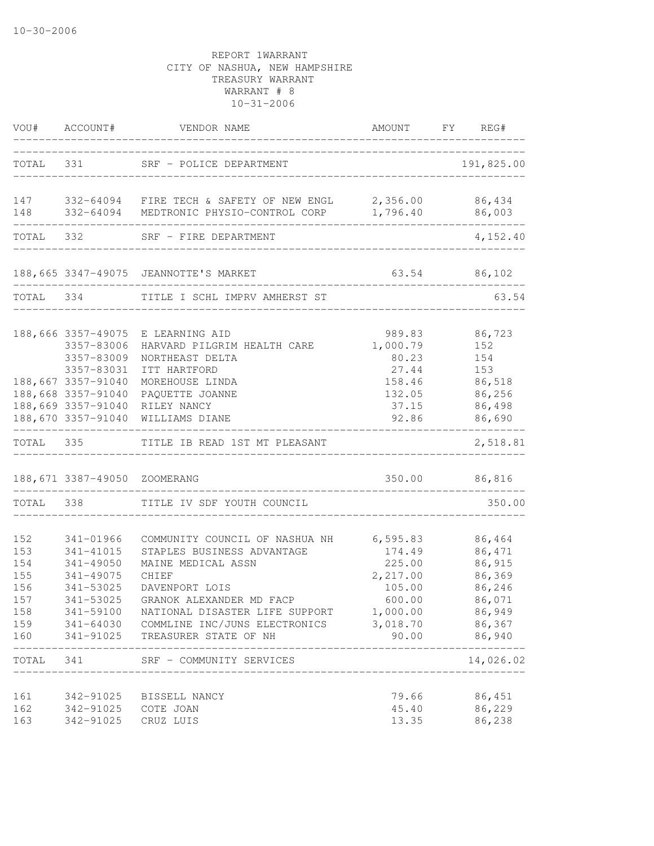|                                                      |                                                                                      | VOU# ACCOUNT# VENDOR NAME                                                                                                                                                                                                                                                                                                       |                                                           | AMOUNT FY REG#                                                                                               |
|------------------------------------------------------|--------------------------------------------------------------------------------------|---------------------------------------------------------------------------------------------------------------------------------------------------------------------------------------------------------------------------------------------------------------------------------------------------------------------------------|-----------------------------------------------------------|--------------------------------------------------------------------------------------------------------------|
|                                                      |                                                                                      | TOTAL 331 SRF - POLICE DEPARTMENT                                                                                                                                                                                                                                                                                               | ------------------------------                            | 191,825.00                                                                                                   |
| 148                                                  |                                                                                      | 147 332-64094 FIRE TECH & SAFETY OF NEW ENGL 2,356.00 86,434<br>332-64094 MEDTRONIC PHYSIO-CONTROL CORP 1,796.40 86,003                                                                                                                                                                                                         |                                                           |                                                                                                              |
|                                                      | TOTAL 332                                                                            | SRF - FIRE DEPARTMENT                                                                                                                                                                                                                                                                                                           |                                                           | 4,152.40                                                                                                     |
|                                                      |                                                                                      | 188, 665 3347-49075 JEANNOTTE'S MARKET                                                                                                                                                                                                                                                                                          |                                                           | 63.54 86,102                                                                                                 |
|                                                      | TOTAL 334                                                                            | TITLE I SCHL IMPRV AMHERST ST                                                                                                                                                                                                                                                                                                   |                                                           | 63.54                                                                                                        |
|                                                      | 188,666 3357-49075<br>3357-83006<br>3357-83009<br>3357-83031                         | E LEARNING AID<br>HARVARD PILGRIM HEALTH CARE<br>NORTHEAST DELTA<br>ITT HARTFORD                                                                                                                                                                                                                                                | 989.83<br>1,000.79<br>80.23<br>27.44                      | 86,723<br>152<br>154<br>153                                                                                  |
|                                                      | 188,667 3357-91040<br>188,668 3357-91040<br>188,669 3357-91040<br>188,670 3357-91040 | MOREHOUSE LINDA<br>PAQUETTE JOANNE<br>RILEY NANCY<br>WILLIAMS DIANE                                                                                                                                                                                                                                                             | 158.46<br>132.05<br>37.15<br>92.86                        | 86,518<br>86,256<br>86,498<br>86,690                                                                         |
|                                                      |                                                                                      | TOTAL 335 TITLE IB READ 1ST MT PLEASANT                                                                                                                                                                                                                                                                                         |                                                           | 2,518.81                                                                                                     |
|                                                      | 188,671 3387-49050 ZOOMERANG                                                         |                                                                                                                                                                                                                                                                                                                                 | _____________________________                             | 350.00 86,816                                                                                                |
|                                                      |                                                                                      | TOTAL 338 TITLE IV SDF YOUTH COUNCIL                                                                                                                                                                                                                                                                                            |                                                           | 350.00                                                                                                       |
| 152<br>153<br>154<br>155<br>156<br>157<br>158<br>160 | 341-01966<br>341-41015<br>341-49050<br>341-49075<br>341-53025<br>341-53025           | COMMUNITY COUNCIL OF NASHUA NH 6,595.83<br>STAPLES BUSINESS ADVANTAGE<br>MAINE MEDICAL ASSN<br>CHIEF<br>DAVENPORT LOIS<br>GRANOK ALEXANDER MD FACP<br>341-59100 NATIONAL DISASTER LIFE SUPPORT 1,000.00<br>159 341-64030 COMMLINE INC/JUNS ELECTRONICS<br>341-91025 TREASURER STATE OF NH<br>TOTAL 341 SRF - COMMUNITY SERVICES | 174.49<br>225.00<br>2,217.00<br>105.00<br>600.00<br>90.00 | 86,464<br>86,471<br>86,915<br>86,369<br>86,246<br>86,071<br>86,949<br>3,018.70 86,367<br>86,940<br>14,026.02 |
|                                                      |                                                                                      | ___________________                                                                                                                                                                                                                                                                                                             |                                                           |                                                                                                              |
| 161<br>162<br>163                                    | 342-91025 COTE JOAN<br>342-91025 CRUZ LUIS                                           | 342-91025 BISSELL NANCY                                                                                                                                                                                                                                                                                                         | 79.66<br>45.40<br>13.35                                   | 86,451<br>86,229<br>86,238                                                                                   |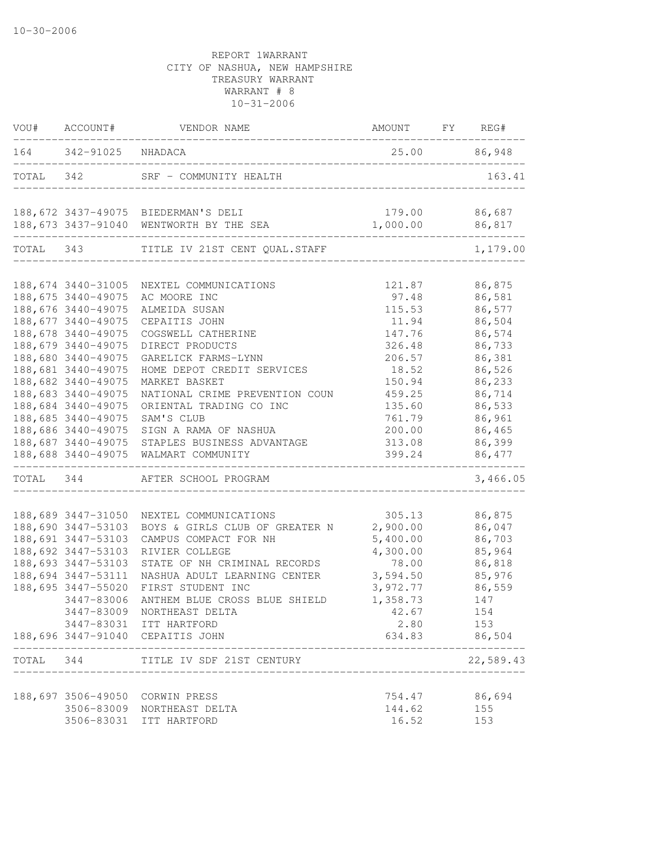|           | VOU# ACCOUNT#         | VENDOR NAME                              | AMOUNT        | FY | REG#      |
|-----------|-----------------------|------------------------------------------|---------------|----|-----------|
|           | 164 342-91025 NHADACA |                                          | 25.00         |    | 86,948    |
| TOTAL 342 |                       | SRF - COMMUNITY HEALTH                   |               |    | 163.41    |
|           |                       | 188, 672 3437-49075 BIEDERMAN'S DELI     | 179.00        |    | 86,687    |
|           |                       | 188, 673 3437-91040 WENTWORTH BY THE SEA | 1,000.00      |    | 86,817    |
|           | TOTAL 343             | TITLE IV 21ST CENT QUAL.STAFF            |               |    | 1,179.00  |
|           | 188,674 3440-31005    | NEXTEL COMMUNICATIONS                    | 121.87        |    | 86,875    |
|           | 188,675 3440-49075    | AC MOORE INC                             | 97.48         |    | 86,581    |
|           | 188,676 3440-49075    | ALMEIDA SUSAN                            | 115.53        |    | 86,577    |
|           | 188,677 3440-49075    | CEPAITIS JOHN                            | 11.94         |    | 86,504    |
|           | 188,678 3440-49075    | COGSWELL CATHERINE                       | 147.76        |    | 86,574    |
|           | 188,679 3440-49075    | DIRECT PRODUCTS                          | 326.48        |    | 86,733    |
|           | 188,680 3440-49075    | GARELICK FARMS-LYNN                      | 206.57        |    | 86,381    |
|           | 188,681 3440-49075    | HOME DEPOT CREDIT SERVICES               | 18.52         |    | 86,526    |
|           | 188,682 3440-49075    | MARKET BASKET                            | 150.94        |    | 86,233    |
|           | 188,683 3440-49075    | NATIONAL CRIME PREVENTION COUN           | 459.25        |    | 86,714    |
|           | 188,684 3440-49075    | ORIENTAL TRADING CO INC                  | 135.60        |    | 86,533    |
|           | 188,685 3440-49075    | SAM'S CLUB                               | 761.79        |    | 86,961    |
|           | 188,686 3440-49075    | SIGN A RAMA OF NASHUA                    | 200.00        |    | 86,465    |
|           | 188,687 3440-49075    | STAPLES BUSINESS ADVANTAGE               | 313.08        |    | 86,399    |
|           | 188,688 3440-49075    | WALMART COMMUNITY                        | 399.24        |    | 86,477    |
| TOTAL     | 344                   | AFTER SCHOOL PROGRAM                     |               |    | 3,466.05  |
|           | 188,689 3447-31050    | NEXTEL COMMUNICATIONS                    | 305.13        |    | 86,875    |
|           | 188,690 3447-53103    | BOYS & GIRLS CLUB OF GREATER N           | 2,900.00      |    | 86,047    |
|           | 188,691 3447-53103    | CAMPUS COMPACT FOR NH                    | 5,400.00      |    | 86,703    |
|           | 188,692 3447-53103    | RIVIER COLLEGE                           | 4,300.00      |    | 85,964    |
|           | 188,693 3447-53103    | STATE OF NH CRIMINAL RECORDS             | 78.00         |    | 86,818    |
|           | 188,694 3447-53111    | NASHUA ADULT LEARNING CENTER             | 3,594.50      |    | 85,976    |
|           | 188,695 3447-55020    | FIRST STUDENT INC                        | 3,972.77      |    | 86,559    |
|           | 3447-83006            | ANTHEM BLUE CROSS BLUE SHIELD            | 1,358.73      |    | 147       |
|           |                       | 3447-83009 NORTHEAST DELTA               | 42.67         |    | 154       |
|           |                       | 3447-83031 ITT HARTFORD                  | 2.80          |    | 153       |
|           |                       | 188,696 3447-91040 CEPAITIS JOHN         | 634.83 86,504 |    |           |
|           |                       | TOTAL 344 TITLE IV SDF 21ST CENTURY      |               |    | 22,589.43 |
|           |                       | 188,697 3506-49050 CORWIN PRESS          | 754.47        |    | 86,694    |
|           |                       | 3506-83009 NORTHEAST DELTA               | 144.62        |    | 155       |
|           |                       | 3506-83031 ITT HARTFORD                  | 16.52         |    | 153       |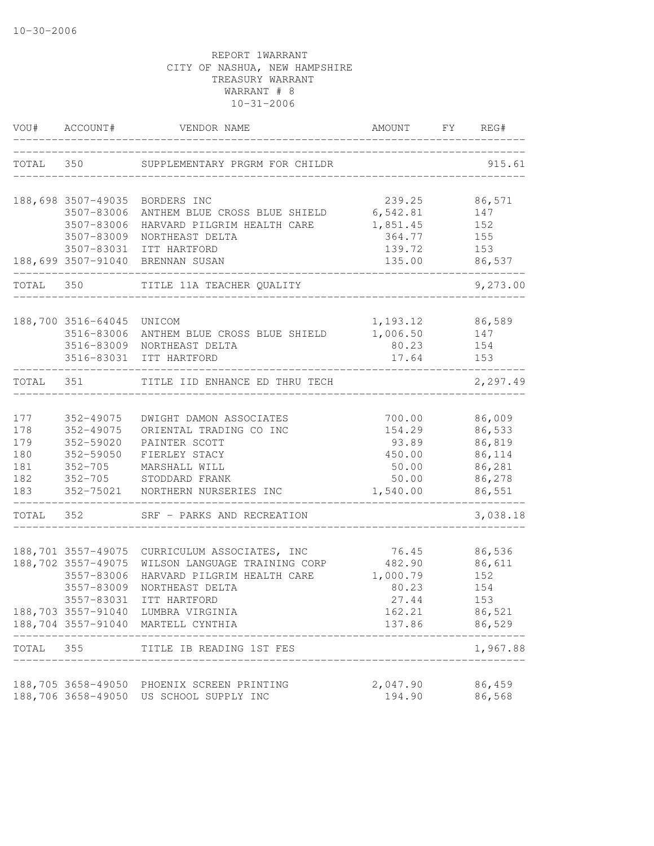| VOU#      | ACCOUNT#                                 | VENDOR NAME                                                                    | AMOUNT             | FY | REG#             |
|-----------|------------------------------------------|--------------------------------------------------------------------------------|--------------------|----|------------------|
| TOTAL 350 |                                          | SUPPLEMENTARY PRGRM FOR CHILDR                                                 |                    |    | 915.61           |
|           |                                          | 188,698 3507-49035 BORDERS INC                                                 | 239.25             |    | 86,571           |
|           | 3507-83006                               | ANTHEM BLUE CROSS BLUE SHIELD                                                  | 6,542.81           |    | 147              |
|           | 3507-83006                               | HARVARD PILGRIM HEALTH CARE                                                    | 1,851.45           |    | 152              |
|           | 3507-83009                               | NORTHEAST DELTA                                                                | 364.77             |    | 155              |
|           | 3507-83031                               | ITT HARTFORD                                                                   | 139.72             |    | 153              |
|           | 188,699 3507-91040                       | BRENNAN SUSAN                                                                  | 135.00             |    | 86,537           |
| TOTAL 350 |                                          | TITLE 11A TEACHER QUALITY                                                      |                    |    | 9,273.00         |
|           |                                          |                                                                                |                    |    |                  |
|           | 188,700 3516-64045 UNICOM                |                                                                                | 1,193.12           |    | 86,589           |
|           | 3516-83006                               | ANTHEM BLUE CROSS BLUE SHIELD                                                  | 1,006.50           |    | 147              |
|           |                                          | 3516-83009 NORTHEAST DELTA<br>3516-83031 ITT HARTFORD                          | 80.23<br>17.64     |    | 154<br>153       |
|           |                                          |                                                                                |                    |    |                  |
| TOTAL     | 351                                      | TITLE IID ENHANCE ED THRU TECH                                                 |                    |    | 2,297.49         |
| 177       | 352-49075                                | DWIGHT DAMON ASSOCIATES                                                        | 700.00             |    | 86,009           |
| 178       | 352-49075                                | ORIENTAL TRADING CO INC                                                        | 154.29             |    | 86,533           |
| 179       | 352-59020                                | PAINTER SCOTT                                                                  | 93.89              |    | 86,819           |
| 180       | 352-59050                                | FIERLEY STACY                                                                  | 450.00             |    | 86,114           |
| 181       | $352 - 705$                              | MARSHALL WILL                                                                  | 50.00              |    | 86,281           |
| 182       | $352 - 705$                              | STODDARD FRANK                                                                 | 50.00              |    | 86,278           |
| 183       |                                          | 352-75021 NORTHERN NURSERIES INC                                               | 1,540.00           |    | 86,551           |
| TOTAL 352 |                                          | SRF - PARKS AND RECREATION                                                     |                    |    | 3,038.18         |
|           |                                          |                                                                                |                    |    |                  |
|           | 188,702 3557-49075                       | 188,701 3557-49075 CURRICULUM ASSOCIATES, INC<br>WILSON LANGUAGE TRAINING CORP | 76.45<br>482.90    |    | 86,536<br>86,611 |
|           | 3557-83006                               | HARVARD PILGRIM HEALTH CARE                                                    | 1,000.79           |    | 152              |
|           | 3557-83009                               | NORTHEAST DELTA                                                                | 80.23              |    | 154              |
|           | 3557-83031                               | ITT HARTFORD                                                                   | 27.44              |    | 153              |
|           | 188,703 3557-91040                       | LUMBRA VIRGINIA                                                                | 162.21             |    | 86,521           |
|           | 188,704 3557-91040                       | MARTELL CYNTHIA                                                                | 137.86             |    | 86,529           |
| TOTAL     | 355                                      | TITLE IB READING 1ST FES                                                       |                    |    | 1,967.88         |
|           |                                          |                                                                                |                    |    |                  |
|           | 188,705 3658-49050<br>188,706 3658-49050 | PHOENIX SCREEN PRINTING<br>US SCHOOL SUPPLY INC                                | 2,047.90<br>194.90 |    | 86,459<br>86,568 |
|           |                                          |                                                                                |                    |    |                  |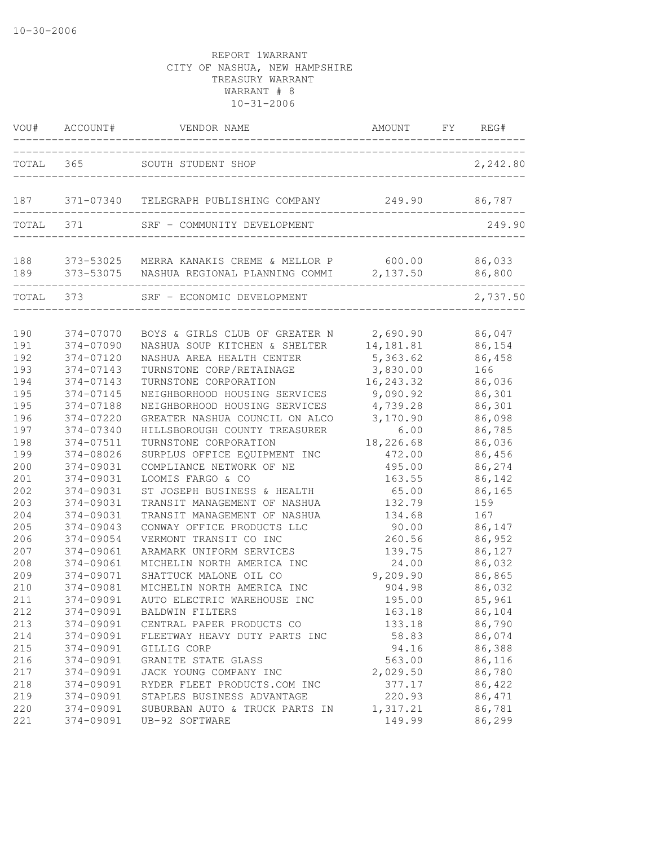| VOU#       | ACCOUNT#               | VENDOR NAME                                                                                                   | AMOUNT                | FY | REG#             |
|------------|------------------------|---------------------------------------------------------------------------------------------------------------|-----------------------|----|------------------|
| TOTAL      | 365                    | SOUTH STUDENT SHOP                                                                                            |                       |    | 2,242.80         |
| 187        |                        | 371-07340 TELEGRAPH PUBLISHING COMPANY                                                                        | 249.90                |    | 86,787           |
| TOTAL      | 371                    | SRF - COMMUNITY DEVELOPMENT                                                                                   |                       |    | 249.90           |
| 188<br>189 |                        | 373-53025 MERRA KANAKIS CREME & MELLOR P 600.00 86,033<br>373-53075  NASHUA REGIONAL PLANNING COMMI  2,137.50 |                       |    | 86,800           |
| TOTAL 373  |                        | SRF - ECONOMIC DEVELOPMENT                                                                                    |                       |    | 2,737.50         |
| 190        | 374-07070              | BOYS & GIRLS CLUB OF GREATER N                                                                                | 2,690.90              |    | 86,047           |
| 191<br>192 | 374-07090<br>374-07120 | NASHUA SOUP KITCHEN & SHELTER<br>NASHUA AREA HEALTH CENTER                                                    | 14,181.81<br>5,363.62 |    | 86,154<br>86,458 |
| 193        | 374-07143              | TURNSTONE CORP/RETAINAGE                                                                                      | 3,830.00              |    | 166              |
| 194        | 374-07143              | TURNSTONE CORPORATION                                                                                         | 16, 243.32            |    | 86,036           |
| 195        | 374-07145              | NEIGHBORHOOD HOUSING SERVICES                                                                                 | 9,090.92              |    | 86,301           |
| 195        | 374-07188              | NEIGHBORHOOD HOUSING SERVICES                                                                                 | 4,739.28              |    | 86,301           |
| 196        | $374 - 07220$          | GREATER NASHUA COUNCIL ON ALCO                                                                                | 3,170.90              |    | 86,098           |
| 197        | 374-07340              | HILLSBOROUGH COUNTY TREASURER                                                                                 | 6.00                  |    | 86,785           |
| 198        | 374-07511              | TURNSTONE CORPORATION                                                                                         | 18,226.68             |    | 86,036           |
| 199        | 374-08026              | SURPLUS OFFICE EQUIPMENT INC                                                                                  | 472.00                |    | 86,456           |
| 200        | 374-09031              | COMPLIANCE NETWORK OF NE                                                                                      | 495.00                |    | 86,274           |
| 201        | 374-09031              | LOOMIS FARGO & CO                                                                                             | 163.55                |    | 86,142           |
| 202        | 374-09031              | ST JOSEPH BUSINESS & HEALTH                                                                                   | 65.00                 |    | 86,165           |
| 203        | 374-09031              | TRANSIT MANAGEMENT OF NASHUA                                                                                  | 132.79                |    | 159              |
| 204        | 374-09031              | TRANSIT MANAGEMENT OF NASHUA                                                                                  | 134.68                |    | 167              |
| 205        | 374-09043              | CONWAY OFFICE PRODUCTS LLC                                                                                    | 90.00                 |    | 86,147           |
| 206        | 374-09054              | VERMONT TRANSIT CO INC                                                                                        | 260.56                |    | 86,952           |
| 207        | 374-09061              | ARAMARK UNIFORM SERVICES                                                                                      | 139.75                |    | 86,127           |
| 208        | 374-09061              | MICHELIN NORTH AMERICA INC                                                                                    | 24.00                 |    | 86,032           |
| 209        | 374-09071              | SHATTUCK MALONE OIL CO                                                                                        | 9,209.90              |    | 86,865           |
| 210        | 374-09081              | MICHELIN NORTH AMERICA INC                                                                                    | 904.98                |    | 86,032           |
| 211        | 374-09091              | AUTO ELECTRIC WAREHOUSE INC                                                                                   | 195.00                |    | 85,961           |
| 212        | 374-09091              | <b>BALDWIN FILTERS</b>                                                                                        | 163.18                |    | 86,104           |
| 213        | 374-09091              | CENTRAL PAPER PRODUCTS CO                                                                                     | 133.18                |    | 86,790           |
| 214        | 374-09091              | FLEETWAY HEAVY DUTY PARTS INC                                                                                 | 58.83                 |    | 86,074           |
| 215        | 374-09091              | GILLIG CORP                                                                                                   | 94.16                 |    | 86,388           |
| 216        | 374-09091              | GRANITE STATE GLASS                                                                                           | 563.00                |    | 86,116           |
| 217        | 374-09091              | JACK YOUNG COMPANY INC                                                                                        | 2,029.50              |    | 86,780           |
| 218        | 374-09091              | RYDER FLEET PRODUCTS.COM INC                                                                                  | 377.17                |    | 86,422           |
| 219        | 374-09091              | STAPLES BUSINESS ADVANTAGE                                                                                    | 220.93                |    | 86,471           |
| 220        | 374-09091              | SUBURBAN AUTO & TRUCK PARTS IN                                                                                | 1,317.21              |    | 86,781           |
| 221        | 374-09091              | UB-92 SOFTWARE                                                                                                | 149.99                |    | 86,299           |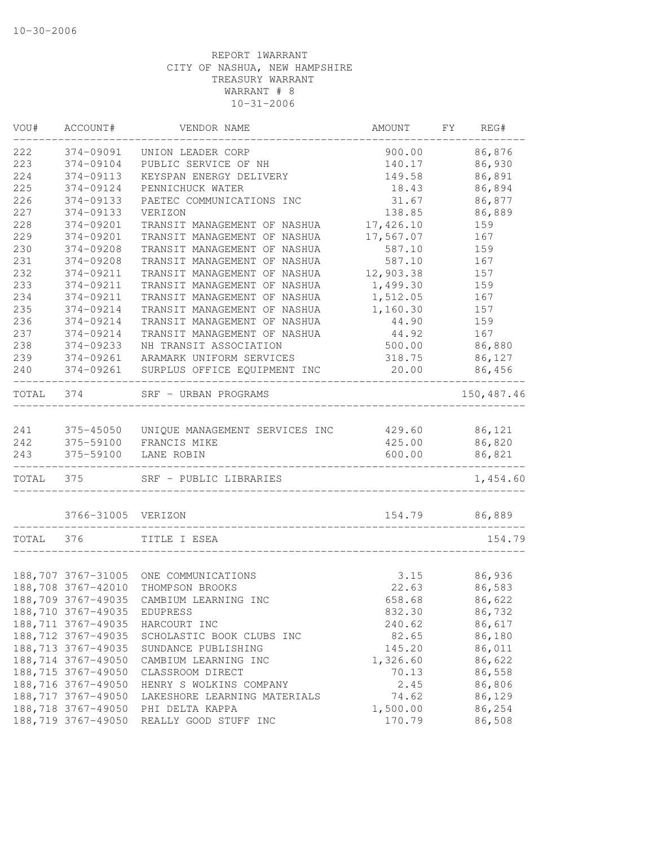| VOU#  | ACCOUNT#            | VENDOR NAME                    | AMOUNT    | FΥ | REG#       |
|-------|---------------------|--------------------------------|-----------|----|------------|
| 222   | 374-09091           | UNION LEADER CORP              | 900.00    |    | 86,876     |
| 223   | 374-09104           | PUBLIC SERVICE OF NH           | 140.17    |    | 86,930     |
| 224   | 374-09113           | KEYSPAN ENERGY DELIVERY        | 149.58    |    | 86,891     |
| 225   | 374-09124           | PENNICHUCK WATER               | 18.43     |    | 86,894     |
| 226   | 374-09133           | PAETEC COMMUNICATIONS INC      | 31.67     |    | 86,877     |
| 227   | 374-09133           | VERIZON                        | 138.85    |    | 86,889     |
| 228   | 374-09201           | TRANSIT MANAGEMENT OF NASHUA   | 17,426.10 |    | 159        |
| 229   | 374-09201           | TRANSIT MANAGEMENT OF NASHUA   | 17,567.07 |    | 167        |
| 230   | 374-09208           | TRANSIT MANAGEMENT OF NASHUA   | 587.10    |    | 159        |
| 231   | 374-09208           | TRANSIT MANAGEMENT OF NASHUA   | 587.10    |    | 167        |
| 232   | 374-09211           | TRANSIT MANAGEMENT OF NASHUA   | 12,903.38 |    | 157        |
| 233   | 374-09211           | TRANSIT MANAGEMENT OF NASHUA   | 1,499.30  |    | 159        |
| 234   | 374-09211           | TRANSIT MANAGEMENT OF NASHUA   | 1,512.05  |    | 167        |
| 235   | 374-09214           | TRANSIT MANAGEMENT OF NASHUA   | 1,160.30  |    | 157        |
| 236   | 374-09214           | TRANSIT MANAGEMENT OF NASHUA   | 44.90     |    | 159        |
| 237   | 374-09214           | TRANSIT MANAGEMENT OF NASHUA   | 44.92     |    | 167        |
| 238   | 374-09233           | NH TRANSIT ASSOCIATION         | 500.00    |    | 86,880     |
| 239   | 374-09261           | ARAMARK UNIFORM SERVICES       | 318.75    |    | 86,127     |
| 240   | 374-09261           | SURPLUS OFFICE EQUIPMENT INC   | 20.00     |    | 86,456     |
| TOTAL | 374                 | SRF - URBAN PROGRAMS           |           |    | 150,487.46 |
|       |                     |                                |           |    |            |
| 241   | 375-45050           | UNIQUE MANAGEMENT SERVICES INC | 429.60    |    | 86,121     |
| 242   | 375-59100           | FRANCIS MIKE                   | 425.00    |    | 86,820     |
| 243   | 375-59100           | LANE ROBIN                     | 600.00    |    | 86,821     |
| TOTAL | 375                 | SRF - PUBLIC LIBRARIES         |           |    | 1,454.60   |
|       | 3766-31005          | VERIZON                        | 154.79    |    | 86,889     |
| TOTAL | 376                 | TITLE I ESEA                   |           |    | 154.79     |
|       |                     |                                |           |    |            |
|       | 188,707 3767-31005  | ONE COMMUNICATIONS             | 3.15      |    | 86,936     |
|       | 188,708 3767-42010  | THOMPSON BROOKS                | 22.63     |    | 86,583     |
|       | 188,709 3767-49035  | CAMBIUM LEARNING INC           | 658.68    |    | 86,622     |
|       | 188,710 3767-49035  | EDUPRESS                       | 832.30    |    | 86,732     |
|       | 188, 711 3767-49035 | HARCOURT INC                   | 240.62    |    | 86,617     |
|       | 188,712 3767-49035  | SCHOLASTIC BOOK CLUBS INC      | 82.65     |    | 86,180     |
|       | 188,713 3767-49035  | SUNDANCE PUBLISHING            | 145.20    |    | 86,011     |
|       | 188,714 3767-49050  | CAMBIUM LEARNING INC           | 1,326.60  |    | 86,622     |
|       | 188,715 3767-49050  | CLASSROOM DIRECT               | 70.13     |    | 86,558     |
|       | 188,716 3767-49050  | HENRY S WOLKINS COMPANY        | 2.45      |    | 86,806     |
|       | 188,717 3767-49050  | LAKESHORE LEARNING MATERIALS   | 74.62     |    | 86,129     |
|       | 188,718 3767-49050  | PHI DELTA KAPPA                | 1,500.00  |    | 86,254     |
|       | 188,719 3767-49050  | REALLY GOOD STUFF INC          | 170.79    |    | 86,508     |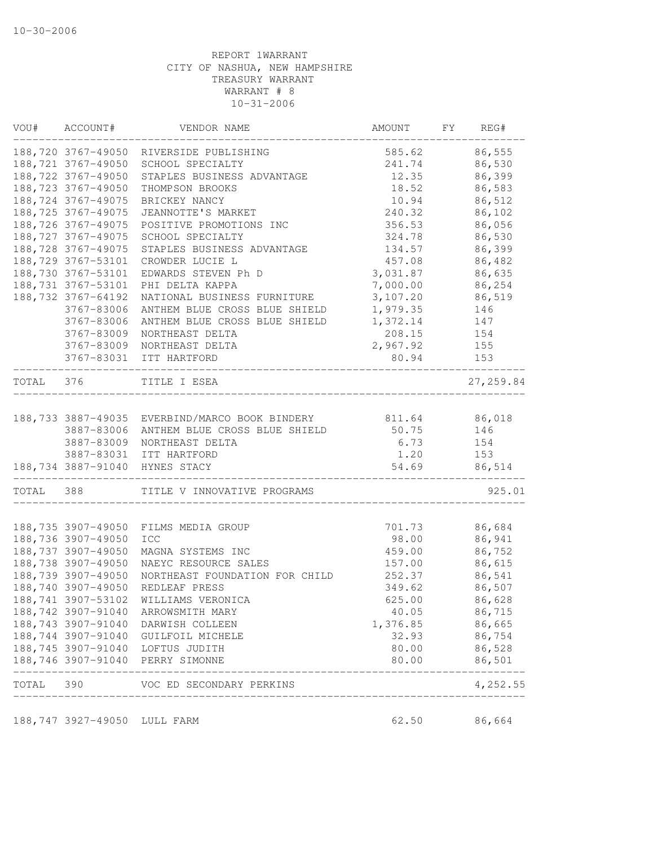| VOU#      | ACCOUNT#                     | VENDOR NAME                        | AMOUNT   | FY | REG#                  |
|-----------|------------------------------|------------------------------------|----------|----|-----------------------|
|           | 188,720 3767-49050           | RIVERSIDE PUBLISHING               | 585.62   |    | 86,555                |
|           | 188,721 3767-49050           | SCHOOL SPECIALTY                   | 241.74   |    | 86,530                |
|           | 188,722 3767-49050           | STAPLES BUSINESS ADVANTAGE         | 12.35    |    | 86,399                |
|           | 188,723 3767-49050           | THOMPSON BROOKS                    | 18.52    |    | 86,583                |
|           | 188, 724 3767-49075          | BRICKEY NANCY                      | 10.94    |    | 86,512                |
|           | 188, 725 3767-49075          | JEANNOTTE'S MARKET                 | 240.32   |    | 86,102                |
|           | 188,726 3767-49075           | POSITIVE PROMOTIONS INC            | 356.53   |    | 86,056                |
|           | 188, 727 3767-49075          | SCHOOL SPECIALTY                   | 324.78   |    | 86,530                |
|           | 188,728 3767-49075           | STAPLES BUSINESS ADVANTAGE         | 134.57   |    | 86,399                |
|           | 188,729 3767-53101           | CROWDER LUCIE L                    | 457.08   |    | 86,482                |
|           | 188,730 3767-53101           | EDWARDS STEVEN Ph D                | 3,031.87 |    | 86,635                |
|           | 188, 731 3767-53101          | PHI DELTA KAPPA                    | 7,000.00 |    | 86,254                |
|           | 188, 732 3767-64192          | NATIONAL BUSINESS FURNITURE        | 3,107.20 |    | 86,519                |
|           | 3767-83006                   | ANTHEM BLUE CROSS BLUE SHIELD      | 1,979.35 |    | 146                   |
|           | 3767-83006                   | ANTHEM BLUE CROSS BLUE SHIELD      | 1,372.14 |    | 147                   |
|           | 3767-83009                   | NORTHEAST DELTA                    | 208.15   |    | 154                   |
|           | 3767-83009                   | NORTHEAST DELTA                    | 2,967.92 |    | 155                   |
|           | 3767-83031                   | ITT HARTFORD                       | 80.94    |    | 153                   |
| TOTAL 376 |                              | TITLE I ESEA                       |          |    | 27, 259.84            |
|           | 188,733 3887-49035           | EVERBIND/MARCO BOOK BINDERY        | 811.64   |    | 86,018                |
|           | 3887-83006                   | ANTHEM BLUE CROSS BLUE SHIELD      | 50.75    |    | 146                   |
|           | 3887-83009                   | NORTHEAST DELTA                    | 6.73     |    | 154                   |
|           | 3887-83031                   | ITT HARTFORD                       | 1.20     |    | 153                   |
|           |                              | 188,734 3887-91040 HYNES STACY     | 54.69    |    | 86,514                |
| TOTAL 388 |                              | TITLE V INNOVATIVE PROGRAMS        |          |    | 925.01                |
|           |                              |                                    |          |    |                       |
|           | 188,735 3907-49050           | FILMS MEDIA GROUP                  | 701.73   |    | 86,684                |
|           | 188,736 3907-49050           | ICC                                | 98.00    |    | 86,941                |
|           | 188,737 3907-49050           | MAGNA SYSTEMS INC                  | 459.00   |    | 86,752                |
|           | 188,738 3907-49050           | NAEYC RESOURCE SALES               | 157.00   |    | 86,615                |
|           | 188,739 3907-49050           | NORTHEAST FOUNDATION FOR CHILD     | 252.37   |    | 86,541                |
|           | 188,740 3907-49050           | REDLEAF PRESS                      | 349.62   |    | 86,507                |
|           | 188,741 3907-53102           | WILLIAMS VERONICA                  | 625.00   |    | 86,628                |
|           | 188,742 3907-91040           | ARROWSMITH MARY                    | 40.05    |    | 86,715                |
|           | 188,743 3907-91040           | DARWISH COLLEEN                    | 1,376.85 |    | 86,665                |
|           | 188,744 3907-91040           | GUILFOIL MICHELE                   | 32.93    |    | 86,754                |
|           |                              | 188,745 3907-91040 LOFTUS JUDITH   | 80.00    |    | 86,528                |
|           |                              | 188,746 3907-91040 PERRY SIMONNE   | 80.00    |    | 86,501<br>$- - - - -$ |
|           |                              | TOTAL 390 VOC ED SECONDARY PERKINS |          |    | 4,252.55              |
|           | 188,747 3927-49050 LULL FARM |                                    | 62.50    |    | 86,664                |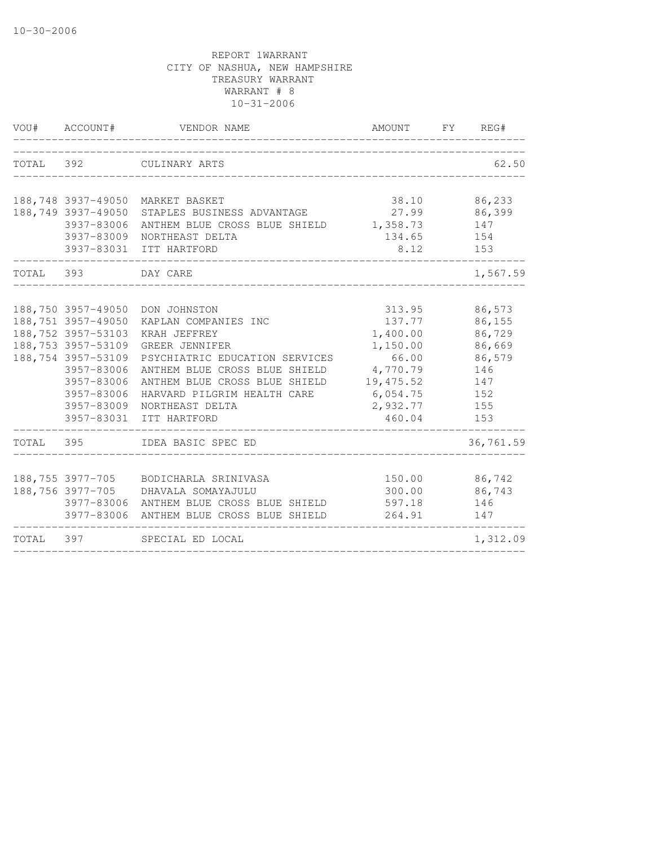|           | VOU# ACCOUNT#                                                                                                                                              | VENDOR NAME                                                                                                                                                                                                                                                     | AMOUNT FY REG#                                                                                               |                                                                                   |
|-----------|------------------------------------------------------------------------------------------------------------------------------------------------------------|-----------------------------------------------------------------------------------------------------------------------------------------------------------------------------------------------------------------------------------------------------------------|--------------------------------------------------------------------------------------------------------------|-----------------------------------------------------------------------------------|
| TOTAL 392 |                                                                                                                                                            | CULINARY ARTS                                                                                                                                                                                                                                                   |                                                                                                              | 62.50                                                                             |
|           | 188,749 3937-49050<br>3937-83006<br>3937-83009                                                                                                             | 188,748 3937-49050 MARKET BASKET<br>STAPLES BUSINESS ADVANTAGE<br>ANTHEM BLUE CROSS BLUE SHIELD 1,358.73<br>NORTHEAST DELTA<br>3937-83031 ITT HARTFORD                                                                                                          | 38.10<br>27.99<br>134.65<br>8.12                                                                             | 86,233<br>86,399<br>147<br>154<br>153                                             |
| TOTAL 393 |                                                                                                                                                            | DAY CARE                                                                                                                                                                                                                                                        |                                                                                                              | 1,567.59                                                                          |
|           | 188,751 3957-49050<br>188,752 3957-53103<br>188,753 3957-53109<br>188,754 3957-53109<br>3957-83006<br>3957-83006<br>3957-83006<br>3957-83009<br>3957-83031 | 188,750 3957-49050 DON JOHNSTON<br>KAPLAN COMPANIES INC<br>KRAH JEFFREY<br>GREER JENNIFER<br>PSYCHIATRIC EDUCATION SERVICES<br>ANTHEM BLUE CROSS BLUE SHIELD<br>ANTHEM BLUE CROSS BLUE SHIELD<br>HARVARD PILGRIM HEALTH CARE<br>NORTHEAST DELTA<br>ITT HARTFORD | 313.95<br>137.77<br>1,400.00<br>1,150.00<br>66.00<br>4,770.79<br>19,475.52<br>6,054.75<br>2,932.77<br>460.04 | 86,573<br>86,155<br>86,729<br>86,669<br>86,579<br>146<br>147<br>152<br>155<br>153 |
| TOTAL 395 |                                                                                                                                                            | IDEA BASIC SPEC ED                                                                                                                                                                                                                                              |                                                                                                              | 36,761.59                                                                         |
|           | 188,756 3977-705                                                                                                                                           | 188,755 3977-705 BODICHARLA SRINIVASA<br>DHAVALA SOMAYAJULU<br>3977-83006 ANTHEM BLUE CROSS BLUE SHIELD<br>3977-83006 ANTHEM BLUE CROSS BLUE SHIELD                                                                                                             | 150.00 86,742<br>300.00<br>597.18<br>264.91                                                                  | 86,743<br>146<br>147                                                              |
|           |                                                                                                                                                            | TOTAL 397 SPECIAL ED LOCAL                                                                                                                                                                                                                                      |                                                                                                              | 1,312.09                                                                          |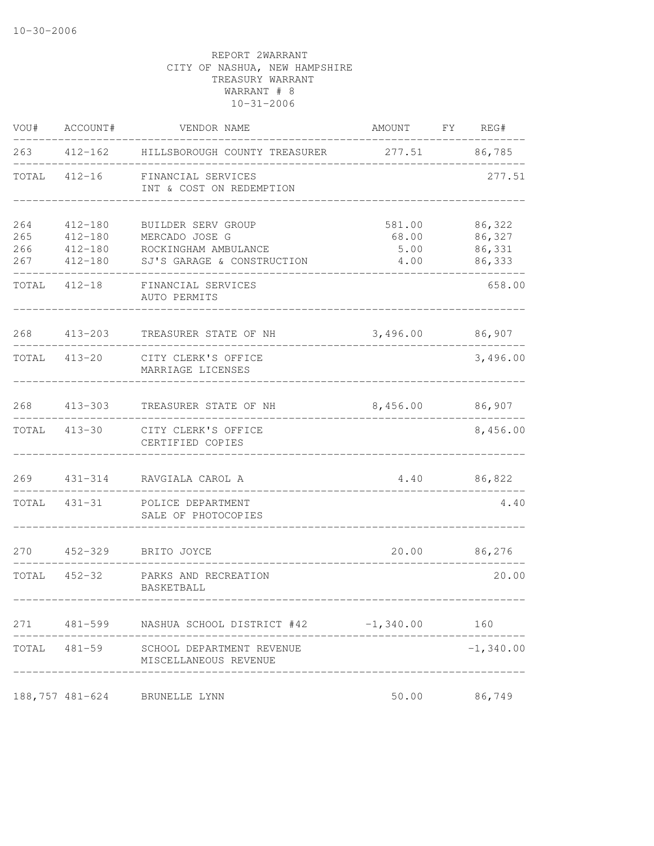| VOU#                     | ACCOUNT#                                         | VENDOR NAME                                                                                | AMOUNT FY REG#                  |                                      |
|--------------------------|--------------------------------------------------|--------------------------------------------------------------------------------------------|---------------------------------|--------------------------------------|
| 263                      |                                                  | 412-162 HILLSBOROUGH COUNTY TREASURER                                                      | 277.51 86,785                   |                                      |
| TOTAL                    | $412 - 16$                                       | FINANCIAL SERVICES<br>INT & COST ON REDEMPTION                                             |                                 | 277.51                               |
| 264<br>265<br>266<br>267 | 412-180<br>$412 - 180$<br>412-180<br>$412 - 180$ | BUILDER SERV GROUP<br>MERCADO JOSE G<br>ROCKINGHAM AMBULANCE<br>SJ'S GARAGE & CONSTRUCTION | 581.00<br>68.00<br>5.00<br>4.00 | 86,322<br>86,327<br>86,331<br>86,333 |
| TOTAL                    | $412 - 18$                                       | FINANCIAL SERVICES<br>AUTO PERMITS                                                         |                                 | 658.00                               |
|                          | 268 413-203                                      | TREASURER STATE OF NH                                                                      | 3,496.00 86,907                 |                                      |
| TOTAL 413-20             |                                                  | CITY CLERK'S OFFICE<br>MARRIAGE LICENSES                                                   |                                 | 3,496.00                             |
| 268                      | $413 - 303$                                      | TREASURER STATE OF NH                                                                      | 8,456.00                        | 86,907                               |
| TOTAL                    | $413 - 30$                                       | CITY CLERK'S OFFICE<br>CERTIFIED COPIES                                                    |                                 | 8,456.00                             |
| 269                      | $431 - 314$                                      | RAVGIALA CAROL A                                                                           | 4.40                            | 86,822                               |
| TOTAL                    | $431 - 31$                                       | POLICE DEPARTMENT<br>SALE OF PHOTOCOPIES                                                   |                                 | 4.40                                 |
| 270                      | $452 - 329$                                      | BRITO JOYCE                                                                                |                                 | 20.00 86,276                         |
|                          | TOTAL 452-32                                     | PARKS AND RECREATION<br>BASKETBALL                                                         |                                 | 20.00                                |
|                          |                                                  | 271  481-599          NASHUA          SCHOOL DISTRICT #42          -1,340.00               |                                 | 160                                  |
|                          | TOTAL 481-59                                     | SCHOOL DEPARTMENT REVENUE<br>MISCELLANEOUS REVENUE                                         |                                 | $-1,340.00$                          |
|                          | 188,757 481-624                                  | BRUNELLE LYNN                                                                              | 50.00                           | 86,749                               |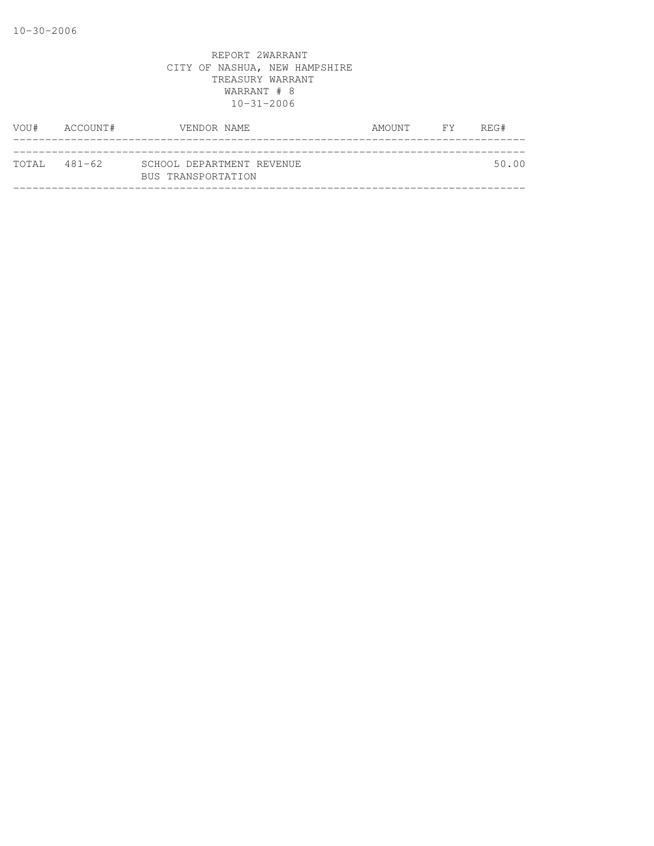| VOU# | ACCOUNT#      | VENDOR NAME                                     | AMOUNT FY | REG#  |
|------|---------------|-------------------------------------------------|-----------|-------|
|      |               |                                                 |           |       |
|      | ТОТАІ, 481—62 | SCHOOL DEPARTMENT REVENUE<br>BUS TRANSPORTATION |           | 50.00 |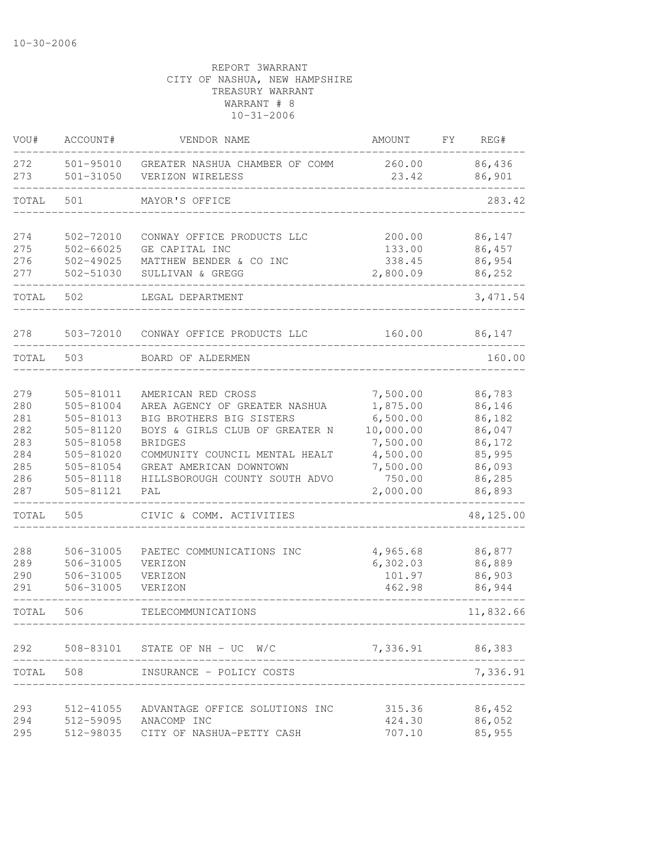| VOU#       | ACCOUNT#                   | VENDOR NAME                                                | AMOUNT                | FΥ | REG#             |
|------------|----------------------------|------------------------------------------------------------|-----------------------|----|------------------|
| 272<br>273 | 501-95010<br>$501 - 31050$ | GREATER NASHUA CHAMBER OF COMM<br>VERIZON WIRELESS         | 260.00<br>23.42       |    | 86,436<br>86,901 |
| TOTAL      | 501                        | MAYOR'S OFFICE                                             |                       |    | 283.42           |
| 274        | 502-72010                  | CONWAY OFFICE PRODUCTS LLC                                 | 200.00                |    | 86,147           |
| 275        | $502 - 66025$              | GE CAPITAL INC                                             | 133.00                |    | 86,457           |
| 276        | 502-49025                  | MATTHEW BENDER & CO INC                                    | 338.45                |    | 86,954           |
| 277        | 502-51030                  | SULLIVAN & GREGG                                           | 2,800.09              |    | 86,252           |
| TOTAL      | 502                        | LEGAL DEPARTMENT                                           |                       |    | 3, 471.54        |
| 278        | 503-72010                  | CONWAY OFFICE PRODUCTS LLC                                 | 160.00                |    | 86,147           |
| TOTAL      | 503                        | BOARD OF ALDERMEN                                          |                       |    | 160.00           |
|            |                            |                                                            |                       |    |                  |
| 279        | 505-81011                  | AMERICAN RED CROSS                                         | 7,500.00              |    | 86,783           |
| 280        | 505-81004                  | AREA AGENCY OF GREATER NASHUA                              | 1,875.00              |    | 86,146           |
| 281<br>282 | 505-81013<br>505-81120     | BIG BROTHERS BIG SISTERS<br>BOYS & GIRLS CLUB OF GREATER N | 6,500.00              |    | 86,182           |
| 283        | 505-81058                  | <b>BRIDGES</b>                                             | 10,000.00<br>7,500.00 |    | 86,047<br>86,172 |
| 284        | 505-81020                  | COMMUNITY COUNCIL MENTAL HEALT                             | 4,500.00              |    | 85,995           |
| 285        | 505-81054                  | GREAT AMERICAN DOWNTOWN                                    | 7,500.00              |    | 86,093           |
| 286        | 505-81118                  | HILLSBOROUGH COUNTY SOUTH ADVO                             | 750.00                |    | 86,285           |
| 287        | 505-81121                  | PAL                                                        | 2,000.00              |    | 86,893           |
| TOTAL      | 505                        | CIVIC & COMM. ACTIVITIES                                   |                       |    | 48,125.00        |
| 288        |                            | PAETEC COMMUNICATIONS INC                                  |                       |    |                  |
| 289        | 506-31005<br>506-31005     | VERIZON                                                    | 4,965.68<br>6,302.03  |    | 86,877<br>86,889 |
| 290        | 506-31005                  | VERIZON                                                    | 101.97                |    | 86,903           |
| 291        | 506-31005                  | VERIZON                                                    | 462.98                |    | 86,944           |
| TOTAL      | 506                        | TELECOMMUNICATIONS                                         |                       |    | 11,832.66        |
| 292        |                            | 508-83101 STATE OF NH - UC W/C                             | 7,336.91 86,383       |    |                  |
| TOTAL 508  |                            | INSURANCE - POLICY COSTS                                   |                       |    | 7,336.91         |
|            |                            |                                                            |                       |    |                  |
| 293        | 512-41055                  | ADVANTAGE OFFICE SOLUTIONS INC                             | 315.36                |    | 86,452           |
| 294        | 512-59095                  | ANACOMP INC                                                | 424.30                |    | 86,052           |
| 295        | 512-98035                  | CITY OF NASHUA-PETTY CASH                                  | 707.10                |    | 85,955           |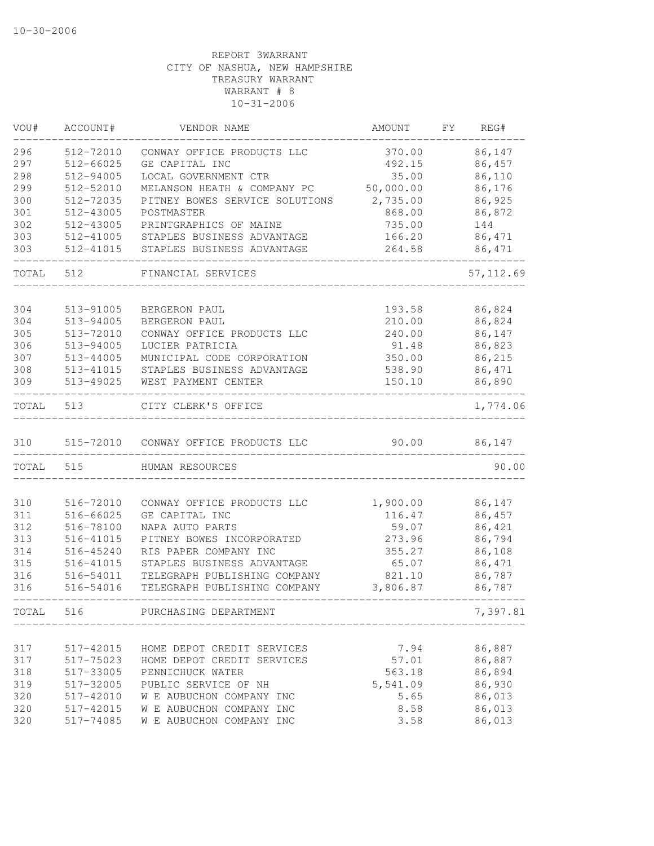| 86,147<br>512-72010<br>CONWAY OFFICE PRODUCTS LLC<br>370.00<br>86,457<br>512-66025<br>GE CAPITAL INC<br>492.15<br>512-94005<br>LOCAL GOVERNMENT CTR<br>35.00<br>86,110<br>299<br>512-52010<br>MELANSON HEATH & COMPANY PC<br>50,000.00<br>86,176<br>300<br>512-72035<br>PITNEY BOWES SERVICE SOLUTIONS<br>86,925<br>2,735.00<br>301<br>512-43005<br>POSTMASTER<br>868.00<br>86,872<br>302<br>512-43005<br>PRINTGRAPHICS OF MAINE<br>735.00<br>144<br>86,471<br>303<br>512-41005<br>STAPLES BUSINESS ADVANTAGE<br>166.20<br>303<br>512-41015<br>86,471<br>STAPLES BUSINESS ADVANTAGE<br>264.58<br>57, 112.69<br>512<br>FINANCIAL SERVICES<br>304<br>513-91005<br>193.58<br>86,824<br>BERGERON PAUL<br>304<br>513-94005<br>BERGERON PAUL<br>210.00<br>86,824<br>305<br>86,147<br>513-72010<br>CONWAY OFFICE PRODUCTS LLC<br>240.00<br>86,823<br>306<br>513-94005<br>LUCIER PATRICIA<br>91.48<br>307<br>513-44005<br>MUNICIPAL CODE CORPORATION<br>350.00<br>86,215<br>308<br>86,471<br>513-41015<br>STAPLES BUSINESS ADVANTAGE<br>538.90<br>86,890<br>513-49025<br>WEST PAYMENT CENTER<br>150.10<br>513<br>1,774.06<br>CITY CLERK'S OFFICE<br>90.00<br>86,147<br>515-72010 CONWAY OFFICE PRODUCTS LLC<br>90.00<br>515<br>HUMAN RESOURCES<br>310<br>516-72010<br>CONWAY OFFICE PRODUCTS LLC<br>1,900.00<br>86,147<br>311<br>516-66025<br>GE CAPITAL INC<br>86,457<br>116.47<br>312<br>NAPA AUTO PARTS<br>59.07<br>86,421<br>516-78100<br>313<br>PITNEY BOWES INCORPORATED<br>273.96<br>86,794<br>516-41015<br>86,108<br>314<br>516-45240<br>RIS PAPER COMPANY INC<br>355.27<br>STAPLES BUSINESS ADVANTAGE<br>315<br>516-41015<br>65.07<br>86,471<br>316<br>TELEGRAPH PUBLISHING COMPANY<br>821.10<br>86,787<br>516-54011<br>316<br>86,787<br>516-54016<br>TELEGRAPH PUBLISHING COMPANY<br>3,806.87<br>516<br>7,397.81<br>PURCHASING DEPARTMENT<br>7.94<br>86,887<br>317<br>517-42015<br>HOME DEPOT CREDIT SERVICES<br>517-75023<br>57.01<br>86,887<br>317<br>HOME DEPOT CREDIT SERVICES<br>86,894<br>318<br>517-33005<br>PENNICHUCK WATER<br>563.18<br>86,930<br>319<br>517-32005<br>PUBLIC SERVICE OF NH<br>5,541.09<br>86,013<br>320<br>W E AUBUCHON COMPANY INC<br>517-42010<br>5.65<br>86,013<br>320<br>W E AUBUCHON COMPANY INC<br>8.58<br>517-42015<br>86,013<br>$517 - 74085$<br>W E AUBUCHON COMPANY INC<br>3.58 | VOU#  | ACCOUNT# | VENDOR NAME | AMOUNT | FY. | REG# |
|-----------------------------------------------------------------------------------------------------------------------------------------------------------------------------------------------------------------------------------------------------------------------------------------------------------------------------------------------------------------------------------------------------------------------------------------------------------------------------------------------------------------------------------------------------------------------------------------------------------------------------------------------------------------------------------------------------------------------------------------------------------------------------------------------------------------------------------------------------------------------------------------------------------------------------------------------------------------------------------------------------------------------------------------------------------------------------------------------------------------------------------------------------------------------------------------------------------------------------------------------------------------------------------------------------------------------------------------------------------------------------------------------------------------------------------------------------------------------------------------------------------------------------------------------------------------------------------------------------------------------------------------------------------------------------------------------------------------------------------------------------------------------------------------------------------------------------------------------------------------------------------------------------------------------------------------------------------------------------------------------------------------------------------------------------------------------------------------------------------------------------------------------------------------------------------------------------------------------------------------------------------------------------------------------------------------------|-------|----------|-------------|--------|-----|------|
|                                                                                                                                                                                                                                                                                                                                                                                                                                                                                                                                                                                                                                                                                                                                                                                                                                                                                                                                                                                                                                                                                                                                                                                                                                                                                                                                                                                                                                                                                                                                                                                                                                                                                                                                                                                                                                                                                                                                                                                                                                                                                                                                                                                                                                                                                                                       | 296   |          |             |        |     |      |
|                                                                                                                                                                                                                                                                                                                                                                                                                                                                                                                                                                                                                                                                                                                                                                                                                                                                                                                                                                                                                                                                                                                                                                                                                                                                                                                                                                                                                                                                                                                                                                                                                                                                                                                                                                                                                                                                                                                                                                                                                                                                                                                                                                                                                                                                                                                       | 297   |          |             |        |     |      |
|                                                                                                                                                                                                                                                                                                                                                                                                                                                                                                                                                                                                                                                                                                                                                                                                                                                                                                                                                                                                                                                                                                                                                                                                                                                                                                                                                                                                                                                                                                                                                                                                                                                                                                                                                                                                                                                                                                                                                                                                                                                                                                                                                                                                                                                                                                                       | 298   |          |             |        |     |      |
|                                                                                                                                                                                                                                                                                                                                                                                                                                                                                                                                                                                                                                                                                                                                                                                                                                                                                                                                                                                                                                                                                                                                                                                                                                                                                                                                                                                                                                                                                                                                                                                                                                                                                                                                                                                                                                                                                                                                                                                                                                                                                                                                                                                                                                                                                                                       |       |          |             |        |     |      |
|                                                                                                                                                                                                                                                                                                                                                                                                                                                                                                                                                                                                                                                                                                                                                                                                                                                                                                                                                                                                                                                                                                                                                                                                                                                                                                                                                                                                                                                                                                                                                                                                                                                                                                                                                                                                                                                                                                                                                                                                                                                                                                                                                                                                                                                                                                                       |       |          |             |        |     |      |
|                                                                                                                                                                                                                                                                                                                                                                                                                                                                                                                                                                                                                                                                                                                                                                                                                                                                                                                                                                                                                                                                                                                                                                                                                                                                                                                                                                                                                                                                                                                                                                                                                                                                                                                                                                                                                                                                                                                                                                                                                                                                                                                                                                                                                                                                                                                       |       |          |             |        |     |      |
|                                                                                                                                                                                                                                                                                                                                                                                                                                                                                                                                                                                                                                                                                                                                                                                                                                                                                                                                                                                                                                                                                                                                                                                                                                                                                                                                                                                                                                                                                                                                                                                                                                                                                                                                                                                                                                                                                                                                                                                                                                                                                                                                                                                                                                                                                                                       |       |          |             |        |     |      |
|                                                                                                                                                                                                                                                                                                                                                                                                                                                                                                                                                                                                                                                                                                                                                                                                                                                                                                                                                                                                                                                                                                                                                                                                                                                                                                                                                                                                                                                                                                                                                                                                                                                                                                                                                                                                                                                                                                                                                                                                                                                                                                                                                                                                                                                                                                                       |       |          |             |        |     |      |
|                                                                                                                                                                                                                                                                                                                                                                                                                                                                                                                                                                                                                                                                                                                                                                                                                                                                                                                                                                                                                                                                                                                                                                                                                                                                                                                                                                                                                                                                                                                                                                                                                                                                                                                                                                                                                                                                                                                                                                                                                                                                                                                                                                                                                                                                                                                       |       |          |             |        |     |      |
|                                                                                                                                                                                                                                                                                                                                                                                                                                                                                                                                                                                                                                                                                                                                                                                                                                                                                                                                                                                                                                                                                                                                                                                                                                                                                                                                                                                                                                                                                                                                                                                                                                                                                                                                                                                                                                                                                                                                                                                                                                                                                                                                                                                                                                                                                                                       | TOTAL |          |             |        |     |      |
|                                                                                                                                                                                                                                                                                                                                                                                                                                                                                                                                                                                                                                                                                                                                                                                                                                                                                                                                                                                                                                                                                                                                                                                                                                                                                                                                                                                                                                                                                                                                                                                                                                                                                                                                                                                                                                                                                                                                                                                                                                                                                                                                                                                                                                                                                                                       |       |          |             |        |     |      |
|                                                                                                                                                                                                                                                                                                                                                                                                                                                                                                                                                                                                                                                                                                                                                                                                                                                                                                                                                                                                                                                                                                                                                                                                                                                                                                                                                                                                                                                                                                                                                                                                                                                                                                                                                                                                                                                                                                                                                                                                                                                                                                                                                                                                                                                                                                                       |       |          |             |        |     |      |
|                                                                                                                                                                                                                                                                                                                                                                                                                                                                                                                                                                                                                                                                                                                                                                                                                                                                                                                                                                                                                                                                                                                                                                                                                                                                                                                                                                                                                                                                                                                                                                                                                                                                                                                                                                                                                                                                                                                                                                                                                                                                                                                                                                                                                                                                                                                       |       |          |             |        |     |      |
|                                                                                                                                                                                                                                                                                                                                                                                                                                                                                                                                                                                                                                                                                                                                                                                                                                                                                                                                                                                                                                                                                                                                                                                                                                                                                                                                                                                                                                                                                                                                                                                                                                                                                                                                                                                                                                                                                                                                                                                                                                                                                                                                                                                                                                                                                                                       |       |          |             |        |     |      |
|                                                                                                                                                                                                                                                                                                                                                                                                                                                                                                                                                                                                                                                                                                                                                                                                                                                                                                                                                                                                                                                                                                                                                                                                                                                                                                                                                                                                                                                                                                                                                                                                                                                                                                                                                                                                                                                                                                                                                                                                                                                                                                                                                                                                                                                                                                                       |       |          |             |        |     |      |
|                                                                                                                                                                                                                                                                                                                                                                                                                                                                                                                                                                                                                                                                                                                                                                                                                                                                                                                                                                                                                                                                                                                                                                                                                                                                                                                                                                                                                                                                                                                                                                                                                                                                                                                                                                                                                                                                                                                                                                                                                                                                                                                                                                                                                                                                                                                       |       |          |             |        |     |      |
|                                                                                                                                                                                                                                                                                                                                                                                                                                                                                                                                                                                                                                                                                                                                                                                                                                                                                                                                                                                                                                                                                                                                                                                                                                                                                                                                                                                                                                                                                                                                                                                                                                                                                                                                                                                                                                                                                                                                                                                                                                                                                                                                                                                                                                                                                                                       | 309   |          |             |        |     |      |
|                                                                                                                                                                                                                                                                                                                                                                                                                                                                                                                                                                                                                                                                                                                                                                                                                                                                                                                                                                                                                                                                                                                                                                                                                                                                                                                                                                                                                                                                                                                                                                                                                                                                                                                                                                                                                                                                                                                                                                                                                                                                                                                                                                                                                                                                                                                       | TOTAL |          |             |        |     |      |
|                                                                                                                                                                                                                                                                                                                                                                                                                                                                                                                                                                                                                                                                                                                                                                                                                                                                                                                                                                                                                                                                                                                                                                                                                                                                                                                                                                                                                                                                                                                                                                                                                                                                                                                                                                                                                                                                                                                                                                                                                                                                                                                                                                                                                                                                                                                       | 310   |          |             |        |     |      |
|                                                                                                                                                                                                                                                                                                                                                                                                                                                                                                                                                                                                                                                                                                                                                                                                                                                                                                                                                                                                                                                                                                                                                                                                                                                                                                                                                                                                                                                                                                                                                                                                                                                                                                                                                                                                                                                                                                                                                                                                                                                                                                                                                                                                                                                                                                                       | TOTAL |          |             |        |     |      |
|                                                                                                                                                                                                                                                                                                                                                                                                                                                                                                                                                                                                                                                                                                                                                                                                                                                                                                                                                                                                                                                                                                                                                                                                                                                                                                                                                                                                                                                                                                                                                                                                                                                                                                                                                                                                                                                                                                                                                                                                                                                                                                                                                                                                                                                                                                                       |       |          |             |        |     |      |
|                                                                                                                                                                                                                                                                                                                                                                                                                                                                                                                                                                                                                                                                                                                                                                                                                                                                                                                                                                                                                                                                                                                                                                                                                                                                                                                                                                                                                                                                                                                                                                                                                                                                                                                                                                                                                                                                                                                                                                                                                                                                                                                                                                                                                                                                                                                       |       |          |             |        |     |      |
|                                                                                                                                                                                                                                                                                                                                                                                                                                                                                                                                                                                                                                                                                                                                                                                                                                                                                                                                                                                                                                                                                                                                                                                                                                                                                                                                                                                                                                                                                                                                                                                                                                                                                                                                                                                                                                                                                                                                                                                                                                                                                                                                                                                                                                                                                                                       |       |          |             |        |     |      |
|                                                                                                                                                                                                                                                                                                                                                                                                                                                                                                                                                                                                                                                                                                                                                                                                                                                                                                                                                                                                                                                                                                                                                                                                                                                                                                                                                                                                                                                                                                                                                                                                                                                                                                                                                                                                                                                                                                                                                                                                                                                                                                                                                                                                                                                                                                                       |       |          |             |        |     |      |
|                                                                                                                                                                                                                                                                                                                                                                                                                                                                                                                                                                                                                                                                                                                                                                                                                                                                                                                                                                                                                                                                                                                                                                                                                                                                                                                                                                                                                                                                                                                                                                                                                                                                                                                                                                                                                                                                                                                                                                                                                                                                                                                                                                                                                                                                                                                       |       |          |             |        |     |      |
|                                                                                                                                                                                                                                                                                                                                                                                                                                                                                                                                                                                                                                                                                                                                                                                                                                                                                                                                                                                                                                                                                                                                                                                                                                                                                                                                                                                                                                                                                                                                                                                                                                                                                                                                                                                                                                                                                                                                                                                                                                                                                                                                                                                                                                                                                                                       |       |          |             |        |     |      |
|                                                                                                                                                                                                                                                                                                                                                                                                                                                                                                                                                                                                                                                                                                                                                                                                                                                                                                                                                                                                                                                                                                                                                                                                                                                                                                                                                                                                                                                                                                                                                                                                                                                                                                                                                                                                                                                                                                                                                                                                                                                                                                                                                                                                                                                                                                                       |       |          |             |        |     |      |
|                                                                                                                                                                                                                                                                                                                                                                                                                                                                                                                                                                                                                                                                                                                                                                                                                                                                                                                                                                                                                                                                                                                                                                                                                                                                                                                                                                                                                                                                                                                                                                                                                                                                                                                                                                                                                                                                                                                                                                                                                                                                                                                                                                                                                                                                                                                       |       |          |             |        |     |      |
|                                                                                                                                                                                                                                                                                                                                                                                                                                                                                                                                                                                                                                                                                                                                                                                                                                                                                                                                                                                                                                                                                                                                                                                                                                                                                                                                                                                                                                                                                                                                                                                                                                                                                                                                                                                                                                                                                                                                                                                                                                                                                                                                                                                                                                                                                                                       |       |          |             |        |     |      |
|                                                                                                                                                                                                                                                                                                                                                                                                                                                                                                                                                                                                                                                                                                                                                                                                                                                                                                                                                                                                                                                                                                                                                                                                                                                                                                                                                                                                                                                                                                                                                                                                                                                                                                                                                                                                                                                                                                                                                                                                                                                                                                                                                                                                                                                                                                                       | TOTAL |          |             |        |     |      |
|                                                                                                                                                                                                                                                                                                                                                                                                                                                                                                                                                                                                                                                                                                                                                                                                                                                                                                                                                                                                                                                                                                                                                                                                                                                                                                                                                                                                                                                                                                                                                                                                                                                                                                                                                                                                                                                                                                                                                                                                                                                                                                                                                                                                                                                                                                                       |       |          |             |        |     |      |
|                                                                                                                                                                                                                                                                                                                                                                                                                                                                                                                                                                                                                                                                                                                                                                                                                                                                                                                                                                                                                                                                                                                                                                                                                                                                                                                                                                                                                                                                                                                                                                                                                                                                                                                                                                                                                                                                                                                                                                                                                                                                                                                                                                                                                                                                                                                       |       |          |             |        |     |      |
|                                                                                                                                                                                                                                                                                                                                                                                                                                                                                                                                                                                                                                                                                                                                                                                                                                                                                                                                                                                                                                                                                                                                                                                                                                                                                                                                                                                                                                                                                                                                                                                                                                                                                                                                                                                                                                                                                                                                                                                                                                                                                                                                                                                                                                                                                                                       |       |          |             |        |     |      |
|                                                                                                                                                                                                                                                                                                                                                                                                                                                                                                                                                                                                                                                                                                                                                                                                                                                                                                                                                                                                                                                                                                                                                                                                                                                                                                                                                                                                                                                                                                                                                                                                                                                                                                                                                                                                                                                                                                                                                                                                                                                                                                                                                                                                                                                                                                                       |       |          |             |        |     |      |
|                                                                                                                                                                                                                                                                                                                                                                                                                                                                                                                                                                                                                                                                                                                                                                                                                                                                                                                                                                                                                                                                                                                                                                                                                                                                                                                                                                                                                                                                                                                                                                                                                                                                                                                                                                                                                                                                                                                                                                                                                                                                                                                                                                                                                                                                                                                       |       |          |             |        |     |      |
|                                                                                                                                                                                                                                                                                                                                                                                                                                                                                                                                                                                                                                                                                                                                                                                                                                                                                                                                                                                                                                                                                                                                                                                                                                                                                                                                                                                                                                                                                                                                                                                                                                                                                                                                                                                                                                                                                                                                                                                                                                                                                                                                                                                                                                                                                                                       |       |          |             |        |     |      |
|                                                                                                                                                                                                                                                                                                                                                                                                                                                                                                                                                                                                                                                                                                                                                                                                                                                                                                                                                                                                                                                                                                                                                                                                                                                                                                                                                                                                                                                                                                                                                                                                                                                                                                                                                                                                                                                                                                                                                                                                                                                                                                                                                                                                                                                                                                                       | 320   |          |             |        |     |      |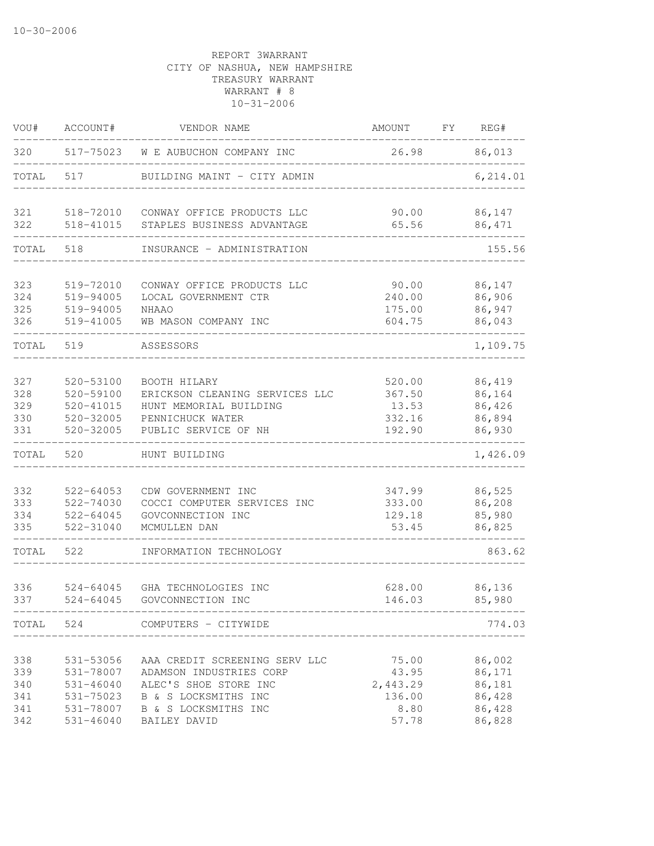| VOU#       | ACCOUNT#                   | VENDOR NAME                                      | AMOUNT             | FY | REG#             |
|------------|----------------------------|--------------------------------------------------|--------------------|----|------------------|
| 320        | 517-75023                  | W E AUBUCHON COMPANY INC                         | 26.98              |    | 86,013           |
| TOTAL      | 517                        | BUILDING MAINT - CITY ADMIN                      |                    |    | 6,214.01         |
| 321        | 518-72010                  | CONWAY OFFICE PRODUCTS LLC                       | 90.00              |    | 86,147           |
| 322        | 518-41015                  | STAPLES BUSINESS ADVANTAGE                       | 65.56              |    | 86,471           |
| TOTAL      | 518                        | INSURANCE - ADMINISTRATION                       |                    |    | 155.56           |
| 323        | 519-72010                  | CONWAY OFFICE PRODUCTS LLC                       | 90.00              |    | 86,147           |
| 324        | 519-94005                  | LOCAL GOVERNMENT CTR                             | 240.00             |    | 86,906           |
| 325        | 519-94005                  | NHAAO                                            | 175.00             |    | 86,947           |
| 326        | 519-41005                  | WB MASON COMPANY INC                             | 604.75             |    | 86,043           |
| TOTAL      | 519                        | ASSESSORS                                        |                    |    | 1,109.75         |
| 327        | 520-53100                  | BOOTH HILARY                                     | 520.00             |    | 86,419           |
| 328        | 520-59100                  | ERICKSON CLEANING SERVICES LLC                   | 367.50             |    | 86,164           |
| 329        | 520-41015                  | HUNT MEMORIAL BUILDING                           | 13.53              |    | 86,426           |
| 330        | 520-32005                  | PENNICHUCK WATER                                 | 332.16             |    | 86,894           |
| 331        | 520-32005                  | PUBLIC SERVICE OF NH                             | 192.90             |    | 86,930           |
| TOTAL      | 520                        | HUNT BUILDING                                    |                    |    | 1,426.09         |
| 332        | $522 - 64053$              | CDW GOVERNMENT INC                               | 347.99             |    | 86,525           |
| 333        | 522-74030                  | COCCI COMPUTER SERVICES INC                      | 333.00             |    | 86,208           |
| 334        | 522-64045                  | GOVCONNECTION INC                                | 129.18             |    | 85,980           |
| 335        | 522-31040                  | MCMULLEN DAN                                     | 53.45              |    | 86,825           |
| TOTAL      | 522                        | INFORMATION TECHNOLOGY                           |                    |    | 863.62           |
| 336        | $524 - 64045$              | GHA TECHNOLOGIES INC                             | 628.00             |    | 86,136           |
| 337        | $524 - 64045$              | GOVCONNECTION INC                                | 146.03             |    | 85,980           |
|            |                            | TOTAL 524 COMPUTERS - CITYWIDE                   |                    |    | 774.03           |
|            |                            |                                                  |                    |    |                  |
| 338        | 531-53056                  | AAA CREDIT SCREENING SERV LLC                    | 75.00              |    | 86,002           |
| 339        | 531-78007<br>$531 - 46040$ | ADAMSON INDUSTRIES CORP<br>ALEC'S SHOE STORE INC | 43.95              |    | 86,171           |
| 340<br>341 | 531-75023                  | B & S LOCKSMITHS INC                             | 2,443.29<br>136.00 |    | 86,181<br>86,428 |
| 341        | 531-78007                  | B & S LOCKSMITHS INC                             | 8.80               |    | 86,428           |
| 342        | $531 - 46040$              | BAILEY DAVID                                     | 57.78              |    | 86,828           |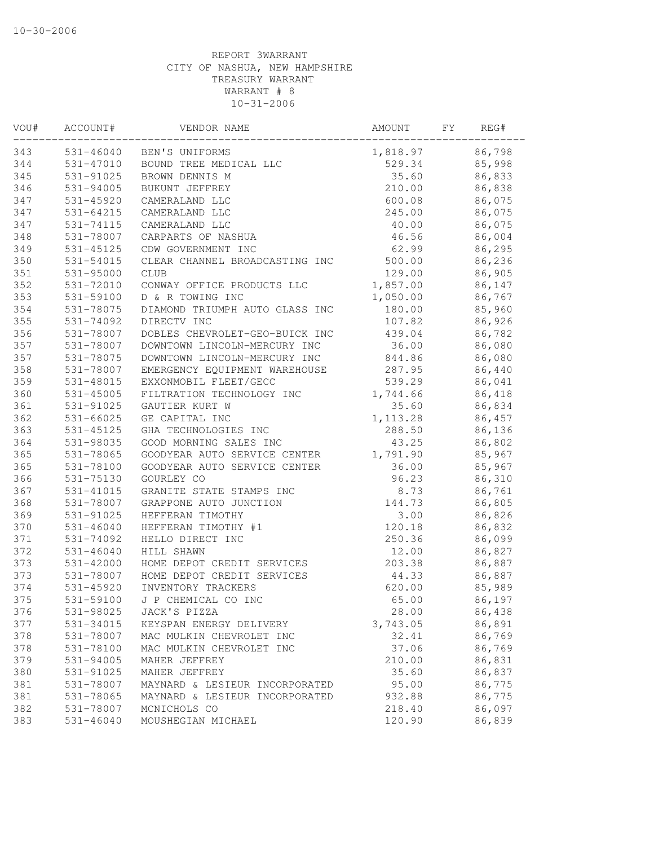| VOU# | ACCOUNT#      | VENDOR NAME                    | AMOUNT    | FΥ | REG#   |
|------|---------------|--------------------------------|-----------|----|--------|
| 343  | 531-46040     | BEN'S UNIFORMS                 | 1,818.97  |    | 86,798 |
| 344  | 531-47010     | BOUND TREE MEDICAL LLC         | 529.34    |    | 85,998 |
| 345  | 531-91025     | BROWN DENNIS M                 | 35.60     |    | 86,833 |
| 346  | 531-94005     | BUKUNT JEFFREY                 | 210.00    |    | 86,838 |
| 347  | 531-45920     | CAMERALAND LLC                 | 600.08    |    | 86,075 |
| 347  | 531-64215     | CAMERALAND LLC                 | 245.00    |    | 86,075 |
| 347  | 531-74115     | CAMERALAND LLC                 | 40.00     |    | 86,075 |
| 348  | 531-78007     | CARPARTS OF NASHUA             | 46.56     |    | 86,004 |
| 349  | 531-45125     | CDW GOVERNMENT INC             | 62.99     |    | 86,295 |
| 350  | 531-54015     | CLEAR CHANNEL BROADCASTING INC | 500.00    |    | 86,236 |
| 351  | $531 - 95000$ | <b>CLUB</b>                    | 129.00    |    | 86,905 |
| 352  | 531-72010     | CONWAY OFFICE PRODUCTS LLC     | 1,857.00  |    | 86,147 |
| 353  | 531-59100     | D & R TOWING INC               | 1,050.00  |    | 86,767 |
| 354  | 531-78075     | DIAMOND TRIUMPH AUTO GLASS INC | 180.00    |    | 85,960 |
| 355  | 531-74092     | DIRECTV INC                    | 107.82    |    | 86,926 |
| 356  | 531-78007     | DOBLES CHEVROLET-GEO-BUICK INC | 439.04    |    | 86,782 |
| 357  | 531-78007     | DOWNTOWN LINCOLN-MERCURY INC   | 36.00     |    | 86,080 |
| 357  | 531-78075     | DOWNTOWN LINCOLN-MERCURY INC   | 844.86    |    | 86,080 |
| 358  | 531-78007     | EMERGENCY EQUIPMENT WAREHOUSE  | 287.95    |    | 86,440 |
| 359  | 531-48015     | EXXONMOBIL FLEET/GECC          | 539.29    |    | 86,041 |
| 360  | 531-45005     | FILTRATION TECHNOLOGY INC      | 1,744.66  |    | 86,418 |
| 361  | 531-91025     | GAUTIER KURT W                 | 35.60     |    | 86,834 |
| 362  | 531-66025     | GE CAPITAL INC                 | 1, 113.28 |    | 86,457 |
| 363  | 531-45125     | GHA TECHNOLOGIES INC           | 288.50    |    | 86,136 |
| 364  | 531-98035     | GOOD MORNING SALES INC         | 43.25     |    | 86,802 |
| 365  | 531-78065     | GOODYEAR AUTO SERVICE CENTER   | 1,791.90  |    | 85,967 |
| 365  | 531-78100     | GOODYEAR AUTO SERVICE CENTER   | 36.00     |    | 85,967 |
| 366  | 531-75130     | GOURLEY CO                     | 96.23     |    | 86,310 |
| 367  | 531-41015     | GRANITE STATE STAMPS INC       | 8.73      |    | 86,761 |
| 368  | 531-78007     | GRAPPONE AUTO JUNCTION         | 144.73    |    | 86,805 |
| 369  | 531-91025     | HEFFERAN TIMOTHY               | 3.00      |    | 86,826 |
| 370  | 531-46040     | HEFFERAN TIMOTHY #1            | 120.18    |    | 86,832 |
| 371  | 531-74092     | HELLO DIRECT INC               | 250.36    |    | 86,099 |
| 372  | $531 - 46040$ | HILL SHAWN                     | 12.00     |    | 86,827 |
| 373  | $531 - 42000$ | HOME DEPOT CREDIT SERVICES     | 203.38    |    | 86,887 |
| 373  | 531-78007     | HOME DEPOT CREDIT SERVICES     | 44.33     |    | 86,887 |
| 374  | 531-45920     | INVENTORY TRACKERS             | 620.00    |    | 85,989 |
| 375  | 531-59100     | J P CHEMICAL CO INC            | 65.00     |    | 86,197 |
| 376  | 531-98025     | JACK'S PIZZA                   | 28.00     |    | 86,438 |
| 377  | 531-34015     | KEYSPAN ENERGY DELIVERY        | 3,743.05  |    | 86,891 |
| 378  | 531-78007     | MAC MULKIN CHEVROLET INC       | 32.41     |    | 86,769 |
| 378  | 531-78100     | MAC MULKIN CHEVROLET INC       | 37.06     |    | 86,769 |
| 379  | 531-94005     | MAHER JEFFREY                  | 210.00    |    | 86,831 |
| 380  | 531-91025     | MAHER JEFFREY                  | 35.60     |    | 86,837 |
| 381  | 531-78007     | MAYNARD & LESIEUR INCORPORATED | 95.00     |    | 86,775 |
| 381  | 531-78065     | MAYNARD & LESIEUR INCORPORATED | 932.88    |    | 86,775 |
| 382  | 531-78007     | MCNICHOLS CO                   | 218.40    |    | 86,097 |
| 383  | $531 - 46040$ | MOUSHEGIAN MICHAEL             | 120.90    |    | 86,839 |
|      |               |                                |           |    |        |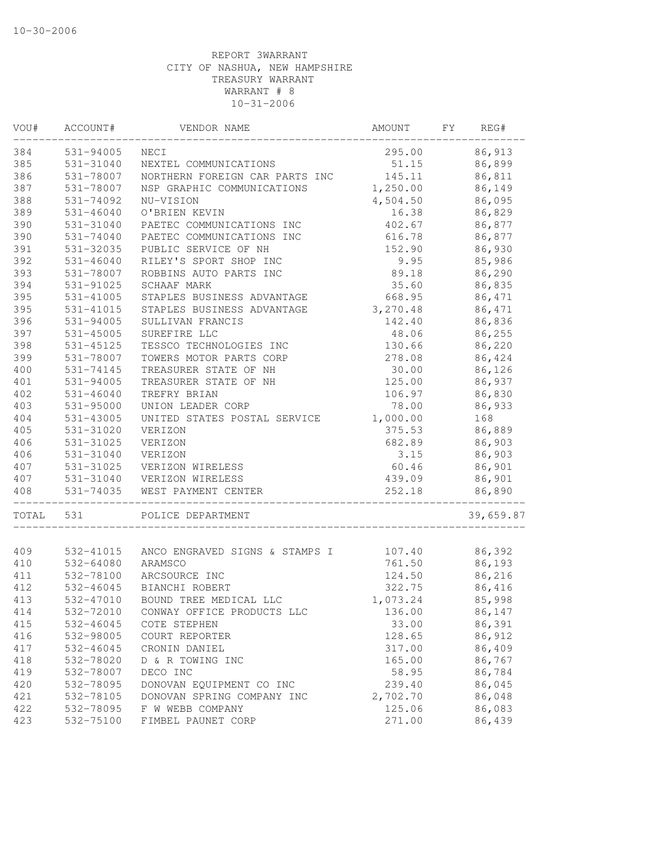| VOU#  | ACCOUNT#      | VENDOR NAME                    | AMOUNT   | FΥ | REG#      |
|-------|---------------|--------------------------------|----------|----|-----------|
| 384   | 531-94005     | NECI                           | 295.00   |    | 86,913    |
| 385   | 531-31040     | NEXTEL COMMUNICATIONS          | 51.15    |    | 86,899    |
| 386   | 531-78007     | NORTHERN FOREIGN CAR PARTS INC | 145.11   |    | 86,811    |
| 387   | 531-78007     | NSP GRAPHIC COMMUNICATIONS     | 1,250.00 |    | 86,149    |
| 388   | 531-74092     | NU-VISION                      | 4,504.50 |    | 86,095    |
| 389   | $531 - 46040$ | O'BRIEN KEVIN                  | 16.38    |    | 86,829    |
| 390   | 531-31040     | PAETEC COMMUNICATIONS INC      | 402.67   |    | 86,877    |
| 390   | 531-74040     | PAETEC COMMUNICATIONS INC      | 616.78   |    | 86,877    |
| 391   | 531-32035     | PUBLIC SERVICE OF NH           | 152.90   |    | 86,930    |
| 392   | $531 - 46040$ | RILEY'S SPORT SHOP INC         | 9.95     |    | 85,986    |
| 393   | 531-78007     | ROBBINS AUTO PARTS INC         | 89.18    |    | 86,290    |
| 394   | 531-91025     | SCHAAF MARK                    | 35.60    |    | 86,835    |
| 395   | 531-41005     | STAPLES BUSINESS ADVANTAGE     | 668.95   |    | 86,471    |
| 395   | 531-41015     | STAPLES BUSINESS ADVANTAGE     | 3,270.48 |    | 86,471    |
| 396   | 531-94005     | SULLIVAN FRANCIS               | 142.40   |    | 86,836    |
| 397   | $531 - 45005$ | SUREFIRE LLC                   | 48.06    |    | 86,255    |
| 398   | 531-45125     | TESSCO TECHNOLOGIES INC        | 130.66   |    | 86,220    |
| 399   | 531-78007     | TOWERS MOTOR PARTS CORP        | 278.08   |    | 86,424    |
| 400   | 531-74145     | TREASURER STATE OF NH          | 30.00    |    | 86,126    |
| 401   | 531-94005     | TREASURER STATE OF NH          | 125.00   |    | 86,937    |
| 402   | $531 - 46040$ | TREFRY BRIAN                   | 106.97   |    | 86,830    |
| 403   | 531-95000     | UNION LEADER CORP              | 78.00    |    | 86,933    |
| 404   | 531-43005     | UNITED STATES POSTAL SERVICE   | 1,000.00 |    | 168       |
| 405   | 531-31020     | VERIZON                        | 375.53   |    | 86,889    |
| 406   | 531-31025     | VERIZON                        | 682.89   |    | 86,903    |
| 406   | 531-31040     | VERIZON                        | 3.15     |    | 86,903    |
| 407   | 531-31025     | VERIZON WIRELESS               | 60.46    |    | 86,901    |
| 407   | 531-31040     | VERIZON WIRELESS               | 439.09   |    | 86,901    |
| 408   | 531-74035     | WEST PAYMENT CENTER            | 252.18   |    | 86,890    |
| TOTAL | 531           | POLICE DEPARTMENT              |          |    | 39,659.87 |
|       |               |                                |          |    |           |
| 409   | 532-41015     | ANCO ENGRAVED SIGNS & STAMPS I | 107.40   |    | 86,392    |
| 410   | 532-64080     | ARAMSCO                        | 761.50   |    | 86,193    |
| 411   | 532-78100     | ARCSOURCE INC                  | 124.50   |    | 86,216    |
| 412   | 532-46045     | BIANCHI ROBERT                 | 322.75   |    | 86,416    |
| 413   | $532 - 47010$ | BOUND TREE MEDICAL LLC         | 1,073.24 |    | 85,998    |
| 414   | 532-72010     | CONWAY OFFICE PRODUCTS LLC     | 136.00   |    | 86,147    |
| 415   | 532-46045     | COTE STEPHEN                   | 33.00    |    | 86,391    |
| 416   | 532-98005     | COURT REPORTER                 | 128.65   |    | 86,912    |
| 417   | 532-46045     | CRONIN DANIEL                  | 317.00   |    | 86,409    |
| 418   | 532-78020     | D & R TOWING INC               | 165.00   |    | 86,767    |
| 419   | 532-78007     | DECO INC                       | 58.95    |    | 86,784    |
| 420   | 532-78095     | DONOVAN EQUIPMENT CO INC       | 239.40   |    | 86,045    |
| 421   | 532-78105     | DONOVAN SPRING COMPANY INC     | 2,702.70 |    | 86,048    |
| 422   | 532-78095     | F W WEBB COMPANY               | 125.06   |    | 86,083    |
| 423   | 532-75100     | FIMBEL PAUNET CORP             | 271.00   |    | 86,439    |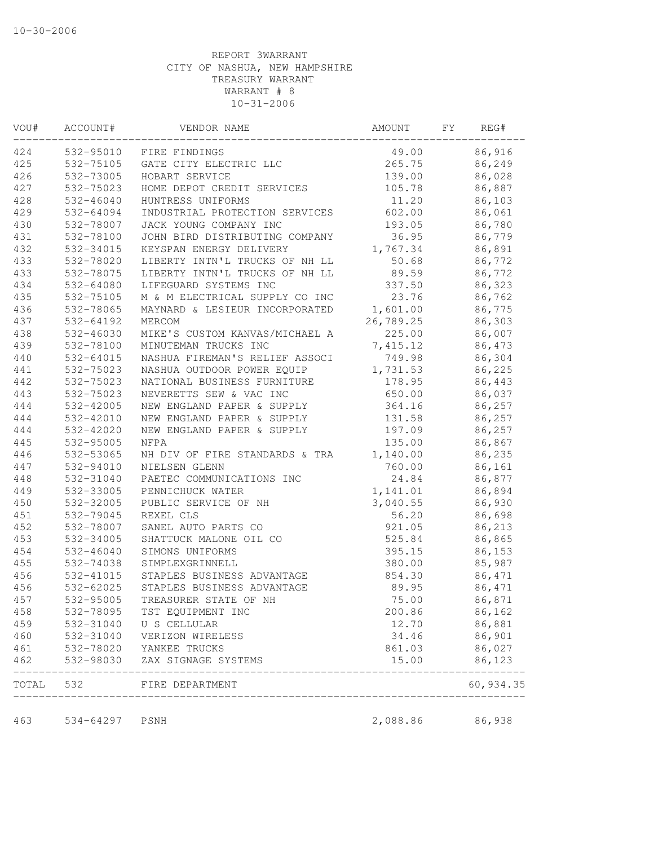| VOU#  | ACCOUNT#      | VENDOR NAME                    | AMOUNT    | FY | REG#      |
|-------|---------------|--------------------------------|-----------|----|-----------|
| 424   | 532-95010     | FIRE FINDINGS                  | 49.00     |    | 86,916    |
| 425   | 532-75105     | GATE CITY ELECTRIC LLC         | 265.75    |    | 86,249    |
| 426   | 532-73005     | HOBART SERVICE                 | 139.00    |    | 86,028    |
| 427   | 532-75023     | HOME DEPOT CREDIT SERVICES     | 105.78    |    | 86,887    |
| 428   | 532-46040     | HUNTRESS UNIFORMS              | 11.20     |    | 86,103    |
| 429   | 532-64094     | INDUSTRIAL PROTECTION SERVICES | 602.00    |    | 86,061    |
| 430   | 532-78007     | JACK YOUNG COMPANY INC         | 193.05    |    | 86,780    |
| 431   | 532-78100     | JOHN BIRD DISTRIBUTING COMPANY | 36.95     |    | 86,779    |
| 432   | 532-34015     | KEYSPAN ENERGY DELIVERY        | 1,767.34  |    | 86,891    |
| 433   | 532-78020     | LIBERTY INTN'L TRUCKS OF NH LL | 50.68     |    | 86,772    |
| 433   | 532-78075     | LIBERTY INTN'L TRUCKS OF NH LL | 89.59     |    | 86,772    |
| 434   | 532-64080     | LIFEGUARD SYSTEMS INC          | 337.50    |    | 86,323    |
| 435   | 532-75105     | M & M ELECTRICAL SUPPLY CO INC | 23.76     |    | 86,762    |
| 436   | 532-78065     | MAYNARD & LESIEUR INCORPORATED | 1,601.00  |    | 86,775    |
| 437   | 532-64192     | MERCOM                         | 26,789.25 |    | 86,303    |
| 438   | 532-46030     | MIKE'S CUSTOM KANVAS/MICHAEL A | 225.00    |    | 86,007    |
| 439   | 532-78100     | MINUTEMAN TRUCKS INC           | 7,415.12  |    | 86,473    |
| 440   | 532-64015     | NASHUA FIREMAN'S RELIEF ASSOCI | 749.98    |    | 86,304    |
| 441   | 532-75023     | NASHUA OUTDOOR POWER EQUIP     | 1,731.53  |    | 86,225    |
| 442   | 532-75023     | NATIONAL BUSINESS FURNITURE    | 178.95    |    | 86,443    |
| 443   | 532-75023     | NEVERETTS SEW & VAC INC        | 650.00    |    | 86,037    |
| 444   | 532-42005     | NEW ENGLAND PAPER & SUPPLY     | 364.16    |    | 86,257    |
| 444   | 532-42010     | NEW ENGLAND PAPER & SUPPLY     | 131.58    |    | 86,257    |
| 444   | 532-42020     | NEW ENGLAND PAPER & SUPPLY     | 197.09    |    | 86,257    |
| 445   | 532-95005     | NFPA                           | 135.00    |    | 86,867    |
| 446   | 532-53065     | NH DIV OF FIRE STANDARDS & TRA | 1,140.00  |    | 86,235    |
| 447   | 532-94010     | NIELSEN GLENN                  | 760.00    |    | 86,161    |
| 448   | 532-31040     | PAETEC COMMUNICATIONS INC      | 24.84     |    | 86,877    |
| 449   | 532-33005     | PENNICHUCK WATER               | 1,141.01  |    | 86,894    |
| 450   | 532-32005     | PUBLIC SERVICE OF NH           | 3,040.55  |    | 86,930    |
| 451   | 532-79045     | REXEL CLS                      | 56.20     |    | 86,698    |
| 452   | 532-78007     | SANEL AUTO PARTS CO            | 921.05    |    | 86,213    |
| 453   | 532-34005     | SHATTUCK MALONE OIL CO         | 525.84    |    | 86,865    |
| 454   | $532 - 46040$ | SIMONS UNIFORMS                | 395.15    |    | 86,153    |
| 455   | 532-74038     | SIMPLEXGRINNELL                | 380.00    |    | 85,987    |
| 456   | 532-41015     | STAPLES BUSINESS ADVANTAGE     | 854.30    |    | 86,471    |
| 456   | 532-62025     | STAPLES BUSINESS ADVANTAGE     | 89.95     |    | 86,471    |
| 457   | 532-95005     | TREASURER STATE OF NH          | 75.00     |    | 86,871    |
| 458   | 532-78095     | TST EQUIPMENT INC              | 200.86    |    | 86,162    |
| 459   | 532-31040     | U S CELLULAR                   | 12.70     |    | 86,881    |
| 460   | 532-31040     | VERIZON WIRELESS               | 34.46     |    | 86,901    |
| 461   | 532-78020     | YANKEE TRUCKS                  | 861.03    |    | 86,027    |
| 462   | 532-98030     | ZAX SIGNAGE SYSTEMS            | 15.00     |    | 86,123    |
| TOTAL | 532           | FIRE DEPARTMENT                |           |    | 60,934.35 |
|       |               |                                |           |    |           |
| 463   | 534-64297     | PSNH                           | 2,088.86  |    | 86,938    |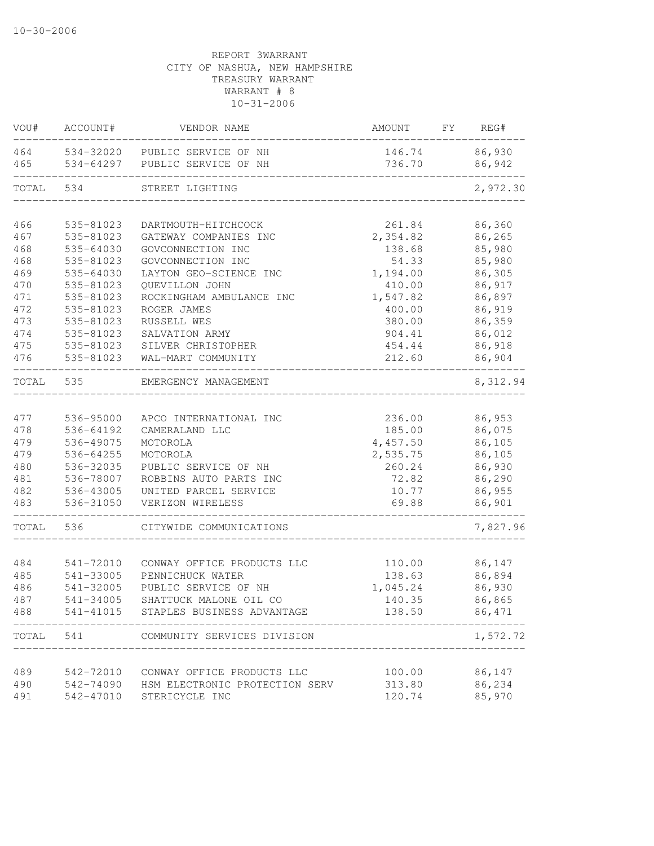| 86,930<br>464<br>534-32020<br>PUBLIC SERVICE OF NH<br>146.74<br>736.70<br>86,942<br>465<br>534-64297<br>PUBLIC SERVICE OF NH<br>TOTAL<br>2,972.30<br>534<br>STREET LIGHTING<br>86,360<br>466<br>535-81023<br>261.84<br>DARTMOUTH-HITCHCOCK<br>467<br>2,354.82<br>86,265<br>535-81023<br>GATEWAY COMPANIES INC<br>468<br>85,980<br>535-64030<br>GOVCONNECTION INC<br>138.68<br>468<br>85,980<br>535-81023<br>GOVCONNECTION INC<br>54.33<br>469<br>535-64030<br>LAYTON GEO-SCIENCE INC<br>86,305<br>1,194.00<br>86,917<br>470<br>535-81023<br>QUEVILLON JOHN<br>410.00<br>86,897<br>471<br>535-81023<br>1,547.82<br>ROCKINGHAM AMBULANCE INC<br>472<br>535-81023<br>400.00<br>86,919<br>ROGER JAMES<br>473<br>86,359<br>535-81023<br>RUSSELL WES<br>380.00<br>474<br>535-81023<br>86,012<br>SALVATION ARMY<br>904.41<br>86,918<br>475<br>535-81023<br>SILVER CHRISTOPHER<br>454.44<br>86,904<br>476<br>535-81023<br>WAL-MART COMMUNITY<br>212.60<br>TOTAL<br>535<br>8,312.94<br>EMERGENCY MANAGEMENT<br>536-95000<br>236.00<br>86,953<br>477<br>APCO INTERNATIONAL INC<br>478<br>86,075<br>536-64192<br>185.00<br>CAMERALAND LLC<br>4,457.50<br>86,105<br>479<br>536-49075<br>MOTOROLA<br>479<br>2,535.75<br>86,105<br>536-64255<br>MOTOROLA<br>480<br>86,930<br>536-32035<br>PUBLIC SERVICE OF NH<br>260.24<br>481<br>86,290<br>536-78007<br>ROBBINS AUTO PARTS INC<br>72.82<br>482<br>536-43005<br>86,955<br>UNITED PARCEL SERVICE<br>10.77<br>536-31050<br>69.88<br>86,901<br>483<br>VERIZON WIRELESS<br>7,827.96<br>TOTAL<br>536<br>CITYWIDE COMMUNICATIONS<br>86,147<br>484<br>541-72010<br>CONWAY OFFICE PRODUCTS LLC<br>110.00 | REG# |
|-------------------------------------------------------------------------------------------------------------------------------------------------------------------------------------------------------------------------------------------------------------------------------------------------------------------------------------------------------------------------------------------------------------------------------------------------------------------------------------------------------------------------------------------------------------------------------------------------------------------------------------------------------------------------------------------------------------------------------------------------------------------------------------------------------------------------------------------------------------------------------------------------------------------------------------------------------------------------------------------------------------------------------------------------------------------------------------------------------------------------------------------------------------------------------------------------------------------------------------------------------------------------------------------------------------------------------------------------------------------------------------------------------------------------------------------------------------------------------------------------------------------------------------------------------------------------------------------------------------------------------------|------|
|                                                                                                                                                                                                                                                                                                                                                                                                                                                                                                                                                                                                                                                                                                                                                                                                                                                                                                                                                                                                                                                                                                                                                                                                                                                                                                                                                                                                                                                                                                                                                                                                                                     |      |
|                                                                                                                                                                                                                                                                                                                                                                                                                                                                                                                                                                                                                                                                                                                                                                                                                                                                                                                                                                                                                                                                                                                                                                                                                                                                                                                                                                                                                                                                                                                                                                                                                                     |      |
|                                                                                                                                                                                                                                                                                                                                                                                                                                                                                                                                                                                                                                                                                                                                                                                                                                                                                                                                                                                                                                                                                                                                                                                                                                                                                                                                                                                                                                                                                                                                                                                                                                     |      |
|                                                                                                                                                                                                                                                                                                                                                                                                                                                                                                                                                                                                                                                                                                                                                                                                                                                                                                                                                                                                                                                                                                                                                                                                                                                                                                                                                                                                                                                                                                                                                                                                                                     |      |
|                                                                                                                                                                                                                                                                                                                                                                                                                                                                                                                                                                                                                                                                                                                                                                                                                                                                                                                                                                                                                                                                                                                                                                                                                                                                                                                                                                                                                                                                                                                                                                                                                                     |      |
|                                                                                                                                                                                                                                                                                                                                                                                                                                                                                                                                                                                                                                                                                                                                                                                                                                                                                                                                                                                                                                                                                                                                                                                                                                                                                                                                                                                                                                                                                                                                                                                                                                     |      |
|                                                                                                                                                                                                                                                                                                                                                                                                                                                                                                                                                                                                                                                                                                                                                                                                                                                                                                                                                                                                                                                                                                                                                                                                                                                                                                                                                                                                                                                                                                                                                                                                                                     |      |
|                                                                                                                                                                                                                                                                                                                                                                                                                                                                                                                                                                                                                                                                                                                                                                                                                                                                                                                                                                                                                                                                                                                                                                                                                                                                                                                                                                                                                                                                                                                                                                                                                                     |      |
|                                                                                                                                                                                                                                                                                                                                                                                                                                                                                                                                                                                                                                                                                                                                                                                                                                                                                                                                                                                                                                                                                                                                                                                                                                                                                                                                                                                                                                                                                                                                                                                                                                     |      |
|                                                                                                                                                                                                                                                                                                                                                                                                                                                                                                                                                                                                                                                                                                                                                                                                                                                                                                                                                                                                                                                                                                                                                                                                                                                                                                                                                                                                                                                                                                                                                                                                                                     |      |
|                                                                                                                                                                                                                                                                                                                                                                                                                                                                                                                                                                                                                                                                                                                                                                                                                                                                                                                                                                                                                                                                                                                                                                                                                                                                                                                                                                                                                                                                                                                                                                                                                                     |      |
|                                                                                                                                                                                                                                                                                                                                                                                                                                                                                                                                                                                                                                                                                                                                                                                                                                                                                                                                                                                                                                                                                                                                                                                                                                                                                                                                                                                                                                                                                                                                                                                                                                     |      |
|                                                                                                                                                                                                                                                                                                                                                                                                                                                                                                                                                                                                                                                                                                                                                                                                                                                                                                                                                                                                                                                                                                                                                                                                                                                                                                                                                                                                                                                                                                                                                                                                                                     |      |
|                                                                                                                                                                                                                                                                                                                                                                                                                                                                                                                                                                                                                                                                                                                                                                                                                                                                                                                                                                                                                                                                                                                                                                                                                                                                                                                                                                                                                                                                                                                                                                                                                                     |      |
|                                                                                                                                                                                                                                                                                                                                                                                                                                                                                                                                                                                                                                                                                                                                                                                                                                                                                                                                                                                                                                                                                                                                                                                                                                                                                                                                                                                                                                                                                                                                                                                                                                     |      |
|                                                                                                                                                                                                                                                                                                                                                                                                                                                                                                                                                                                                                                                                                                                                                                                                                                                                                                                                                                                                                                                                                                                                                                                                                                                                                                                                                                                                                                                                                                                                                                                                                                     |      |
|                                                                                                                                                                                                                                                                                                                                                                                                                                                                                                                                                                                                                                                                                                                                                                                                                                                                                                                                                                                                                                                                                                                                                                                                                                                                                                                                                                                                                                                                                                                                                                                                                                     |      |
|                                                                                                                                                                                                                                                                                                                                                                                                                                                                                                                                                                                                                                                                                                                                                                                                                                                                                                                                                                                                                                                                                                                                                                                                                                                                                                                                                                                                                                                                                                                                                                                                                                     |      |
|                                                                                                                                                                                                                                                                                                                                                                                                                                                                                                                                                                                                                                                                                                                                                                                                                                                                                                                                                                                                                                                                                                                                                                                                                                                                                                                                                                                                                                                                                                                                                                                                                                     |      |
|                                                                                                                                                                                                                                                                                                                                                                                                                                                                                                                                                                                                                                                                                                                                                                                                                                                                                                                                                                                                                                                                                                                                                                                                                                                                                                                                                                                                                                                                                                                                                                                                                                     |      |
|                                                                                                                                                                                                                                                                                                                                                                                                                                                                                                                                                                                                                                                                                                                                                                                                                                                                                                                                                                                                                                                                                                                                                                                                                                                                                                                                                                                                                                                                                                                                                                                                                                     |      |
|                                                                                                                                                                                                                                                                                                                                                                                                                                                                                                                                                                                                                                                                                                                                                                                                                                                                                                                                                                                                                                                                                                                                                                                                                                                                                                                                                                                                                                                                                                                                                                                                                                     |      |
|                                                                                                                                                                                                                                                                                                                                                                                                                                                                                                                                                                                                                                                                                                                                                                                                                                                                                                                                                                                                                                                                                                                                                                                                                                                                                                                                                                                                                                                                                                                                                                                                                                     |      |
|                                                                                                                                                                                                                                                                                                                                                                                                                                                                                                                                                                                                                                                                                                                                                                                                                                                                                                                                                                                                                                                                                                                                                                                                                                                                                                                                                                                                                                                                                                                                                                                                                                     |      |
|                                                                                                                                                                                                                                                                                                                                                                                                                                                                                                                                                                                                                                                                                                                                                                                                                                                                                                                                                                                                                                                                                                                                                                                                                                                                                                                                                                                                                                                                                                                                                                                                                                     |      |
|                                                                                                                                                                                                                                                                                                                                                                                                                                                                                                                                                                                                                                                                                                                                                                                                                                                                                                                                                                                                                                                                                                                                                                                                                                                                                                                                                                                                                                                                                                                                                                                                                                     |      |
|                                                                                                                                                                                                                                                                                                                                                                                                                                                                                                                                                                                                                                                                                                                                                                                                                                                                                                                                                                                                                                                                                                                                                                                                                                                                                                                                                                                                                                                                                                                                                                                                                                     |      |
|                                                                                                                                                                                                                                                                                                                                                                                                                                                                                                                                                                                                                                                                                                                                                                                                                                                                                                                                                                                                                                                                                                                                                                                                                                                                                                                                                                                                                                                                                                                                                                                                                                     |      |
|                                                                                                                                                                                                                                                                                                                                                                                                                                                                                                                                                                                                                                                                                                                                                                                                                                                                                                                                                                                                                                                                                                                                                                                                                                                                                                                                                                                                                                                                                                                                                                                                                                     |      |
| 86,894<br>485<br>541-33005<br>PENNICHUCK WATER<br>138.63                                                                                                                                                                                                                                                                                                                                                                                                                                                                                                                                                                                                                                                                                                                                                                                                                                                                                                                                                                                                                                                                                                                                                                                                                                                                                                                                                                                                                                                                                                                                                                            |      |
| 486<br>541-32005<br>PUBLIC SERVICE OF NH<br>1,045.24<br>86,930                                                                                                                                                                                                                                                                                                                                                                                                                                                                                                                                                                                                                                                                                                                                                                                                                                                                                                                                                                                                                                                                                                                                                                                                                                                                                                                                                                                                                                                                                                                                                                      |      |
| 487<br>541-34005<br>SHATTUCK MALONE OIL CO<br>140.35<br>86,865                                                                                                                                                                                                                                                                                                                                                                                                                                                                                                                                                                                                                                                                                                                                                                                                                                                                                                                                                                                                                                                                                                                                                                                                                                                                                                                                                                                                                                                                                                                                                                      |      |
| 541-41015<br>138.50<br>488<br>STAPLES BUSINESS ADVANTAGE<br>86,471                                                                                                                                                                                                                                                                                                                                                                                                                                                                                                                                                                                                                                                                                                                                                                                                                                                                                                                                                                                                                                                                                                                                                                                                                                                                                                                                                                                                                                                                                                                                                                  |      |
| 541<br>TOTAL<br>1,572.72<br>COMMUNITY SERVICES DIVISION                                                                                                                                                                                                                                                                                                                                                                                                                                                                                                                                                                                                                                                                                                                                                                                                                                                                                                                                                                                                                                                                                                                                                                                                                                                                                                                                                                                                                                                                                                                                                                             |      |
|                                                                                                                                                                                                                                                                                                                                                                                                                                                                                                                                                                                                                                                                                                                                                                                                                                                                                                                                                                                                                                                                                                                                                                                                                                                                                                                                                                                                                                                                                                                                                                                                                                     |      |
| 86,147<br>489<br>100.00<br>542-72010<br>CONWAY OFFICE PRODUCTS LLC                                                                                                                                                                                                                                                                                                                                                                                                                                                                                                                                                                                                                                                                                                                                                                                                                                                                                                                                                                                                                                                                                                                                                                                                                                                                                                                                                                                                                                                                                                                                                                  |      |
| 86,234<br>490<br>542-74090<br>HSM ELECTRONIC PROTECTION SERV<br>313.80                                                                                                                                                                                                                                                                                                                                                                                                                                                                                                                                                                                                                                                                                                                                                                                                                                                                                                                                                                                                                                                                                                                                                                                                                                                                                                                                                                                                                                                                                                                                                              |      |
| 85,970<br>491<br>542-47010<br>STERICYCLE INC<br>120.74                                                                                                                                                                                                                                                                                                                                                                                                                                                                                                                                                                                                                                                                                                                                                                                                                                                                                                                                                                                                                                                                                                                                                                                                                                                                                                                                                                                                                                                                                                                                                                              |      |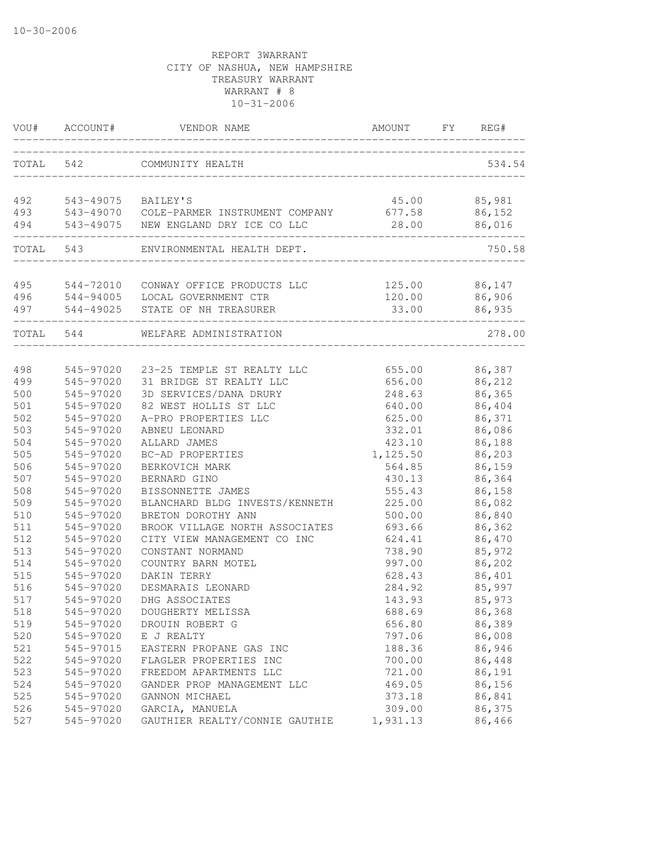| VOU#       | ACCOUNT#               | VENDOR NAME                                     | AMOUNT              | FY | REG#             |
|------------|------------------------|-------------------------------------------------|---------------------|----|------------------|
| TOTAL      | 542                    | COMMUNITY HEALTH                                |                     |    | 534.54           |
| 492        | 543-49075 BAILEY'S     |                                                 | 45.00               |    | 85,981           |
| 493        |                        | 543-49070 COLE-PARMER INSTRUMENT COMPANY        | 677.58              |    | 86,152           |
| 494        |                        | 543-49075 NEW ENGLAND DRY ICE CO LLC            | 28.00<br>---------- |    | 86,016           |
|            | TOTAL 543              | ENVIRONMENTAL HEALTH DEPT.                      |                     |    | 750.58           |
| 495        |                        | 544-72010 CONWAY OFFICE PRODUCTS LLC            | 125.00 86,147       |    |                  |
| 496        |                        | 544-94005 LOCAL GOVERNMENT CTR                  | 120.00              |    | 86,906           |
| 497        |                        | 544-49025 STATE OF NH TREASURER                 | 33.00               |    | 86,935           |
| TOTAL 544  |                        | WELFARE ADMINISTRATION                          |                     |    | 278.00           |
|            |                        |                                                 |                     |    |                  |
| 498        | 545-97020              | 23-25 TEMPLE ST REALTY LLC                      | 655.00              |    | 86,387           |
| 499        | 545-97020              | 31 BRIDGE ST REALTY LLC                         | 656.00              |    | 86,212           |
| 500<br>501 | 545-97020<br>545-97020 | 3D SERVICES/DANA DRURY<br>82 WEST HOLLIS ST LLC | 248.63<br>640.00    |    | 86,365<br>86,404 |
| 502        | 545-97020              | A-PRO PROPERTIES LLC                            | 625.00              |    | 86,371           |
| 503        | 545-97020              | ABNEU LEONARD                                   | 332.01              |    | 86,086           |
| 504        | 545-97020              | ALLARD JAMES                                    | 423.10              |    | 86,188           |
| 505        | 545-97020              | BC-AD PROPERTIES                                | 1,125.50            |    | 86,203           |
| 506        | 545-97020              | BERKOVICH MARK                                  | 564.85              |    | 86,159           |
| 507        | 545-97020              | BERNARD GINO                                    | 430.13              |    | 86,364           |
| 508        | 545-97020              | BISSONNETTE JAMES                               | 555.43              |    | 86,158           |
| 509        | 545-97020              | BLANCHARD BLDG INVESTS/KENNETH                  | 225.00              |    | 86,082           |
| 510        | 545-97020              | BRETON DOROTHY ANN                              | 500.00              |    | 86,840           |
| 511        | 545-97020              | BROOK VILLAGE NORTH ASSOCIATES                  | 693.66              |    | 86,362           |
| 512        | 545-97020              | CITY VIEW MANAGEMENT CO INC                     | 624.41              |    | 86,470           |
| 513        | 545-97020              | CONSTANT NORMAND                                | 738.90              |    | 85,972           |
| 514        | 545-97020              | COUNTRY BARN MOTEL                              | 997.00              |    | 86,202           |
| 515        | 545-97020              | DAKIN TERRY                                     | 628.43              |    | 86,401           |
| 516        | 545-97020              | DESMARAIS LEONARD                               | 284.92              |    | 85,997           |
| 517        | 545-97020              | DHG ASSOCIATES                                  | 143.93              |    | 85,973           |
| 518        | 545-97020              | DOUGHERTY MELISSA                               | 688.69              |    | 86,368           |
| 519        | 545-97020              | DROUIN ROBERT G                                 | 656.80              |    | 86,389           |
| 520        | 545-97020              | E J REALTY                                      | 797.06              |    | 86,008           |
| 521        | 545-97015              | EASTERN PROPANE GAS INC                         | 188.36              |    | 86,946           |
| 522        | 545-97020              | FLAGLER PROPERTIES INC                          | 700.00              |    | 86,448           |
| 523        | 545-97020              | FREEDOM APARTMENTS LLC                          | 721.00              |    | 86,191           |
| 524        | 545-97020              | GANDER PROP MANAGEMENT LLC                      | 469.05              |    | 86,156           |
| 525        | 545-97020              | GANNON MICHAEL                                  | 373.18              |    | 86,841           |
| 526        | 545-97020              | GARCIA, MANUELA                                 | 309.00              |    | 86,375           |
| 527        | 545-97020              | GAUTHIER REALTY/CONNIE GAUTHIE                  | 1,931.13            |    | 86,466           |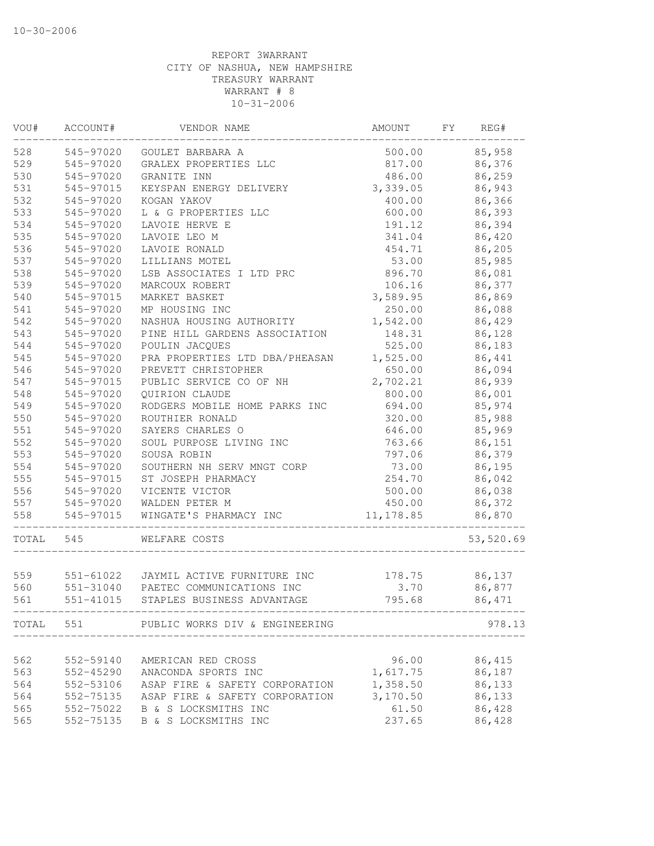| VOU#  | ACCOUNT#      | VENDOR NAME                                                          | AMOUNT                       | FY | REG#          |
|-------|---------------|----------------------------------------------------------------------|------------------------------|----|---------------|
| 528   | 545-97020     | GOULET BARBARA A                                                     | 500.00                       |    | 85,958        |
| 529   | 545-97020     | GRALEX PROPERTIES LLC                                                | 817.00                       |    | 86,376        |
| 530   | 545-97020     | GRANITE INN                                                          | 486.00                       |    | 86,259        |
| 531   | 545-97015     | KEYSPAN ENERGY DELIVERY                                              | 3,339.05                     |    | 86,943        |
| 532   | 545-97020     | KOGAN YAKOV                                                          | 400.00                       |    | 86,366        |
| 533   | 545-97020     | L & G PROPERTIES LLC                                                 | 600.00                       |    | 86,393        |
| 534   | 545-97020     | LAVOIE HERVE E                                                       | 191.12                       |    | 86,394        |
| 535   | 545-97020     | LAVOIE LEO M                                                         | 341.04                       |    | 86,420        |
| 536   | 545-97020     | LAVOIE RONALD                                                        | 454.71                       |    | 86,205        |
| 537   | 545-97020     | LILLIANS MOTEL                                                       | 53.00                        |    | 85,985        |
| 538   | 545-97020     | LSB ASSOCIATES I LTD PRC                                             | 896.70                       |    | 86,081        |
| 539   | 545-97020     | MARCOUX ROBERT                                                       | 106.16                       |    | 86,377        |
| 540   | 545-97015     | MARKET BASKET                                                        | 3,589.95                     |    | 86,869        |
| 541   | 545-97020     | MP HOUSING INC                                                       | 250.00                       |    | 86,088        |
| 542   | 545-97020     | NASHUA HOUSING AUTHORITY                                             | 1,542.00                     |    | 86,429        |
| 543   | 545-97020     | PINE HILL GARDENS ASSOCIATION                                        | 148.31                       |    | 86,128        |
| 544   | 545-97020     | POULIN JACQUES                                                       | 525.00                       |    | 86,183        |
| 545   | 545-97020     | PRA PROPERTIES LTD DBA/PHEASAN                                       | 1,525.00                     |    | 86,441        |
| 546   | 545-97020     | PREVETT CHRISTOPHER                                                  | 650.00                       |    | 86,094        |
| 547   | 545-97015     | PUBLIC SERVICE CO OF NH                                              | 2,702.21                     |    | 86,939        |
| 548   | 545-97020     | QUIRION CLAUDE                                                       | 800.00                       |    | 86,001        |
| 549   | 545-97020     | RODGERS MOBILE HOME PARKS INC                                        | 694.00                       |    | 85,974        |
| 550   | 545-97020     | ROUTHIER RONALD                                                      | 320.00                       |    | 85,988        |
| 551   | 545-97020     | SAYERS CHARLES O                                                     | 646.00                       |    | 85,969        |
| 552   | 545-97020     | SOUL PURPOSE LIVING INC                                              | 763.66                       |    | 86,151        |
| 553   | 545-97020     | SOUSA ROBIN                                                          | 797.06                       |    | 86,379        |
| 554   | 545-97020     | SOUTHERN NH SERV MNGT CORP                                           | 73.00                        |    | 86,195        |
| 555   | 545-97015     | ST JOSEPH PHARMACY                                                   | 254.70                       |    | 86,042        |
| 556   | 545-97020     | VICENTE VICTOR                                                       | 500.00                       |    | 86,038        |
| 557   | 545-97020     | WALDEN PETER M                                                       | 450.00                       |    | 86,372        |
| 558   | 545-97015     | WINGATE'S PHARMACY INC                                               | 11, 178.85                   |    | 86,870        |
| TOTAL | 545           | WELFARE COSTS                                                        |                              |    | 53,520.69     |
|       |               |                                                                      |                              |    |               |
| 559   |               | 551-61022 JAYMIL ACTIVE FURNITURE INC                                |                              |    | 178.75 86,137 |
| 560   |               | 551-31040 PAETEC COMMUNICATIONS INC                                  | 3.70                         |    | 86,877        |
| 561   | $551 - 41015$ | STAPLES BUSINESS ADVANTAGE<br>______________________________________ | 795.68                       |    | 86,471        |
|       |               | TOTAL 551 PUBLIC WORKS DIV & ENGINEERING                             | ____________________________ |    | 978.13        |
|       |               |                                                                      |                              |    |               |
| 562   | 552-59140     | AMERICAN RED CROSS                                                   | 96.00                        |    | 86,415        |
| 563   | 552-45290     | ANACONDA SPORTS INC                                                  | 1,617.75                     |    | 86,187        |
| 564   | 552-53106     | ASAP FIRE & SAFETY CORPORATION                                       | 1,358.50                     |    | 86,133        |
| 564   | 552-75135     | ASAP FIRE & SAFETY CORPORATION                                       | 3,170.50                     |    | 86,133        |
| 565   |               | 552-75022 B & S LOCKSMITHS INC                                       | 61.50                        |    | 86,428        |
| 565   | 552-75135     | B & S LOCKSMITHS INC                                                 | 237.65                       |    | 86,428        |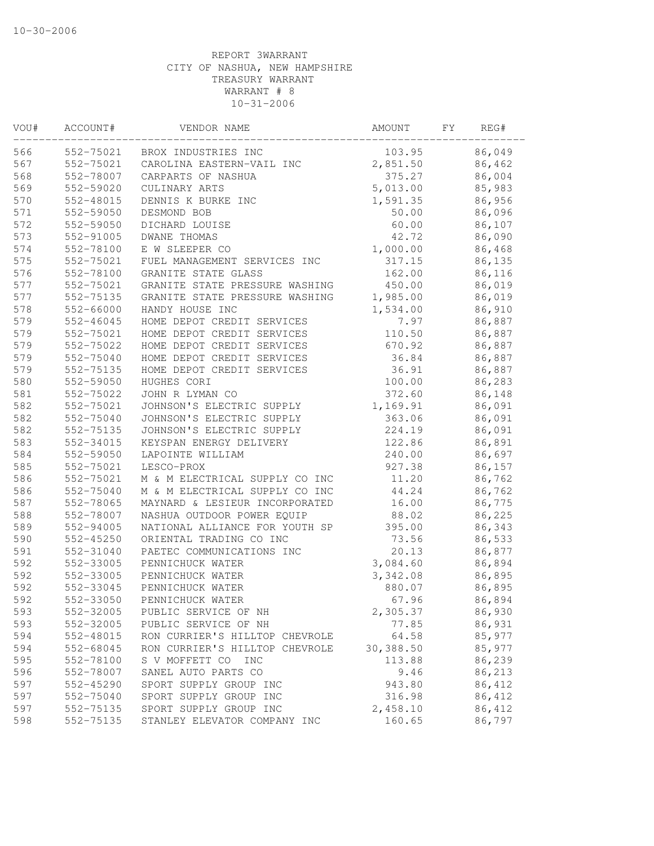| VOU# | ACCOUNT#               | VENDOR NAME                                   | AMOUNT         | FΥ | REG#   |
|------|------------------------|-----------------------------------------------|----------------|----|--------|
| 566  | 552-75021              | BROX INDUSTRIES INC                           | 103.95         |    | 86,049 |
| 567  | 552-75021              | CAROLINA EASTERN-VAIL INC                     | 2,851.50       |    | 86,462 |
| 568  | 552-78007              | CARPARTS OF NASHUA                            | 375.27         |    | 86,004 |
| 569  | 552-59020              | CULINARY ARTS                                 | 5,013.00       |    | 85,983 |
| 570  | 552-48015              | DENNIS K BURKE INC                            | 1,591.35       |    | 86,956 |
| 571  | 552-59050              | DESMOND BOB                                   | 50.00          |    | 86,096 |
| 572  | 552-59050              | DICHARD LOUISE                                | 60.00          |    | 86,107 |
| 573  | 552-91005              | DWANE THOMAS                                  | 42.72          |    | 86,090 |
| 574  | 552-78100              | E W SLEEPER CO                                | 1,000.00       |    | 86,468 |
| 575  | 552-75021              | FUEL MANAGEMENT SERVICES INC                  | 317.15         |    | 86,135 |
| 576  | 552-78100              | GRANITE STATE GLASS                           | 162.00         |    | 86,116 |
| 577  | 552-75021              | GRANITE STATE PRESSURE WASHING                | 450.00         |    | 86,019 |
| 577  | 552-75135              | GRANITE STATE PRESSURE WASHING                | 1,985.00       |    | 86,019 |
| 578  | 552-66000              | HANDY HOUSE INC                               | 1,534.00       |    | 86,910 |
| 579  | $552 - 46045$          | HOME DEPOT CREDIT SERVICES                    | 7.97           |    | 86,887 |
| 579  | 552-75021              | HOME DEPOT CREDIT SERVICES                    | 110.50         |    | 86,887 |
| 579  | 552-75022              | HOME DEPOT CREDIT SERVICES                    | 670.92         |    | 86,887 |
| 579  | 552-75040              | HOME DEPOT CREDIT SERVICES                    | 36.84          |    | 86,887 |
| 579  | 552-75135              | HOME DEPOT CREDIT SERVICES                    | 36.91          |    | 86,887 |
| 580  | 552-59050              | HUGHES CORI                                   | 100.00         |    | 86,283 |
| 581  | 552-75022              | JOHN R LYMAN CO                               | 372.60         |    | 86,148 |
| 582  | 552-75021              | JOHNSON'S ELECTRIC SUPPLY                     | 1,169.91       |    | 86,091 |
| 582  | 552-75040              | JOHNSON'S ELECTRIC SUPPLY                     | 363.06         |    | 86,091 |
| 582  | 552-75135              | JOHNSON'S ELECTRIC SUPPLY                     | 224.19         |    | 86,091 |
| 583  | 552-34015              | KEYSPAN ENERGY DELIVERY                       | 122.86         |    | 86,891 |
| 584  | 552-59050              | LAPOINTE WILLIAM                              | 240.00         |    | 86,697 |
| 585  | 552-75021              | LESCO-PROX                                    | 927.38         |    | 86,157 |
| 586  | 552-75021              | M & M ELECTRICAL SUPPLY CO INC                | 11.20          |    | 86,762 |
| 586  | 552-75040              | M & M ELECTRICAL SUPPLY CO INC                | 44.24          |    | 86,762 |
| 587  | 552-78065              | MAYNARD & LESIEUR INCORPORATED                | 16.00          |    | 86,775 |
| 588  | 552-78007              | NASHUA OUTDOOR POWER EQUIP                    | 88.02          |    | 86,225 |
| 589  | 552-94005              | NATIONAL ALLIANCE FOR YOUTH SP                | 395.00         |    | 86,343 |
| 590  | 552-45250              | ORIENTAL TRADING CO INC                       | 73.56          |    | 86,533 |
| 591  | 552-31040              | PAETEC COMMUNICATIONS INC                     | 20.13          |    | 86,877 |
| 592  | 552-33005              | PENNICHUCK WATER                              | 3,084.60       |    | 86,894 |
| 592  | 552-33005              | PENNICHUCK WATER                              | 3,342.08       |    | 86,895 |
| 592  | 552-33045              | PENNICHUCK WATER                              | 880.07         |    | 86,895 |
| 592  | 552-33050              | PENNICHUCK WATER                              | 67.96          |    | 86,894 |
| 593  | 552-32005              | PUBLIC SERVICE OF NH                          | 2,305.37       |    | 86,930 |
| 593  | 552-32005              | PUBLIC SERVICE OF NH                          | 77.85          |    | 86,931 |
| 594  | 552-48015              | RON CURRIER'S HILLTOP CHEVROLE                | 64.58          |    | 85,977 |
| 594  | 552-68045              | RON CURRIER'S HILLTOP CHEVROLE                | 30,388.50      |    | 85,977 |
| 595  | 552-78100              | S V MOFFETT CO<br><b>INC</b>                  | 113.88         |    | 86,239 |
| 596  |                        |                                               |                |    | 86,213 |
| 597  | 552-78007<br>552-45290 | SANEL AUTO PARTS CO<br>SPORT SUPPLY GROUP INC | 9.46<br>943.80 |    | 86,412 |
|      |                        | SPORT SUPPLY GROUP INC                        |                |    |        |
| 597  | 552-75040              |                                               | 316.98         |    | 86,412 |
| 597  | 552-75135              | SPORT SUPPLY GROUP INC                        | 2,458.10       |    | 86,412 |
| 598  | 552-75135              | STANLEY ELEVATOR COMPANY INC                  | 160.65         |    | 86,797 |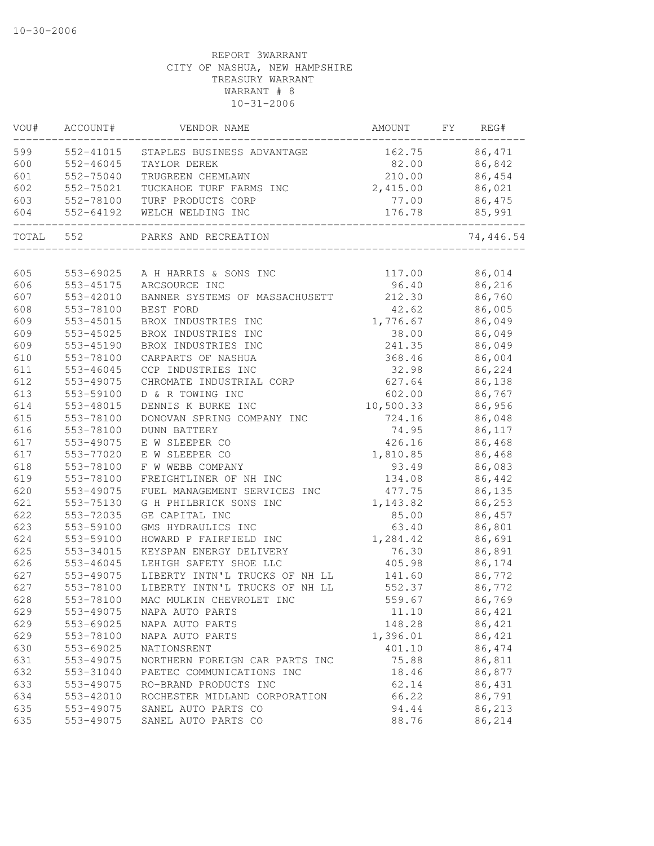| VOU#       | ACCOUNT#               | VENDOR NAME                                      | AMOUNT              | FY | REG#             |
|------------|------------------------|--------------------------------------------------|---------------------|----|------------------|
| 599        | 552-41015              | STAPLES BUSINESS ADVANTAGE                       | 162.75              |    | 86,471           |
| 600        | 552-46045              | TAYLOR DEREK                                     | 82.00               |    | 86,842           |
| 601        | 552-75040              | TRUGREEN CHEMLAWN                                | 210.00              |    | 86,454           |
| 602        | 552-75021              | TUCKAHOE TURF FARMS INC                          | 2,415.00            |    | 86,021           |
| 603        | 552-78100              | TURF PRODUCTS CORP                               | 77.00               |    | 86,475           |
| 604        | 552-64192              | WELCH WELDING INC                                | 176.78              |    | 85,991           |
| TOTAL      | 552                    | PARKS AND RECREATION                             |                     |    | 74,446.54        |
| 605        | 553-69025              | A H HARRIS & SONS INC                            |                     |    | 86,014           |
| 606        | 553-45175              | ARCSOURCE INC                                    | 117.00<br>96.40     |    | 86,216           |
| 607        | 553-42010              | BANNER SYSTEMS OF MASSACHUSETT                   | 212.30              |    | 86,760           |
| 608        | 553-78100              | BEST FORD                                        | 42.62               |    | 86,005           |
| 609        |                        |                                                  |                     |    |                  |
| 609        | 553-45015<br>553-45025 | BROX INDUSTRIES INC<br>BROX INDUSTRIES INC       | 1,776.67<br>38.00   |    | 86,049<br>86,049 |
| 609        |                        | BROX INDUSTRIES INC                              | 241.35              |    | 86,049           |
|            | 553-45190              | CARPARTS OF NASHUA                               |                     |    | 86,004           |
| 610        | 553-78100              |                                                  | 368.46              |    |                  |
| 611<br>612 | 553-46045<br>553-49075 | CCP INDUSTRIES INC                               | 32.98<br>627.64     |    | 86,224<br>86,138 |
| 613        |                        | CHROMATE INDUSTRIAL CORP<br>D & R TOWING INC     |                     |    |                  |
|            | 553-59100<br>553-48015 |                                                  | 602.00<br>10,500.33 |    | 86,767           |
| 614<br>615 |                        | DENNIS K BURKE INC<br>DONOVAN SPRING COMPANY INC | 724.16              |    | 86,956           |
| 616        | 553-78100<br>553-78100 |                                                  | 74.95               |    | 86,048           |
| 617        | 553-49075              | <b>DUNN BATTERY</b><br>E W SLEEPER CO            |                     |    | 86,117           |
| 617        | 553-77020              | E W SLEEPER CO                                   | 426.16<br>1,810.85  |    | 86,468<br>86,468 |
| 618        | 553-78100              | F W WEBB COMPANY                                 | 93.49               |    | 86,083           |
| 619        | 553-78100              | FREIGHTLINER OF NH INC                           | 134.08              |    | 86,442           |
| 620        | 553-49075              | FUEL MANAGEMENT SERVICES INC                     | 477.75              |    | 86,135           |
| 621        | 553-75130              | G H PHILBRICK SONS INC                           | 1,143.82            |    | 86,253           |
| 622        | 553-72035              | GE CAPITAL INC                                   | 85.00               |    | 86,457           |
| 623        | 553-59100              | GMS HYDRAULICS INC                               | 63.40               |    | 86,801           |
| 624        | 553-59100              | HOWARD P FAIRFIELD INC                           | 1,284.42            |    | 86,691           |
| 625        | 553-34015              | KEYSPAN ENERGY DELIVERY                          | 76.30               |    |                  |
| 626        |                        | LEHIGH SAFETY SHOE LLC                           | 405.98              |    | 86,891           |
| 627        | 553-46045              | LIBERTY INTN'L TRUCKS OF NH LL                   |                     |    | 86,174<br>86,772 |
| 627        | 553-49075              | LIBERTY INTN'L TRUCKS OF NH LL                   | 141.60              |    |                  |
|            | 553-78100              |                                                  | 552.37              |    | 86,772           |
| 628        | 553-78100              | MAC MULKIN CHEVROLET INC                         | 559.67              |    | 86,769           |
| 629        | 553-49075              | NAPA AUTO PARTS                                  | 11.10               |    | 86,421           |
| 629        | 553-69025              | NAPA AUTO PARTS                                  | 148.28              |    | 86,421           |
| 629        | 553-78100              | NAPA AUTO PARTS                                  | 1,396.01            |    | 86,421           |
| 630        | 553-69025              | NATIONSRENT                                      | 401.10              |    | 86,474           |
| 631        | 553-49075              | NORTHERN FOREIGN CAR PARTS INC                   | 75.88               |    | 86,811           |
| 632        | 553-31040              | PAETEC COMMUNICATIONS INC                        | 18.46               |    | 86,877           |
| 633        | 553-49075              | RO-BRAND PRODUCTS INC                            | 62.14               |    | 86,431           |
| 634        | 553-42010              | ROCHESTER MIDLAND CORPORATION                    | 66.22               |    | 86,791           |
| 635        | 553-49075              | SANEL AUTO PARTS CO                              | 94.44               |    | 86,213           |
| 635        | 553-49075              | SANEL AUTO PARTS CO                              | 88.76               |    | 86,214           |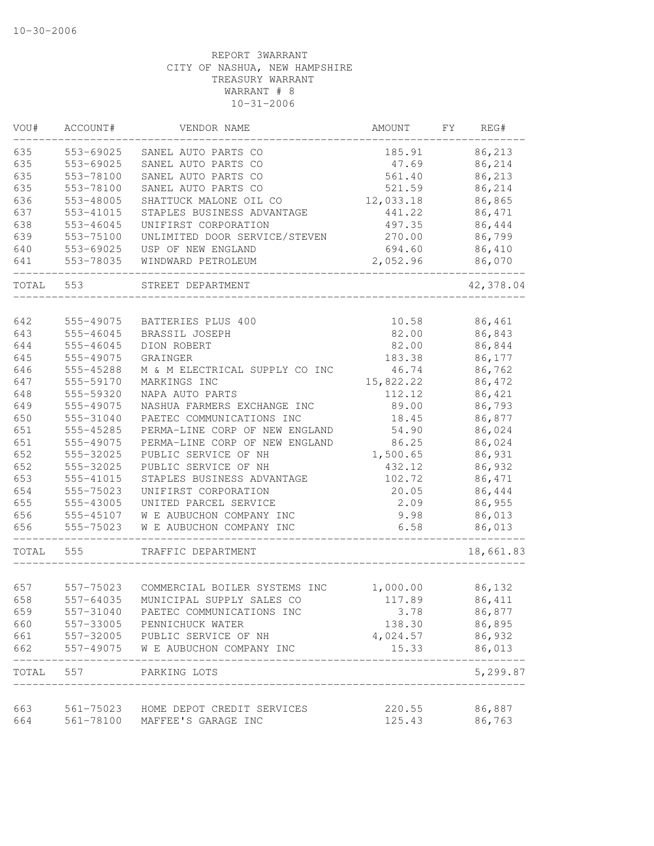| VOU#  | ACCOUNT#               | VENDOR NAME                                                           | AMOUNT           | FΥ | REG#      |
|-------|------------------------|-----------------------------------------------------------------------|------------------|----|-----------|
| 635   | 553-69025              | SANEL AUTO PARTS CO                                                   | 185.91           |    | 86,213    |
| 635   | 553-69025              | SANEL AUTO PARTS CO                                                   | 47.69            |    | 86,214    |
| 635   | 553-78100              | SANEL AUTO PARTS CO                                                   | 561.40           |    | 86,213    |
| 635   | 553-78100              | SANEL AUTO PARTS CO                                                   | 521.59           |    | 86,214    |
| 636   | 553-48005              | SHATTUCK MALONE OIL CO                                                | 12,033.18        |    | 86,865    |
| 637   | 553-41015              | STAPLES BUSINESS ADVANTAGE                                            | 441.22           |    | 86,471    |
| 638   | 553-46045              | UNIFIRST CORPORATION                                                  | 497.35           |    | 86,444    |
| 639   | 553-75100              | UNLIMITED DOOR SERVICE/STEVEN                                         | 270.00           |    | 86,799    |
| 640   | 553-69025              | USP OF NEW ENGLAND                                                    | 694.60           |    | 86,410    |
| 641   | 553-78035              | WINDWARD PETROLEUM                                                    | 2,052.96         |    | 86,070    |
| TOTAL | 553                    | STREET DEPARTMENT                                                     |                  |    | 42,378.04 |
| 642   |                        |                                                                       |                  |    | 86,461    |
|       | 555-49075<br>555-46045 | BATTERIES PLUS 400                                                    | 10.58<br>82.00   |    | 86,843    |
| 643   |                        | BRASSIL JOSEPH                                                        |                  |    |           |
| 644   | 555-46045              | DION ROBERT                                                           | 82.00            |    | 86,844    |
| 645   | 555-49075              | GRAINGER                                                              | 183.38           |    | 86,177    |
| 646   | 555-45288              | M & M ELECTRICAL SUPPLY CO INC                                        | 46.74            |    | 86,762    |
| 647   | 555-59170              | MARKINGS INC                                                          | 15,822.22        |    | 86,472    |
| 648   | 555-59320              | NAPA AUTO PARTS                                                       | 112.12           |    | 86,421    |
| 649   | 555-49075              | NASHUA FARMERS EXCHANGE INC                                           | 89.00            |    | 86,793    |
| 650   | 555-31040              | PAETEC COMMUNICATIONS INC                                             | 18.45            |    | 86,877    |
| 651   | 555-45285              | PERMA-LINE CORP OF NEW ENGLAND                                        | 54.90            |    | 86,024    |
| 651   | 555-49075              | PERMA-LINE CORP OF NEW ENGLAND                                        | 86.25            |    | 86,024    |
| 652   | 555-32025              | PUBLIC SERVICE OF NH                                                  | 1,500.65         |    | 86,931    |
| 652   | 555-32025              | PUBLIC SERVICE OF NH                                                  | 432.12           |    | 86,932    |
| 653   | 555-41015              | STAPLES BUSINESS ADVANTAGE                                            | 102.72           |    | 86,471    |
| 654   | 555-75023              | UNIFIRST CORPORATION                                                  | 20.05            |    | 86,444    |
| 655   | 555-43005              | UNITED PARCEL SERVICE                                                 | 2.09             |    | 86,955    |
| 656   | 555-45107              | W E AUBUCHON COMPANY INC                                              | 9.98             |    | 86,013    |
| 656   | 555-75023              | W E AUBUCHON COMPANY INC                                              | 6.58             |    | 86,013    |
| TOTAL | 555                    | TRAFFIC DEPARTMENT                                                    |                  |    | 18,661.83 |
|       |                        |                                                                       |                  |    |           |
| 657   | 557-75023              | COMMERCIAL BOILER SYSTEMS INC                                         | 1,000.00         |    | 86,132    |
| 658   | 557-64035              | MUNICIPAL SUPPLY SALES CO                                             | 117.89           |    | 86,411    |
| 659   | 557-31040              | PAETEC COMMUNICATIONS INC                                             | 3.78             |    | 86,877    |
| 660   | 557-33005              | PENNICHUCK WATER                                                      | 138.30           |    | 86,895    |
| 661   |                        | 557-32005 PUBLIC SERVICE OF NH                                        | 4,024.57         |    | 86,932    |
| 662   | 557-49075              | W E AUBUCHON COMPANY INC                                              | 15.33            |    | 86,013    |
|       |                        | TOTAL 557 PARKING LOTS                                                |                  |    | 5,299.87  |
| 663   |                        |                                                                       |                  |    | 86,887    |
| 664   |                        | 561-75023 HOME DEPOT CREDIT SERVICES<br>561-78100 MAFFEE'S GARAGE INC | 220.55<br>125.43 |    | 86,763    |
|       |                        |                                                                       |                  |    |           |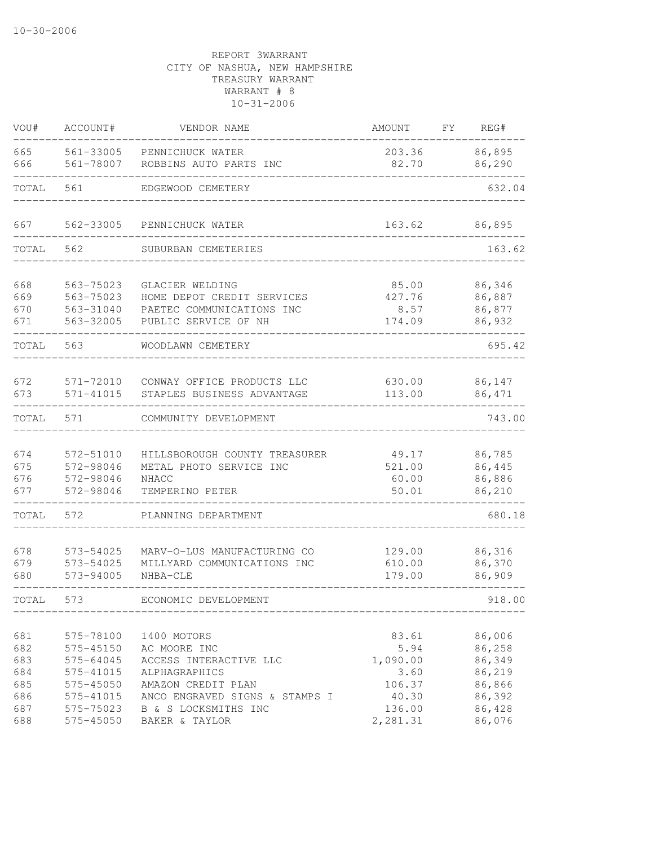| VOU#                            | ACCOUNT#                                                      | VENDOR NAME                                                                                        | AMOUNT                                      | FY | REG#                                           |
|---------------------------------|---------------------------------------------------------------|----------------------------------------------------------------------------------------------------|---------------------------------------------|----|------------------------------------------------|
| 665<br>666                      | 561-33005<br>561-78007                                        | PENNICHUCK WATER<br>ROBBINS AUTO PARTS INC                                                         | 203.36<br>82.70                             |    | 86,895<br>86,290                               |
| TOTAL                           | 561                                                           | EDGEWOOD CEMETERY                                                                                  |                                             |    | 632.04                                         |
| 667                             | 562-33005                                                     | PENNICHUCK WATER                                                                                   | 163.62                                      |    | 86,895                                         |
| TOTAL                           | 562                                                           | SUBURBAN CEMETERIES                                                                                |                                             |    | 163.62                                         |
| 668<br>669<br>670<br>671        | 563-75023<br>563-75023<br>563-31040<br>563-32005              | GLACIER WELDING<br>HOME DEPOT CREDIT SERVICES<br>PAETEC COMMUNICATIONS INC<br>PUBLIC SERVICE OF NH | 85.00<br>427.76<br>8.57<br>174.09           |    | 86,346<br>86,887<br>86,877<br>86,932           |
| TOTAL                           | 563                                                           | WOODLAWN CEMETERY                                                                                  |                                             |    | 695.42                                         |
| 672<br>673                      | 571-72010<br>571-41015                                        | CONWAY OFFICE PRODUCTS LLC<br>STAPLES BUSINESS ADVANTAGE                                           | 630.00<br>113.00                            |    | 86,147<br>86,471                               |
| TOTAL                           | 571                                                           | COMMUNITY DEVELOPMENT                                                                              |                                             |    | 743.00                                         |
| 674<br>675<br>676<br>677        | 572-51010<br>572-98046<br>572-98046<br>572-98046              | HILLSBOROUGH COUNTY TREASURER<br>METAL PHOTO SERVICE INC<br>NHACC<br>TEMPERINO PETER               | 49.17<br>521.00<br>60.00<br>50.01           |    | 86,785<br>86,445<br>86,886<br>86,210           |
| TOTAL                           | 572                                                           | PLANNING DEPARTMENT                                                                                |                                             |    | 680.18                                         |
| 678<br>679<br>680               | 573-54025<br>573-54025<br>573-94005                           | MARV-O-LUS MANUFACTURING CO<br>MILLYARD COMMUNICATIONS INC<br>NHBA-CLE                             | 129.00<br>610.00<br>179.00                  |    | 86,316<br>86,370<br>86,909                     |
| TOTAL                           | 573                                                           | ECONOMIC DEVELOPMENT                                                                               |                                             |    | 918.00                                         |
| 681<br>682<br>683<br>684<br>685 | 575-78100<br>575-45150<br>575-64045<br>575-41015<br>575-45050 | 1400 MOTORS<br>AC MOORE INC<br>ACCESS INTERACTIVE LLC<br>ALPHAGRAPHICS<br>AMAZON CREDIT PLAN       | 83.61<br>5.94<br>1,090.00<br>3.60<br>106.37 |    | 86,006<br>86,258<br>86,349<br>86,219<br>86,866 |
| 686<br>687<br>688               | 575-41015<br>575-75023<br>575-45050                           | ANCO ENGRAVED SIGNS & STAMPS I<br>B & S LOCKSMITHS INC<br>BAKER & TAYLOR                           | 40.30<br>136.00<br>2,281.31                 |    | 86,392<br>86,428<br>86,076                     |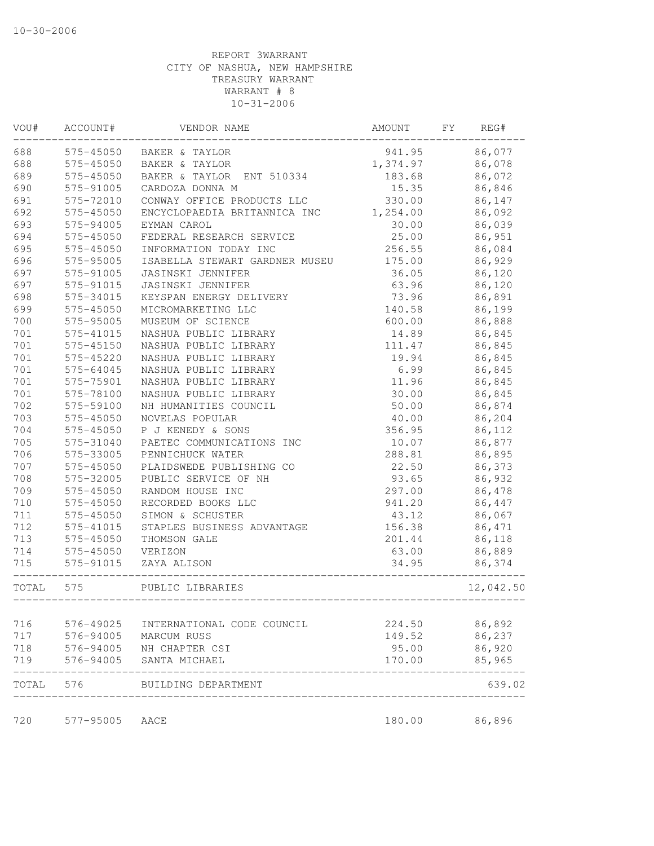| WOU#  | ACCOUNT#  | VENDOR NAME                               | AMOUNT   | FY | REG#             |
|-------|-----------|-------------------------------------------|----------|----|------------------|
| 688   | 575-45050 | BAKER & TAYLOR                            | 941.95   |    | 86,077           |
| 688   | 575-45050 | BAKER & TAYLOR                            | 1,374.97 |    | 86,078           |
| 689   | 575-45050 | BAKER & TAYLOR ENT 510334                 | 183.68   |    | 86,072           |
| 690   | 575-91005 | CARDOZA DONNA M                           | 15.35    |    | 86,846           |
| 691   | 575-72010 | CONWAY OFFICE PRODUCTS LLC                | 330.00   |    | 86,147           |
| 692   | 575-45050 | ENCYCLOPAEDIA BRITANNICA INC              | 1,254.00 |    | 86,092           |
| 693   | 575-94005 | EYMAN CAROL                               | 30.00    |    | 86,039           |
| 694   | 575-45050 | FEDERAL RESEARCH SERVICE                  | 25.00    |    | 86,951           |
| 695   | 575-45050 | INFORMATION TODAY INC                     | 256.55   |    | 86,084           |
| 696   | 575-95005 | ISABELLA STEWART GARDNER MUSEU            | 175.00   |    | 86,929           |
| 697   | 575-91005 | <b>JASINSKI JENNIFER</b>                  | 36.05    |    | 86,120           |
| 697   | 575-91015 | JASINSKI JENNIFER                         | 63.96    |    | 86,120           |
| 698   | 575-34015 | KEYSPAN ENERGY DELIVERY                   | 73.96    |    | 86,891           |
| 699   | 575-45050 | MICROMARKETING LLC                        | 140.58   |    | 86,199           |
| 700   | 575-95005 | MUSEUM OF SCIENCE                         | 600.00   |    | 86,888           |
| 701   | 575-41015 | NASHUA PUBLIC LIBRARY                     | 14.89    |    | 86,845           |
| 701   | 575-45150 | NASHUA PUBLIC LIBRARY                     | 111.47   |    | 86,845           |
| 701   | 575-45220 | NASHUA PUBLIC LIBRARY                     | 19.94    |    | 86,845           |
| 701   | 575-64045 | NASHUA PUBLIC LIBRARY                     | 6.99     |    | 86,845           |
| 701   | 575-75901 | NASHUA PUBLIC LIBRARY                     | 11.96    |    | 86,845           |
| 701   | 575-78100 | NASHUA PUBLIC LIBRARY                     | 30.00    |    | 86,845           |
| 702   | 575-59100 | NH HUMANITIES COUNCIL                     | 50.00    |    | 86,874           |
| 703   | 575-45050 | NOVELAS POPULAR                           | 40.00    |    | 86,204           |
| 704   | 575-45050 | P J KENEDY & SONS                         | 356.95   |    | 86,112           |
| 705   | 575-31040 | PAETEC COMMUNICATIONS INC                 | 10.07    |    | 86,877           |
| 706   | 575-33005 | PENNICHUCK WATER                          | 288.81   |    | 86,895           |
| 707   | 575-45050 | PLAIDSWEDE PUBLISHING CO                  | 22.50    |    | 86,373           |
| 708   | 575-32005 | PUBLIC SERVICE OF NH                      | 93.65    |    | 86,932           |
| 709   | 575-45050 | RANDOM HOUSE INC                          | 297.00   |    | 86,478           |
| 710   | 575-45050 | RECORDED BOOKS LLC                        | 941.20   |    | 86,447           |
| 711   | 575-45050 | SIMON & SCHUSTER                          | 43.12    |    | 86,067           |
| 712   | 575-41015 | STAPLES BUSINESS ADVANTAGE                | 156.38   |    | 86,471           |
| 713   | 575-45050 | THOMSON GALE                              | 201.44   |    | 86,118           |
| 714   | 575-45050 | VERIZON                                   | 63.00    |    | 86,889           |
| 715   | 575-91015 | ZAYA ALISON                               | 34.95    |    | 86,374           |
| TOTAL | 575       | PUBLIC LIBRARIES<br>-------------         |          |    | 12,042.50        |
| 716   | 576-49025 |                                           | 224.50   |    |                  |
| 717   | 576-94005 | INTERNATIONAL CODE COUNCIL<br>MARCUM RUSS | 149.52   |    | 86,892<br>86,237 |
| 718   | 576-94005 | NH CHAPTER CSI                            | 95.00    |    | 86,920           |
| 719   | 576-94005 | SANTA MICHAEL                             | 170.00   |    | 85,965           |
| TOTAL | 576       | BUILDING DEPARTMENT                       |          |    | 639.02           |
|       |           |                                           |          |    |                  |
| 720   | 577-95005 | AACE                                      | 180.00   |    | 86,896           |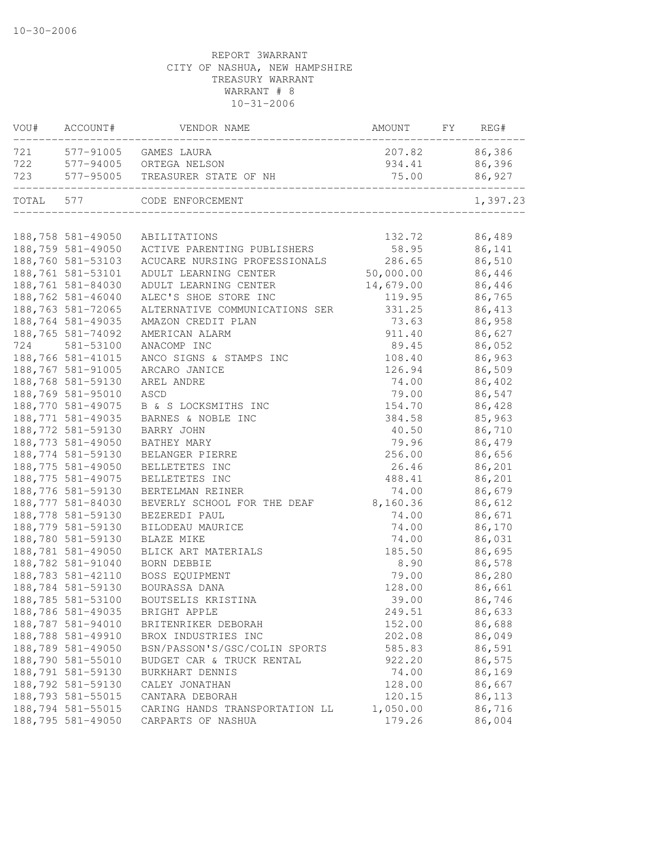| VOU#      | ACCOUNT#          | VENDOR NAME                     | AMOUNT    | FY | REG#          |
|-----------|-------------------|---------------------------------|-----------|----|---------------|
| 721       |                   | 577-91005 GAMES LAURA           |           |    | 207.82 86,386 |
| 722       |                   | 577-94005 ORTEGA NELSON         | 934.41    |    | 86,396        |
| 723       |                   | 577-95005 TREASURER STATE OF NH | 75.00     |    | 86,927        |
| TOTAL 577 |                   | CODE ENFORCEMENT                |           |    | 1,397.23      |
|           |                   |                                 |           |    |               |
|           | 188,758 581-49050 | ABILITATIONS                    | 132.72    |    | 86,489        |
|           | 188,759 581-49050 | ACTIVE PARENTING PUBLISHERS     | 58.95     |    | 86,141        |
|           | 188,760 581-53103 | ACUCARE NURSING PROFESSIONALS   | 286.65    |    | 86,510        |
|           | 188,761 581-53101 | ADULT LEARNING CENTER           | 50,000.00 |    | 86,446        |
|           | 188,761 581-84030 | ADULT LEARNING CENTER           | 14,679.00 |    | 86,446        |
|           | 188,762 581-46040 | ALEC'S SHOE STORE INC           | 119.95    |    | 86,765        |
|           | 188,763 581-72065 | ALTERNATIVE COMMUNICATIONS SER  | 331.25    |    | 86,413        |
|           | 188,764 581-49035 | AMAZON CREDIT PLAN              | 73.63     |    | 86,958        |
|           | 188,765 581-74092 | AMERICAN ALARM                  | 911.40    |    | 86,627        |
| 724       | 581-53100         | ANACOMP INC                     | 89.45     |    | 86,052        |
|           | 188,766 581-41015 | ANCO SIGNS & STAMPS INC         | 108.40    |    | 86,963        |
|           | 188,767 581-91005 | ARCARO JANICE                   | 126.94    |    | 86,509        |
|           | 188,768 581-59130 | AREL ANDRE                      | 74.00     |    | 86,402        |
|           | 188,769 581-95010 | ASCD                            | 79.00     |    | 86,547        |
|           | 188,770 581-49075 | B & S LOCKSMITHS INC            | 154.70    |    | 86,428        |
|           | 188,771 581-49035 | BARNES & NOBLE INC              | 384.58    |    | 85,963        |
|           | 188,772 581-59130 | BARRY JOHN                      | 40.50     |    | 86,710        |
|           | 188,773 581-49050 | BATHEY MARY                     | 79.96     |    | 86,479        |
|           | 188,774 581-59130 | BELANGER PIERRE                 | 256.00    |    | 86,656        |
|           | 188,775 581-49050 | BELLETETES INC                  | 26.46     |    | 86,201        |
|           | 188,775 581-49075 | BELLETETES INC                  | 488.41    |    | 86,201        |
|           | 188,776 581-59130 | BERTELMAN REINER                | 74.00     |    | 86,679        |
|           | 188,777 581-84030 | BEVERLY SCHOOL FOR THE DEAF     | 8,160.36  |    | 86,612        |
|           | 188,778 581-59130 | BEZEREDI PAUL                   | 74.00     |    | 86,671        |
|           | 188,779 581-59130 | BILODEAU MAURICE                | 74.00     |    | 86,170        |
|           | 188,780 581-59130 | BLAZE MIKE                      | 74.00     |    | 86,031        |
|           | 188,781 581-49050 | BLICK ART MATERIALS             | 185.50    |    | 86,695        |
|           | 188,782 581-91040 | BORN DEBBIE                     | 8.90      |    | 86,578        |
|           | 188,783 581-42110 | BOSS EQUIPMENT                  | 79.00     |    | 86,280        |
|           | 188,784 581-59130 | BOURASSA DANA                   | 128.00    |    | 86,661        |
|           | 188,785 581-53100 | BOUTSELIS KRISTINA              | 39.00     |    | 86,746        |
|           | 188,786 581-49035 | BRIGHT APPLE                    | 249.51    |    | 86,633        |
|           | 188,787 581-94010 | BRITENRIKER DEBORAH             | 152.00    |    | 86,688        |
|           | 188,788 581-49910 | BROX INDUSTRIES INC             | 202.08    |    | 86,049        |
|           | 188,789 581-49050 | BSN/PASSON'S/GSC/COLIN SPORTS   | 585.83    |    | 86,591        |
|           | 188,790 581-55010 | BUDGET CAR & TRUCK RENTAL       | 922.20    |    | 86,575        |
|           | 188,791 581-59130 | BURKHART DENNIS                 | 74.00     |    | 86,169        |
|           | 188,792 581-59130 | CALEY JONATHAN                  | 128.00    |    | 86,667        |
|           | 188,793 581-55015 | CANTARA DEBORAH                 | 120.15    |    | 86,113        |
|           | 188,794 581-55015 | CARING HANDS TRANSPORTATION LL  | 1,050.00  |    | 86,716        |
|           | 188,795 581-49050 | CARPARTS OF NASHUA              | 179.26    |    | 86,004        |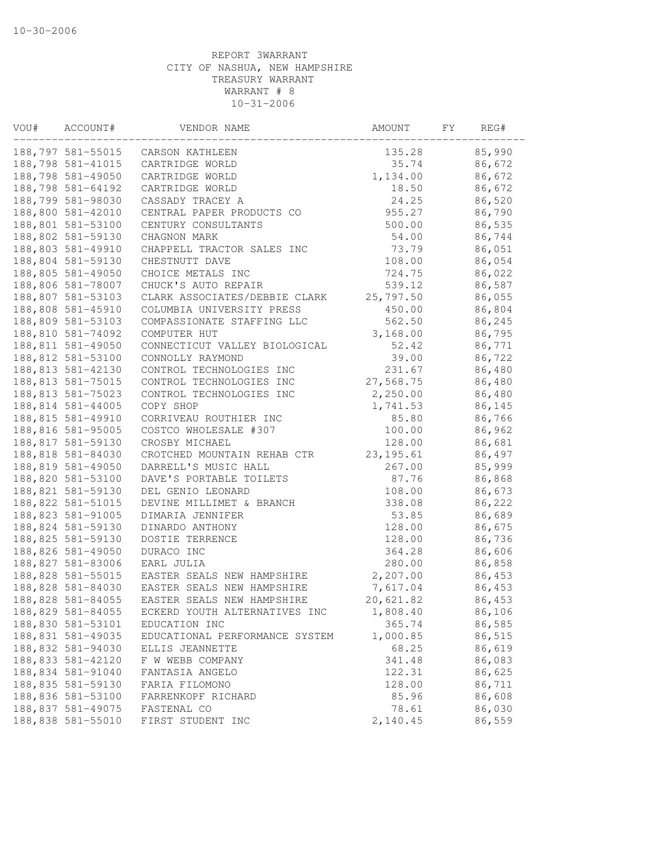| VOU# | ACCOUNT#          | VENDOR NAME                    | AMOUNT     | FY | REG#   |
|------|-------------------|--------------------------------|------------|----|--------|
|      | 188,797 581-55015 | CARSON KATHLEEN                | 135.28     |    | 85,990 |
|      | 188,798 581-41015 | CARTRIDGE WORLD                | 35.74      |    | 86,672 |
|      | 188,798 581-49050 | CARTRIDGE WORLD                | 1,134.00   |    | 86,672 |
|      | 188,798 581-64192 | CARTRIDGE WORLD                | 18.50      |    | 86,672 |
|      | 188,799 581-98030 | CASSADY TRACEY A               | 24.25      |    | 86,520 |
|      | 188,800 581-42010 | CENTRAL PAPER PRODUCTS CO      | 955.27     |    | 86,790 |
|      | 188,801 581-53100 | CENTURY CONSULTANTS            | 500.00     |    | 86,535 |
|      | 188,802 581-59130 | CHAGNON MARK                   | 54.00      |    | 86,744 |
|      | 188,803 581-49910 | CHAPPELL TRACTOR SALES INC     | 73.79      |    | 86,051 |
|      | 188,804 581-59130 | CHESTNUTT DAVE                 | 108.00     |    | 86,054 |
|      | 188,805 581-49050 | CHOICE METALS INC              | 724.75     |    | 86,022 |
|      | 188,806 581-78007 | CHUCK'S AUTO REPAIR            | 539.12     |    | 86,587 |
|      | 188,807 581-53103 | CLARK ASSOCIATES/DEBBIE CLARK  | 25,797.50  |    | 86,055 |
|      | 188,808 581-45910 | COLUMBIA UNIVERSITY PRESS      | 450.00     |    | 86,804 |
|      | 188,809 581-53103 | COMPASSIONATE STAFFING LLC     | 562.50     |    | 86,245 |
|      | 188,810 581-74092 | COMPUTER HUT                   | 3,168.00   |    | 86,795 |
|      | 188,811 581-49050 | CONNECTICUT VALLEY BIOLOGICAL  | 52.42      |    | 86,771 |
|      | 188,812 581-53100 | CONNOLLY RAYMOND               | 39.00      |    | 86,722 |
|      | 188,813 581-42130 | CONTROL TECHNOLOGIES INC       | 231.67     |    | 86,480 |
|      | 188,813 581-75015 | CONTROL TECHNOLOGIES INC       | 27,568.75  |    | 86,480 |
|      | 188,813 581-75023 | CONTROL TECHNOLOGIES INC       | 2,250.00   |    | 86,480 |
|      | 188,814 581-44005 | COPY SHOP                      | 1,741.53   |    | 86,145 |
|      | 188,815 581-49910 | CORRIVEAU ROUTHIER INC         | 85.80      |    | 86,766 |
|      | 188,816 581-95005 | COSTCO WHOLESALE #307          | 100.00     |    | 86,962 |
|      | 188,817 581-59130 | CROSBY MICHAEL                 | 128.00     |    | 86,681 |
|      | 188,818 581-84030 | CROTCHED MOUNTAIN REHAB CTR    | 23, 195.61 |    | 86,497 |
|      | 188,819 581-49050 | DARRELL'S MUSIC HALL           | 267.00     |    | 85,999 |
|      | 188,820 581-53100 | DAVE'S PORTABLE TOILETS        | 87.76      |    | 86,868 |
|      | 188,821 581-59130 | DEL GENIO LEONARD              | 108.00     |    | 86,673 |
|      | 188,822 581-51015 | DEVINE MILLIMET & BRANCH       | 338.08     |    | 86,222 |
|      | 188,823 581-91005 | DIMARIA JENNIFER               | 53.85      |    | 86,689 |
|      | 188,824 581-59130 | DINARDO ANTHONY                | 128.00     |    | 86,675 |
|      |                   | DOSTIE TERRENCE                | 128.00     |    |        |
|      | 188,825 581-59130 |                                |            |    | 86,736 |
|      | 188,826 581-49050 | DURACO INC                     | 364.28     |    | 86,606 |
|      | 188,827 581-83006 | EARL JULIA                     | 280.00     |    | 86,858 |
|      | 188,828 581-55015 | EASTER SEALS NEW HAMPSHIRE     | 2,207.00   |    | 86,453 |
|      | 188,828 581-84030 | EASTER SEALS NEW HAMPSHIRE     | 7,617.04   |    | 86,453 |
|      | 188,828 581-84055 | EASTER SEALS NEW HAMPSHIRE     | 20,621.82  |    | 86,453 |
|      | 188,829 581-84055 | ECKERD YOUTH ALTERNATIVES INC  | 1,808.40   |    | 86,106 |
|      | 188,830 581-53101 | EDUCATION INC                  | 365.74     |    | 86,585 |
|      | 188,831 581-49035 | EDUCATIONAL PERFORMANCE SYSTEM | 1,000.85   |    | 86,515 |
|      | 188,832 581-94030 | ELLIS JEANNETTE                | 68.25      |    | 86,619 |
|      | 188,833 581-42120 | F W WEBB COMPANY               | 341.48     |    | 86,083 |
|      | 188,834 581-91040 | FANTASIA ANGELO                | 122.31     |    | 86,625 |
|      | 188,835 581-59130 | FARIA FILOMONO                 | 128.00     |    | 86,711 |
|      | 188,836 581-53100 | FARRENKOPF RICHARD             | 85.96      |    | 86,608 |
|      | 188,837 581-49075 | FASTENAL CO                    | 78.61      |    | 86,030 |
|      | 188,838 581-55010 | FIRST STUDENT INC              | 2,140.45   |    | 86,559 |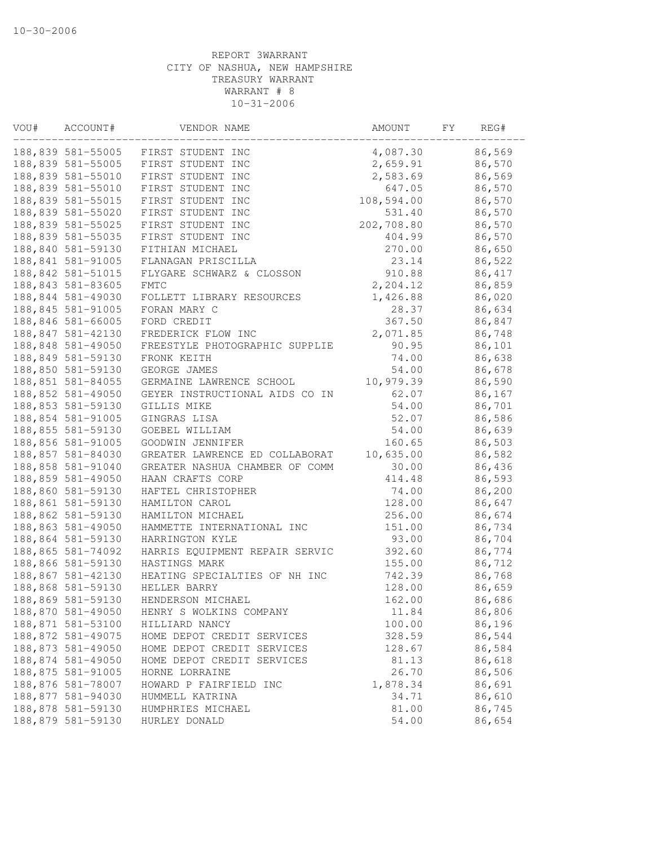| VOU# | ACCOUNT#          | VENDOR NAME                    | AMOUNT     | FΥ | REG#   |
|------|-------------------|--------------------------------|------------|----|--------|
|      | 188,839 581-55005 | FIRST STUDENT INC              | 4,087.30   |    | 86,569 |
|      | 188,839 581-55005 | FIRST STUDENT INC              | 2,659.91   |    | 86,570 |
|      | 188,839 581-55010 | FIRST STUDENT INC              | 2,583.69   |    | 86,569 |
|      | 188,839 581-55010 | FIRST STUDENT INC              | 647.05     |    | 86,570 |
|      | 188,839 581-55015 | FIRST STUDENT INC              | 108,594.00 |    | 86,570 |
|      | 188,839 581-55020 | FIRST STUDENT INC              | 531.40     |    | 86,570 |
|      | 188,839 581-55025 | FIRST STUDENT INC              | 202,708.80 |    | 86,570 |
|      | 188,839 581-55035 | FIRST STUDENT INC              | 404.99     |    | 86,570 |
|      | 188,840 581-59130 | FITHIAN MICHAEL                | 270.00     |    | 86,650 |
|      | 188,841 581-91005 | FLANAGAN PRISCILLA             | 23.14      |    | 86,522 |
|      | 188,842 581-51015 | FLYGARE SCHWARZ & CLOSSON      | 910.88     |    | 86,417 |
|      | 188,843 581-83605 | FMTC                           | 2,204.12   |    | 86,859 |
|      | 188,844 581-49030 | FOLLETT LIBRARY RESOURCES      | 1,426.88   |    | 86,020 |
|      | 188,845 581-91005 | FORAN MARY C                   | 28.37      |    | 86,634 |
|      | 188,846 581-66005 | FORD CREDIT                    | 367.50     |    | 86,847 |
|      | 188,847 581-42130 | FREDERICK FLOW INC             | 2,071.85   |    | 86,748 |
|      | 188,848 581-49050 | FREESTYLE PHOTOGRAPHIC SUPPLIE | 90.95      |    | 86,101 |
|      | 188,849 581-59130 | FRONK KEITH                    | 74.00      |    | 86,638 |
|      | 188,850 581-59130 | GEORGE JAMES                   | 54.00      |    | 86,678 |
|      | 188,851 581-84055 | GERMAINE LAWRENCE SCHOOL       | 10,979.39  |    | 86,590 |
|      | 188,852 581-49050 | GEYER INSTRUCTIONAL AIDS CO IN | 62.07      |    | 86,167 |
|      | 188,853 581-59130 | GILLIS MIKE                    | 54.00      |    | 86,701 |
|      | 188,854 581-91005 | GINGRAS LISA                   | 52.07      |    | 86,586 |
|      | 188,855 581-59130 | GOEBEL WILLIAM                 | 54.00      |    | 86,639 |
|      | 188,856 581-91005 | GOODWIN JENNIFER               | 160.65     |    | 86,503 |
|      | 188,857 581-84030 | GREATER LAWRENCE ED COLLABORAT | 10,635.00  |    | 86,582 |
|      | 188,858 581-91040 | GREATER NASHUA CHAMBER OF COMM | 30.00      |    | 86,436 |
|      | 188,859 581-49050 | HAAN CRAFTS CORP               | 414.48     |    | 86,593 |
|      | 188,860 581-59130 | HAFTEL CHRISTOPHER             | 74.00      |    | 86,200 |
|      | 188,861 581-59130 | HAMILTON CAROL                 | 128.00     |    | 86,647 |
|      | 188,862 581-59130 | HAMILTON MICHAEL               | 256.00     |    | 86,674 |
|      | 188,863 581-49050 | HAMMETTE INTERNATIONAL INC     | 151.00     |    | 86,734 |
|      | 188,864 581-59130 | HARRINGTON KYLE                | 93.00      |    | 86,704 |
|      | 188,865 581-74092 | HARRIS EQUIPMENT REPAIR SERVIC | 392.60     |    | 86,774 |
|      | 188,866 581-59130 | HASTINGS MARK                  | 155.00     |    | 86,712 |
|      | 188,867 581-42130 | HEATING SPECIALTIES OF NH INC  | 742.39     |    | 86,768 |
|      | 188,868 581-59130 | HELLER BARRY                   | 128.00     |    | 86,659 |
|      | 188,869 581-59130 | HENDERSON MICHAEL              | 162.00     |    | 86,686 |
|      | 188,870 581-49050 | HENRY S WOLKINS COMPANY        | 11.84      |    | 86,806 |
|      | 188,871 581-53100 | HILLIARD NANCY                 | 100.00     |    | 86,196 |
|      | 188,872 581-49075 | HOME DEPOT CREDIT SERVICES     | 328.59     |    | 86,544 |
|      | 188,873 581-49050 | HOME DEPOT CREDIT SERVICES     | 128.67     |    | 86,584 |
|      | 188,874 581-49050 | HOME DEPOT CREDIT SERVICES     | 81.13      |    | 86,618 |
|      | 188,875 581-91005 | HORNE LORRAINE                 | 26.70      |    | 86,506 |
|      | 188,876 581-78007 | HOWARD P FAIRFIELD INC         | 1,878.34   |    | 86,691 |
|      | 188,877 581-94030 | HUMMELL KATRINA                | 34.71      |    | 86,610 |
|      | 188,878 581-59130 | HUMPHRIES MICHAEL              | 81.00      |    | 86,745 |
|      | 188,879 581-59130 | HURLEY DONALD                  | 54.00      |    | 86,654 |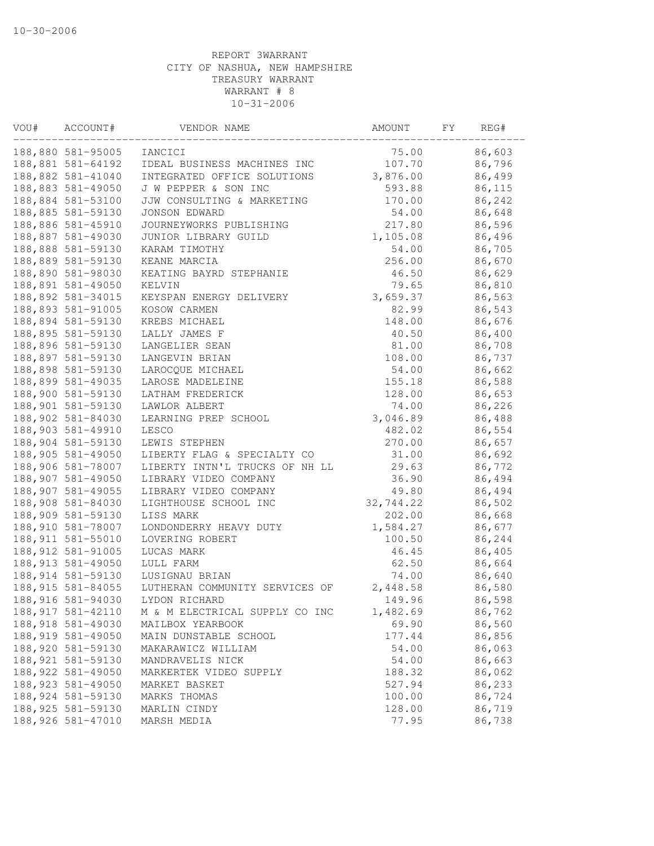| VOU# | ACCOUNT#           | VENDOR NAME                    | AMOUNT    | FΥ | REG#   |
|------|--------------------|--------------------------------|-----------|----|--------|
|      | 188,880 581-95005  | IANCICI                        | 75.00     |    | 86,603 |
|      | 188,881 581-64192  | IDEAL BUSINESS MACHINES INC    | 107.70    |    | 86,796 |
|      | 188,882 581-41040  | INTEGRATED OFFICE SOLUTIONS    | 3,876.00  |    | 86,499 |
|      | 188,883 581-49050  | J W PEPPER & SON INC           | 593.88    |    | 86,115 |
|      | 188,884 581-53100  | JJW CONSULTING & MARKETING     | 170.00    |    | 86,242 |
|      | 188,885 581-59130  | JONSON EDWARD                  | 54.00     |    | 86,648 |
|      | 188,886 581-45910  | JOURNEYWORKS PUBLISHING        | 217.80    |    | 86,596 |
|      | 188,887 581-49030  | JUNIOR LIBRARY GUILD           | 1,105.08  |    | 86,496 |
|      | 188,888 581-59130  | KARAM TIMOTHY                  | 54.00     |    | 86,705 |
|      | 188,889 581-59130  | KEANE MARCIA                   | 256.00    |    | 86,670 |
|      | 188,890 581-98030  | KEATING BAYRD STEPHANIE        | 46.50     |    | 86,629 |
|      | 188,891 581-49050  | KELVIN                         | 79.65     |    | 86,810 |
|      | 188,892 581-34015  | KEYSPAN ENERGY DELIVERY        | 3,659.37  |    | 86,563 |
|      | 188,893 581-91005  | KOSOW CARMEN                   | 82.99     |    | 86,543 |
|      | 188,894 581-59130  | KREBS MICHAEL                  | 148.00    |    | 86,676 |
|      | 188,895 581-59130  | LALLY JAMES F                  | 40.50     |    | 86,400 |
|      | 188,896 581-59130  | LANGELIER SEAN                 | 81.00     |    | 86,708 |
|      | 188,897 581-59130  | LANGEVIN BRIAN                 | 108.00    |    | 86,737 |
|      | 188,898 581-59130  | LAROCQUE MICHAEL               | 54.00     |    | 86,662 |
|      | 188,899 581-49035  | LAROSE MADELEINE               | 155.18    |    | 86,588 |
|      | 188,900 581-59130  | LATHAM FREDERICK               | 128.00    |    | 86,653 |
|      | 188,901 581-59130  | LAWLOR ALBERT                  | 74.00     |    | 86,226 |
|      | 188,902 581-84030  | LEARNING PREP SCHOOL           | 3,046.89  |    | 86,488 |
|      | 188,903 581-49910  | LESCO                          | 482.02    |    | 86,554 |
|      | 188,904 581-59130  | LEWIS STEPHEN                  | 270.00    |    | 86,657 |
|      | 188,905 581-49050  | LIBERTY FLAG & SPECIALTY CO    | 31.00     |    | 86,692 |
|      | 188,906 581-78007  | LIBERTY INTN'L TRUCKS OF NH LL | 29.63     |    | 86,772 |
|      | 188,907 581-49050  | LIBRARY VIDEO COMPANY          | 36.90     |    | 86,494 |
|      | 188,907 581-49055  | LIBRARY VIDEO COMPANY          | 49.80     |    | 86,494 |
|      | 188,908 581-84030  | LIGHTHOUSE SCHOOL INC          | 32,744.22 |    | 86,502 |
|      | 188,909 581-59130  | LISS MARK                      | 202.00    |    | 86,668 |
|      | 188,910 581-78007  | LONDONDERRY HEAVY DUTY         | 1,584.27  |    | 86,677 |
|      | 188, 911 581-55010 | LOVERING ROBERT                | 100.50    |    | 86,244 |
|      | 188, 912 581-91005 | LUCAS MARK                     | 46.45     |    | 86,405 |
|      | 188, 913 581-49050 | LULL FARM                      | 62.50     |    | 86,664 |
|      | 188, 914 581-59130 | LUSIGNAU BRIAN                 | 74.00     |    | 86,640 |
|      | 188, 915 581-84055 | LUTHERAN COMMUNITY SERVICES OF | 2,448.58  |    | 86,580 |
|      | 188,916 581-94030  | LYDON RICHARD                  | 149.96    |    | 86,598 |
|      | 188, 917 581-42110 | M & M ELECTRICAL SUPPLY CO INC | 1,482.69  |    | 86,762 |
|      | 188, 918 581-49030 | MAILBOX YEARBOOK               | 69.90     |    | 86,560 |
|      | 188,919 581-49050  | MAIN DUNSTABLE SCHOOL          | 177.44    |    | 86,856 |
|      | 188,920 581-59130  | MAKARAWICZ WILLIAM             | 54.00     |    | 86,063 |
|      | 188, 921 581-59130 | MANDRAVELIS NICK               | 54.00     |    | 86,663 |
|      | 188,922 581-49050  | MARKERTEK VIDEO SUPPLY         | 188.32    |    | 86,062 |
|      | 188, 923 581-49050 | MARKET BASKET                  | 527.94    |    | 86,233 |
|      | 188, 924 581-59130 | MARKS THOMAS                   | 100.00    |    | 86,724 |
|      | 188, 925 581-59130 | MARLIN CINDY                   | 128.00    |    | 86,719 |
|      | 188,926 581-47010  | MARSH MEDIA                    | 77.95     |    | 86,738 |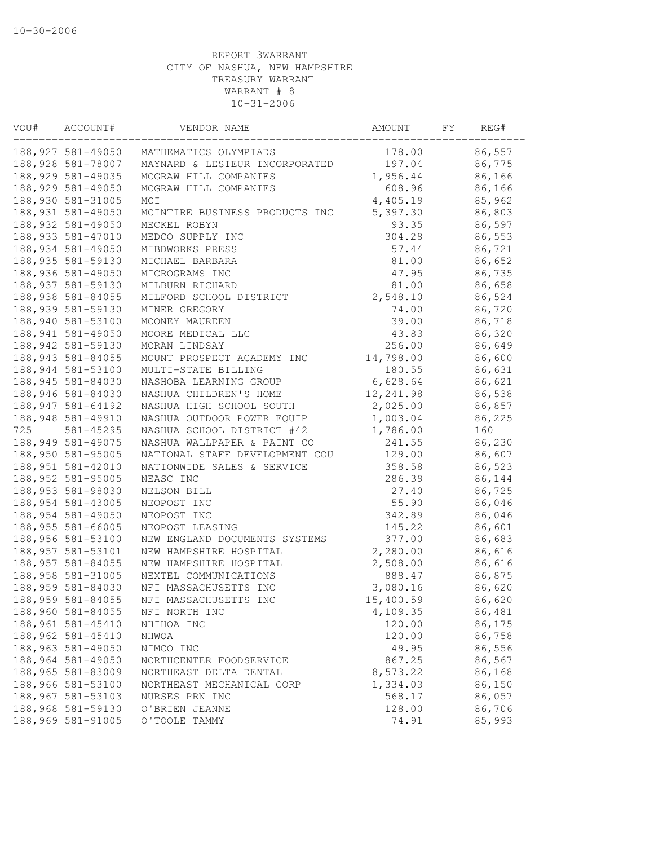| 86,557<br>188,927 581-49050<br>178.00<br>MATHEMATICS OLYMPIADS<br>188, 928 581-78007<br>MAYNARD & LESIEUR INCORPORATED<br>197.04<br>86,775<br>188, 929 581-49035<br>MCGRAW HILL COMPANIES<br>1,956.44<br>86,166<br>188, 929 581-49050<br>MCGRAW HILL COMPANIES<br>608.96<br>86,166<br>4,405.19<br>188,930 581-31005<br>MCI<br>85,962<br>5,397.30<br>188, 931 581-49050<br>86,803<br>MCINTIRE BUSINESS PRODUCTS INC<br>188,932 581-49050<br>93.35<br>86,597<br>MECKEL ROBYN<br>188, 933 581-47010<br>86,553<br>304.28<br>MEDCO SUPPLY INC<br>188, 934 581-49050<br>57.44<br>86,721<br>MIBDWORKS PRESS<br>188,935 581-59130<br>86,652<br>MICHAEL BARBARA<br>81.00<br>188,936 581-49050<br>86,735<br>MICROGRAMS INC<br>47.95<br>81.00<br>188, 937 581-59130<br>MILBURN RICHARD<br>86,658<br>188, 938 581-84055<br>MILFORD SCHOOL DISTRICT<br>2,548.10<br>86,524<br>74.00<br>188, 939 581-59130<br>MINER GREGORY<br>86,720<br>188,940 581-53100<br>39.00<br>86,718<br>MOONEY MAUREEN<br>188,941 581-49050<br>43.83<br>86,320<br>MOORE MEDICAL LLC<br>188, 942 581-59130<br>86,649<br>MORAN LINDSAY<br>256.00<br>14,798.00<br>86,600<br>188, 943 581-84055<br>MOUNT PROSPECT ACADEMY INC<br>188,944 581-53100<br>180.55<br>MULTI-STATE BILLING<br>86,631<br>188, 945 581-84030<br>6,628.64<br>NASHOBA LEARNING GROUP<br>86,621<br>12, 241.98<br>188,946 581-84030<br>NASHUA CHILDREN'S HOME<br>86,538<br>2,025.00<br>188, 947 581-64192<br>NASHUA HIGH SCHOOL SOUTH<br>86,857<br>1,003.04<br>188,948 581-49910<br>NASHUA OUTDOOR POWER EQUIP<br>86,225<br>1,786.00<br>NASHUA SCHOOL DISTRICT #42<br>160<br>581-45295<br>188, 949 581-49075<br>241.55<br>86,230<br>NASHUA WALLPAPER & PAINT CO<br>188,950 581-95005<br>NATIONAL STAFF DEVELOPMENT COU<br>129.00<br>86,607<br>188, 951 581-42010<br>NATIONWIDE SALES & SERVICE<br>358.58<br>86,523<br>188, 952 581-95005<br>NEASC INC<br>286.39<br>86,144<br>188, 953 581-98030<br>NELSON BILL<br>27.40<br>86,725<br>188,954 581-43005<br>55.90<br>86,046<br>NEOPOST INC<br>188,954 581-49050<br>86,046<br>NEOPOST INC<br>342.89<br>188,955 581-66005<br>NEOPOST LEASING<br>145.22<br>86,601<br>188,956 581-53100<br>377.00<br>NEW ENGLAND DOCUMENTS SYSTEMS<br>86,683<br>188, 957 581-53101<br>2,280.00<br>86,616<br>NEW HAMPSHIRE HOSPITAL<br>188, 957 581-84055<br>2,508.00<br>86,616<br>NEW HAMPSHIRE HOSPITAL<br>888.47<br>188, 958 581-31005<br>NEXTEL COMMUNICATIONS<br>86,875<br>188,959 581-84030<br>NFI MASSACHUSETTS INC<br>3,080.16<br>86,620<br>188, 959 581-84055<br>NFI MASSACHUSETTS INC<br>15,400.59<br>86,620<br>86,481<br>188,960 581-84055<br>4,109.35<br>NFI NORTH INC<br>188,961 581-45410<br>120.00<br>86,175<br>NHIHOA INC<br>188,962 581-45410<br>120.00<br>86,758<br>NHWOA<br>188, 963 581-49050<br>86,556<br>49.95<br>NIMCO INC<br>188,964 581-49050<br>86,567<br>867.25<br>NORTHCENTER FOODSERVICE<br>188,965 581-83009<br>8,573.22<br>86,168<br>NORTHEAST DELTA DENTAL<br>188,966 581-53100<br>1,334.03<br>86,150<br>NORTHEAST MECHANICAL CORP<br>188,967 581-53103<br>568.17<br>86,057<br>NURSES PRN INC<br>188,968 581-59130<br>128.00<br>86,706<br>O'BRIEN JEANNE<br>188,969 581-91005<br>74.91<br>85,993<br>O'TOOLE TAMMY | VOU# | ACCOUNT# | VENDOR NAME | AMOUNT | FY | REG# |
|-----------------------------------------------------------------------------------------------------------------------------------------------------------------------------------------------------------------------------------------------------------------------------------------------------------------------------------------------------------------------------------------------------------------------------------------------------------------------------------------------------------------------------------------------------------------------------------------------------------------------------------------------------------------------------------------------------------------------------------------------------------------------------------------------------------------------------------------------------------------------------------------------------------------------------------------------------------------------------------------------------------------------------------------------------------------------------------------------------------------------------------------------------------------------------------------------------------------------------------------------------------------------------------------------------------------------------------------------------------------------------------------------------------------------------------------------------------------------------------------------------------------------------------------------------------------------------------------------------------------------------------------------------------------------------------------------------------------------------------------------------------------------------------------------------------------------------------------------------------------------------------------------------------------------------------------------------------------------------------------------------------------------------------------------------------------------------------------------------------------------------------------------------------------------------------------------------------------------------------------------------------------------------------------------------------------------------------------------------------------------------------------------------------------------------------------------------------------------------------------------------------------------------------------------------------------------------------------------------------------------------------------------------------------------------------------------------------------------------------------------------------------------------------------------------------------------------------------------------------------------------------------------------------------------------------------------------------------------------------------------------------------------------------------------------------------------------------------------------------------------------------------------------------------------------------------------------|------|----------|-------------|--------|----|------|
|                                                                                                                                                                                                                                                                                                                                                                                                                                                                                                                                                                                                                                                                                                                                                                                                                                                                                                                                                                                                                                                                                                                                                                                                                                                                                                                                                                                                                                                                                                                                                                                                                                                                                                                                                                                                                                                                                                                                                                                                                                                                                                                                                                                                                                                                                                                                                                                                                                                                                                                                                                                                                                                                                                                                                                                                                                                                                                                                                                                                                                                                                                                                                                                                     |      |          |             |        |    |      |
|                                                                                                                                                                                                                                                                                                                                                                                                                                                                                                                                                                                                                                                                                                                                                                                                                                                                                                                                                                                                                                                                                                                                                                                                                                                                                                                                                                                                                                                                                                                                                                                                                                                                                                                                                                                                                                                                                                                                                                                                                                                                                                                                                                                                                                                                                                                                                                                                                                                                                                                                                                                                                                                                                                                                                                                                                                                                                                                                                                                                                                                                                                                                                                                                     |      |          |             |        |    |      |
|                                                                                                                                                                                                                                                                                                                                                                                                                                                                                                                                                                                                                                                                                                                                                                                                                                                                                                                                                                                                                                                                                                                                                                                                                                                                                                                                                                                                                                                                                                                                                                                                                                                                                                                                                                                                                                                                                                                                                                                                                                                                                                                                                                                                                                                                                                                                                                                                                                                                                                                                                                                                                                                                                                                                                                                                                                                                                                                                                                                                                                                                                                                                                                                                     |      |          |             |        |    |      |
|                                                                                                                                                                                                                                                                                                                                                                                                                                                                                                                                                                                                                                                                                                                                                                                                                                                                                                                                                                                                                                                                                                                                                                                                                                                                                                                                                                                                                                                                                                                                                                                                                                                                                                                                                                                                                                                                                                                                                                                                                                                                                                                                                                                                                                                                                                                                                                                                                                                                                                                                                                                                                                                                                                                                                                                                                                                                                                                                                                                                                                                                                                                                                                                                     |      |          |             |        |    |      |
|                                                                                                                                                                                                                                                                                                                                                                                                                                                                                                                                                                                                                                                                                                                                                                                                                                                                                                                                                                                                                                                                                                                                                                                                                                                                                                                                                                                                                                                                                                                                                                                                                                                                                                                                                                                                                                                                                                                                                                                                                                                                                                                                                                                                                                                                                                                                                                                                                                                                                                                                                                                                                                                                                                                                                                                                                                                                                                                                                                                                                                                                                                                                                                                                     |      |          |             |        |    |      |
|                                                                                                                                                                                                                                                                                                                                                                                                                                                                                                                                                                                                                                                                                                                                                                                                                                                                                                                                                                                                                                                                                                                                                                                                                                                                                                                                                                                                                                                                                                                                                                                                                                                                                                                                                                                                                                                                                                                                                                                                                                                                                                                                                                                                                                                                                                                                                                                                                                                                                                                                                                                                                                                                                                                                                                                                                                                                                                                                                                                                                                                                                                                                                                                                     |      |          |             |        |    |      |
|                                                                                                                                                                                                                                                                                                                                                                                                                                                                                                                                                                                                                                                                                                                                                                                                                                                                                                                                                                                                                                                                                                                                                                                                                                                                                                                                                                                                                                                                                                                                                                                                                                                                                                                                                                                                                                                                                                                                                                                                                                                                                                                                                                                                                                                                                                                                                                                                                                                                                                                                                                                                                                                                                                                                                                                                                                                                                                                                                                                                                                                                                                                                                                                                     |      |          |             |        |    |      |
|                                                                                                                                                                                                                                                                                                                                                                                                                                                                                                                                                                                                                                                                                                                                                                                                                                                                                                                                                                                                                                                                                                                                                                                                                                                                                                                                                                                                                                                                                                                                                                                                                                                                                                                                                                                                                                                                                                                                                                                                                                                                                                                                                                                                                                                                                                                                                                                                                                                                                                                                                                                                                                                                                                                                                                                                                                                                                                                                                                                                                                                                                                                                                                                                     |      |          |             |        |    |      |
|                                                                                                                                                                                                                                                                                                                                                                                                                                                                                                                                                                                                                                                                                                                                                                                                                                                                                                                                                                                                                                                                                                                                                                                                                                                                                                                                                                                                                                                                                                                                                                                                                                                                                                                                                                                                                                                                                                                                                                                                                                                                                                                                                                                                                                                                                                                                                                                                                                                                                                                                                                                                                                                                                                                                                                                                                                                                                                                                                                                                                                                                                                                                                                                                     |      |          |             |        |    |      |
|                                                                                                                                                                                                                                                                                                                                                                                                                                                                                                                                                                                                                                                                                                                                                                                                                                                                                                                                                                                                                                                                                                                                                                                                                                                                                                                                                                                                                                                                                                                                                                                                                                                                                                                                                                                                                                                                                                                                                                                                                                                                                                                                                                                                                                                                                                                                                                                                                                                                                                                                                                                                                                                                                                                                                                                                                                                                                                                                                                                                                                                                                                                                                                                                     |      |          |             |        |    |      |
|                                                                                                                                                                                                                                                                                                                                                                                                                                                                                                                                                                                                                                                                                                                                                                                                                                                                                                                                                                                                                                                                                                                                                                                                                                                                                                                                                                                                                                                                                                                                                                                                                                                                                                                                                                                                                                                                                                                                                                                                                                                                                                                                                                                                                                                                                                                                                                                                                                                                                                                                                                                                                                                                                                                                                                                                                                                                                                                                                                                                                                                                                                                                                                                                     |      |          |             |        |    |      |
|                                                                                                                                                                                                                                                                                                                                                                                                                                                                                                                                                                                                                                                                                                                                                                                                                                                                                                                                                                                                                                                                                                                                                                                                                                                                                                                                                                                                                                                                                                                                                                                                                                                                                                                                                                                                                                                                                                                                                                                                                                                                                                                                                                                                                                                                                                                                                                                                                                                                                                                                                                                                                                                                                                                                                                                                                                                                                                                                                                                                                                                                                                                                                                                                     |      |          |             |        |    |      |
|                                                                                                                                                                                                                                                                                                                                                                                                                                                                                                                                                                                                                                                                                                                                                                                                                                                                                                                                                                                                                                                                                                                                                                                                                                                                                                                                                                                                                                                                                                                                                                                                                                                                                                                                                                                                                                                                                                                                                                                                                                                                                                                                                                                                                                                                                                                                                                                                                                                                                                                                                                                                                                                                                                                                                                                                                                                                                                                                                                                                                                                                                                                                                                                                     |      |          |             |        |    |      |
|                                                                                                                                                                                                                                                                                                                                                                                                                                                                                                                                                                                                                                                                                                                                                                                                                                                                                                                                                                                                                                                                                                                                                                                                                                                                                                                                                                                                                                                                                                                                                                                                                                                                                                                                                                                                                                                                                                                                                                                                                                                                                                                                                                                                                                                                                                                                                                                                                                                                                                                                                                                                                                                                                                                                                                                                                                                                                                                                                                                                                                                                                                                                                                                                     |      |          |             |        |    |      |
|                                                                                                                                                                                                                                                                                                                                                                                                                                                                                                                                                                                                                                                                                                                                                                                                                                                                                                                                                                                                                                                                                                                                                                                                                                                                                                                                                                                                                                                                                                                                                                                                                                                                                                                                                                                                                                                                                                                                                                                                                                                                                                                                                                                                                                                                                                                                                                                                                                                                                                                                                                                                                                                                                                                                                                                                                                                                                                                                                                                                                                                                                                                                                                                                     |      |          |             |        |    |      |
|                                                                                                                                                                                                                                                                                                                                                                                                                                                                                                                                                                                                                                                                                                                                                                                                                                                                                                                                                                                                                                                                                                                                                                                                                                                                                                                                                                                                                                                                                                                                                                                                                                                                                                                                                                                                                                                                                                                                                                                                                                                                                                                                                                                                                                                                                                                                                                                                                                                                                                                                                                                                                                                                                                                                                                                                                                                                                                                                                                                                                                                                                                                                                                                                     |      |          |             |        |    |      |
|                                                                                                                                                                                                                                                                                                                                                                                                                                                                                                                                                                                                                                                                                                                                                                                                                                                                                                                                                                                                                                                                                                                                                                                                                                                                                                                                                                                                                                                                                                                                                                                                                                                                                                                                                                                                                                                                                                                                                                                                                                                                                                                                                                                                                                                                                                                                                                                                                                                                                                                                                                                                                                                                                                                                                                                                                                                                                                                                                                                                                                                                                                                                                                                                     |      |          |             |        |    |      |
|                                                                                                                                                                                                                                                                                                                                                                                                                                                                                                                                                                                                                                                                                                                                                                                                                                                                                                                                                                                                                                                                                                                                                                                                                                                                                                                                                                                                                                                                                                                                                                                                                                                                                                                                                                                                                                                                                                                                                                                                                                                                                                                                                                                                                                                                                                                                                                                                                                                                                                                                                                                                                                                                                                                                                                                                                                                                                                                                                                                                                                                                                                                                                                                                     |      |          |             |        |    |      |
|                                                                                                                                                                                                                                                                                                                                                                                                                                                                                                                                                                                                                                                                                                                                                                                                                                                                                                                                                                                                                                                                                                                                                                                                                                                                                                                                                                                                                                                                                                                                                                                                                                                                                                                                                                                                                                                                                                                                                                                                                                                                                                                                                                                                                                                                                                                                                                                                                                                                                                                                                                                                                                                                                                                                                                                                                                                                                                                                                                                                                                                                                                                                                                                                     |      |          |             |        |    |      |
|                                                                                                                                                                                                                                                                                                                                                                                                                                                                                                                                                                                                                                                                                                                                                                                                                                                                                                                                                                                                                                                                                                                                                                                                                                                                                                                                                                                                                                                                                                                                                                                                                                                                                                                                                                                                                                                                                                                                                                                                                                                                                                                                                                                                                                                                                                                                                                                                                                                                                                                                                                                                                                                                                                                                                                                                                                                                                                                                                                                                                                                                                                                                                                                                     |      |          |             |        |    |      |
|                                                                                                                                                                                                                                                                                                                                                                                                                                                                                                                                                                                                                                                                                                                                                                                                                                                                                                                                                                                                                                                                                                                                                                                                                                                                                                                                                                                                                                                                                                                                                                                                                                                                                                                                                                                                                                                                                                                                                                                                                                                                                                                                                                                                                                                                                                                                                                                                                                                                                                                                                                                                                                                                                                                                                                                                                                                                                                                                                                                                                                                                                                                                                                                                     |      |          |             |        |    |      |
|                                                                                                                                                                                                                                                                                                                                                                                                                                                                                                                                                                                                                                                                                                                                                                                                                                                                                                                                                                                                                                                                                                                                                                                                                                                                                                                                                                                                                                                                                                                                                                                                                                                                                                                                                                                                                                                                                                                                                                                                                                                                                                                                                                                                                                                                                                                                                                                                                                                                                                                                                                                                                                                                                                                                                                                                                                                                                                                                                                                                                                                                                                                                                                                                     |      |          |             |        |    |      |
|                                                                                                                                                                                                                                                                                                                                                                                                                                                                                                                                                                                                                                                                                                                                                                                                                                                                                                                                                                                                                                                                                                                                                                                                                                                                                                                                                                                                                                                                                                                                                                                                                                                                                                                                                                                                                                                                                                                                                                                                                                                                                                                                                                                                                                                                                                                                                                                                                                                                                                                                                                                                                                                                                                                                                                                                                                                                                                                                                                                                                                                                                                                                                                                                     |      |          |             |        |    |      |
|                                                                                                                                                                                                                                                                                                                                                                                                                                                                                                                                                                                                                                                                                                                                                                                                                                                                                                                                                                                                                                                                                                                                                                                                                                                                                                                                                                                                                                                                                                                                                                                                                                                                                                                                                                                                                                                                                                                                                                                                                                                                                                                                                                                                                                                                                                                                                                                                                                                                                                                                                                                                                                                                                                                                                                                                                                                                                                                                                                                                                                                                                                                                                                                                     | 725  |          |             |        |    |      |
|                                                                                                                                                                                                                                                                                                                                                                                                                                                                                                                                                                                                                                                                                                                                                                                                                                                                                                                                                                                                                                                                                                                                                                                                                                                                                                                                                                                                                                                                                                                                                                                                                                                                                                                                                                                                                                                                                                                                                                                                                                                                                                                                                                                                                                                                                                                                                                                                                                                                                                                                                                                                                                                                                                                                                                                                                                                                                                                                                                                                                                                                                                                                                                                                     |      |          |             |        |    |      |
|                                                                                                                                                                                                                                                                                                                                                                                                                                                                                                                                                                                                                                                                                                                                                                                                                                                                                                                                                                                                                                                                                                                                                                                                                                                                                                                                                                                                                                                                                                                                                                                                                                                                                                                                                                                                                                                                                                                                                                                                                                                                                                                                                                                                                                                                                                                                                                                                                                                                                                                                                                                                                                                                                                                                                                                                                                                                                                                                                                                                                                                                                                                                                                                                     |      |          |             |        |    |      |
|                                                                                                                                                                                                                                                                                                                                                                                                                                                                                                                                                                                                                                                                                                                                                                                                                                                                                                                                                                                                                                                                                                                                                                                                                                                                                                                                                                                                                                                                                                                                                                                                                                                                                                                                                                                                                                                                                                                                                                                                                                                                                                                                                                                                                                                                                                                                                                                                                                                                                                                                                                                                                                                                                                                                                                                                                                                                                                                                                                                                                                                                                                                                                                                                     |      |          |             |        |    |      |
|                                                                                                                                                                                                                                                                                                                                                                                                                                                                                                                                                                                                                                                                                                                                                                                                                                                                                                                                                                                                                                                                                                                                                                                                                                                                                                                                                                                                                                                                                                                                                                                                                                                                                                                                                                                                                                                                                                                                                                                                                                                                                                                                                                                                                                                                                                                                                                                                                                                                                                                                                                                                                                                                                                                                                                                                                                                                                                                                                                                                                                                                                                                                                                                                     |      |          |             |        |    |      |
|                                                                                                                                                                                                                                                                                                                                                                                                                                                                                                                                                                                                                                                                                                                                                                                                                                                                                                                                                                                                                                                                                                                                                                                                                                                                                                                                                                                                                                                                                                                                                                                                                                                                                                                                                                                                                                                                                                                                                                                                                                                                                                                                                                                                                                                                                                                                                                                                                                                                                                                                                                                                                                                                                                                                                                                                                                                                                                                                                                                                                                                                                                                                                                                                     |      |          |             |        |    |      |
|                                                                                                                                                                                                                                                                                                                                                                                                                                                                                                                                                                                                                                                                                                                                                                                                                                                                                                                                                                                                                                                                                                                                                                                                                                                                                                                                                                                                                                                                                                                                                                                                                                                                                                                                                                                                                                                                                                                                                                                                                                                                                                                                                                                                                                                                                                                                                                                                                                                                                                                                                                                                                                                                                                                                                                                                                                                                                                                                                                                                                                                                                                                                                                                                     |      |          |             |        |    |      |
|                                                                                                                                                                                                                                                                                                                                                                                                                                                                                                                                                                                                                                                                                                                                                                                                                                                                                                                                                                                                                                                                                                                                                                                                                                                                                                                                                                                                                                                                                                                                                                                                                                                                                                                                                                                                                                                                                                                                                                                                                                                                                                                                                                                                                                                                                                                                                                                                                                                                                                                                                                                                                                                                                                                                                                                                                                                                                                                                                                                                                                                                                                                                                                                                     |      |          |             |        |    |      |
|                                                                                                                                                                                                                                                                                                                                                                                                                                                                                                                                                                                                                                                                                                                                                                                                                                                                                                                                                                                                                                                                                                                                                                                                                                                                                                                                                                                                                                                                                                                                                                                                                                                                                                                                                                                                                                                                                                                                                                                                                                                                                                                                                                                                                                                                                                                                                                                                                                                                                                                                                                                                                                                                                                                                                                                                                                                                                                                                                                                                                                                                                                                                                                                                     |      |          |             |        |    |      |
|                                                                                                                                                                                                                                                                                                                                                                                                                                                                                                                                                                                                                                                                                                                                                                                                                                                                                                                                                                                                                                                                                                                                                                                                                                                                                                                                                                                                                                                                                                                                                                                                                                                                                                                                                                                                                                                                                                                                                                                                                                                                                                                                                                                                                                                                                                                                                                                                                                                                                                                                                                                                                                                                                                                                                                                                                                                                                                                                                                                                                                                                                                                                                                                                     |      |          |             |        |    |      |
|                                                                                                                                                                                                                                                                                                                                                                                                                                                                                                                                                                                                                                                                                                                                                                                                                                                                                                                                                                                                                                                                                                                                                                                                                                                                                                                                                                                                                                                                                                                                                                                                                                                                                                                                                                                                                                                                                                                                                                                                                                                                                                                                                                                                                                                                                                                                                                                                                                                                                                                                                                                                                                                                                                                                                                                                                                                                                                                                                                                                                                                                                                                                                                                                     |      |          |             |        |    |      |
|                                                                                                                                                                                                                                                                                                                                                                                                                                                                                                                                                                                                                                                                                                                                                                                                                                                                                                                                                                                                                                                                                                                                                                                                                                                                                                                                                                                                                                                                                                                                                                                                                                                                                                                                                                                                                                                                                                                                                                                                                                                                                                                                                                                                                                                                                                                                                                                                                                                                                                                                                                                                                                                                                                                                                                                                                                                                                                                                                                                                                                                                                                                                                                                                     |      |          |             |        |    |      |
|                                                                                                                                                                                                                                                                                                                                                                                                                                                                                                                                                                                                                                                                                                                                                                                                                                                                                                                                                                                                                                                                                                                                                                                                                                                                                                                                                                                                                                                                                                                                                                                                                                                                                                                                                                                                                                                                                                                                                                                                                                                                                                                                                                                                                                                                                                                                                                                                                                                                                                                                                                                                                                                                                                                                                                                                                                                                                                                                                                                                                                                                                                                                                                                                     |      |          |             |        |    |      |
|                                                                                                                                                                                                                                                                                                                                                                                                                                                                                                                                                                                                                                                                                                                                                                                                                                                                                                                                                                                                                                                                                                                                                                                                                                                                                                                                                                                                                                                                                                                                                                                                                                                                                                                                                                                                                                                                                                                                                                                                                                                                                                                                                                                                                                                                                                                                                                                                                                                                                                                                                                                                                                                                                                                                                                                                                                                                                                                                                                                                                                                                                                                                                                                                     |      |          |             |        |    |      |
|                                                                                                                                                                                                                                                                                                                                                                                                                                                                                                                                                                                                                                                                                                                                                                                                                                                                                                                                                                                                                                                                                                                                                                                                                                                                                                                                                                                                                                                                                                                                                                                                                                                                                                                                                                                                                                                                                                                                                                                                                                                                                                                                                                                                                                                                                                                                                                                                                                                                                                                                                                                                                                                                                                                                                                                                                                                                                                                                                                                                                                                                                                                                                                                                     |      |          |             |        |    |      |
|                                                                                                                                                                                                                                                                                                                                                                                                                                                                                                                                                                                                                                                                                                                                                                                                                                                                                                                                                                                                                                                                                                                                                                                                                                                                                                                                                                                                                                                                                                                                                                                                                                                                                                                                                                                                                                                                                                                                                                                                                                                                                                                                                                                                                                                                                                                                                                                                                                                                                                                                                                                                                                                                                                                                                                                                                                                                                                                                                                                                                                                                                                                                                                                                     |      |          |             |        |    |      |
|                                                                                                                                                                                                                                                                                                                                                                                                                                                                                                                                                                                                                                                                                                                                                                                                                                                                                                                                                                                                                                                                                                                                                                                                                                                                                                                                                                                                                                                                                                                                                                                                                                                                                                                                                                                                                                                                                                                                                                                                                                                                                                                                                                                                                                                                                                                                                                                                                                                                                                                                                                                                                                                                                                                                                                                                                                                                                                                                                                                                                                                                                                                                                                                                     |      |          |             |        |    |      |
|                                                                                                                                                                                                                                                                                                                                                                                                                                                                                                                                                                                                                                                                                                                                                                                                                                                                                                                                                                                                                                                                                                                                                                                                                                                                                                                                                                                                                                                                                                                                                                                                                                                                                                                                                                                                                                                                                                                                                                                                                                                                                                                                                                                                                                                                                                                                                                                                                                                                                                                                                                                                                                                                                                                                                                                                                                                                                                                                                                                                                                                                                                                                                                                                     |      |          |             |        |    |      |
|                                                                                                                                                                                                                                                                                                                                                                                                                                                                                                                                                                                                                                                                                                                                                                                                                                                                                                                                                                                                                                                                                                                                                                                                                                                                                                                                                                                                                                                                                                                                                                                                                                                                                                                                                                                                                                                                                                                                                                                                                                                                                                                                                                                                                                                                                                                                                                                                                                                                                                                                                                                                                                                                                                                                                                                                                                                                                                                                                                                                                                                                                                                                                                                                     |      |          |             |        |    |      |
|                                                                                                                                                                                                                                                                                                                                                                                                                                                                                                                                                                                                                                                                                                                                                                                                                                                                                                                                                                                                                                                                                                                                                                                                                                                                                                                                                                                                                                                                                                                                                                                                                                                                                                                                                                                                                                                                                                                                                                                                                                                                                                                                                                                                                                                                                                                                                                                                                                                                                                                                                                                                                                                                                                                                                                                                                                                                                                                                                                                                                                                                                                                                                                                                     |      |          |             |        |    |      |
|                                                                                                                                                                                                                                                                                                                                                                                                                                                                                                                                                                                                                                                                                                                                                                                                                                                                                                                                                                                                                                                                                                                                                                                                                                                                                                                                                                                                                                                                                                                                                                                                                                                                                                                                                                                                                                                                                                                                                                                                                                                                                                                                                                                                                                                                                                                                                                                                                                                                                                                                                                                                                                                                                                                                                                                                                                                                                                                                                                                                                                                                                                                                                                                                     |      |          |             |        |    |      |
|                                                                                                                                                                                                                                                                                                                                                                                                                                                                                                                                                                                                                                                                                                                                                                                                                                                                                                                                                                                                                                                                                                                                                                                                                                                                                                                                                                                                                                                                                                                                                                                                                                                                                                                                                                                                                                                                                                                                                                                                                                                                                                                                                                                                                                                                                                                                                                                                                                                                                                                                                                                                                                                                                                                                                                                                                                                                                                                                                                                                                                                                                                                                                                                                     |      |          |             |        |    |      |
|                                                                                                                                                                                                                                                                                                                                                                                                                                                                                                                                                                                                                                                                                                                                                                                                                                                                                                                                                                                                                                                                                                                                                                                                                                                                                                                                                                                                                                                                                                                                                                                                                                                                                                                                                                                                                                                                                                                                                                                                                                                                                                                                                                                                                                                                                                                                                                                                                                                                                                                                                                                                                                                                                                                                                                                                                                                                                                                                                                                                                                                                                                                                                                                                     |      |          |             |        |    |      |
|                                                                                                                                                                                                                                                                                                                                                                                                                                                                                                                                                                                                                                                                                                                                                                                                                                                                                                                                                                                                                                                                                                                                                                                                                                                                                                                                                                                                                                                                                                                                                                                                                                                                                                                                                                                                                                                                                                                                                                                                                                                                                                                                                                                                                                                                                                                                                                                                                                                                                                                                                                                                                                                                                                                                                                                                                                                                                                                                                                                                                                                                                                                                                                                                     |      |          |             |        |    |      |
|                                                                                                                                                                                                                                                                                                                                                                                                                                                                                                                                                                                                                                                                                                                                                                                                                                                                                                                                                                                                                                                                                                                                                                                                                                                                                                                                                                                                                                                                                                                                                                                                                                                                                                                                                                                                                                                                                                                                                                                                                                                                                                                                                                                                                                                                                                                                                                                                                                                                                                                                                                                                                                                                                                                                                                                                                                                                                                                                                                                                                                                                                                                                                                                                     |      |          |             |        |    |      |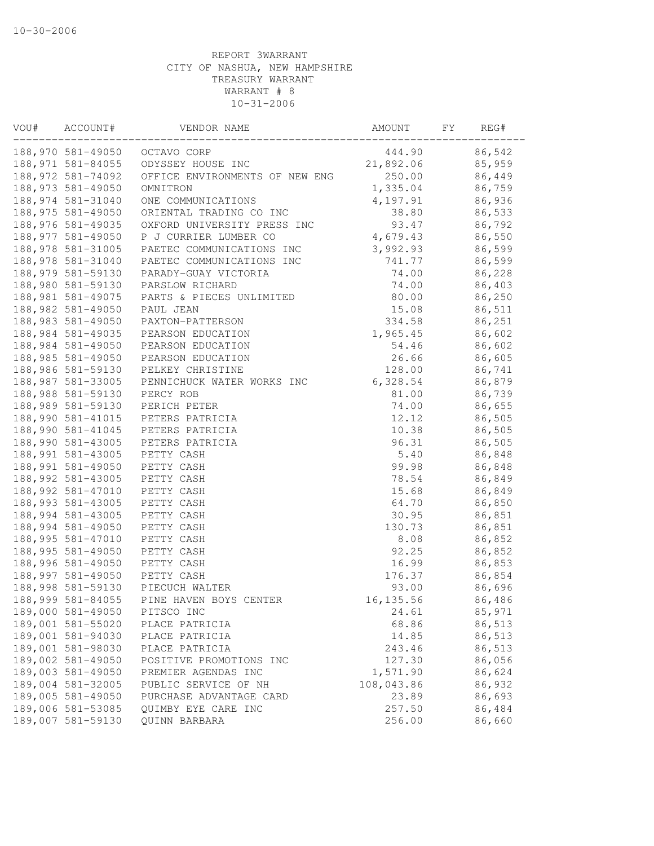| VOU# | ACCOUNT#           | VENDOR NAME                      | AMOUNT     | FΥ | REG#   |
|------|--------------------|----------------------------------|------------|----|--------|
|      |                    | 188,970 581-49050 OCTAVO CORP    | 444.90     |    | 86,542 |
|      | 188,971 581-84055  | ODYSSEY HOUSE INC                | 21,892.06  |    | 85,959 |
|      | 188, 972 581-74092 | OFFICE ENVIRONMENTS OF NEW ENG   | 250.00     |    | 86,449 |
|      | 188, 973 581-49050 | OMNITRON                         | 1,335.04   |    | 86,759 |
|      | 188, 974 581-31040 | ONE COMMUNICATIONS               | 4,197.91   |    | 86,936 |
|      | 188, 975 581-49050 | ORIENTAL TRADING CO INC          | 38.80      |    | 86,533 |
|      | 188,976 581-49035  | OXFORD UNIVERSITY PRESS INC      | 93.47      |    | 86,792 |
|      | 188,977 581-49050  | P J CURRIER LUMBER CO            | 4,679.43   |    | 86,550 |
|      | 188,978 581-31005  | PAETEC COMMUNICATIONS INC        | 3,992.93   |    | 86,599 |
|      | 188,978 581-31040  | PAETEC COMMUNICATIONS INC        | 741.77     |    | 86,599 |
|      | 188,979 581-59130  | PARADY-GUAY VICTORIA             | 74.00      |    | 86,228 |
|      | 188,980 581-59130  | PARSLOW RICHARD                  | 74.00      |    | 86,403 |
|      | 188, 981 581-49075 | PARTS & PIECES UNLIMITED         | 80.00      |    | 86,250 |
|      | 188,982 581-49050  | PAUL JEAN                        | 15.08      |    | 86,511 |
|      | 188,983 581-49050  | PAXTON-PATTERSON                 | 334.58     |    | 86,251 |
|      | 188,984 581-49035  | PEARSON EDUCATION                | 1,965.45   |    | 86,602 |
|      | 188,984 581-49050  | PEARSON EDUCATION                | 54.46      |    | 86,602 |
|      | 188,985 581-49050  | PEARSON EDUCATION                | 26.66      |    | 86,605 |
|      | 188,986 581-59130  | PELKEY CHRISTINE                 | 128.00     |    | 86,741 |
|      | 188,987 581-33005  | PENNICHUCK WATER WORKS INC       | 6,328.54   |    | 86,879 |
|      | 188,988 581-59130  | PERCY ROB                        | 81.00      |    | 86,739 |
|      | 188,989 581-59130  | PERICH PETER                     | 74.00      |    | 86,655 |
|      | 188,990 581-41015  | PETERS PATRICIA                  | 12.12      |    | 86,505 |
|      | 188,990 581-41045  | PETERS PATRICIA                  | 10.38      |    | 86,505 |
|      | 188,990 581-43005  | PETERS PATRICIA                  | 96.31      |    | 86,505 |
|      | 188,991 581-43005  | PETTY CASH                       | 5.40       |    | 86,848 |
|      | 188,991 581-49050  | PETTY CASH                       | 99.98      |    | 86,848 |
|      | 188,992 581-43005  | PETTY CASH                       | 78.54      |    | 86,849 |
|      | 188,992 581-47010  | PETTY CASH                       | 15.68      |    | 86,849 |
|      | 188,993 581-43005  | PETTY CASH                       | 64.70      |    | 86,850 |
|      | 188,994 581-43005  | PETTY CASH                       | 30.95      |    | 86,851 |
|      | 188,994 581-49050  | PETTY CASH                       | 130.73     |    | 86,851 |
|      | 188,995 581-47010  | PETTY CASH                       | 8.08       |    | 86,852 |
|      | 188,995 581-49050  | PETTY CASH                       | 92.25      |    | 86,852 |
|      | 188,996 581-49050  | PETTY CASH                       | 16.99      |    | 86,853 |
|      |                    | 188,997 581-49050 PETTY CASH     | 176.37     |    | 86,854 |
|      |                    | 188,998 581-59130 PIECUCH WALTER | 93.00      |    | 86,696 |
|      | 188,999 581-84055  | PINE HAVEN BOYS CENTER           | 16, 135.56 |    | 86,486 |
|      | 189,000 581-49050  | PITSCO INC                       | 24.61      |    | 85,971 |
|      | 189,001 581-55020  | PLACE PATRICIA                   | 68.86      |    | 86,513 |
|      | 189,001 581-94030  | PLACE PATRICIA                   | 14.85      |    | 86,513 |
|      | 189,001 581-98030  | PLACE PATRICIA                   | 243.46     |    | 86,513 |
|      | 189,002 581-49050  | POSITIVE PROMOTIONS INC          | 127.30     |    | 86,056 |
|      | 189,003 581-49050  | PREMIER AGENDAS INC              | 1,571.90   |    | 86,624 |
|      | 189,004 581-32005  | PUBLIC SERVICE OF NH             | 108,043.86 |    | 86,932 |
|      | 189,005 581-49050  | PURCHASE ADVANTAGE CARD          | 23.89      |    | 86,693 |
|      | 189,006 581-53085  | QUIMBY EYE CARE INC              | 257.50     |    | 86,484 |
|      | 189,007 581-59130  | QUINN BARBARA                    | 256.00     |    | 86,660 |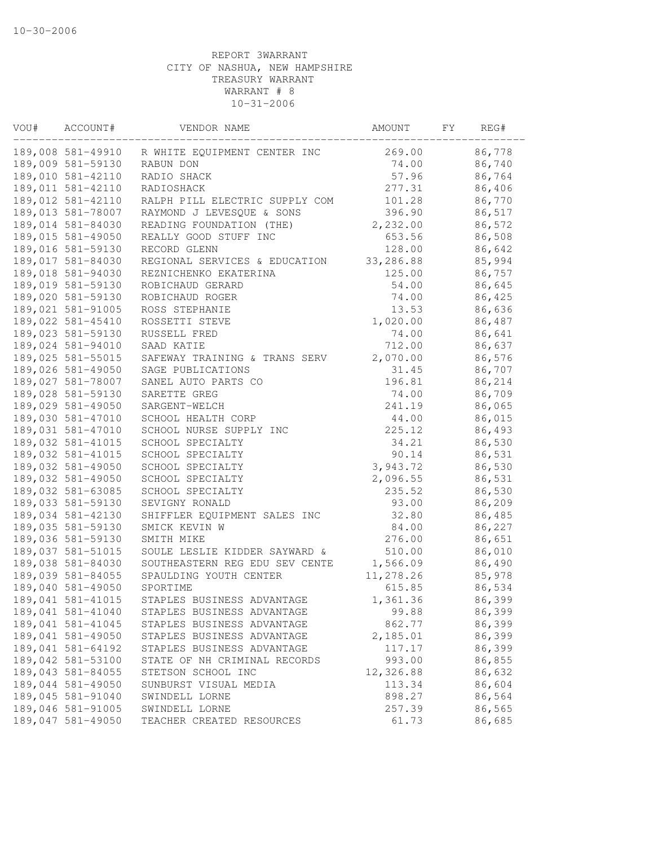| VOU# | ACCOUNT#          | VENDOR NAME                    | AMOUNT    | FΥ | REG#   |
|------|-------------------|--------------------------------|-----------|----|--------|
|      | 189,008 581-49910 | R WHITE EQUIPMENT CENTER INC   | 269.00    |    | 86,778 |
|      | 189,009 581-59130 | RABUN DON                      | 74.00     |    | 86,740 |
|      | 189,010 581-42110 | RADIO SHACK                    | 57.96     |    | 86,764 |
|      | 189,011 581-42110 | RADIOSHACK                     | 277.31    |    | 86,406 |
|      | 189,012 581-42110 | RALPH PILL ELECTRIC SUPPLY COM | 101.28    |    | 86,770 |
|      | 189,013 581-78007 | RAYMOND J LEVESQUE & SONS      | 396.90    |    | 86,517 |
|      | 189,014 581-84030 | READING FOUNDATION (THE)       | 2,232.00  |    | 86,572 |
|      | 189,015 581-49050 | REALLY GOOD STUFF INC          | 653.56    |    | 86,508 |
|      | 189,016 581-59130 | RECORD GLENN                   | 128.00    |    | 86,642 |
|      | 189,017 581-84030 | REGIONAL SERVICES & EDUCATION  | 33,286.88 |    | 85,994 |
|      | 189,018 581-94030 | REZNICHENKO EKATERINA          | 125.00    |    | 86,757 |
|      | 189,019 581-59130 | ROBICHAUD GERARD               | 54.00     |    | 86,645 |
|      | 189,020 581-59130 | ROBICHAUD ROGER                | 74.00     |    | 86,425 |
|      | 189,021 581-91005 | ROSS STEPHANIE                 | 13.53     |    | 86,636 |
|      | 189,022 581-45410 | ROSSETTI STEVE                 | 1,020.00  |    | 86,487 |
|      | 189,023 581-59130 | RUSSELL FRED                   | 74.00     |    | 86,641 |
|      | 189,024 581-94010 | SAAD KATIE                     | 712.00    |    | 86,637 |
|      | 189,025 581-55015 | SAFEWAY TRAINING & TRANS SERV  | 2,070.00  |    | 86,576 |
|      | 189,026 581-49050 | SAGE PUBLICATIONS              | 31.45     |    | 86,707 |
|      | 189,027 581-78007 | SANEL AUTO PARTS CO            | 196.81    |    | 86,214 |
|      | 189,028 581-59130 | SARETTE GREG                   | 74.00     |    | 86,709 |
|      | 189,029 581-49050 | SARGENT-WELCH                  | 241.19    |    | 86,065 |
|      | 189,030 581-47010 | SCHOOL HEALTH CORP             | 44.00     |    | 86,015 |
|      | 189,031 581-47010 | SCHOOL NURSE SUPPLY INC        | 225.12    |    | 86,493 |
|      | 189,032 581-41015 | SCHOOL SPECIALTY               | 34.21     |    | 86,530 |
|      | 189,032 581-41015 | SCHOOL SPECIALTY               | 90.14     |    | 86,531 |
|      | 189,032 581-49050 | SCHOOL SPECIALTY               | 3,943.72  |    | 86,530 |
|      | 189,032 581-49050 | SCHOOL SPECIALTY               | 2,096.55  |    | 86,531 |
|      | 189,032 581-63085 | SCHOOL SPECIALTY               | 235.52    |    | 86,530 |
|      | 189,033 581-59130 | SEVIGNY RONALD                 | 93.00     |    | 86,209 |
|      | 189,034 581-42130 | SHIFFLER EQUIPMENT SALES INC   | 32.80     |    | 86,485 |
|      | 189,035 581-59130 | SMICK KEVIN W                  | 84.00     |    | 86,227 |
|      | 189,036 581-59130 | SMITH MIKE                     | 276.00    |    | 86,651 |
|      | 189,037 581-51015 | SOULE LESLIE KIDDER SAYWARD &  | 510.00    |    | 86,010 |
|      | 189,038 581-84030 | SOUTHEASTERN REG EDU SEV CENTE | 1,566.09  |    | 86,490 |
|      | 189,039 581-84055 | SPAULDING YOUTH CENTER         | 11,278.26 |    | 85,978 |
|      | 189,040 581-49050 | SPORTIME                       | 615.85    |    | 86,534 |
|      | 189,041 581-41015 | STAPLES BUSINESS ADVANTAGE     | 1,361.36  |    | 86,399 |
|      | 189,041 581-41040 | STAPLES BUSINESS ADVANTAGE     | 99.88     |    | 86,399 |
|      | 189,041 581-41045 | STAPLES BUSINESS ADVANTAGE     | 862.77    |    | 86,399 |
|      | 189,041 581-49050 | STAPLES BUSINESS ADVANTAGE     | 2,185.01  |    | 86,399 |
|      | 189,041 581-64192 | STAPLES BUSINESS ADVANTAGE     | 117.17    |    | 86,399 |
|      | 189,042 581-53100 | STATE OF NH CRIMINAL RECORDS   | 993.00    |    | 86,855 |
|      | 189,043 581-84055 | STETSON SCHOOL INC             | 12,326.88 |    | 86,632 |
|      | 189,044 581-49050 | SUNBURST VISUAL MEDIA          | 113.34    |    | 86,604 |
|      | 189,045 581-91040 | SWINDELL LORNE                 | 898.27    |    | 86,564 |
|      | 189,046 581-91005 | SWINDELL LORNE                 | 257.39    |    | 86,565 |
|      | 189,047 581-49050 | TEACHER CREATED RESOURCES      | 61.73     |    | 86,685 |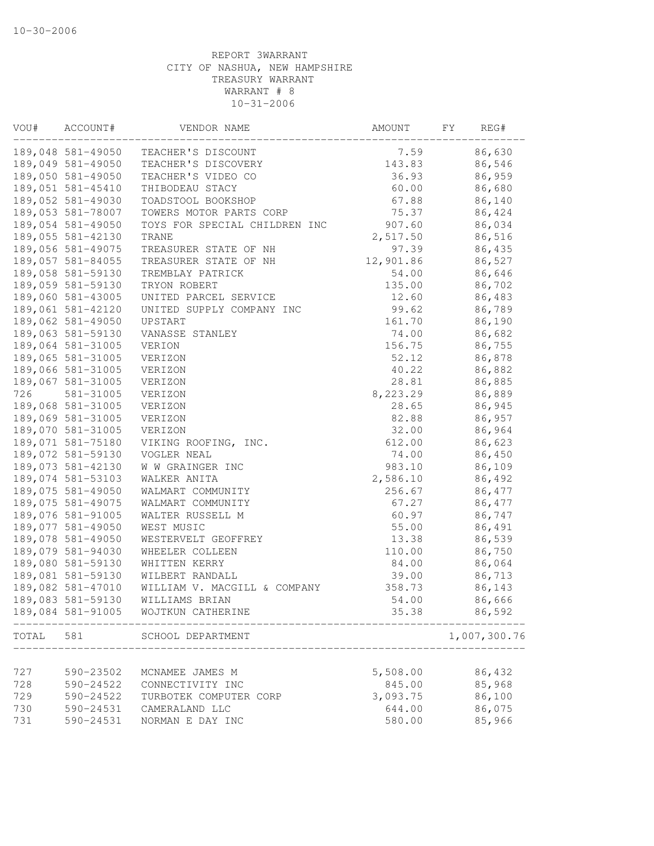| VOU#  | ACCOUNT#          | VENDOR NAME                             | AMOUNT    | FY | REG#         |
|-------|-------------------|-----------------------------------------|-----------|----|--------------|
|       | 189,048 581-49050 | TEACHER'S DISCOUNT                      | 7.59      |    | 86,630       |
|       | 189,049 581-49050 | TEACHER'S DISCOVERY                     | 143.83    |    | 86,546       |
|       | 189,050 581-49050 | TEACHER'S VIDEO CO                      | 36.93     |    | 86,959       |
|       | 189,051 581-45410 | THIBODEAU STACY                         | 60.00     |    | 86,680       |
|       | 189,052 581-49030 | TOADSTOOL BOOKSHOP                      | 67.88     |    | 86,140       |
|       | 189,053 581-78007 | TOWERS MOTOR PARTS CORP                 | 75.37     |    | 86,424       |
|       | 189,054 581-49050 | TOYS FOR SPECIAL CHILDREN INC           | 907.60    |    | 86,034       |
|       | 189,055 581-42130 | TRANE                                   | 2,517.50  |    | 86,516       |
|       | 189,056 581-49075 | TREASURER STATE OF NH                   | 97.39     |    | 86,435       |
|       | 189,057 581-84055 | TREASURER STATE OF NH                   | 12,901.86 |    | 86,527       |
|       | 189,058 581-59130 | TREMBLAY PATRICK                        | 54.00     |    | 86,646       |
|       | 189,059 581-59130 | TRYON ROBERT                            | 135.00    |    | 86,702       |
|       | 189,060 581-43005 | UNITED PARCEL SERVICE                   | 12.60     |    | 86,483       |
|       | 189,061 581-42120 | UNITED SUPPLY COMPANY INC               | 99.62     |    | 86,789       |
|       | 189,062 581-49050 | UPSTART                                 | 161.70    |    | 86,190       |
|       | 189,063 581-59130 | VANASSE STANLEY                         | 74.00     |    | 86,682       |
|       | 189,064 581-31005 | VERION                                  | 156.75    |    | 86,755       |
|       | 189,065 581-31005 | VERIZON                                 | 52.12     |    | 86,878       |
|       | 189,066 581-31005 | VERIZON                                 | 40.22     |    | 86,882       |
|       | 189,067 581-31005 | VERIZON                                 | 28.81     |    | 86,885       |
| 726   | 581-31005         | VERIZON                                 | 8,223.29  |    | 86,889       |
|       | 189,068 581-31005 | VERIZON                                 | 28.65     |    | 86,945       |
|       | 189,069 581-31005 | VERIZON                                 | 82.88     |    | 86,957       |
|       | 189,070 581-31005 | VERIZON                                 | 32.00     |    | 86,964       |
|       | 189,071 581-75180 | VIKING ROOFING, INC.                    | 612.00    |    | 86,623       |
|       | 189,072 581-59130 |                                         | 74.00     |    | 86,450       |
|       | 189,073 581-42130 | VOGLER NEAL                             | 983.10    |    | 86,109       |
|       | 189,074 581-53103 | W W GRAINGER INC<br>WALKER ANITA        | 2,586.10  |    | 86,492       |
|       | 189,075 581-49050 |                                         |           |    |              |
|       |                   | WALMART COMMUNITY                       | 256.67    |    | 86,477       |
|       | 189,075 581-49075 | WALMART COMMUNITY                       | 67.27     |    | 86,477       |
|       | 189,076 581-91005 | WALTER RUSSELL M                        | 60.97     |    | 86,747       |
|       | 189,077 581-49050 | WEST MUSIC                              | 55.00     |    | 86,491       |
|       | 189,078 581-49050 | WESTERVELT GEOFFREY                     | 13.38     |    | 86,539       |
|       | 189,079 581-94030 | WHEELER COLLEEN                         | 110.00    |    | 86,750       |
|       | 189,080 581-59130 | WHITTEN KERRY                           | 84.00     |    | 86,064       |
|       | 189,081 581-59130 | WILBERT RANDALL                         | 39.00     |    | 86,713       |
|       | 189,082 581-47010 | WILLIAM V. MACGILL & COMPANY            | 358.73    |    | 86,143       |
|       | 189,083 581-59130 | WILLIAMS BRIAN                          | 54.00     |    | 86,666       |
|       | 189,084 581-91005 | WOJTKUN CATHERINE                       | 35.38     |    | 86,592       |
| TOTAL | 581               | SCHOOL DEPARTMENT<br>__________________ |           |    | 1,007,300.76 |
|       |                   |                                         |           |    |              |
| 727   | 590-23502         | MCNAMEE JAMES M                         | 5,508.00  |    | 86,432       |
| 728   | 590-24522         | CONNECTIVITY INC                        | 845.00    |    | 85,968       |
| 729   | 590-24522         | TURBOTEK COMPUTER CORP                  | 3,093.75  |    | 86,100       |
| 730   | 590-24531         | CAMERALAND LLC                          | 644.00    |    | 86,075       |
| 731   | 590-24531         | NORMAN E DAY INC                        | 580.00    |    | 85,966       |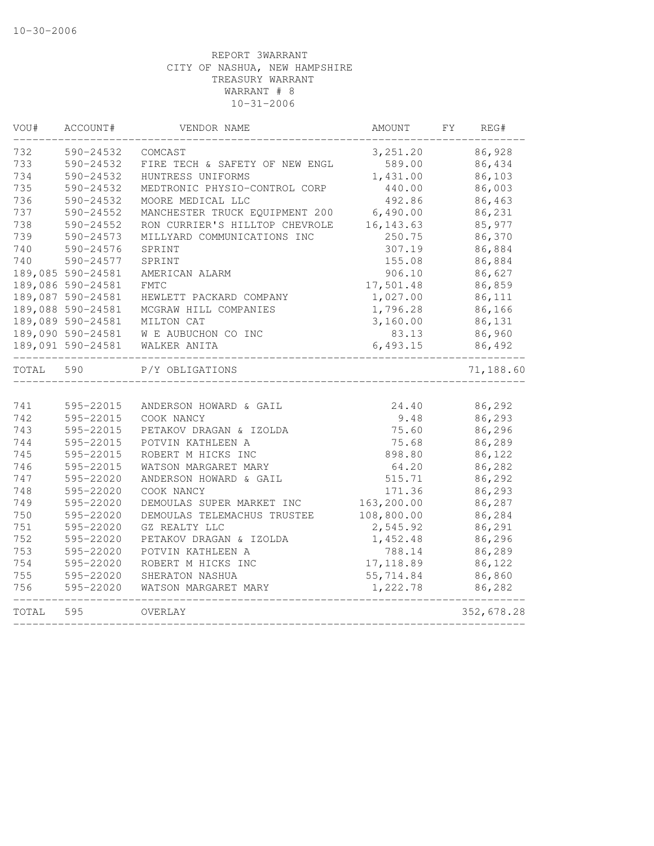| VOU#  | ACCOUNT#          | VENDOR NAME                    | AMOUNT     | FY | REG#       |
|-------|-------------------|--------------------------------|------------|----|------------|
| 732   | 590-24532         | COMCAST                        | 3, 251.20  |    | 86,928     |
| 733   | 590-24532         | FIRE TECH & SAFETY OF NEW ENGL | 589.00     |    | 86,434     |
| 734   | 590-24532         | HUNTRESS UNIFORMS              | 1,431.00   |    | 86,103     |
| 735   | 590-24532         | MEDTRONIC PHYSIO-CONTROL CORP  | 440.00     |    | 86,003     |
| 736   | 590-24532         | MOORE MEDICAL LLC              | 492.86     |    | 86,463     |
| 737   | 590-24552         | MANCHESTER TRUCK EQUIPMENT 200 | 6,490.00   |    | 86,231     |
| 738   | 590-24552         | RON CURRIER'S HILLTOP CHEVROLE | 16, 143.63 |    | 85,977     |
| 739   | 590-24573         | MILLYARD COMMUNICATIONS INC    | 250.75     |    | 86,370     |
| 740   | 590-24576         | SPRINT                         | 307.19     |    | 86,884     |
| 740   | 590-24577         | SPRINT                         | 155.08     |    | 86,884     |
|       | 189,085 590-24581 | AMERICAN ALARM                 | 906.10     |    | 86,627     |
|       | 189,086 590-24581 | FMTC                           | 17,501.48  |    | 86,859     |
|       | 189,087 590-24581 | HEWLETT PACKARD COMPANY        | 1,027.00   |    | 86,111     |
|       | 189,088 590-24581 | MCGRAW HILL COMPANIES          | 1,796.28   |    | 86,166     |
|       | 189,089 590-24581 | MILTON CAT                     | 3,160.00   |    | 86,131     |
|       | 189,090 590-24581 | W E AUBUCHON CO INC            | 83.13      |    | 86,960     |
|       | 189,091 590-24581 | WALKER ANITA                   | 6,493.15   |    | 86,492     |
| TOTAL | 590               | P/Y OBLIGATIONS                |            |    | 71,188.60  |
|       |                   |                                |            |    |            |
| 741   | 595-22015         | ANDERSON HOWARD & GAIL         | 24.40      |    | 86,292     |
| 742   | 595-22015         | COOK NANCY                     | 9.48       |    | 86,293     |
| 743   | 595-22015         | PETAKOV DRAGAN & IZOLDA        | 75.60      |    | 86,296     |
| 744   | 595-22015         | POTVIN KATHLEEN A              | 75.68      |    | 86,289     |
| 745   | 595-22015         | ROBERT M HICKS INC             | 898.80     |    | 86,122     |
| 746   | 595-22015         | WATSON MARGARET MARY           | 64.20      |    | 86,282     |
| 747   | 595-22020         | ANDERSON HOWARD & GAIL         | 515.71     |    | 86,292     |
| 748   | 595-22020         | COOK NANCY                     | 171.36     |    | 86,293     |
| 749   | 595-22020         | DEMOULAS SUPER MARKET INC      | 163,200.00 |    | 86,287     |
| 750   | 595-22020         | DEMOULAS TELEMACHUS TRUSTEE    | 108,800.00 |    | 86,284     |
| 751   | 595-22020         | GZ REALTY LLC                  | 2,545.92   |    | 86,291     |
| 752   | 595-22020         | PETAKOV DRAGAN & IZOLDA        | 1,452.48   |    | 86,296     |
| 753   | 595-22020         | POTVIN KATHLEEN A              | 788.14     |    | 86,289     |
| 754   | 595-22020         | ROBERT M HICKS INC             | 17, 118.89 |    | 86,122     |
| 755   | 595-22020         | SHERATON NASHUA                | 55,714.84  |    | 86,860     |
| 756   | 595-22020         | WATSON MARGARET MARY           | 1,222.78   |    | 86,282     |
| TOTAL | 595               | OVERLAY                        |            |    | 352,678.28 |
|       |                   |                                |            |    |            |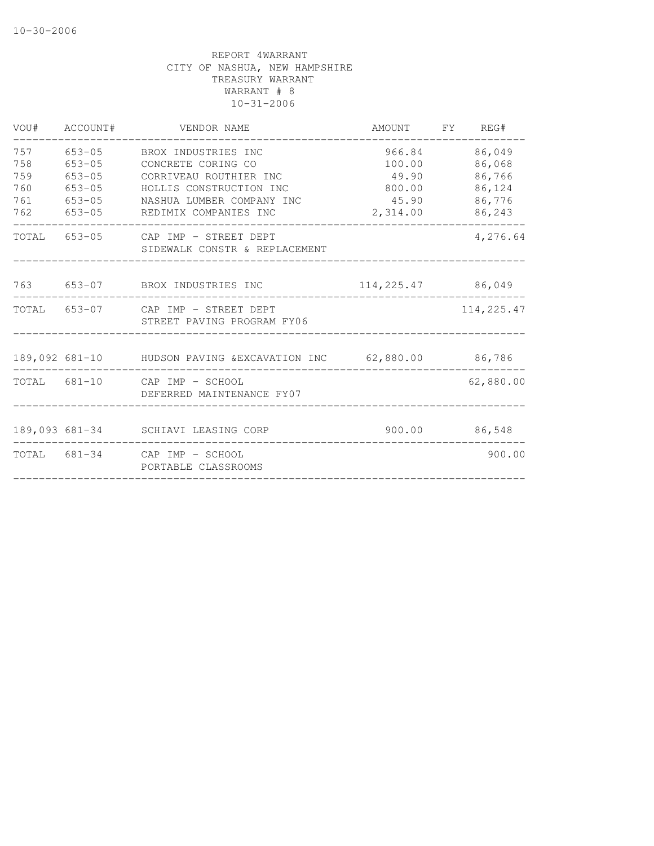| VOU#       | ACCOUNT#                 | VENDOR NAME                                                      | AMOUNT FY REG#      |                  |
|------------|--------------------------|------------------------------------------------------------------|---------------------|------------------|
| 757<br>758 | $653 - 05$<br>$653 - 05$ | BROX INDUSTRIES INC<br>CONCRETE CORING CO                        | 966.84<br>100.00    | 86,049<br>86,068 |
| 759        | $653 - 05$               | CORRIVEAU ROUTHIER INC                                           | 49.90               | 86,766           |
| 760        | $653 - 05$               | HOLLIS CONSTRUCTION INC                                          | 800.00              | 86,124           |
| 761        | $653 - 05$               | NASHUA LUMBER COMPANY INC                                        | 45.90               | 86,776           |
| 762        | $653 - 05$               | REDIMIX COMPANIES INC                                            | 2,314.00            | 86,243           |
| TOTAL      | 653-05                   | CAP IMP - STREET DEPT<br>SIDEWALK CONSTR & REPLACEMENT           |                     | 4,276.64         |
|            |                          | 763 653-07 BROX INDUSTRIES INC                                   | 114, 225.47 86, 049 |                  |
|            |                          | TOTAL 653-07 CAP IMP - STREET DEPT<br>STREET PAVING PROGRAM FY06 |                     | 114,225.47       |
|            |                          | 189,092 681-10 HUDSON PAVING & EXCAVATION INC 62,880.00 86,786   |                     |                  |
|            |                          | TOTAL 681-10 CAP IMP - SCHOOL<br>DEFERRED MAINTENANCE FY07       |                     | 62,880.00        |
|            |                          | 189,093 681-34 SCHIAVI LEASING CORP                              | 900.00              | 86,548           |
|            |                          | TOTAL 681-34 CAP IMP - SCHOOL<br>PORTABLE CLASSROOMS             |                     | 900.00           |
|            |                          |                                                                  |                     |                  |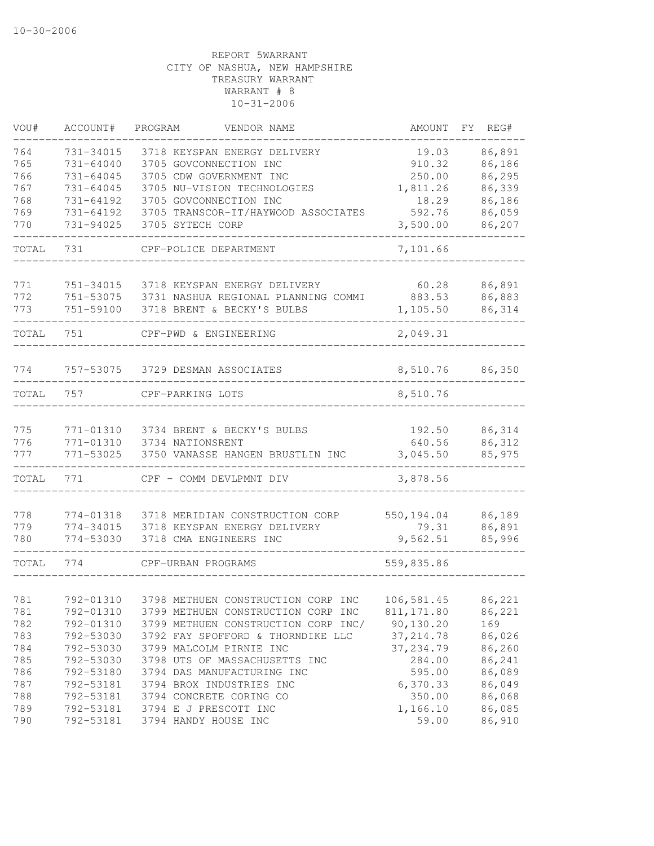| VOU#       | ACCOUNT#               | PROGRAM<br>VENDOR NAME                        | <b>AMOUNT</b>       | FΥ | REG#             |
|------------|------------------------|-----------------------------------------------|---------------------|----|------------------|
| 764        | 731-34015              | 3718 KEYSPAN ENERGY DELIVERY                  | 19.03               |    | 86,891           |
| 765        | $731 - 64040$          | 3705 GOVCONNECTION INC                        | 910.32              |    | 86,186           |
| 766        | 731-64045              | 3705 CDW GOVERNMENT INC                       | 250.00              |    | 86,295           |
| 767        | 731-64045              | 3705 NU-VISION TECHNOLOGIES                   | 1,811.26            |    | 86,339           |
| 768        | 731-64192              | 3705 GOVCONNECTION INC                        | 18.29               |    | 86,186           |
| 769        | 731-64192              | 3705 TRANSCOR-IT/HAYWOOD ASSOCIATES           | 592.76              |    | 86,059           |
| 770        | 731-94025              | 3705 SYTECH CORP                              | 3,500.00            |    | 86,207           |
| TOTAL      | 731                    | CPF-POLICE DEPARTMENT                         | 7,101.66            |    |                  |
|            |                        |                                               |                     |    |                  |
| 771<br>772 | 751-34015              | 3718 KEYSPAN ENERGY DELIVERY                  | 60.28               |    | 86,891           |
| 773        | 751-53075              | 3731 NASHUA REGIONAL PLANNING COMMI           | 883.53              |    | 86,883           |
|            | 751-59100              | 3718 BRENT & BECKY'S BULBS                    | 1,105.50            |    | 86,314           |
| TOTAL      | 751                    | CPF-PWD & ENGINEERING                         | 2,049.31            |    |                  |
| 774        | 757-53075              | 3729 DESMAN ASSOCIATES                        | 8,510.76            |    | 86,350           |
| TOTAL      | 757                    | CPF-PARKING LOTS                              | 8,510.76            |    |                  |
|            |                        |                                               |                     |    |                  |
| 775        | 771-01310              | 3734 BRENT & BECKY'S BULBS                    | 192.50              |    | 86,314           |
| 776        | 771-01310              | 3734 NATIONSRENT                              | 640.56              |    | 86,312           |
| 777        | 771-53025              | 3750 VANASSE HANGEN BRUSTLIN INC              | 3,045.50            |    | 85,975           |
| TOTAL      | 771                    | CPF - COMM DEVLPMNT DIV                       | 3,878.56            |    |                  |
| 778        |                        | 3718 MERIDIAN CONSTRUCTION CORP               |                     |    |                  |
| 779        | 774-01318<br>774-34015 | 3718 KEYSPAN ENERGY DELIVERY                  | 550,194.04<br>79.31 |    | 86,189<br>86,891 |
| 780        | 774-53030              | 3718 CMA ENGINEERS INC                        | 9,562.51            |    | 85,996           |
| TOTAL      | 774                    | CPF-URBAN PROGRAMS                            | 559,835.86          |    |                  |
|            |                        |                                               |                     |    |                  |
| 781        | 792-01310              | 3798 METHUEN CONSTRUCTION CORP INC            | 106,581.45 86,221   |    |                  |
| 781        | 792-01310              | 3799 METHUEN CONSTRUCTION CORP INC            | 811,171.80          |    | 86,221           |
| 782        | 792-01310              | 3799 METHUEN CONSTRUCTION CORP INC/ 90,130.20 |                     |    | 169              |
| 783        | 792-53030              | 3792 FAY SPOFFORD & THORNDIKE LLC             | 37, 214.78          |    | 86,026           |
| 784        | 792-53030              | 3799 MALCOLM PIRNIE INC                       | 37, 234.79          |    | 86,260           |
| 785        | 792-53030              | 3798 UTS OF MASSACHUSETTS INC                 | 284.00              |    | 86,241           |
| 786        | 792-53180              | 3794 DAS MANUFACTURING INC                    | 595.00              |    | 86,089           |
| 787        | 792-53181              | 3794 BROX INDUSTRIES INC                      | 6,370.33            |    | 86,049           |
| 788        | 792-53181              | 3794 CONCRETE CORING CO                       | 350.00              |    | 86,068           |
| 789        | 792-53181              | 3794 E J PRESCOTT INC                         | 1,166.10            |    | 86,085           |
| 790        |                        | 792-53181 3794 HANDY HOUSE INC                | 59.00               |    | 86,910           |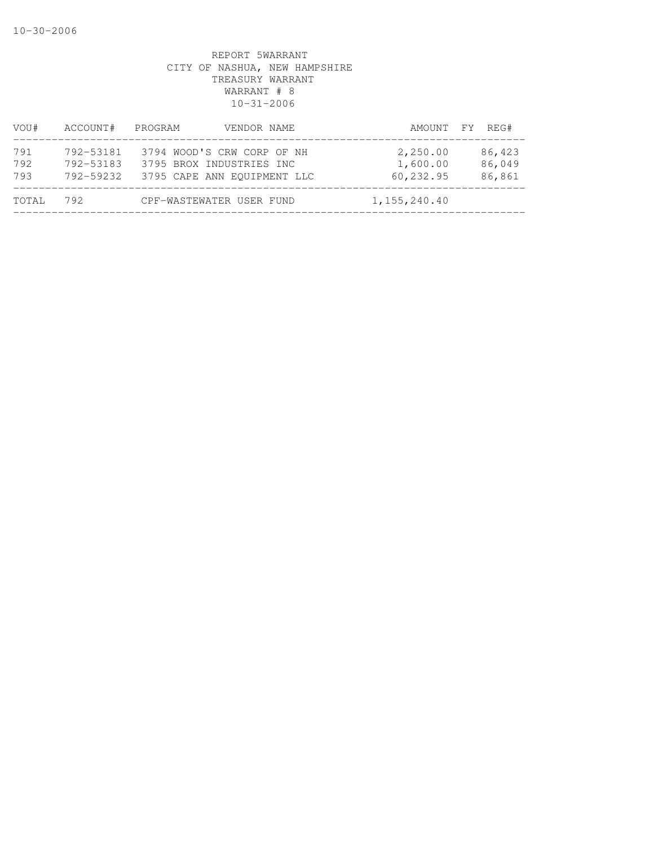| VOU#              | ACCOUNT#                            | PROGRAM<br>VENDOR NAME                                                                |                                   | AMOUNT FY REG#             |
|-------------------|-------------------------------------|---------------------------------------------------------------------------------------|-----------------------------------|----------------------------|
| 791<br>792<br>793 | 792-53181<br>792-53183<br>792-59232 | 3794 WOOD'S CRW CORP OF NH<br>3795 BROX INDUSTRIES INC<br>3795 CAPE ANN EOUIPMENT LLC | 2,250.00<br>1,600.00<br>60,232.95 | 86,423<br>86,049<br>86,861 |
| TOTAL             | 792                                 | CPF-WASTEWATER USER FUND                                                              | 1, 155, 240.40                    |                            |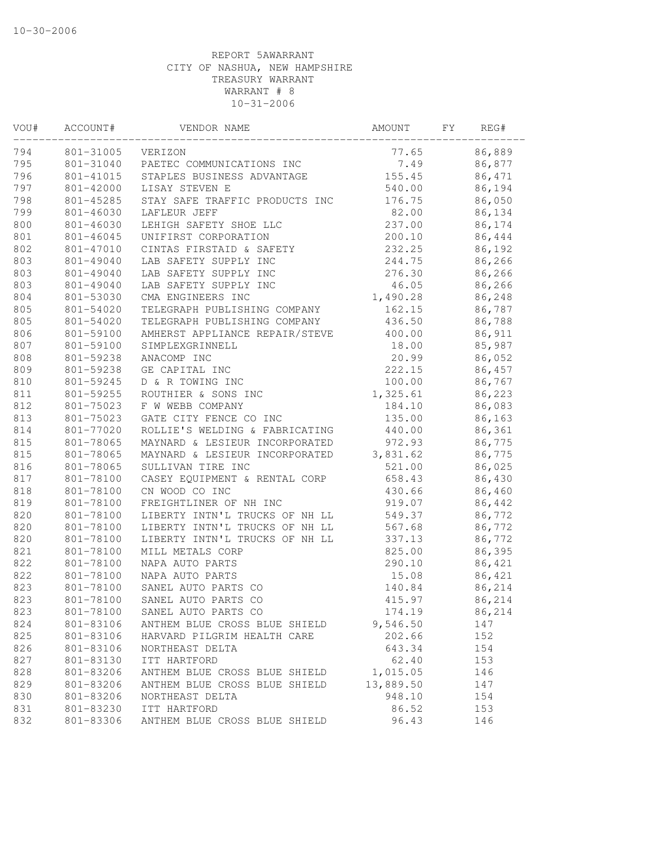| VOU# | ACCOUNT#      | VENDOR NAME                    | AMOUNT    | FΥ | REG#   |
|------|---------------|--------------------------------|-----------|----|--------|
| 794  | 801-31005     | VERIZON                        | 77.65     |    | 86,889 |
| 795  | 801-31040     | PAETEC COMMUNICATIONS INC      | 7.49      |    | 86,877 |
| 796  | 801-41015     | STAPLES BUSINESS ADVANTAGE     | 155.45    |    | 86,471 |
| 797  | 801-42000     | LISAY STEVEN E                 | 540.00    |    | 86,194 |
| 798  | 801-45285     | STAY SAFE TRAFFIC PRODUCTS INC | 176.75    |    | 86,050 |
| 799  | 801-46030     | LAFLEUR JEFF                   | 82.00     |    | 86,134 |
| 800  | 801-46030     | LEHIGH SAFETY SHOE LLC         | 237.00    |    | 86,174 |
| 801  | $801 - 46045$ | UNIFIRST CORPORATION           | 200.10    |    | 86,444 |
| 802  | 801-47010     | CINTAS FIRSTAID & SAFETY       | 232.25    |    | 86,192 |
| 803  | 801-49040     | LAB SAFETY SUPPLY INC          | 244.75    |    | 86,266 |
| 803  | 801-49040     | LAB SAFETY SUPPLY INC          | 276.30    |    | 86,266 |
| 803  | 801-49040     | LAB SAFETY SUPPLY INC          | 46.05     |    | 86,266 |
| 804  | 801-53030     | CMA ENGINEERS INC              | 1,490.28  |    | 86,248 |
| 805  | 801-54020     | TELEGRAPH PUBLISHING COMPANY   | 162.15    |    | 86,787 |
| 805  | 801-54020     | TELEGRAPH PUBLISHING COMPANY   | 436.50    |    | 86,788 |
| 806  | 801-59100     | AMHERST APPLIANCE REPAIR/STEVE | 400.00    |    | 86,911 |
| 807  | 801-59100     | SIMPLEXGRINNELL                | 18.00     |    | 85,987 |
| 808  | 801-59238     | ANACOMP INC                    | 20.99     |    | 86,052 |
| 809  | 801-59238     | GE CAPITAL INC                 | 222.15    |    | 86,457 |
| 810  | 801-59245     | D & R TOWING INC               | 100.00    |    | 86,767 |
| 811  | 801-59255     | ROUTHIER & SONS INC            | 1,325.61  |    | 86,223 |
| 812  | 801-75023     | F W WEBB COMPANY               | 184.10    |    | 86,083 |
| 813  | 801-75023     | GATE CITY FENCE CO INC         | 135.00    |    | 86,163 |
| 814  | 801-77020     | ROLLIE'S WELDING & FABRICATING | 440.00    |    | 86,361 |
| 815  | 801-78065     | MAYNARD & LESIEUR INCORPORATED | 972.93    |    | 86,775 |
| 815  | 801-78065     | MAYNARD & LESIEUR INCORPORATED | 3,831.62  |    | 86,775 |
| 816  | 801-78065     | SULLIVAN TIRE INC              | 521.00    |    | 86,025 |
| 817  | 801-78100     | CASEY EQUIPMENT & RENTAL CORP  | 658.43    |    | 86,430 |
| 818  | 801-78100     | CN WOOD CO INC                 | 430.66    |    | 86,460 |
| 819  | 801-78100     | FREIGHTLINER OF NH INC         | 919.07    |    | 86,442 |
| 820  | 801-78100     | LIBERTY INTN'L TRUCKS OF NH LL | 549.37    |    | 86,772 |
| 820  | 801-78100     | LIBERTY INTN'L TRUCKS OF NH LL | 567.68    |    | 86,772 |
| 820  | 801-78100     | LIBERTY INTN'L TRUCKS OF NH LL | 337.13    |    | 86,772 |
| 821  | 801-78100     | MILL METALS CORP               | 825.00    |    | 86,395 |
| 822  | 801-78100     | NAPA AUTO PARTS                | 290.10    |    | 86,421 |
| 822  | 801-78100     | NAPA AUTO PARTS                | 15.08     |    | 86,421 |
| 823  | 801-78100     | SANEL AUTO PARTS CO            | 140.84    |    | 86,214 |
| 823  | 801-78100     | SANEL AUTO PARTS CO            | 415.97    |    | 86,214 |
| 823  | 801-78100     | SANEL AUTO PARTS CO            | 174.19    |    | 86,214 |
| 824  | 801-83106     | ANTHEM BLUE CROSS BLUE SHIELD  | 9,546.50  |    | 147    |
| 825  | 801-83106     | HARVARD PILGRIM HEALTH CARE    | 202.66    |    | 152    |
| 826  | 801-83106     | NORTHEAST DELTA                | 643.34    |    | 154    |
| 827  | 801-83130     | ITT HARTFORD                   | 62.40     |    | 153    |
| 828  | 801-83206     | ANTHEM BLUE CROSS BLUE SHIELD  | 1,015.05  |    | 146    |
| 829  | 801-83206     | ANTHEM BLUE CROSS BLUE SHIELD  | 13,889.50 |    | 147    |
| 830  | 801-83206     | NORTHEAST DELTA                | 948.10    |    | 154    |
| 831  | 801-83230     | ITT HARTFORD                   | 86.52     |    | 153    |
| 832  | 801-83306     | ANTHEM BLUE CROSS BLUE SHIELD  | 96.43     |    | 146    |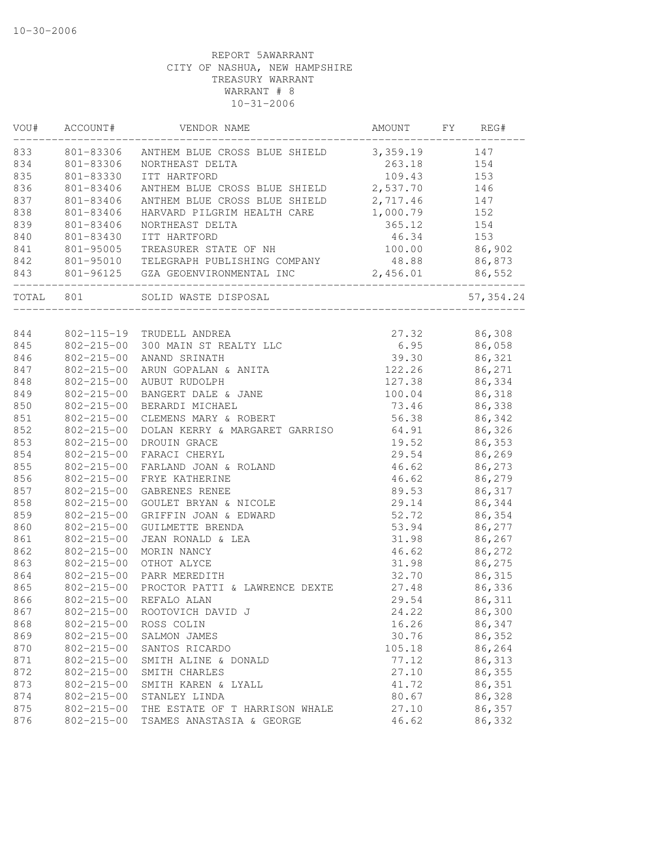| VOU#  | ACCOUNT#         | VENDOR NAME                               | AMOUNT   | FY | REG#       |
|-------|------------------|-------------------------------------------|----------|----|------------|
| 833   | 801-83306        | ANTHEM BLUE CROSS BLUE SHIELD             | 3,359.19 |    | 147        |
| 834   | 801-83306        | NORTHEAST DELTA                           | 263.18   |    | 154        |
| 835   | 801-83330        | ITT HARTFORD                              | 109.43   |    | 153        |
| 836   | 801-83406        | ANTHEM BLUE CROSS BLUE SHIELD             | 2,537.70 |    | 146        |
| 837   | 801-83406        | ANTHEM BLUE CROSS BLUE SHIELD             | 2,717.46 |    | 147        |
| 838   | 801-83406        | HARVARD PILGRIM HEALTH CARE               | 1,000.79 |    | 152        |
| 839   | 801-83406        | NORTHEAST DELTA                           | 365.12   |    | 154        |
| 840   | 801-83430        | ITT HARTFORD                              | 46.34    |    | 153        |
| 841   | 801-95005        | TREASURER STATE OF NH                     | 100.00   |    | 86,902     |
| 842   |                  | 801-95010 TELEGRAPH PUBLISHING COMPANY    | 48.88    |    | 86,873     |
| 843   |                  | 801-96125 GZA GEOENVIRONMENTAL INC        | 2,456.01 |    | 86,552     |
| TOTAL | 801              | SOLID WASTE DISPOSAL<br>_________________ |          |    | 57, 354.24 |
|       |                  |                                           |          |    |            |
| 844   |                  | 802-115-19 TRUDELL ANDREA                 | 27.32    |    | 86,308     |
| 845   |                  | 802-215-00 300 MAIN ST REALTY LLC         | 6.95     |    | 86,058     |
| 846   | $802 - 215 - 00$ | ANAND SRINATH                             | 39.30    |    | 86,321     |
| 847   | $802 - 215 - 00$ | ARUN GOPALAN & ANITA                      | 122.26   |    | 86,271     |
| 848   |                  | 802-215-00 AUBUT RUDOLPH                  | 127.38   |    | 86,334     |
| 849   | $802 - 215 - 00$ | BANGERT DALE & JANE                       | 100.04   |    | 86,318     |
| 850   | $802 - 215 - 00$ | BERARDI MICHAEL                           | 73.46    |    | 86,338     |
| 851   | $802 - 215 - 00$ | CLEMENS MARY & ROBERT                     | 56.38    |    | 86,342     |
| 852   | $802 - 215 - 00$ | DOLAN KERRY & MARGARET GARRISO            | 64.91    |    | 86,326     |
| 853   | $802 - 215 - 00$ | DROUIN GRACE                              | 19.52    |    | 86,353     |
| 854   | $802 - 215 - 00$ | FARACI CHERYL                             | 29.54    |    | 86,269     |
| 855   | $802 - 215 - 00$ | FARLAND JOAN & ROLAND                     | 46.62    |    | 86,273     |
| 856   | $802 - 215 - 00$ | FRYE KATHERINE                            | 46.62    |    | 86,279     |
| 857   | $802 - 215 - 00$ | GABRENES RENEE                            | 89.53    |    | 86,317     |
| 858   | $802 - 215 - 00$ | GOULET BRYAN & NICOLE                     | 29.14    |    | 86,344     |
| 859   | $802 - 215 - 00$ | GRIFFIN JOAN & EDWARD                     | 52.72    |    | 86,354     |
| 860   | $802 - 215 - 00$ | GUILMETTE BRENDA                          | 53.94    |    | 86,277     |
| 861   | $802 - 215 - 00$ | JEAN RONALD & LEA                         | 31.98    |    | 86,267     |
| 862   | $802 - 215 - 00$ | MORIN NANCY                               | 46.62    |    | 86,272     |
| 863   | $802 - 215 - 00$ | OTHOT ALYCE                               | 31.98    |    | 86,275     |
| 864   | $802 - 215 - 00$ | PARR MEREDITH                             | 32.70    |    | 86,315     |
| 865   | $802 - 215 - 00$ | PROCTOR PATTI & LAWRENCE DEXTE            | 27.48    |    | 86,336     |
| 866   |                  | 802-215-00 REFALO ALAN                    | 29.54    |    | 86,311     |
| 867   | $802 - 215 - 00$ | ROOTOVICH DAVID J                         | 24.22    |    | 86,300     |
| 868   | $802 - 215 - 00$ | ROSS COLIN                                | 16.26    |    | 86,347     |
| 869   | $802 - 215 - 00$ | SALMON JAMES                              | 30.76    |    | 86,352     |
| 870   | $802 - 215 - 00$ | SANTOS RICARDO                            | 105.18   |    | 86,264     |
| 871   | $802 - 215 - 00$ | SMITH ALINE & DONALD                      | 77.12    |    | 86,313     |
| 872   | $802 - 215 - 00$ | SMITH CHARLES                             | 27.10    |    | 86,355     |
| 873   | $802 - 215 - 00$ | SMITH KAREN & LYALL                       | 41.72    |    | 86,351     |
| 874   | $802 - 215 - 00$ | STANLEY LINDA                             | 80.67    |    | 86,328     |
| 875   | $802 - 215 - 00$ | THE ESTATE OF T HARRISON WHALE            | 27.10    |    | 86,357     |
| 876   | $802 - 215 - 00$ | TSAMES ANASTASIA & GEORGE                 | 46.62    |    | 86,332     |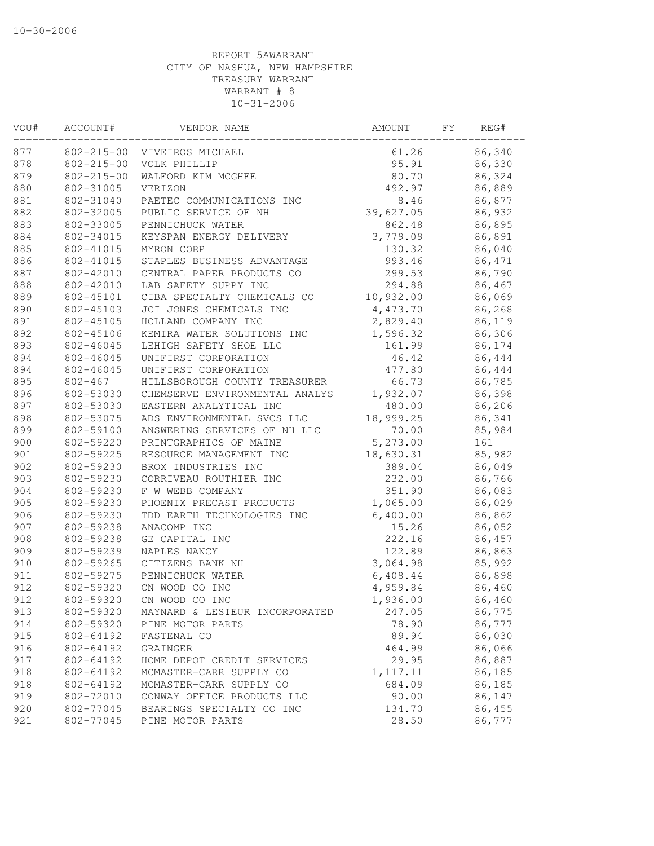| VOU# | ACCOUNT#               | VENDOR NAME                    | AMOUNT    | FΥ | REG#   |
|------|------------------------|--------------------------------|-----------|----|--------|
| 877  |                        | 802-215-00 VIVEIROS MICHAEL    | 61.26     |    | 86,340 |
| 878  | $802 - 215 - 00$       | VOLK PHILLIP                   | 95.91     |    | 86,330 |
| 879  | $802 - 215 - 00$       | WALFORD KIM MCGHEE             | 80.70     |    | 86,324 |
| 880  | 802-31005              | VERIZON                        | 492.97    |    | 86,889 |
| 881  | 802-31040              | PAETEC COMMUNICATIONS INC      | 8.46      |    | 86,877 |
| 882  | 802-32005              | PUBLIC SERVICE OF NH           | 39,627.05 |    | 86,932 |
| 883  | 802-33005              | PENNICHUCK WATER               | 862.48    |    | 86,895 |
| 884  | 802-34015              | KEYSPAN ENERGY DELIVERY        | 3,779.09  |    | 86,891 |
| 885  | 802-41015              | MYRON CORP                     | 130.32    |    | 86,040 |
| 886  | 802-41015              | STAPLES BUSINESS ADVANTAGE     | 993.46    |    | 86,471 |
| 887  | 802-42010              | CENTRAL PAPER PRODUCTS CO      | 299.53    |    | 86,790 |
| 888  | 802-42010              | LAB SAFETY SUPPY INC           | 294.88    |    | 86,467 |
| 889  | 802-45101              | CIBA SPECIALTY CHEMICALS CO    | 10,932.00 |    | 86,069 |
| 890  | 802-45103              | JCI JONES CHEMICALS INC        | 4,473.70  |    | 86,268 |
| 891  | 802-45105              | HOLLAND COMPANY INC            | 2,829.40  |    | 86,119 |
| 892  | 802-45106              | KEMIRA WATER SOLUTIONS INC     | 1,596.32  |    | 86,306 |
| 893  | 802-46045              | LEHIGH SAFETY SHOE LLC         | 161.99    |    | 86,174 |
| 894  | 802-46045              | UNIFIRST CORPORATION           | 46.42     |    | 86,444 |
| 894  | 802-46045              | UNIFIRST CORPORATION           | 477.80    |    | 86,444 |
| 895  | $802 - 467$            | HILLSBOROUGH COUNTY TREASURER  | 66.73     |    | 86,785 |
| 896  | 802-53030              | CHEMSERVE ENVIRONMENTAL ANALYS | 1,932.07  |    | 86,398 |
| 897  | 802-53030              | EASTERN ANALYTICAL INC         | 480.00    |    | 86,206 |
| 898  | 802-53075              | ADS ENVIRONMENTAL SVCS LLC     | 18,999.25 |    | 86,341 |
| 899  | 802-59100              | ANSWERING SERVICES OF NH LLC   | 70.00     |    | 85,984 |
| 900  | 802-59220              | PRINTGRAPHICS OF MAINE         | 5,273.00  |    | 161    |
| 901  | 802-59225              | RESOURCE MANAGEMENT INC        | 18,630.31 |    | 85,982 |
| 902  | 802-59230              | BROX INDUSTRIES INC            | 389.04    |    | 86,049 |
| 903  | 802-59230              | CORRIVEAU ROUTHIER INC         | 232.00    |    | 86,766 |
| 904  | 802-59230              | F W WEBB COMPANY               | 351.90    |    | 86,083 |
| 905  | 802-59230              | PHOENIX PRECAST PRODUCTS       | 1,065.00  |    | 86,029 |
| 906  | 802-59230              | TDD EARTH TECHNOLOGIES INC     | 6,400.00  |    | 86,862 |
| 907  | 802-59238              | ANACOMP INC                    | 15.26     |    | 86,052 |
| 908  | 802-59238              | GE CAPITAL INC                 | 222.16    |    | 86,457 |
| 909  | 802-59239              | NAPLES NANCY                   | 122.89    |    | 86,863 |
| 910  | 802-59265              | CITIZENS BANK NH               | 3,064.98  |    | 85,992 |
| 911  |                        | PENNICHUCK WATER               |           |    |        |
| 912  | 802-59275<br>802-59320 | CN WOOD CO INC                 | 6,408.44  |    | 86,898 |
|      |                        | CN WOOD CO INC                 | 4,959.84  |    | 86,460 |
| 912  | 802-59320              |                                | 1,936.00  |    | 86,460 |
| 913  | 802-59320              | MAYNARD & LESIEUR INCORPORATED | 247.05    |    | 86,775 |
| 914  | 802-59320              | PINE MOTOR PARTS               | 78.90     |    | 86,777 |
| 915  | 802-64192              | FASTENAL CO                    | 89.94     |    | 86,030 |
| 916  | 802-64192              | GRAINGER                       | 464.99    |    | 86,066 |
| 917  | 802-64192              | HOME DEPOT CREDIT SERVICES     | 29.95     |    | 86,887 |
| 918  | 802-64192              | MCMASTER-CARR SUPPLY CO        | 1, 117.11 |    | 86,185 |
| 918  | 802-64192              | MCMASTER-CARR SUPPLY CO        | 684.09    |    | 86,185 |
| 919  | 802-72010              | CONWAY OFFICE PRODUCTS LLC     | 90.00     |    | 86,147 |
| 920  | 802-77045              | BEARINGS SPECIALTY CO INC      | 134.70    |    | 86,455 |
| 921  | 802-77045              | PINE MOTOR PARTS               | 28.50     |    | 86,777 |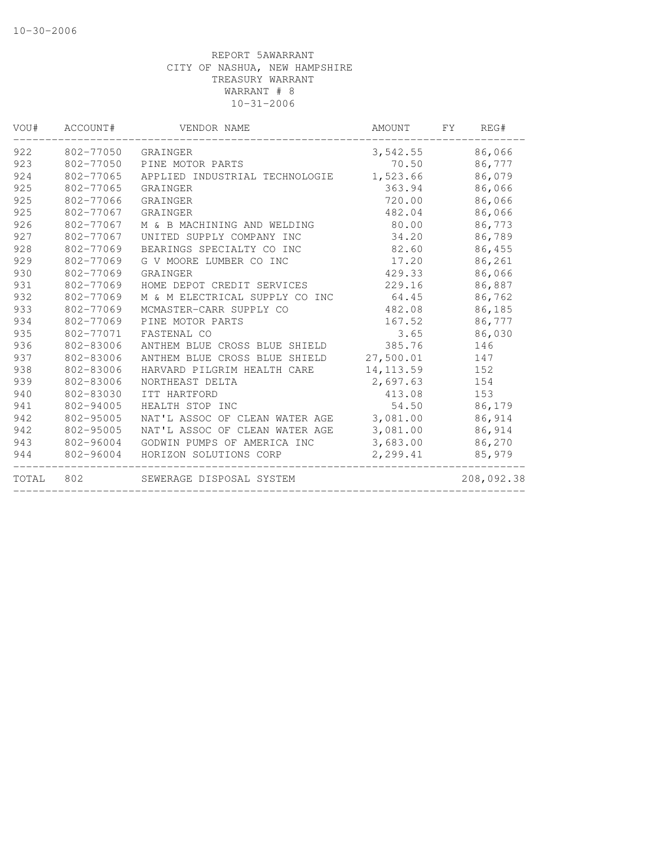| VOU#  | ACCOUNT#  | VENDOR NAME                    | AMOUNT     | FY. | REG#       |
|-------|-----------|--------------------------------|------------|-----|------------|
| 922   | 802-77050 | GRAINGER                       | 3,542.55   |     | 86,066     |
| 923   | 802-77050 | PINE MOTOR PARTS               | 70.50      |     | 86,777     |
| 924   | 802-77065 | APPLIED INDUSTRIAL TECHNOLOGIE | 1,523.66   |     | 86,079     |
| 925   | 802-77065 | GRAINGER                       | 363.94     |     | 86,066     |
| 925   | 802-77066 | GRAINGER                       | 720.00     |     | 86,066     |
| 925   | 802-77067 | GRAINGER                       | 482.04     |     | 86,066     |
| 926   | 802-77067 | M & B MACHINING AND WELDING    | 80.00      |     | 86,773     |
| 927   | 802-77067 | UNITED SUPPLY COMPANY INC      | 34.20      |     | 86,789     |
| 928   | 802-77069 | BEARINGS SPECIALTY CO INC      | 82.60      |     | 86,455     |
| 929   | 802-77069 | G V MOORE LUMBER CO INC        | 17.20      |     | 86,261     |
| 930   | 802-77069 | GRAINGER                       | 429.33     |     | 86,066     |
| 931   | 802-77069 | HOME DEPOT CREDIT SERVICES     | 229.16     |     | 86,887     |
| 932   | 802-77069 | M & M ELECTRICAL SUPPLY CO INC | 64.45      |     | 86,762     |
| 933   | 802-77069 | MCMASTER-CARR SUPPLY CO        | 482.08     |     | 86,185     |
| 934   | 802-77069 | PINE MOTOR PARTS               | 167.52     |     | 86,777     |
| 935   | 802-77071 | FASTENAL CO                    | 3.65       |     | 86,030     |
| 936   | 802-83006 | ANTHEM BLUE CROSS BLUE SHIELD  | 385.76     |     | 146        |
| 937   | 802-83006 | ANTHEM BLUE CROSS BLUE SHIELD  | 27,500.01  |     | 147        |
| 938   | 802-83006 | HARVARD PILGRIM HEALTH CARE    | 14, 113.59 |     | 152        |
| 939   | 802-83006 | NORTHEAST DELTA                | 2,697.63   |     | 154        |
| 940   | 802-83030 | ITT HARTFORD                   | 413.08     |     | 153        |
| 941   | 802-94005 | HEALTH STOP INC                | 54.50      |     | 86,179     |
| 942   | 802-95005 | NAT'L ASSOC OF CLEAN WATER AGE | 3,081.00   |     | 86,914     |
| 942   | 802-95005 | NAT'L ASSOC OF CLEAN WATER AGE | 3,081.00   |     | 86,914     |
| 943   | 802-96004 | GODWIN PUMPS OF AMERICA INC    | 3,683.00   |     | 86,270     |
| 944   | 802-96004 | HORIZON SOLUTIONS CORP         | 2,299.41   |     | 85,979     |
| TOTAL | 802       | SEWERAGE DISPOSAL SYSTEM       |            |     | 208,092.38 |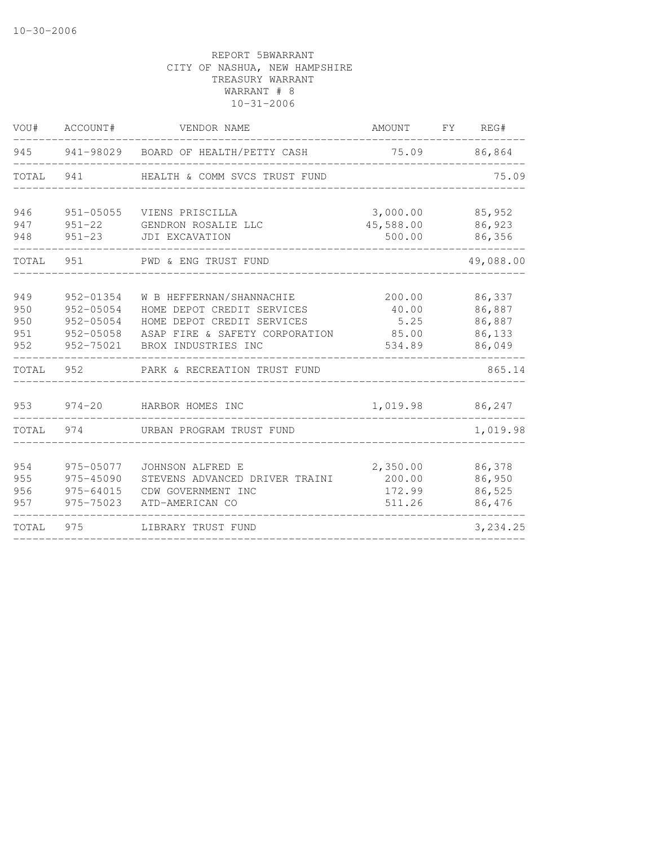| VOU#       | ACCOUNT#                 | VENDOR NAME                           | AMOUNT              | FY | REG#             |
|------------|--------------------------|---------------------------------------|---------------------|----|------------------|
| 945        | 941-98029                | BOARD OF HEALTH/PETTY CASH            | 75.09               |    | 86,864           |
| TOTAL      | 941                      | HEALTH & COMM SVCS TRUST FUND         |                     |    | 75.09            |
| 946        | $951 - 05055$            | VIENS PRISCILLA                       | 3,000.00            |    | 85,952           |
| 947<br>948 | $951 - 22$<br>$951 - 23$ | GENDRON ROSALIE LLC<br>JDI EXCAVATION | 45,588.00<br>500.00 |    | 86,923<br>86,356 |
| TOTAL      | 951                      | PWD & ENG TRUST FUND                  |                     |    | 49,088.00        |
| 949        | 952-01354                | W B HEFFERNAN/SHANNACHIE              | 200.00              |    | 86,337           |
| 950        | 952-05054                | HOME DEPOT CREDIT SERVICES            | 40.00               |    | 86,887           |
| 950        | 952-05054                | HOME DEPOT CREDIT SERVICES            | 5.25                |    | 86,887           |
| 951        | 952-05058                | ASAP FIRE & SAFETY CORPORATION        | 85.00               |    | 86,133           |
| 952        | 952-75021                | BROX INDUSTRIES INC                   | 534.89              |    | 86,049           |
| TOTAL      | 952                      | PARK & RECREATION TRUST FUND          |                     |    | 865.14           |
| 953        | $974 - 20$               | HARBOR HOMES INC                      | 1,019.98            |    | 86,247           |
| TOTAL      | 974                      | URBAN PROGRAM TRUST FUND              |                     |    | 1,019.98         |
| 954        | 975-05077                | JOHNSON ALFRED E                      | 2,350.00            |    | 86,378           |
| 955        | 975-45090                | STEVENS ADVANCED DRIVER TRAINI        | 200.00              |    | 86,950           |
| 956        | 975-64015                | CDW GOVERNMENT INC                    | 172.99              |    | 86,525           |
| 957        | 975-75023                | ATD-AMERICAN CO                       | 511.26              |    | 86,476           |
| TOTAL      | 975                      | LIBRARY TRUST FUND                    |                     |    | 3,234.25         |
|            |                          |                                       |                     |    |                  |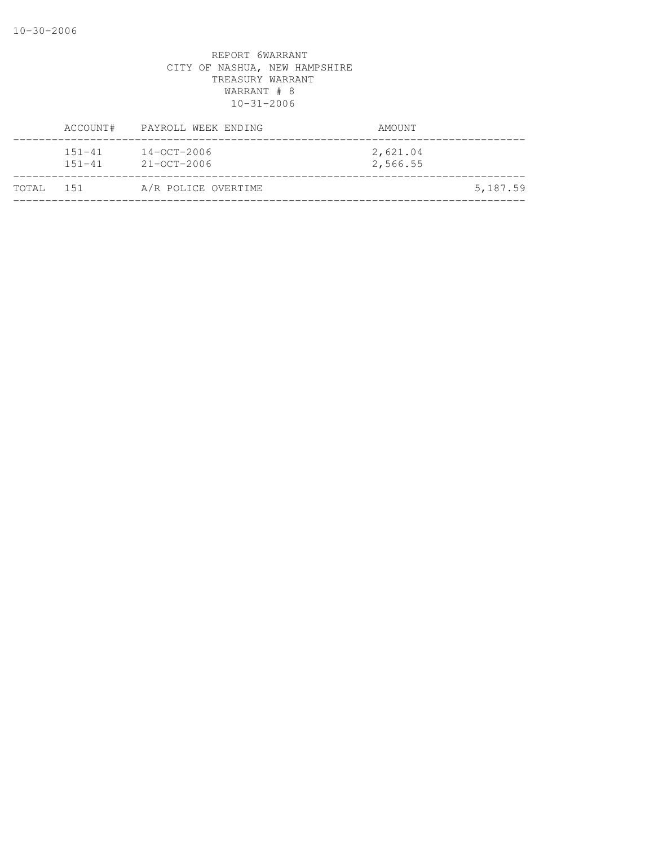|           |                          | ACCOUNT# PAYROLL WEEK ENDING           | AMOUNT               |          |
|-----------|--------------------------|----------------------------------------|----------------------|----------|
|           | $151 - 41$<br>$151 - 41$ | $14 - OCT - 2006$<br>$21 - OCT - 2006$ | 2,621.04<br>2,566.55 |          |
| TOTAL 151 |                          | A/R POLICE OVERTIME                    |                      | 5,187.59 |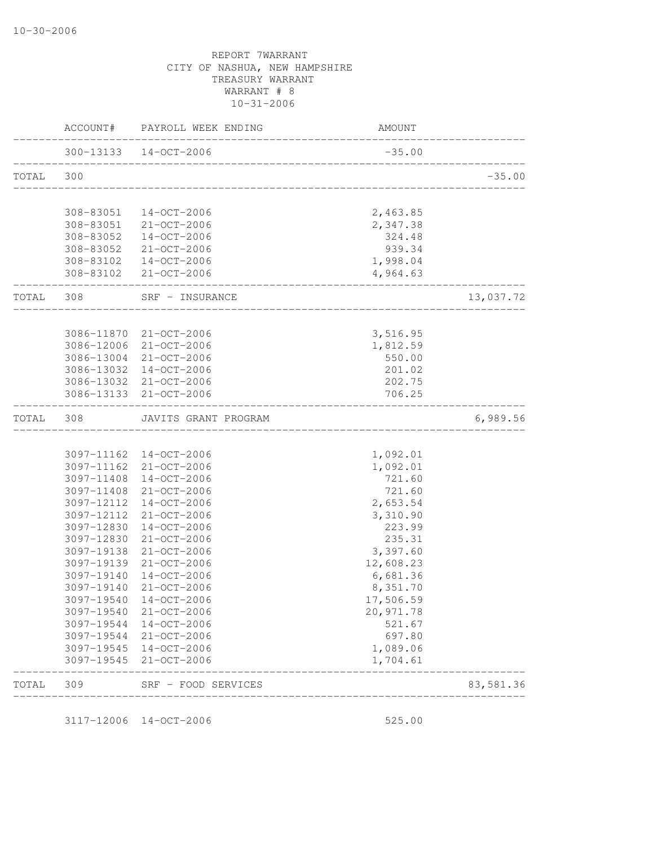|           | AMOUNT                | ACCOUNT# PAYROLL WEEK ENDING                            |            |           |
|-----------|-----------------------|---------------------------------------------------------|------------|-----------|
|           | $-35.00$              | 300-13133  14-OCT-2006<br>_____________________________ |            |           |
| $-35.00$  |                       |                                                         |            | TOTAL 300 |
|           | 2,463.85              | 308-83051  14-OCT-2006                                  |            |           |
|           | 2,347.38              | 308-83051 21-OCT-2006                                   |            |           |
|           | 324.48                | 14-OCT-2006                                             | 308-83052  |           |
|           | 939.34                | 308-83052 21-OCT-2006                                   |            |           |
|           | 1,998.04              | 308-83102  14-OCT-2006                                  |            |           |
|           | 4,964.63              | 308-83102 21-OCT-2006                                   |            |           |
| 13,037.72 |                       | TOTAL 308 SRF - INSURANCE                               |            |           |
|           |                       |                                                         |            |           |
|           | 3,516.95              | 3086-11870 21-OCT-2006                                  |            |           |
|           | 1,812.59              | 3086-12006 21-OCT-2006                                  |            |           |
|           | 550.00                | 3086-13004 21-OCT-2006                                  |            |           |
|           | 201.02<br>202.75      | 3086-13032 14-OCT-2006<br>3086-13032 21-OCT-2006        |            |           |
|           | 706.25                | 3086-13133 21-OCT-2006                                  |            |           |
| 6,989.56  | --------------------- | JAVITS GRANT PROGRAM                                    |            | TOTAL 308 |
|           |                       |                                                         |            |           |
|           | 1,092.01              | 3097-11162 14-OCT-2006                                  |            |           |
|           | 1,092.01              | 3097-11162 21-OCT-2006                                  |            |           |
|           | 721.60                | 14-OCT-2006                                             | 3097-11408 |           |
|           | 721.60                | 21-OCT-2006                                             | 3097-11408 |           |
|           | 2,653.54              | $14 - OCT - 2006$                                       | 3097-12112 |           |
|           | 3,310.90              | 21-OCT-2006                                             | 3097-12112 |           |
|           | 223.99                | 14-OCT-2006                                             | 3097-12830 |           |
|           | 235.31                | 21-OCT-2006                                             | 3097-12830 |           |
|           | 3,397.60              | 21-OCT-2006                                             | 3097-19138 |           |
|           | 12,608.23             | 3097-19139 21-OCT-2006                                  |            |           |
|           | 6,681.36              | 14-OCT-2006                                             | 3097-19140 |           |
|           | 8,351.70              | $21 - OCT - 2006$                                       | 3097-19140 |           |
|           | 17,506.59             | 3097-19540 14-OCT-2006                                  |            |           |
|           | 20,971.78             | 3097-19540 21-OCT-2006                                  |            |           |
|           | 521.67                | 3097-19544 14-OCT-2006                                  |            |           |
|           | 697.80                | 3097-19544 21-OCT-2006                                  |            |           |
|           | 1,089.06              | 3097-19545 14-OCT-2006                                  |            |           |
|           | 1,704.61              | 3097-19545 21-OCT-2006                                  |            |           |
| 83,581.36 |                       | SRF - FOOD SERVICES                                     | 309        | TOTAL     |

3117-12006 14-OCT-2006 525.00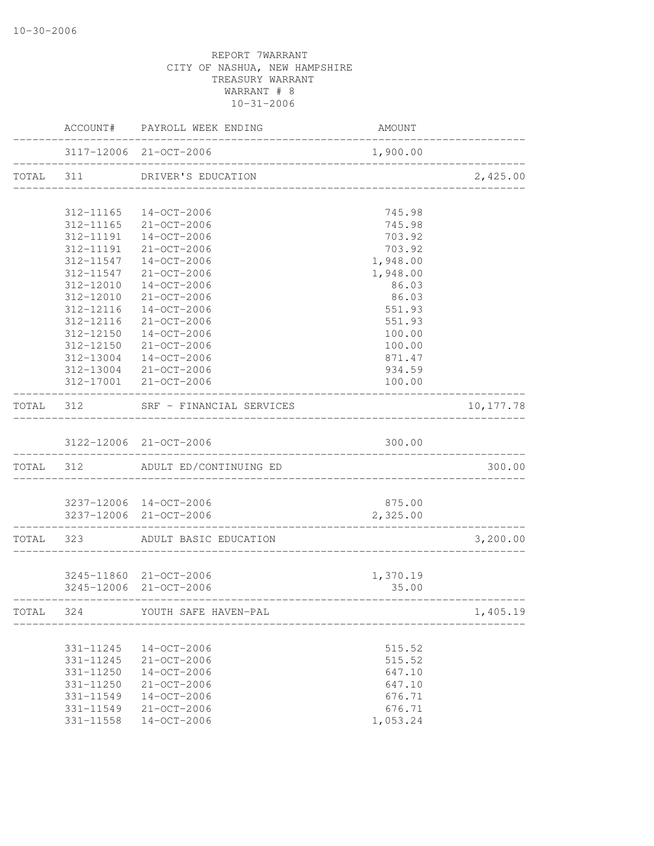|           |                        | ACCOUNT# PAYROLL WEEK ENDING           | AMOUNT           |                 |
|-----------|------------------------|----------------------------------------|------------------|-----------------|
|           |                        | 3117-12006 21-OCT-2006                 | 1,900.00         | _______________ |
| TOTAL 311 |                        | DRIVER'S EDUCATION                     |                  | 2,425.00        |
|           |                        | 312-11165 14-OCT-2006                  | 745.98           |                 |
|           |                        | 312-11165 21-OCT-2006                  | 745.98           |                 |
|           | 312-11191              | 14-OCT-2006                            | 703.92           |                 |
|           | 312-11191              | 21-OCT-2006                            | 703.92           |                 |
|           | 312-11547              | 14-OCT-2006                            | 1,948.00         |                 |
|           |                        | 312-11547 21-OCT-2006                  | 1,948.00         |                 |
|           | 312-12010              | 14-OCT-2006                            | 86.03            |                 |
|           | 312-12010              | $21 - OCT - 2006$                      | 86.03            |                 |
|           | 312-12116              | 14-OCT-2006                            | 551.93           |                 |
|           | 312-12116              | $21 - OCT - 2006$                      | 551.93           |                 |
|           | 312-12150              | 14-OCT-2006                            | 100.00           |                 |
|           | 312-12150              | $21 - OCT - 2006$                      | 100.00           |                 |
|           | 312-13004              | $14 - OCT - 2006$                      | 871.47           |                 |
|           | 312-13004              | 21-OCT-2006                            | 934.59           |                 |
|           |                        | 312-17001 21-OCT-2006                  | 100.00           |                 |
| TOTAL 312 |                        | SRF - FINANCIAL SERVICES               |                  | 10, 177.78      |
|           |                        | 3122-12006 21-OCT-2006                 | 300.00           |                 |
|           |                        | TOTAL 312 ADULT ED/CONTINUING ED       |                  | 300.00          |
|           |                        |                                        |                  |                 |
|           |                        | 3237-12006 14-OCT-2006                 | 875.00           |                 |
|           |                        | 3237-12006 21-OCT-2006                 | 2,325.00         |                 |
|           |                        | TOTAL 323 ADULT BASIC EDUCATION        |                  | 3,200.00        |
|           |                        |                                        |                  |                 |
|           |                        | 3245-11860 21-OCT-2006                 | 1,370.19         |                 |
|           |                        | 3245-12006 21-OCT-2006                 | 35.00            | -----------     |
| TOTAL     | 324                    | YOUTH SAFE HAVEN-PAL                   |                  | 1,405.19        |
|           |                        |                                        |                  |                 |
|           | 331-11245              | 14-OCT-2006                            | 515.52           |                 |
|           | 331-11245              | $21 - OCT - 2006$                      | 515.52           |                 |
|           | 331-11250              | 14-OCT-2006                            | 647.10           |                 |
|           | 331-11250              | $21 - OCT - 2006$<br>$14 - OCT - 2006$ | 647.10           |                 |
|           | 331-11549<br>331-11549 | $21 - OCT - 2006$                      | 676.71<br>676.71 |                 |
|           | 331-11558              | $14-OCT-2006$                          | 1,053.24         |                 |
|           |                        |                                        |                  |                 |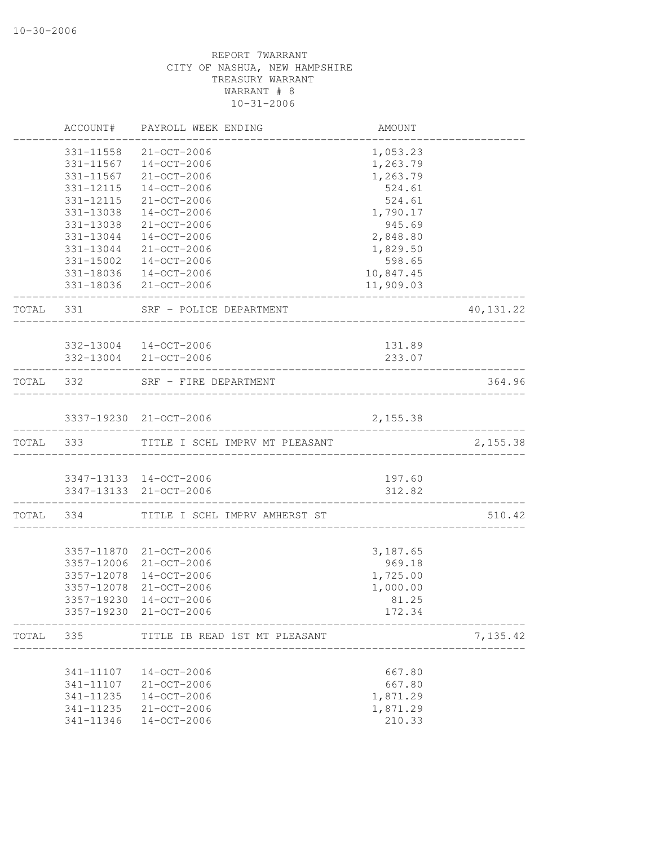|       | ACCOUNT#        | PAYROLL WEEK ENDING                                  | AMOUNT                      |            |
|-------|-----------------|------------------------------------------------------|-----------------------------|------------|
|       | 331-11558       | 21-OCT-2006                                          | 1,053.23                    |            |
|       |                 | 331-11567  14-OCT-2006                               | 1,263.79                    |            |
|       | 331-11567       | 21-OCT-2006                                          | 1,263.79                    |            |
|       | 331-12115       | $14 - OCT - 2006$                                    | 524.61                      |            |
|       | 331-12115       | 21-OCT-2006                                          | 524.61                      |            |
|       | 331-13038       | $14 - OCT - 2006$                                    | 1,790.17                    |            |
|       | 331-13038       | $21 - OCT - 2006$                                    | 945.69                      |            |
|       | 331-13044       | 14-OCT-2006                                          | 2,848.80                    |            |
|       |                 | 331-13044 21-OCT-2006                                | 1,829.50                    |            |
|       |                 | 331-15002  14-OCT-2006                               | 598.65                      |            |
|       |                 | 331-18036 14-OCT-2006                                | 10,847.45                   |            |
|       |                 | 331-18036 21-OCT-2006                                | 11,909.03                   |            |
|       |                 | TOTAL 331 SRF - POLICE DEPARTMENT<br>_______________ |                             | 40, 131.22 |
|       |                 | 332-13004 14-OCT-2006                                | 131.89                      |            |
|       |                 | 332-13004 21-OCT-2006                                | 233.07                      |            |
|       | --------------- | ___________________                                  |                             |            |
|       |                 | TOTAL 332 SRF - FIRE DEPARTMENT                      |                             | 364.96     |
|       |                 | 3337-19230 21-OCT-2006                               | 2,155.38                    |            |
|       |                 | TOTAL 333 TITLE I SCHL IMPRV MT PLEASANT             |                             | 2,155.38   |
|       |                 |                                                      |                             |            |
|       |                 | 3347-13133 14-OCT-2006                               | 197.60                      |            |
|       |                 | 3347-13133 21-OCT-2006                               | 312.82<br>----------------- |            |
|       | TOTAL 334       | TITLE I SCHL IMPRV AMHERST ST                        |                             | 510.42     |
|       |                 | 3357-11870 21-OCT-2006                               | 3,187.65                    |            |
|       |                 | 3357-12006 21-OCT-2006                               | 969.18                      |            |
|       |                 | 3357-12078 14-OCT-2006                               | 1,725.00                    |            |
|       |                 | 3357-12078 21-OCT-2006                               | 1,000.00                    |            |
|       | 3357-19230      | 14-OCT-2006                                          | 81.25                       |            |
|       | 3357-19230      | 21-OCT-2006                                          | 172.34                      |            |
| TOTAL | 335             | TITLE IB READ 1ST MT PLEASANT                        |                             | 7,135.42   |
|       | 341-11107       | $14 - OCT - 2006$                                    | 667.80                      |            |
|       | 341-11107       | $21 - OCT - 2006$                                    | 667.80                      |            |
|       | 341-11235       | $14 - OCT - 2006$                                    | 1,871.29                    |            |
|       | 341-11235       | 21-OCT-2006                                          | 1,871.29                    |            |
|       | 341-11346       | $14 - OCT - 2006$                                    | 210.33                      |            |
|       |                 |                                                      |                             |            |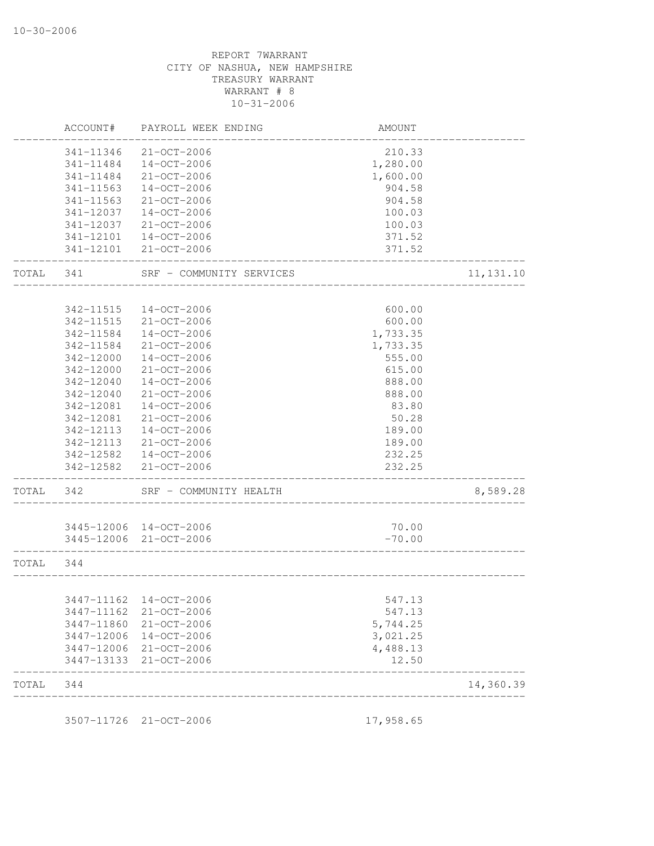| 21-OCT-2006<br>14-OCT-2006<br>21-OCT-2006<br>$14 - OCT - 2006$<br>$21 - OCT - 2006$<br>$14 - OCT - 2006$<br>$21 - OCT - 2006$<br>14-OCT-2006<br>21-OCT-2006<br>341-12101<br>SRF - COMMUNITY SERVICES<br>$14 - OCT - 2006$<br>$21 - OCT - 2006$<br>$14 - OCT - 2006$<br>$21 - OCT - 2006$<br>$14 - OCT - 2006$<br>21-OCT-2006<br>14-OCT-2006<br>$21 - OCT - 2006$ | 210.33<br>1,280.00<br>1,600.00<br>904.58<br>904.58<br>100.03<br>100.03<br>371.52<br>371.52<br>600.00<br>600.00<br>1,733.35<br>1,733.35<br>555.00<br>615.00<br>888.00 | 11, 131.10 |
|------------------------------------------------------------------------------------------------------------------------------------------------------------------------------------------------------------------------------------------------------------------------------------------------------------------------------------------------------------------|----------------------------------------------------------------------------------------------------------------------------------------------------------------------|------------|
|                                                                                                                                                                                                                                                                                                                                                                  |                                                                                                                                                                      |            |
|                                                                                                                                                                                                                                                                                                                                                                  |                                                                                                                                                                      |            |
|                                                                                                                                                                                                                                                                                                                                                                  |                                                                                                                                                                      |            |
|                                                                                                                                                                                                                                                                                                                                                                  |                                                                                                                                                                      |            |
|                                                                                                                                                                                                                                                                                                                                                                  |                                                                                                                                                                      |            |
|                                                                                                                                                                                                                                                                                                                                                                  |                                                                                                                                                                      |            |
|                                                                                                                                                                                                                                                                                                                                                                  |                                                                                                                                                                      |            |
|                                                                                                                                                                                                                                                                                                                                                                  |                                                                                                                                                                      |            |
|                                                                                                                                                                                                                                                                                                                                                                  |                                                                                                                                                                      |            |
|                                                                                                                                                                                                                                                                                                                                                                  |                                                                                                                                                                      |            |
|                                                                                                                                                                                                                                                                                                                                                                  |                                                                                                                                                                      |            |
|                                                                                                                                                                                                                                                                                                                                                                  |                                                                                                                                                                      |            |
|                                                                                                                                                                                                                                                                                                                                                                  |                                                                                                                                                                      |            |
|                                                                                                                                                                                                                                                                                                                                                                  |                                                                                                                                                                      |            |
|                                                                                                                                                                                                                                                                                                                                                                  |                                                                                                                                                                      |            |
|                                                                                                                                                                                                                                                                                                                                                                  |                                                                                                                                                                      |            |
|                                                                                                                                                                                                                                                                                                                                                                  |                                                                                                                                                                      |            |
|                                                                                                                                                                                                                                                                                                                                                                  |                                                                                                                                                                      |            |
|                                                                                                                                                                                                                                                                                                                                                                  | 888.00                                                                                                                                                               |            |
| $14 - OCT - 2006$                                                                                                                                                                                                                                                                                                                                                | 83.80                                                                                                                                                                |            |
| $21 - OCT - 2006$                                                                                                                                                                                                                                                                                                                                                | 50.28                                                                                                                                                                |            |
| $14 - OCT - 2006$                                                                                                                                                                                                                                                                                                                                                | 189.00                                                                                                                                                               |            |
| $21 - OCT - 2006$                                                                                                                                                                                                                                                                                                                                                | 189.00                                                                                                                                                               |            |
| $14 - OCT - 2006$                                                                                                                                                                                                                                                                                                                                                | 232.25                                                                                                                                                               |            |
| 342-12582<br>21-OCT-2006                                                                                                                                                                                                                                                                                                                                         | 232.25<br>__________                                                                                                                                                 |            |
| SRF - COMMUNITY HEALTH                                                                                                                                                                                                                                                                                                                                           |                                                                                                                                                                      | 8,589.28   |
|                                                                                                                                                                                                                                                                                                                                                                  |                                                                                                                                                                      |            |
| 3445-12006 14-OCT-2006<br>3445-12006 21-OCT-2006                                                                                                                                                                                                                                                                                                                 | 70.00<br>$-70.00$                                                                                                                                                    |            |
|                                                                                                                                                                                                                                                                                                                                                                  |                                                                                                                                                                      |            |
|                                                                                                                                                                                                                                                                                                                                                                  |                                                                                                                                                                      |            |
|                                                                                                                                                                                                                                                                                                                                                                  | 547.13                                                                                                                                                               |            |
|                                                                                                                                                                                                                                                                                                                                                                  | 547.13                                                                                                                                                               |            |
| 21-OCT-2006                                                                                                                                                                                                                                                                                                                                                      | 5,744.25                                                                                                                                                             |            |
| 14-OCT-2006                                                                                                                                                                                                                                                                                                                                                      | 3,021.25                                                                                                                                                             |            |
|                                                                                                                                                                                                                                                                                                                                                                  | 4,488.13                                                                                                                                                             |            |
| 21-OCT-2006                                                                                                                                                                                                                                                                                                                                                      | 12.50                                                                                                                                                                |            |
| 21-OCT-2006                                                                                                                                                                                                                                                                                                                                                      |                                                                                                                                                                      | 14,360.39  |
|                                                                                                                                                                                                                                                                                                                                                                  | 3447-11162 14-OCT-2006<br>21-OCT-2006                                                                                                                                |            |

3507-11726 21-OCT-2006 17,958.65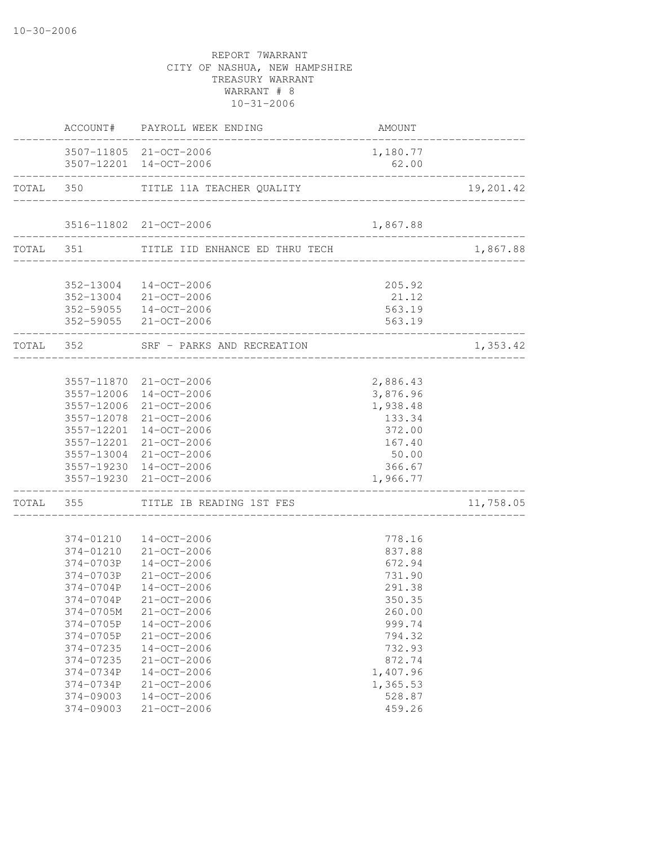|                          | ACCOUNT# PAYROLL WEEK ENDING                                              | AMOUNT               |           |
|--------------------------|---------------------------------------------------------------------------|----------------------|-----------|
|                          | 3507-11805 21-OCT-2006<br>3507-12201 14-OCT-2006                          | 1,180.77<br>62.00    |           |
| ________________________ | __________________________________<br>TOTAL 350 TITLE 11A TEACHER QUALITY |                      | 19,201.42 |
|                          | 3516-11802 21-OCT-2006                                                    | 1,867.88             |           |
|                          |                                                                           |                      |           |
|                          | TOTAL 351 TITLE IID ENHANCE ED THRU TECH                                  |                      | 1,867.88  |
|                          | 352-13004 14-OCT-2006                                                     | 205.92               |           |
|                          | 352-13004 21-OCT-2006                                                     | 21.12                |           |
|                          | 352-59055 14-OCT-2006                                                     | 563.19               |           |
|                          | 352-59055 21-OCT-2006                                                     | 563.19               |           |
|                          | TOTAL 352 SRF - PARKS AND RECREATION                                      | ______________       | 1,353.42  |
|                          |                                                                           |                      |           |
|                          | 3557-11870 21-OCT-2006                                                    | 2,886.43             |           |
|                          | 3557-12006 14-OCT-2006                                                    | 3,876.96             |           |
| 3557-12006               | 21-OCT-2006                                                               | 1,938.48             |           |
|                          | 3557-12078 21-OCT-2006                                                    | 133.34               |           |
|                          | 3557-12201 14-OCT-2006                                                    | 372.00               |           |
|                          | 3557-12201 21-OCT-2006                                                    | 167.40               |           |
|                          | 3557-13004 21-OCT-2006                                                    | 50.00                |           |
|                          | 3557-19230 14-OCT-2006<br>3557-19230 21-OCT-2006                          | 366.67<br>1,966.77   |           |
| _______________          | TOTAL 355 TITLE IB READING 1ST FES                                        |                      | 11,758.05 |
|                          |                                                                           |                      |           |
|                          | 374-01210  14-OCT-2006                                                    | 778.16               |           |
|                          | 374-01210 21-OCT-2006                                                     | 837.88               |           |
|                          | 374-0703P  14-OCT-2006                                                    | 672.94               |           |
| 374-0703P                | $21 - OCT - 2006$                                                         | 731.90               |           |
| 374-0704P                | 14-OCT-2006                                                               | 291.38               |           |
| 374-0704P                | 21-OCT-2006                                                               | 350.35               |           |
| 374-0705M                | 21-OCT-2006                                                               | 260.00               |           |
| 374-0705P                | $14 - OCT - 2006$                                                         | 999.74               |           |
| 374-0705P                | 21-OCT-2006                                                               | 794.32               |           |
| 374-07235                | $14 - OCT - 2006$                                                         | 732.93               |           |
| 374-07235<br>374-0734P   | 21-OCT-2006                                                               | 872.74               |           |
| 374-0734P                | $14 - OCT - 2006$<br>21-OCT-2006                                          | 1,407.96<br>1,365.53 |           |
| $374 - 09003$            | $14 - OCT - 2006$                                                         | 528.87               |           |
| 374-09003                | 21-OCT-2006                                                               | 459.26               |           |
|                          |                                                                           |                      |           |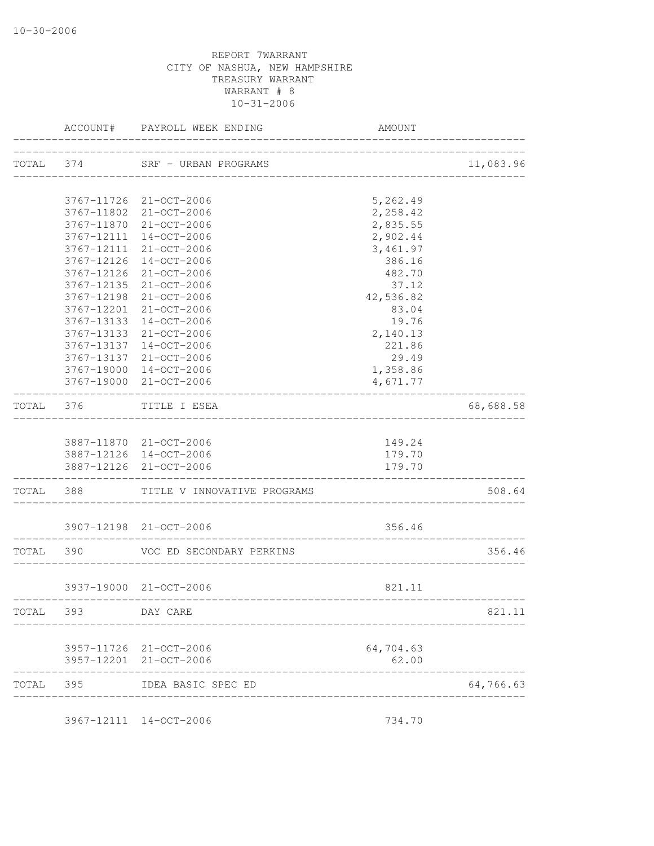|           | ACCOUNT#             | PAYROLL WEEK ENDING                   | AMOUNT                           |           |
|-----------|----------------------|---------------------------------------|----------------------------------|-----------|
|           |                      | TOTAL 374 SRF - URBAN PROGRAMS        | ________________________________ | 11,083.96 |
|           |                      | 3767-11726 21-OCT-2006                | 5,262.49                         |           |
|           |                      | 3767-11802 21-OCT-2006                | 2,258.42                         |           |
|           |                      | 3767-11870 21-OCT-2006                | 2,835.55                         |           |
|           |                      | 3767-12111 14-OCT-2006                | 2,902.44                         |           |
|           |                      | 3767-12111 21-OCT-2006                | 3,461.97                         |           |
|           | 3767-12126           | 14-OCT-2006                           | 386.16                           |           |
|           | 3767-12126           | 21-OCT-2006                           | 482.70                           |           |
|           | 3767-12135           | 21-OCT-2006                           | 37.12                            |           |
|           | 3767-12198           | 21-OCT-2006                           | 42,536.82                        |           |
|           | 3767-12201           | 21-OCT-2006                           | 83.04                            |           |
|           | 3767-13133           | 14-OCT-2006                           | 19.76                            |           |
|           | 3767-13133           | 21-OCT-2006                           | 2,140.13                         |           |
|           |                      | 3767-13137 14-OCT-2006                | 221.86                           |           |
|           | 3767-13137           | $21 - OCT - 2006$                     | 29.49                            |           |
|           | 3767-19000           | 14-OCT-2006                           | 1,358.86                         |           |
|           |                      | 3767-19000 21-OCT-2006                | 4,671.77                         |           |
| TOTAL 376 |                      | TITLE I ESEA                          |                                  | 68,688.58 |
|           |                      | 3887-11870 21-OCT-2006                | 149.24                           |           |
|           |                      | 3887-12126 14-OCT-2006                | 179.70                           |           |
|           |                      | 3887-12126 21-OCT-2006                | 179.70                           |           |
|           | -------------------- | TOTAL 388 TITLE V INNOVATIVE PROGRAMS |                                  | 508.64    |
|           |                      | 3907-12198 21-OCT-2006                | 356.46                           |           |
|           |                      |                                       | ------------------------         |           |
| TOTAL 390 |                      | VOC ED SECONDARY PERKINS              |                                  | 356.46    |
|           |                      | 3937-19000 21-OCT-2006                | 821.11                           |           |
| TOTAL     | 393                  | -------------------------<br>DAY CARE |                                  | 821.11    |
|           |                      | 3957-11726 21-OCT-2006                | 64,704.63                        |           |
|           |                      | 3957-12201 21-OCT-2006                | 62.00                            |           |
| TOTAL 395 |                      | IDEA BASIC SPEC ED                    |                                  | 64,766.63 |
|           |                      |                                       |                                  |           |

3967-12111 14-OCT-2006 734.70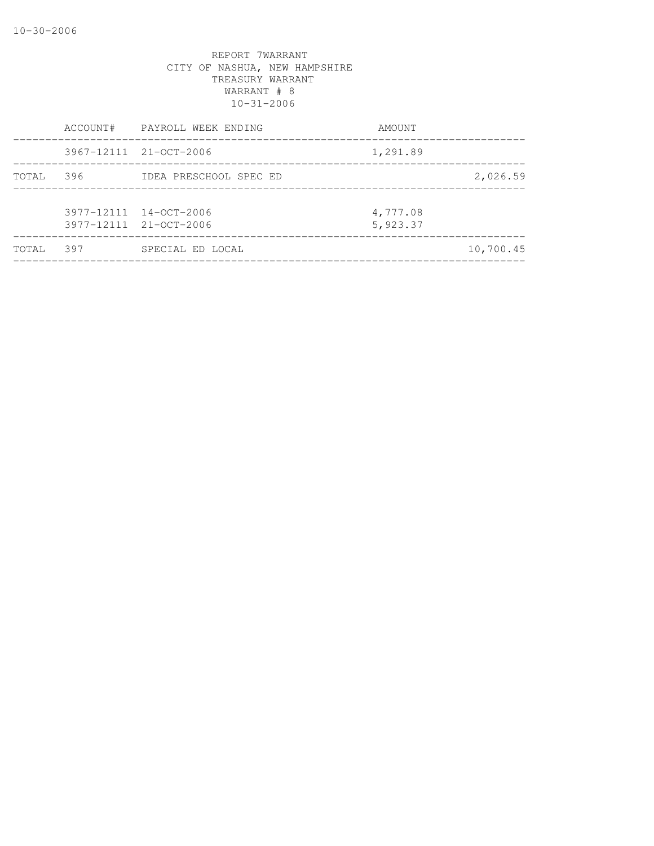|        |     | ACCOUNT# PAYROLL WEEK ENDING                     | AMOUNT               |           |
|--------|-----|--------------------------------------------------|----------------------|-----------|
|        |     | 3967-12111 21-OCT-2006                           | 1,291.89             |           |
| TOTAL  | 396 | IDEA PRESCHOOL SPEC ED                           |                      | 2,026.59  |
|        |     | 3977-12111 14-OCT-2006<br>3977-12111 21-OCT-2006 | 4,777.08<br>5,923.37 |           |
| TOTAI. | 397 | SPECIAL ED LOCAL                                 |                      | 10,700.45 |
|        |     |                                                  |                      |           |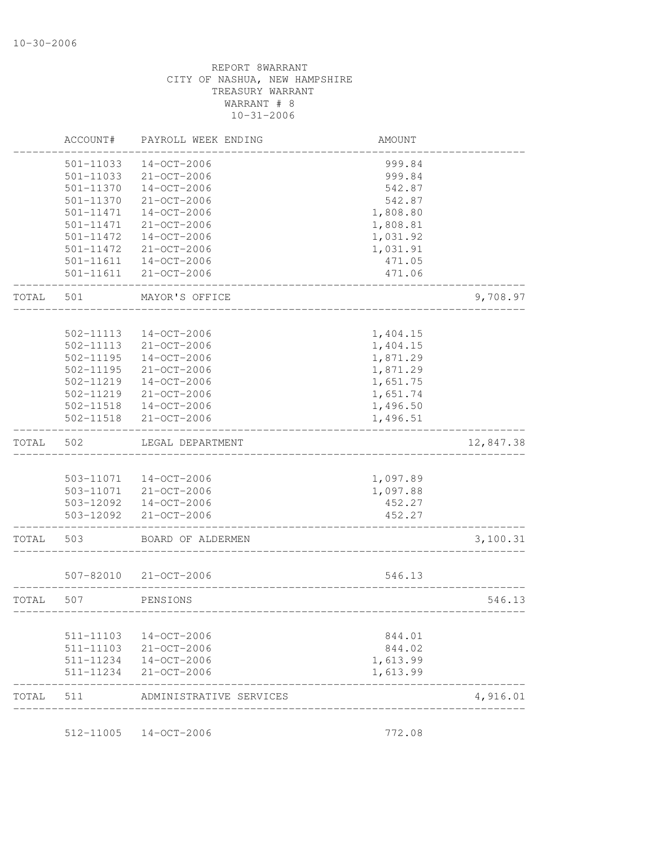| ACCOUNT#      | PAYROLL WEEK ENDING                                                                                                       | <b>AMOUNT</b>                                                                                                                                                                                                                                                                          |                                                                                                                                          |
|---------------|---------------------------------------------------------------------------------------------------------------------------|----------------------------------------------------------------------------------------------------------------------------------------------------------------------------------------------------------------------------------------------------------------------------------------|------------------------------------------------------------------------------------------------------------------------------------------|
| 501-11033     | $14 - OCT - 2006$                                                                                                         | 999.84                                                                                                                                                                                                                                                                                 |                                                                                                                                          |
| 501-11033     | $21 - OCT - 2006$                                                                                                         | 999.84                                                                                                                                                                                                                                                                                 |                                                                                                                                          |
| 501-11370     | $14 - OCT - 2006$                                                                                                         | 542.87                                                                                                                                                                                                                                                                                 |                                                                                                                                          |
| 501-11370     | $21 - OCT - 2006$                                                                                                         | 542.87                                                                                                                                                                                                                                                                                 |                                                                                                                                          |
| 501-11471     | $14 - OCT - 2006$                                                                                                         | 1,808.80                                                                                                                                                                                                                                                                               |                                                                                                                                          |
| 501-11471     | 21-OCT-2006                                                                                                               | 1,808.81                                                                                                                                                                                                                                                                               |                                                                                                                                          |
| 501-11472     | $14 - OCT - 2006$                                                                                                         | 1,031.92                                                                                                                                                                                                                                                                               |                                                                                                                                          |
| 501-11472     | 21-OCT-2006                                                                                                               | 1,031.91                                                                                                                                                                                                                                                                               |                                                                                                                                          |
| $501 - 11611$ | $14 - OCT - 2006$                                                                                                         | 471.05                                                                                                                                                                                                                                                                                 |                                                                                                                                          |
| 501-11611     | $21 - OCT - 2006$                                                                                                         | 471.06                                                                                                                                                                                                                                                                                 |                                                                                                                                          |
| 501           | MAYOR'S OFFICE                                                                                                            |                                                                                                                                                                                                                                                                                        | 9,708.97                                                                                                                                 |
|               |                                                                                                                           |                                                                                                                                                                                                                                                                                        |                                                                                                                                          |
|               |                                                                                                                           |                                                                                                                                                                                                                                                                                        |                                                                                                                                          |
|               |                                                                                                                           |                                                                                                                                                                                                                                                                                        |                                                                                                                                          |
|               |                                                                                                                           |                                                                                                                                                                                                                                                                                        |                                                                                                                                          |
|               |                                                                                                                           |                                                                                                                                                                                                                                                                                        |                                                                                                                                          |
|               |                                                                                                                           |                                                                                                                                                                                                                                                                                        |                                                                                                                                          |
|               |                                                                                                                           |                                                                                                                                                                                                                                                                                        |                                                                                                                                          |
|               |                                                                                                                           |                                                                                                                                                                                                                                                                                        |                                                                                                                                          |
|               |                                                                                                                           |                                                                                                                                                                                                                                                                                        |                                                                                                                                          |
| 502           | LEGAL DEPARTMENT                                                                                                          |                                                                                                                                                                                                                                                                                        | 12,847.38                                                                                                                                |
|               |                                                                                                                           |                                                                                                                                                                                                                                                                                        |                                                                                                                                          |
|               |                                                                                                                           |                                                                                                                                                                                                                                                                                        |                                                                                                                                          |
|               |                                                                                                                           |                                                                                                                                                                                                                                                                                        |                                                                                                                                          |
|               |                                                                                                                           |                                                                                                                                                                                                                                                                                        |                                                                                                                                          |
|               |                                                                                                                           |                                                                                                                                                                                                                                                                                        |                                                                                                                                          |
| 503           | BOARD OF ALDERMEN                                                                                                         |                                                                                                                                                                                                                                                                                        | 3,100.31                                                                                                                                 |
| 507-82010     | 21-OCT-2006                                                                                                               | 546.13                                                                                                                                                                                                                                                                                 |                                                                                                                                          |
| 507           | PENSIONS                                                                                                                  |                                                                                                                                                                                                                                                                                        | 546.13                                                                                                                                   |
|               |                                                                                                                           |                                                                                                                                                                                                                                                                                        |                                                                                                                                          |
| 511-11103     | 14-OCT-2006                                                                                                               | 844.01                                                                                                                                                                                                                                                                                 |                                                                                                                                          |
| 511-11103     |                                                                                                                           | 844.02                                                                                                                                                                                                                                                                                 |                                                                                                                                          |
|               |                                                                                                                           | 1,613.99                                                                                                                                                                                                                                                                               |                                                                                                                                          |
| 511-11234     | 21-OCT-2006                                                                                                               | 1,613.99                                                                                                                                                                                                                                                                               |                                                                                                                                          |
|               |                                                                                                                           |                                                                                                                                                                                                                                                                                        |                                                                                                                                          |
|               | 502-11113<br>502-11113<br>502-11195<br>$502 - 11195$<br>502-11219<br>502-11219<br>502-11518<br>$502 - 11518$<br>503-12092 | $14 - OCT - 2006$<br>21-OCT-2006<br>$14 - OCT - 2006$<br>$21 - OCT - 2006$<br>14-OCT-2006<br>21-OCT-2006<br>$14 - OCT - 2006$<br>21-OCT-2006<br>503-11071<br>14-OCT-2006<br>503-11071<br>21-OCT-2006<br>503-12092  14-OCT-2006<br>21-OCT-2006<br>21-OCT-2006<br>511-11234  14-OCT-2006 | 1,404.15<br>1,404.15<br>1,871.29<br>1,871.29<br>1,651.75<br>1,651.74<br>1,496.50<br>1,496.51<br>1,097.89<br>1,097.88<br>452.27<br>452.27 |

512-11005 14-OCT-2006 772.08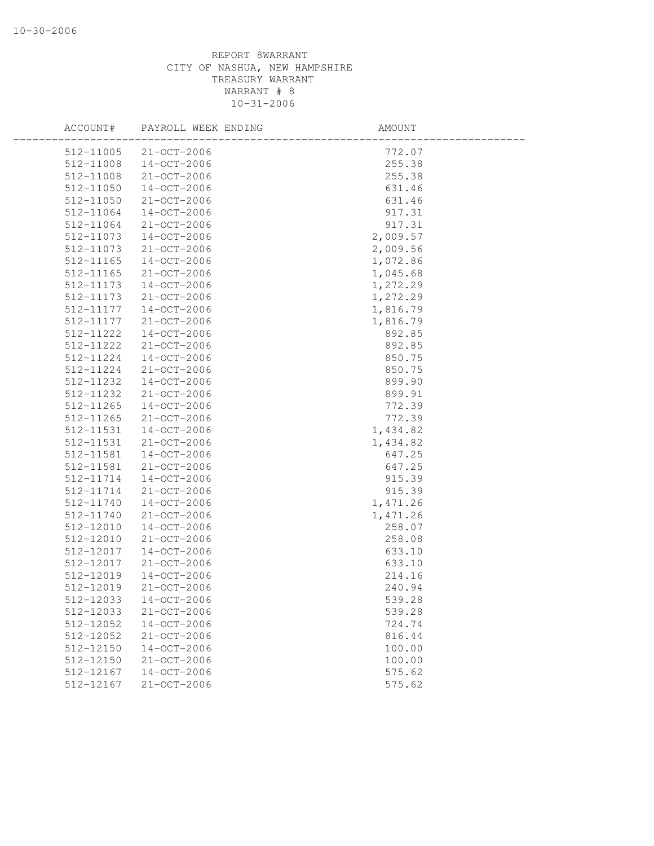| ACCOUNT#  | PAYROLL WEEK ENDING | AMOUNT   |  |
|-----------|---------------------|----------|--|
| 512-11005 | 21-OCT-2006         | 772.07   |  |
| 512-11008 | 14-OCT-2006         | 255.38   |  |
| 512-11008 | 21-OCT-2006         | 255.38   |  |
| 512-11050 | 14-OCT-2006         | 631.46   |  |
| 512-11050 | 21-OCT-2006         | 631.46   |  |
| 512-11064 | $14 - OCT - 2006$   | 917.31   |  |
| 512-11064 | 21-OCT-2006         | 917.31   |  |
| 512-11073 | 14-OCT-2006         | 2,009.57 |  |
| 512-11073 | 21-OCT-2006         | 2,009.56 |  |
| 512-11165 | $14 - OCT - 2006$   | 1,072.86 |  |
| 512-11165 | 21-OCT-2006         | 1,045.68 |  |
| 512-11173 | 14-OCT-2006         | 1,272.29 |  |
| 512-11173 | 21-OCT-2006         | 1,272.29 |  |
| 512-11177 | 14-OCT-2006         | 1,816.79 |  |
| 512-11177 | 21-OCT-2006         | 1,816.79 |  |
| 512-11222 | 14-OCT-2006         | 892.85   |  |
| 512-11222 | 21-OCT-2006         | 892.85   |  |
| 512-11224 | $14 - OCT - 2006$   | 850.75   |  |
| 512-11224 | 21-OCT-2006         | 850.75   |  |
| 512-11232 | $14 - OCT - 2006$   | 899.90   |  |
| 512-11232 | 21-OCT-2006         | 899.91   |  |
| 512-11265 | 14-OCT-2006         | 772.39   |  |
| 512-11265 | 21-OCT-2006         | 772.39   |  |
| 512-11531 | 14-OCT-2006         | 1,434.82 |  |
| 512-11531 | 21-OCT-2006         | 1,434.82 |  |
| 512-11581 | 14-OCT-2006         | 647.25   |  |
| 512-11581 | 21-OCT-2006         | 647.25   |  |
| 512-11714 | 14-OCT-2006         | 915.39   |  |
| 512-11714 | 21-OCT-2006         | 915.39   |  |
| 512-11740 | 14-OCT-2006         | 1,471.26 |  |
| 512-11740 | 21-OCT-2006         | 1,471.26 |  |
| 512-12010 | $14 - OCT - 2006$   | 258.07   |  |
| 512-12010 | 21-OCT-2006         | 258.08   |  |
| 512-12017 | $14 - OCT - 2006$   | 633.10   |  |
| 512-12017 | 21-OCT-2006         | 633.10   |  |
| 512-12019 | $14 - OCT - 2006$   | 214.16   |  |
| 512-12019 | $21 - OCT - 2006$   | 240.94   |  |
| 512-12033 | $14-OCT-2006$       | 539.28   |  |
| 512-12033 | 21-OCT-2006         | 539.28   |  |
| 512-12052 | $14 - OCT - 2006$   | 724.74   |  |
| 512-12052 | 21-OCT-2006         | 816.44   |  |
| 512-12150 | $14 - OCT - 2006$   | 100.00   |  |
| 512-12150 | 21-OCT-2006         | 100.00   |  |
| 512-12167 | $14 - OCT - 2006$   | 575.62   |  |
| 512-12167 | 21-OCT-2006         | 575.62   |  |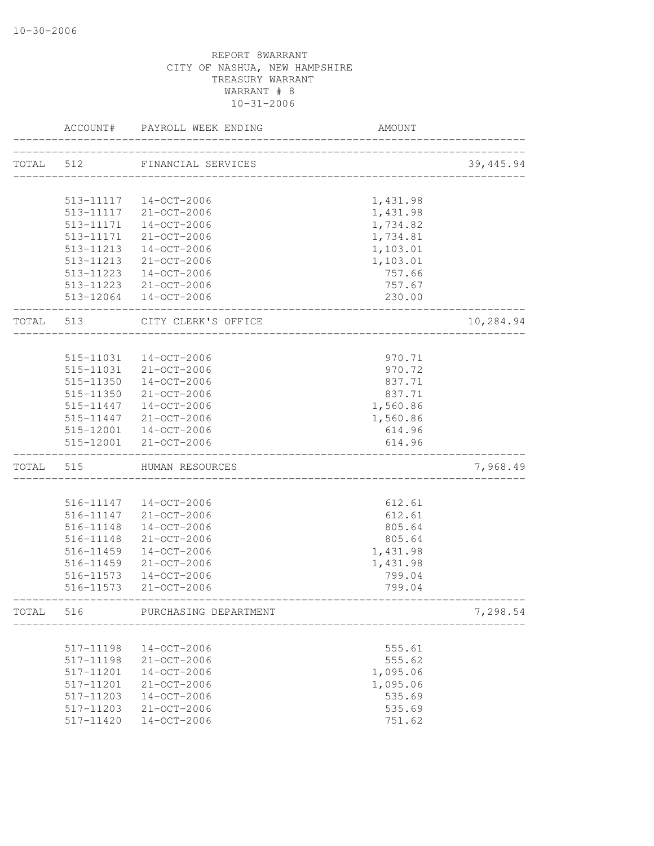|       | ACCOUNT#  | PAYROLL WEEK ENDING    | AMOUNT             |            |
|-------|-----------|------------------------|--------------------|------------|
| TOTAL | 512       | FINANCIAL SERVICES     |                    | 39, 445.94 |
|       |           |                        | __________________ |            |
|       |           | 513-11117  14-OCT-2006 | 1,431.98           |            |
|       |           | 513-11117 21-OCT-2006  | 1,431.98           |            |
|       | 513-11171 | 14-OCT-2006            | 1,734.82           |            |
|       | 513-11171 | 21-OCT-2006            | 1,734.81           |            |
|       | 513-11213 | 14-OCT-2006            | 1,103.01           |            |
|       | 513-11213 | 21-OCT-2006            | 1,103.01           |            |
|       | 513-11223 | 14-OCT-2006            | 757.66             |            |
|       |           | 513-11223 21-OCT-2006  | 757.67             |            |
|       |           | 513-12064 14-OCT-2006  | 230.00             |            |
| TOTAL | 513       | CITY CLERK'S OFFICE    |                    | 10,284.94  |
|       |           |                        |                    |            |
|       | 515-11031 | 14-OCT-2006            | 970.71             |            |
|       | 515-11031 | 21-OCT-2006            | 970.72             |            |
|       | 515-11350 | 14-OCT-2006            | 837.71             |            |
|       | 515-11350 | 21-OCT-2006            | 837.71             |            |
|       |           | 515-11447  14-OCT-2006 | 1,560.86           |            |
|       | 515-11447 | 21-OCT-2006            | 1,560.86           |            |
|       |           | 515-12001  14-OCT-2006 | 614.96             |            |
|       |           | 515-12001 21-OCT-2006  | 614.96             |            |
| TOTAL | 515       | HUMAN RESOURCES        |                    | 7,968.49   |
|       |           |                        |                    |            |
|       |           | 516-11147  14-OCT-2006 | 612.61             |            |
|       | 516-11147 | 21-OCT-2006            | 612.61             |            |
|       | 516-11148 | 14-OCT-2006            | 805.64             |            |
|       | 516-11148 | $21 - OCT - 2006$      | 805.64             |            |
|       | 516-11459 | 14-OCT-2006            | 1,431.98           |            |
|       | 516-11459 | $21 - OCT - 2006$      | 1,431.98           |            |
|       | 516-11573 | 14-OCT-2006            | 799.04             |            |
|       | 516-11573 | $21 - OCT - 2006$      | 799.04             |            |
| TOTAL | 516       | PURCHASING DEPARTMENT  |                    | 7,298.54   |
|       |           |                        |                    |            |
|       | 517-11198 | $14 - OCT - 2006$      | 555.61             |            |
|       | 517-11198 | 21-OCT-2006            | 555.62             |            |
|       | 517-11201 | $14 - OCT - 2006$      | 1,095.06           |            |
|       | 517-11201 | 21-OCT-2006            | 1,095.06           |            |
|       | 517-11203 | $14 - OCT - 2006$      | 535.69             |            |
|       | 517-11203 | $21 - OCT - 2006$      | 535.69             |            |
|       | 517-11420 | $14-OCT-2006$          | 751.62             |            |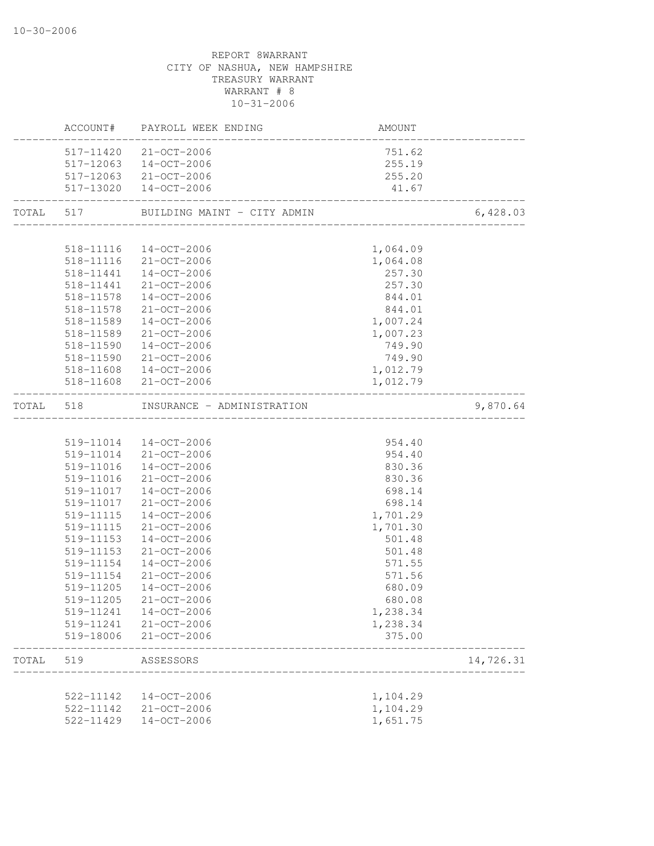# CITY OF NASHUA, NEW HAMPSHIRE TREASURY WARRANT WARRANT # 8 10-31-2006 ACCOUNT# PAYROLL WEEK ENDING AMOUNT -------------------------------------------------------------------------------- 517-11420 21-OCT-2006 751.62 517-12063 14-OCT-2006 255.19 517-12063 21-OCT-2006 255.20 517-13020 14-OCT-2006 41.67 -------------------------------------------------------------------------------- TOTAL 517 BUILDING MAINT - CITY ADMIN 6,428.03 -------------------------------------------------------------------------------- 518-11116 14-OCT-2006 1,064.09 518-11116 21-OCT-2006 1,064.08 518-11441 14-OCT-2006 257.30 518-11441 21-OCT-2006 257.30 518-11578 14-OCT-2006 844.01 518-11578 21-OCT-2006 844.01 518-11589 14-OCT-2006 1,007.24 518-11589 21-OCT-2006 1,007.23 518-11590 14-OCT-2006 749.90 518-11590 21-OCT-2006 749.90 518-11608 14-OCT-2006 1,012.79 518-11608 21-OCT-2006 1,012.79 -------------------------------------------------------------------------------- TOTAL 518 INSURANCE - ADMINISTRATION 9,870.64 -------------------------------------------------------------------------------- 519-11014 14-OCT-2006 954.40 519-11014 21-OCT-2006 954.40 519-11016 14-OCT-2006 830.36 519-11016 21-OCT-2006 830.36 519-11017 14-OCT-2006 698.14 519-11017 21-OCT-2006 698.14 519-11115 14-OCT-2006 1,701.29 519-11115 21-OCT-2006 1,701.30 519-11153 14-OCT-2006 501.48 519-11153 21-OCT-2006 501.48 519-11154 14-OCT-2006 571.55 519-11154 21-OCT-2006 571.56 519-11205 14-OCT-2006 680.09 519-11205 21-OCT-2006 680.08 519-11241 14-OCT-2006 1,238.34 519-11241 21-OCT-2006 1,238.34 519-18006 21-OCT-2006 375.00 -------------------------------------------------------------------------------- TOTAL 519 ASSESSORS 14,726.31 -------------------------------------------------------------------------------- 522-11142 14-OCT-2006 1,104.29 522-11142 21-OCT-2006 1,104.29 522-11429 14-OCT-2006 1,651.75

REPORT 8WARRANT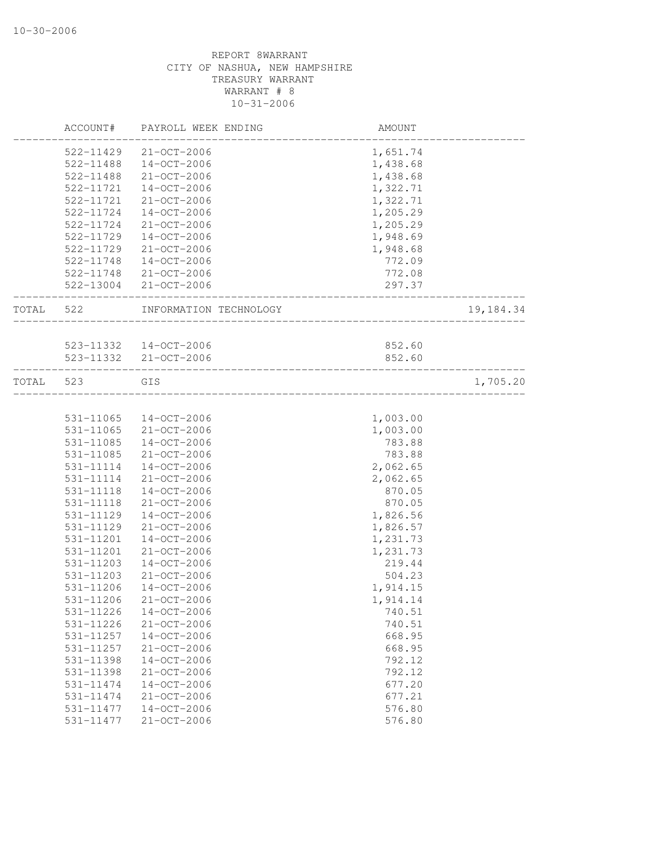|       | ACCOUNT#  | PAYROLL WEEK ENDING    | AMOUNT            |           |
|-------|-----------|------------------------|-------------------|-----------|
|       | 522-11429 | $21 - OCT - 2006$      | 1,651.74          |           |
|       | 522-11488 | $14 - OCT - 2006$      | 1,438.68          |           |
|       | 522-11488 | 21-OCT-2006            | 1,438.68          |           |
|       | 522-11721 | $14 - OCT - 2006$      | 1,322.71          |           |
|       | 522-11721 | $21 - OCT - 2006$      | 1,322.71          |           |
|       | 522-11724 | $14 - OCT - 2006$      | 1,205.29          |           |
|       | 522-11724 | 21-OCT-2006            | 1,205.29          |           |
|       | 522-11729 | $14 - OCT - 2006$      | 1,948.69          |           |
|       | 522-11729 | 21-OCT-2006            | 1,948.68          |           |
|       | 522-11748 | 14-OCT-2006            | 772.09            |           |
|       |           | 522-11748 21-OCT-2006  | 772.08            |           |
|       |           | 522-13004 21-OCT-2006  | 297.37            |           |
| TOTAL | 522       | INFORMATION TECHNOLOGY | _________________ | 19,184.34 |
|       |           |                        |                   |           |
|       |           | 523-11332  14-OCT-2006 | 852.60            |           |
|       |           | 523-11332 21-OCT-2006  | 852.60            |           |
| TOTAL | 523       | GIS                    |                   | 1,705.20  |
|       |           |                        |                   |           |
|       | 531-11065 | 14-OCT-2006            | 1,003.00          |           |
|       | 531-11065 | $21 - OCT - 2006$      | 1,003.00          |           |
|       | 531-11085 | $14 - OCT - 2006$      | 783.88            |           |
|       | 531-11085 | 21-OCT-2006            | 783.88            |           |
|       | 531-11114 | 14-OCT-2006            | 2,062.65          |           |
|       | 531-11114 | 21-OCT-2006            | 2,062.65          |           |
|       | 531-11118 | $14 - OCT - 2006$      | 870.05            |           |
|       | 531-11118 | $21 - OCT - 2006$      | 870.05            |           |
|       | 531-11129 | $14 - OCT - 2006$      | 1,826.56          |           |
|       | 531-11129 | $21 - OCT - 2006$      | 1,826.57          |           |
|       | 531-11201 | $14 - OCT - 2006$      | 1,231.73          |           |
|       | 531-11201 | $21 - OCT - 2006$      | 1,231.73          |           |
|       | 531-11203 | $14 - OCT - 2006$      | 219.44            |           |
|       | 531-11203 | $21 - OCT - 2006$      | 504.23            |           |
|       | 531-11206 | $14 - OCT - 2006$      | 1,914.15          |           |
|       | 531-11206 | $21 - OCT - 2006$      | 1,914.14          |           |
|       | 531-11226 | $14 - OCT - 2006$      | 740.51            |           |
|       | 531-11226 | $21 - OCT - 2006$      | 740.51            |           |
|       | 531-11257 | $14 - OCT - 2006$      | 668.95            |           |
|       | 531-11257 | 21-OCT-2006            | 668.95            |           |
|       | 531-11398 | $14 - OCT - 2006$      | 792.12            |           |
|       | 531-11398 | 21-OCT-2006            | 792.12            |           |
|       | 531-11474 | $14 - OCT - 2006$      | 677.20            |           |
|       | 531-11474 | $21 - OCT - 2006$      | 677.21            |           |
|       | 531-11477 | $14 - OCT - 2006$      | 576.80            |           |
|       | 531-11477 | $21 - OCT - 2006$      | 576.80            |           |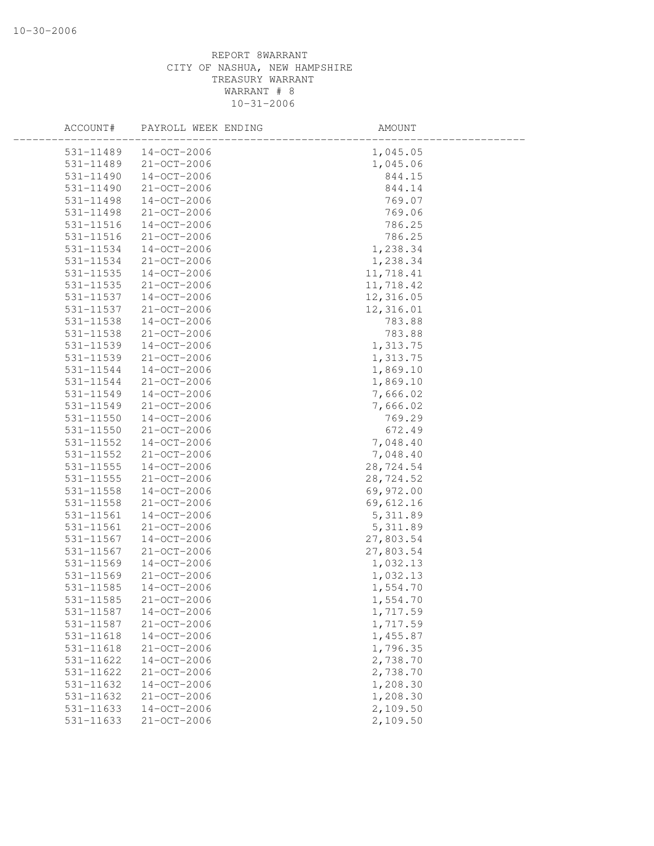| ACCOUNT#      | PAYROLL WEEK ENDING | AMOUNT    |  |
|---------------|---------------------|-----------|--|
| 531-11489     | $14 - OCT - 2006$   | 1,045.05  |  |
| 531-11489     | 21-OCT-2006         | 1,045.06  |  |
| 531-11490     | 14-OCT-2006         | 844.15    |  |
| 531-11490     | 21-OCT-2006         | 844.14    |  |
| 531-11498     | 14-OCT-2006         | 769.07    |  |
| 531-11498     | 21-OCT-2006         | 769.06    |  |
| 531-11516     | 14-OCT-2006         | 786.25    |  |
| 531-11516     | 21-OCT-2006         | 786.25    |  |
| 531-11534     | $14 - OCT - 2006$   | 1,238.34  |  |
| 531-11534     | 21-OCT-2006         | 1,238.34  |  |
| 531-11535     | 14-OCT-2006         | 11,718.41 |  |
| 531-11535     | 21-OCT-2006         | 11,718.42 |  |
| 531-11537     | 14-OCT-2006         | 12,316.05 |  |
| 531-11537     | 21-OCT-2006         | 12,316.01 |  |
| 531-11538     | $14 - OCT - 2006$   | 783.88    |  |
| 531-11538     | 21-OCT-2006         | 783.88    |  |
| 531-11539     | 14-OCT-2006         | 1,313.75  |  |
| 531-11539     | 21-OCT-2006         | 1,313.75  |  |
| 531-11544     | $14 - OCT - 2006$   | 1,869.10  |  |
| 531-11544     | 21-OCT-2006         | 1,869.10  |  |
| 531-11549     | 14-OCT-2006         | 7,666.02  |  |
| 531-11549     | 21-OCT-2006         | 7,666.02  |  |
| 531-11550     | 14-OCT-2006         | 769.29    |  |
| 531-11550     | 21-OCT-2006         | 672.49    |  |
| 531-11552     | 14-OCT-2006         | 7,048.40  |  |
| 531-11552     | 21-OCT-2006         | 7,048.40  |  |
| $531 - 11555$ | $14 - OCT - 2006$   | 28,724.54 |  |
| $531 - 11555$ | 21-OCT-2006         | 28,724.52 |  |
| 531-11558     | $14 - OCT - 2006$   | 69,972.00 |  |
| 531-11558     | 21-OCT-2006         | 69,612.16 |  |
| 531-11561     | 14-OCT-2006         | 5, 311.89 |  |
| 531-11561     | 21-OCT-2006         | 5, 311.89 |  |
| 531-11567     | $14 - OCT - 2006$   | 27,803.54 |  |
| 531-11567     | 21-OCT-2006         | 27,803.54 |  |
| 531-11569     | 14-OCT-2006         | 1,032.13  |  |
| 531-11569     | 21-OCT-2006         | 1,032.13  |  |
| 531-11585     | $14-OCT-2006$       | 1,554.70  |  |
| 531-11585     | 21-OCT-2006         | 1,554.70  |  |
| 531-11587     | $14 - OCT - 2006$   | 1,717.59  |  |
| 531-11587     | 21-OCT-2006         | 1,717.59  |  |
| $531 - 11618$ | $14 - OCT - 2006$   | 1,455.87  |  |
| 531-11618     | 21-OCT-2006         | 1,796.35  |  |
| 531-11622     | $14 - OCT - 2006$   | 2,738.70  |  |
| 531-11622     | 21-OCT-2006         | 2,738.70  |  |
| 531-11632     | $14 - OCT - 2006$   | 1,208.30  |  |
| 531-11632     | 21-OCT-2006         | 1,208.30  |  |
| 531-11633     | $14 - OCT - 2006$   | 2,109.50  |  |
| 531-11633     | $21 - OCT - 2006$   | 2,109.50  |  |
|               |                     |           |  |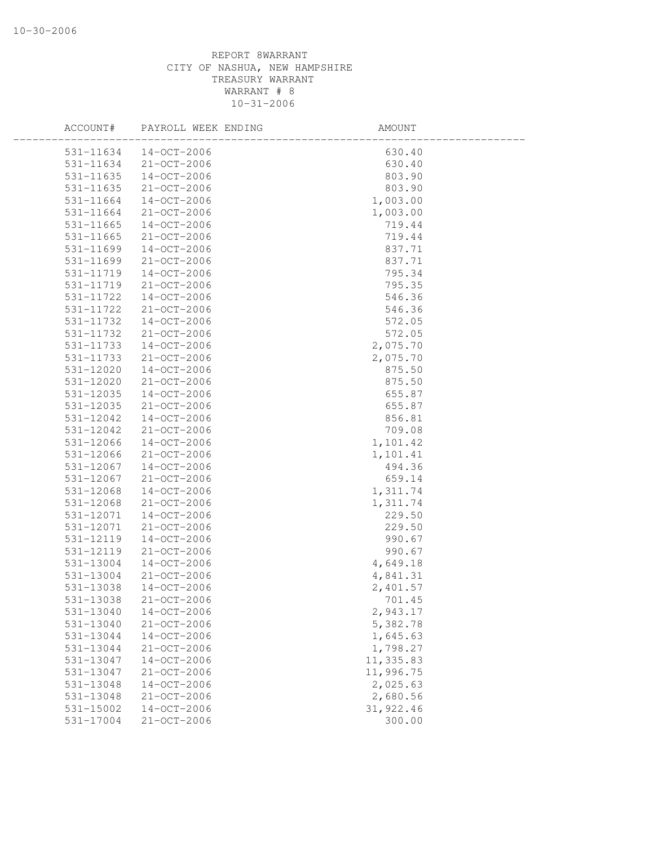| ACCOUNT#  | PAYROLL WEEK ENDING | AMOUNT     |  |
|-----------|---------------------|------------|--|
| 531-11634 | $14 - OCT - 2006$   | 630.40     |  |
| 531-11634 | $21 - OCT - 2006$   | 630.40     |  |
| 531-11635 | $14 - OCT - 2006$   | 803.90     |  |
| 531-11635 | 21-OCT-2006         | 803.90     |  |
| 531-11664 | 14-OCT-2006         | 1,003.00   |  |
| 531-11664 | 21-OCT-2006         | 1,003.00   |  |
| 531-11665 | 14-OCT-2006         | 719.44     |  |
| 531-11665 | 21-OCT-2006         | 719.44     |  |
| 531-11699 | $14 - OCT - 2006$   | 837.71     |  |
| 531-11699 | 21-OCT-2006         | 837.71     |  |
| 531-11719 | $14 - OCT - 2006$   | 795.34     |  |
| 531-11719 | 21-OCT-2006         | 795.35     |  |
| 531-11722 | 14-OCT-2006         | 546.36     |  |
| 531-11722 | 21-OCT-2006         | 546.36     |  |
| 531-11732 | $14 - OCT - 2006$   | 572.05     |  |
| 531-11732 | 21-OCT-2006         | 572.05     |  |
| 531-11733 | 14-OCT-2006         | 2,075.70   |  |
| 531-11733 | 21-OCT-2006         | 2,075.70   |  |
| 531-12020 | $14 - OCT - 2006$   | 875.50     |  |
| 531-12020 | 21-OCT-2006         | 875.50     |  |
| 531-12035 | $14 - OCT - 2006$   | 655.87     |  |
| 531-12035 | 21-OCT-2006         | 655.87     |  |
| 531-12042 | 14-OCT-2006         | 856.81     |  |
| 531-12042 | 21-OCT-2006         | 709.08     |  |
| 531-12066 | 14-OCT-2006         | 1,101.42   |  |
| 531-12066 | 21-OCT-2006         | 1,101.41   |  |
| 531-12067 | $14 - OCT - 2006$   | 494.36     |  |
| 531-12067 | 21-OCT-2006         | 659.14     |  |
| 531-12068 | $14 - OCT - 2006$   | 1,311.74   |  |
| 531-12068 | 21-OCT-2006         | 1,311.74   |  |
| 531-12071 | 14-OCT-2006         | 229.50     |  |
| 531-12071 | 21-OCT-2006         | 229.50     |  |
| 531-12119 | $14 - OCT - 2006$   | 990.67     |  |
| 531-12119 | 21-OCT-2006         | 990.67     |  |
| 531-13004 | 14-OCT-2006         | 4,649.18   |  |
| 531-13004 | 21-OCT-2006         | 4,841.31   |  |
| 531-13038 | $14 - OCT - 2006$   | 2,401.57   |  |
| 531-13038 | 21-OCT-2006         | 701.45     |  |
| 531-13040 | $14 - OCT - 2006$   | 2,943.17   |  |
| 531-13040 | 21-OCT-2006         | 5,382.78   |  |
| 531-13044 | $14 - OCT - 2006$   | 1,645.63   |  |
| 531-13044 | 21-OCT-2006         | 1,798.27   |  |
| 531-13047 | $14 - OCT - 2006$   | 11,335.83  |  |
| 531-13047 | 21-OCT-2006         | 11,996.75  |  |
| 531-13048 | $14 - OCT - 2006$   | 2,025.63   |  |
| 531-13048 | $21 - OCT - 2006$   | 2,680.56   |  |
| 531-15002 | $14 - OCT - 2006$   | 31, 922.46 |  |
| 531-17004 | $21 - OCT - 2006$   | 300.00     |  |
|           |                     |            |  |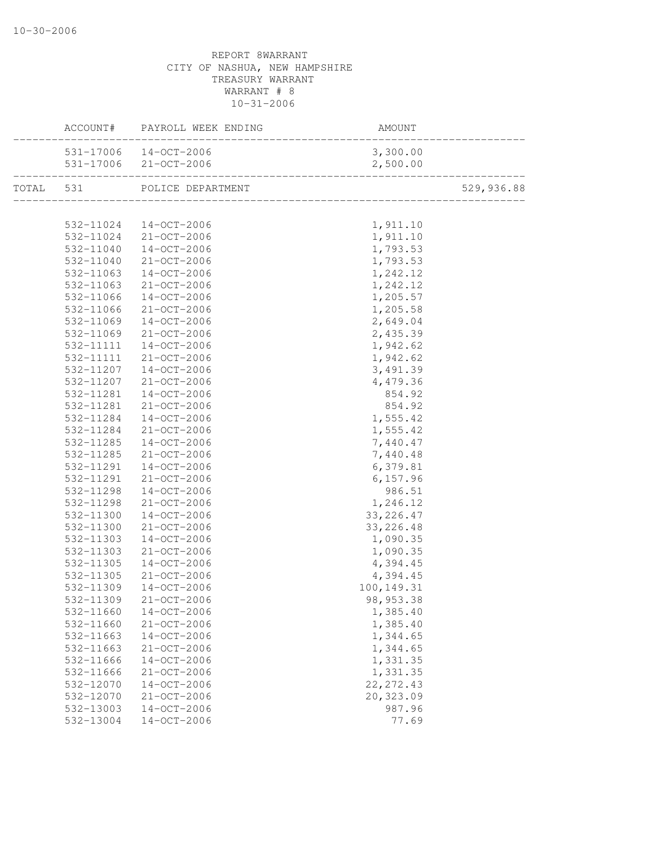|           | ACCOUNT# PAYROLL WEEK ENDING | AMOUNT      |            |
|-----------|------------------------------|-------------|------------|
|           | 531-17006 14-OCT-2006        | 3,300.00    |            |
|           |                              | 2,500.00    |            |
|           | TOTAL 531 POLICE DEPARTMENT  |             | 529,936.88 |
|           |                              |             |            |
|           | 532-11024 14-OCT-2006        | 1,911.10    |            |
|           | 532-11024 21-OCT-2006        | 1,911.10    |            |
|           | 532-11040 14-OCT-2006        | 1,793.53    |            |
| 532-11040 | $21 - OCT - 2006$            | 1,793.53    |            |
| 532-11063 | $14 - OCT - 2006$            | 1,242.12    |            |
| 532-11063 | 21-OCT-2006                  | 1,242.12    |            |
| 532-11066 | 14-OCT-2006                  | 1,205.57    |            |
| 532-11066 | 21-OCT-2006                  | 1,205.58    |            |
| 532-11069 | 14-OCT-2006                  | 2,649.04    |            |
| 532-11069 | 21-OCT-2006                  | 2,435.39    |            |
| 532-11111 | $14 - OCT - 2006$            | 1,942.62    |            |
| 532-11111 | $21 - OCT - 2006$            | 1,942.62    |            |
| 532-11207 | $14 - OCT - 2006$            | 3,491.39    |            |
| 532-11207 | 21-OCT-2006                  | 4,479.36    |            |
| 532-11281 | $14 - OCT - 2006$            | 854.92      |            |
| 532-11281 | 21-OCT-2006                  | 854.92      |            |
| 532-11284 | $14 - OCT - 2006$            | 1,555.42    |            |
| 532-11284 | 21-OCT-2006                  | 1,555.42    |            |
| 532-11285 | $14 - OCT - 2006$            | 7,440.47    |            |
| 532-11285 | $21 - OCT - 2006$            | 7,440.48    |            |
| 532-11291 | $14 - OCT - 2006$            | 6,379.81    |            |
| 532-11291 | $21 - OCT - 2006$            | 6, 157.96   |            |
| 532-11298 | $14 - OCT - 2006$            | 986.51      |            |
| 532-11298 | $21 - OCT - 2006$            | 1,246.12    |            |
| 532-11300 | $14 - OCT - 2006$            | 33, 226.47  |            |
| 532-11300 | 21-OCT-2006                  | 33, 226.48  |            |
| 532-11303 | 14-OCT-2006                  | 1,090.35    |            |
| 532-11303 | 21-OCT-2006                  | 1,090.35    |            |
| 532-11305 | $14 - OCT - 2006$            | 4,394.45    |            |
| 532-11305 | $21 - OCT - 2006$            | 4,394.45    |            |
| 532-11309 | $14 - OCT - 2006$            | 100, 149.31 |            |
| 532-11309 | $21 - OCT - 2006$            | 98, 953.38  |            |
| 532-11660 | $14 - OCT - 2006$            | 1,385.40    |            |
| 532-11660 | $21 - OCT - 2006$            | 1,385.40    |            |
| 532-11663 | $14 - OCT - 2006$            | 1,344.65    |            |
| 532-11663 | 21-OCT-2006                  | 1,344.65    |            |
| 532-11666 | $14 - OCT - 2006$            | 1,331.35    |            |
| 532-11666 | $21 - OCT - 2006$            | 1,331.35    |            |
| 532-12070 | $14 - OCT - 2006$            | 22, 272.43  |            |
| 532-12070 | $21 - OCT - 2006$            | 20,323.09   |            |
| 532-13003 | $14 - OCT - 2006$            | 987.96      |            |
| 532-13004 | $14 - OCT - 2006$            | 77.69       |            |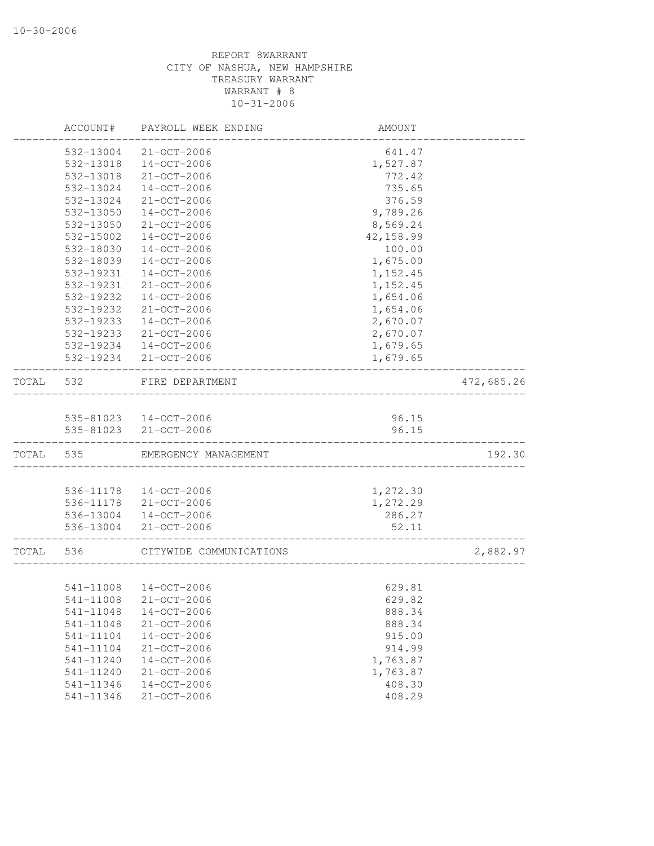|       | ACCOUNT#  | PAYROLL WEEK ENDING     | AMOUNT     |            |
|-------|-----------|-------------------------|------------|------------|
|       | 532-13004 | 21-OCT-2006             | 641.47     |            |
|       | 532-13018 | $14 - OCT - 2006$       | 1,527.87   |            |
|       | 532-13018 | 21-OCT-2006             | 772.42     |            |
|       | 532-13024 | $14 - OCT - 2006$       | 735.65     |            |
|       | 532-13024 | 21-OCT-2006             | 376.59     |            |
|       | 532-13050 | $14 - OCT - 2006$       | 9,789.26   |            |
|       | 532-13050 | 21-OCT-2006             | 8,569.24   |            |
|       | 532-15002 | $14 - OCT - 2006$       | 42, 158.99 |            |
|       | 532-18030 | $14 - OCT - 2006$       | 100.00     |            |
|       | 532-18039 | $14 - OCT - 2006$       | 1,675.00   |            |
|       | 532-19231 | $14 - OCT - 2006$       | 1,152.45   |            |
|       | 532-19231 | 21-OCT-2006             | 1,152.45   |            |
|       | 532-19232 | $14 - OCT - 2006$       | 1,654.06   |            |
|       | 532-19232 | $21 - OCT - 2006$       | 1,654.06   |            |
|       | 532-19233 | $14 - OCT - 2006$       | 2,670.07   |            |
|       | 532-19233 | 21-OCT-2006             | 2,670.07   |            |
|       | 532-19234 | $14 - OCT - 2006$       | 1,679.65   |            |
|       | 532-19234 | $21 - OCT - 2006$       | 1,679.65   |            |
|       |           |                         |            |            |
| TOTAL | 532       | FIRE DEPARTMENT         |            | 472,685.26 |
|       |           |                         |            |            |
|       |           | 535-81023 14-OCT-2006   | 96.15      |            |
|       | 535-81023 | 21-OCT-2006             | 96.15      |            |
| TOTAL | 535       | EMERGENCY MANAGEMENT    |            | 192.30     |
|       |           |                         |            |            |
|       | 536-11178 | 14-OCT-2006             | 1,272.30   |            |
|       | 536-11178 | 21-OCT-2006             | 1,272.29   |            |
|       | 536-13004 | 14-OCT-2006             | 286.27     |            |
|       | 536-13004 | $21 - OCT - 2006$       | 52.11      |            |
| TOTAL | 536       | CITYWIDE COMMUNICATIONS |            | 2,882.97   |
|       |           |                         |            |            |
|       | 541-11008 | 14-OCT-2006             | 629.81     |            |
|       | 541-11008 | $21 - OCT - 2006$       | 629.82     |            |
|       | 541-11048 | 14-OCT-2006             | 888.34     |            |
|       | 541-11048 | $21 - OCT - 2006$       | 888.34     |            |
|       | 541-11104 | $14 - OCT - 2006$       | 915.00     |            |
|       | 541-11104 | 21-OCT-2006             | 914.99     |            |
|       | 541-11240 | $14 - OCT - 2006$       | 1,763.87   |            |
|       | 541-11240 | 21-OCT-2006             | 1,763.87   |            |
|       | 541-11346 | $14-OCT-2006$           | 408.30     |            |
|       | 541-11346 | 21-OCT-2006             | 408.29     |            |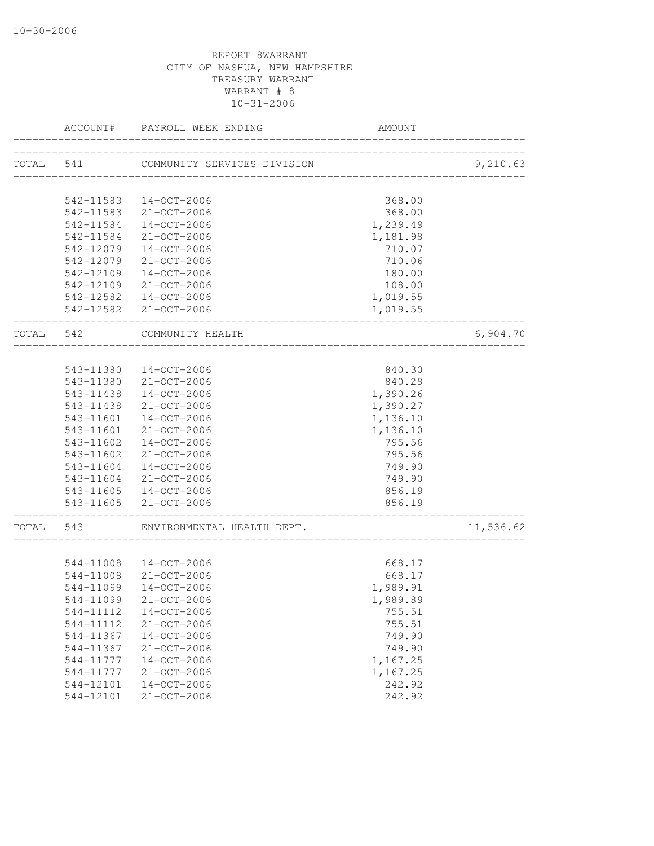|           | ACCOUNT#  | PAYROLL WEEK ENDING                | AMOUNT                               |           |
|-----------|-----------|------------------------------------|--------------------------------------|-----------|
| TOTAL 541 |           | COMMUNITY SERVICES DIVISION        |                                      | 9,210.63  |
|           |           |                                    | __________________________           |           |
|           |           | 542-11583  14-OCT-2006             | 368.00                               |           |
|           |           | 542-11583 21-OCT-2006              | 368.00                               |           |
|           | 542-11584 | 14-OCT-2006                        | 1,239.49                             |           |
|           | 542-11584 | 21-OCT-2006                        | 1,181.98                             |           |
|           | 542-12079 | 14-OCT-2006                        | 710.07                               |           |
|           | 542-12079 | 21-OCT-2006                        | 710.06                               |           |
|           | 542-12109 | 14-OCT-2006                        | 180.00                               |           |
|           |           | 542-12109 21-OCT-2006              | 108.00                               |           |
|           |           | 542-12582  14-OCT-2006             | 1,019.55                             |           |
|           |           | 542-12582 21-OCT-2006              | 1,019.55                             |           |
| TOTAL 542 |           | COMMUNITY HEALTH<br>______________ |                                      | 6,904.70  |
|           |           |                                    |                                      |           |
|           |           | 543-11380  14-OCT-2006             | 840.30                               |           |
|           |           | 543-11380 21-OCT-2006              | 840.29                               |           |
|           |           | 543-11438  14-OCT-2006             | 1,390.26                             |           |
|           | 543-11438 | 21-OCT-2006                        | 1,390.27                             |           |
|           | 543-11601 | 14-OCT-2006                        | 1,136.10                             |           |
|           | 543-11601 | 21-OCT-2006                        | 1,136.10                             |           |
|           | 543-11602 | 14-OCT-2006                        | 795.56                               |           |
|           | 543-11602 | 21-OCT-2006                        | 795.56                               |           |
|           | 543-11604 | 14-OCT-2006                        | 749.90                               |           |
|           |           | 543-11604 21-OCT-2006              | 749.90                               |           |
|           |           | 543-11605 14-OCT-2006              | 856.19                               |           |
|           |           | 543-11605 21-OCT-2006              | 856.19<br>__________________________ |           |
| TOTAL 543 |           | ENVIRONMENTAL HEALTH DEPT.         |                                      | 11,536.62 |
|           |           |                                    |                                      |           |
|           |           | 544-11008 14-OCT-2006              | 668.17                               |           |
|           | 544-11008 | $21 - OCT - 2006$                  | 668.17                               |           |
|           | 544-11099 | $14 - OCT - 2006$                  | 1,989.91                             |           |
|           | 544-11099 | 21-OCT-2006                        | 1,989.89                             |           |
|           | 544-11112 | $14 - OCT - 2006$                  | 755.51                               |           |
|           | 544-11112 | $21 - OCT - 2006$                  | 755.51                               |           |
|           | 544-11367 | $14 - OCT - 2006$                  | 749.90                               |           |
|           | 544-11367 | $21 - OCT - 2006$                  | 749.90                               |           |
|           | 544-11777 | $14 - OCT - 2006$                  | 1,167.25                             |           |
|           | 544-11777 | 21-OCT-2006                        | 1,167.25                             |           |
|           | 544-12101 | $14-OCT-2006$                      | 242.92                               |           |
|           | 544-12101 | $21 - OCT - 2006$                  | 242.92                               |           |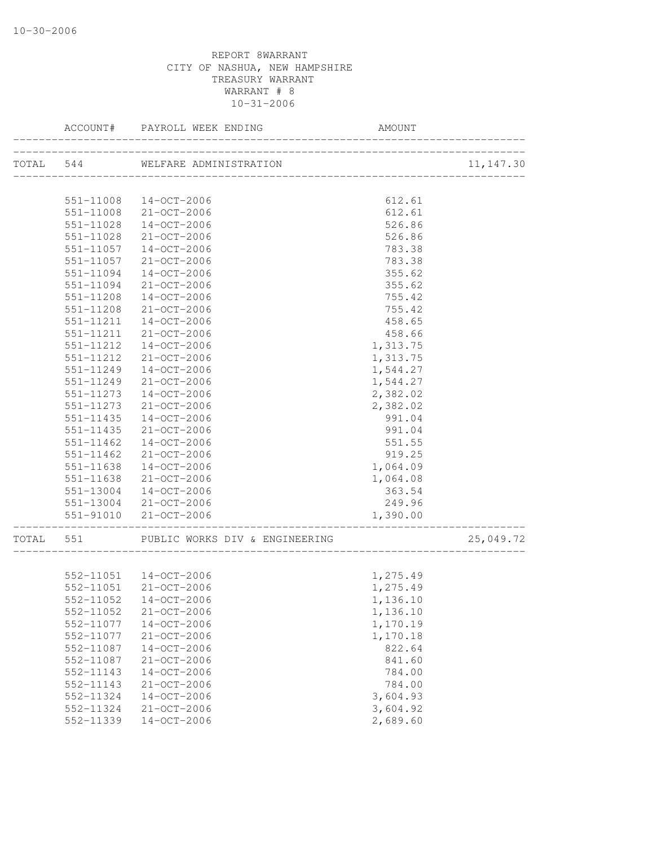|       | ACCOUNT#      | PAYROLL WEEK ENDING            | AMOUNT   |            |
|-------|---------------|--------------------------------|----------|------------|
|       |               |                                |          | 11, 147.30 |
|       |               |                                |          |            |
|       |               | 551-11008 14-OCT-2006          | 612.61   |            |
|       |               | 551-11008 21-OCT-2006          | 612.61   |            |
|       |               | 551-11028 14-OCT-2006          | 526.86   |            |
|       | 551-11028     | 21-OCT-2006                    | 526.86   |            |
|       | 551-11057     | 14-OCT-2006                    | 783.38   |            |
|       | 551-11057     | 21-OCT-2006                    | 783.38   |            |
|       | 551-11094     | 14-OCT-2006                    | 355.62   |            |
|       | 551-11094     | 21-OCT-2006                    | 355.62   |            |
|       | 551-11208     | 14-OCT-2006                    | 755.42   |            |
|       | 551-11208     | 21-OCT-2006                    | 755.42   |            |
|       |               | 551-11211  14-OCT-2006         | 458.65   |            |
|       | 551-11211     | 21-OCT-2006                    | 458.66   |            |
|       | 551-11212     | $14 - OCT - 2006$              | 1,313.75 |            |
|       | 551-11212     | 21-OCT-2006                    | 1,313.75 |            |
|       | 551-11249     | 14-OCT-2006                    | 1,544.27 |            |
|       | 551-11249     | 21-OCT-2006                    | 1,544.27 |            |
|       | 551-11273     | $14 - OCT - 2006$              | 2,382.02 |            |
|       | 551-11273     | $21 - OCT - 2006$              | 2,382.02 |            |
|       | $551 - 11435$ | $14 - OCT - 2006$              | 991.04   |            |
|       | 551-11435     | $21 - OCT - 2006$              | 991.04   |            |
|       | 551-11462     | $14 - OCT - 2006$              | 551.55   |            |
|       | 551-11462     | 21-OCT-2006                    | 919.25   |            |
|       | 551-11638     | 14-OCT-2006                    | 1,064.09 |            |
|       | 551-11638     | 21-OCT-2006                    | 1,064.08 |            |
|       | 551-13004     | 14-OCT-2006                    | 363.54   |            |
|       |               | 551-13004 21-OCT-2006          | 249.96   |            |
|       |               | 551-91010 21-OCT-2006          | 1,390.00 |            |
| TOTAL | 551           | PUBLIC WORKS DIV & ENGINEERING |          | 25,049.72  |
|       |               | 552-11051  14-OCT-2006         | 1,275.49 |            |
|       |               | 552-11051 21-OCT-2006          | 1,275.49 |            |
|       |               | 552-11052  14-OCT-2006         | 1,136.10 |            |
|       | 552-11052     | $21 - OCT - 2006$              | 1,136.10 |            |
|       | 552-11077     | $14-OCT-2006$                  | 1,170.19 |            |
|       | 552-11077     | 21-OCT-2006                    | 1,170.18 |            |
|       | 552-11087     | 14-OCT-2006                    | 822.64   |            |
|       | 552-11087     | 21-OCT-2006                    | 841.60   |            |
|       | 552-11143     | 14-OCT-2006                    | 784.00   |            |
|       | 552-11143     | $21 - OCT - 2006$              | 784.00   |            |
|       | 552-11324     | $14-OCT-2006$                  | 3,604.93 |            |
|       | 552-11324     | 21-OCT-2006                    | 3,604.92 |            |
|       | 552-11339     | 14-OCT-2006                    | 2,689.60 |            |
|       |               |                                |          |            |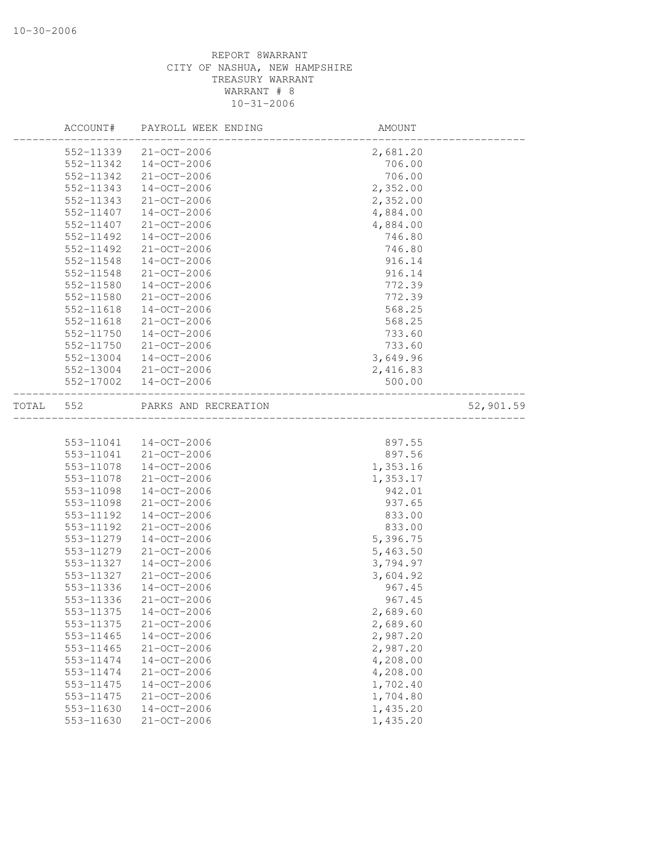|       | ACCOUNT#  | PAYROLL WEEK ENDING  | AMOUNT                         |           |
|-------|-----------|----------------------|--------------------------------|-----------|
|       | 552-11339 | $21 - OCT - 2006$    | 2,681.20                       |           |
|       | 552-11342 | 14-OCT-2006          | 706.00                         |           |
|       | 552-11342 | $21 - OCT - 2006$    | 706.00                         |           |
|       | 552-11343 | $14 - OCT - 2006$    | 2,352.00                       |           |
|       | 552-11343 | $21 - OCT - 2006$    | 2,352.00                       |           |
|       | 552-11407 | $14 - OCT - 2006$    | 4,884.00                       |           |
|       | 552-11407 | $21 - OCT - 2006$    | 4,884.00                       |           |
|       | 552-11492 | $14 - OCT - 2006$    | 746.80                         |           |
|       | 552-11492 | $21 - OCT - 2006$    | 746.80                         |           |
|       | 552-11548 | $14 - OCT - 2006$    | 916.14                         |           |
|       | 552-11548 | $21 - OCT - 2006$    | 916.14                         |           |
|       | 552-11580 | $14 - OCT - 2006$    | 772.39                         |           |
|       | 552-11580 | 21-OCT-2006          | 772.39                         |           |
|       | 552-11618 | $14 - OCT - 2006$    | 568.25                         |           |
|       | 552-11618 | $21 - OCT - 2006$    | 568.25                         |           |
|       | 552-11750 | $14 - OCT - 2006$    | 733.60                         |           |
|       | 552-11750 | 21-OCT-2006          | 733.60                         |           |
|       | 552-13004 | $14 - OCT - 2006$    | 3,649.96                       |           |
|       | 552-13004 | $21 - OCT - 2006$    | 2,416.83                       |           |
|       | 552-17002 | 14-OCT-2006          | 500.00                         |           |
| TOTAL | 552       | PARKS AND RECREATION | ______________________________ | 52,901.59 |
|       |           |                      |                                |           |
|       | 553-11041 | 14-OCT-2006          | 897.55                         |           |
|       | 553-11041 | 21-OCT-2006          | 897.56                         |           |
|       | 553-11078 | $14 - OCT - 2006$    | 1,353.16                       |           |
|       | 553-11078 | 21-OCT-2006          | 1,353.17                       |           |
|       | 553-11098 | $14 - OCT - 2006$    | 942.01                         |           |
|       | 553-11098 | 21-OCT-2006          | 937.65                         |           |
|       | 553-11192 | $14 - OCT - 2006$    | 833.00                         |           |
|       | 553-11192 | $21 - OCT - 2006$    | 833.00                         |           |
|       | 553-11279 | $14 - OCT - 2006$    | 5,396.75                       |           |
|       | 553-11279 | $21 - OCT - 2006$    | 5,463.50                       |           |
|       | 553-11327 | $14 - OCT - 2006$    | 3,794.97                       |           |
|       | 553-11327 | $21 - OCT - 2006$    | 3,604.92                       |           |
|       | 553-11336 | $14 - OCT - 2006$    | 967.45                         |           |
|       | 553-11336 | $21 - OCT - 2006$    | 967.45                         |           |
|       | 553-11375 | $14 - OCT - 2006$    | 2,689.60                       |           |
|       | 553-11375 | 21-OCT-2006          | 2,689.60                       |           |
|       | 553-11465 | $14 - OCT - 2006$    | 2,987.20                       |           |
|       | 553-11465 | 21-OCT-2006          | 2,987.20                       |           |
|       | 553-11474 | $14 - OCT - 2006$    | 4,208.00                       |           |
|       | 553-11474 | 21-OCT-2006          | 4,208.00                       |           |
|       | 553-11475 | $14 - OCT - 2006$    | 1,702.40                       |           |
|       | 553-11475 | 21-OCT-2006          | 1,704.80                       |           |
|       | 553-11630 | $14 - OCT - 2006$    | 1,435.20                       |           |
|       | 553-11630 | 21-OCT-2006          | 1,435.20                       |           |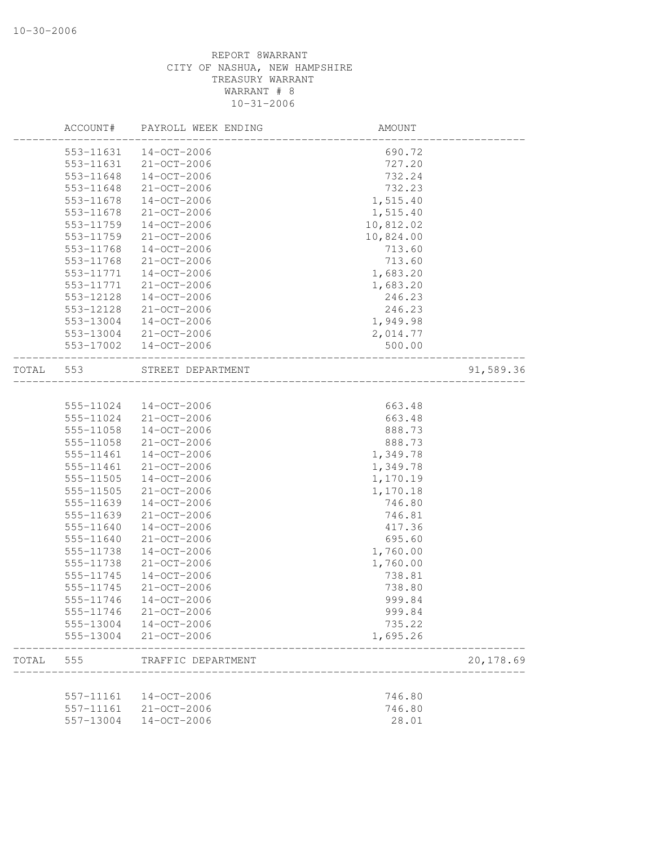|       | ACCOUNT#  | PAYROLL WEEK ENDING   | <b>AMOUNT</b>         |           |
|-------|-----------|-----------------------|-----------------------|-----------|
|       | 553-11631 | 14-OCT-2006           | 690.72                |           |
|       | 553-11631 | $21 - OCT - 2006$     | 727.20                |           |
|       | 553-11648 | $14 - OCT - 2006$     | 732.24                |           |
|       | 553-11648 | $21 - OCT - 2006$     | 732.23                |           |
|       | 553-11678 | $14 - OCT - 2006$     | 1,515.40              |           |
|       | 553-11678 | $21 - OCT - 2006$     | 1,515.40              |           |
|       | 553-11759 | $14 - OCT - 2006$     | 10,812.02             |           |
|       | 553-11759 | $21 - OCT - 2006$     | 10,824.00             |           |
|       | 553-11768 | $14 - OCT - 2006$     | 713.60                |           |
|       | 553-11768 | $21 - OCT - 2006$     | 713.60                |           |
|       | 553-11771 | $14 - OCT - 2006$     | 1,683.20              |           |
|       | 553-11771 | 21-OCT-2006           | 1,683.20              |           |
|       | 553-12128 | 14-OCT-2006           | 246.23                |           |
|       | 553-12128 | $21 - OCT - 2006$     | 246.23                |           |
|       | 553-13004 | 14-OCT-2006           | 1,949.98              |           |
|       | 553-13004 | $21 - OCT - 2006$     | 2,014.77              |           |
|       | 553-17002 | 14-OCT-2006           | 500.00                |           |
|       |           |                       |                       |           |
| TOTAL | 553       | STREET DEPARTMENT     | _____________________ | 91,589.36 |
|       |           |                       |                       |           |
|       | 555-11024 | 14-OCT-2006           | 663.48                |           |
|       | 555-11024 | 21-OCT-2006           | 663.48                |           |
|       | 555-11058 | $14 - OCT - 2006$     | 888.73                |           |
|       | 555-11058 | $21 - OCT - 2006$     | 888.73                |           |
|       | 555-11461 | $14 - OCT - 2006$     | 1,349.78              |           |
|       | 555-11461 | 21-OCT-2006           | 1,349.78              |           |
|       | 555-11505 | $14 - OCT - 2006$     | 1,170.19              |           |
|       | 555-11505 | $21 - OCT - 2006$     | 1,170.18              |           |
|       | 555-11639 | $14 - OCT - 2006$     | 746.80                |           |
|       | 555-11639 | $21 - OCT - 2006$     | 746.81                |           |
|       | 555-11640 | $14 - OCT - 2006$     | 417.36                |           |
|       | 555-11640 | $21 - OCT - 2006$     | 695.60                |           |
|       | 555-11738 | $14 - OCT - 2006$     | 1,760.00              |           |
|       | 555-11738 | 21-OCT-2006           | 1,760.00              |           |
|       | 555-11745 | $14 - OCT - 2006$     | 738.81                |           |
|       | 555-11745 | $21 - OCT - 2006$     | 738.80                |           |
|       |           | 555-11746 14-OCT-2006 | 999.84                |           |
|       |           | 555-11746 21-OCT-2006 | 999.84                |           |
|       |           | 555-13004 14-OCT-2006 | 735.22                |           |
|       |           | 555-13004 21-OCT-2006 | 1,695.26              |           |
| TOTAL | 555       | TRAFFIC DEPARTMENT    |                       | 20,178.69 |
|       |           |                       |                       |           |
|       |           | 557-11161 14-OCT-2006 | 746.80                |           |
|       | 557-11161 | 21-OCT-2006           | 746.80                |           |
|       | 557-13004 | $14 - OCT - 2006$     | 28.01                 |           |
|       |           |                       |                       |           |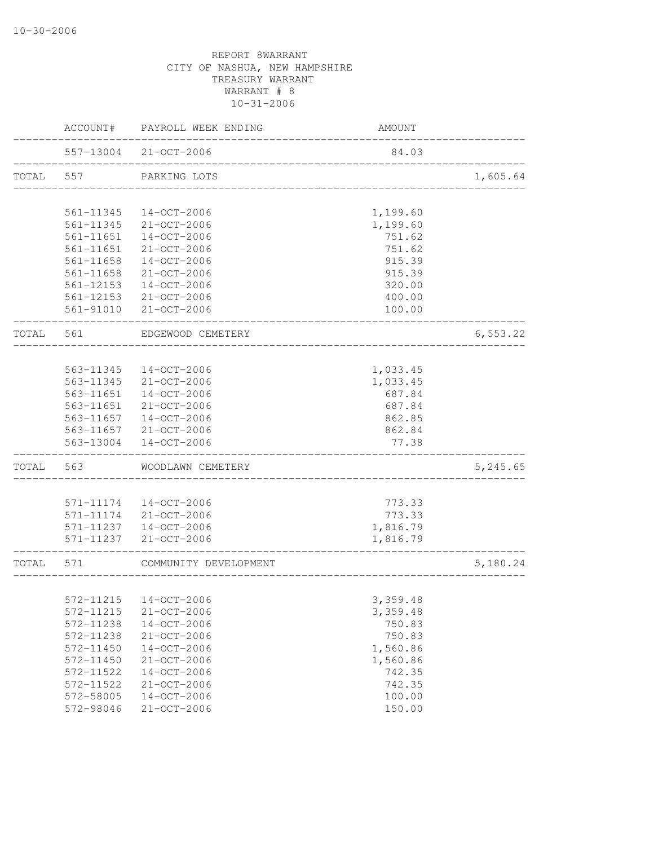|           | ACCOUNT#      | PAYROLL WEEK ENDING                                    | AMOUNT   |           |
|-----------|---------------|--------------------------------------------------------|----------|-----------|
|           |               | 557-13004 21-OCT-2006<br>_____________________________ | 84.03    |           |
| TOTAL 557 |               | PARKING LOTS                                           |          | 1,605.64  |
|           |               |                                                        |          |           |
|           | 561-11345     | 14-OCT-2006                                            | 1,199.60 |           |
|           | 561-11345     | $21 - OCT - 2006$                                      | 1,199.60 |           |
|           | 561-11651     | 14-OCT-2006                                            | 751.62   |           |
|           | 561-11651     | 21-OCT-2006                                            | 751.62   |           |
|           | 561-11658     | 14-OCT-2006                                            | 915.39   |           |
|           | $561 - 11658$ | 21-OCT-2006                                            | 915.39   |           |
|           | 561-12153     | 14-OCT-2006                                            | 320.00   |           |
|           |               | 561-12153 21-OCT-2006                                  | 400.00   |           |
|           |               | 561-91010 21-OCT-2006                                  | 100.00   |           |
| TOTAL 561 |               | EDGEWOOD CEMETERY                                      |          | 6, 553.22 |
|           |               |                                                        |          |           |
|           | 563-11345     | 14-OCT-2006                                            | 1,033.45 |           |
|           | 563-11345     | 21-OCT-2006                                            | 1,033.45 |           |
|           | 563-11651     | 14-OCT-2006                                            | 687.84   |           |
|           | 563-11651     | 21-OCT-2006                                            | 687.84   |           |
|           | 563-11657     | 14-OCT-2006                                            | 862.85   |           |
|           |               | 563-11657 21-OCT-2006                                  | 862.84   |           |
|           | 563-13004     | 14-OCT-2006                                            | 77.38    |           |
| TOTAL 563 |               | WOODLAWN CEMETERY                                      |          | 5,245.65  |
|           |               |                                                        |          |           |
|           |               | 571-11174  14-OCT-2006                                 | 773.33   |           |
|           |               | 571-11174 21-OCT-2006                                  | 773.33   |           |
|           |               | 571-11237  14-OCT-2006                                 | 1,816.79 |           |
|           | 571-11237     | 21-OCT-2006                                            | 1,816.79 |           |
| TOTAL 571 |               | COMMUNITY DEVELOPMENT                                  |          | 5,180.24  |
|           |               |                                                        |          |           |
|           |               | 572-11215  14-OCT-2006                                 | 3,359.48 |           |
|           | 572-11215     | $21 - OCT - 2006$                                      | 3,359.48 |           |
|           | 572-11238     | $14-OCT-2006$                                          | 750.83   |           |
|           | 572-11238     | 21-OCT-2006                                            | 750.83   |           |
|           | 572-11450     | $14 - OCT - 2006$                                      | 1,560.86 |           |
|           | 572-11450     | 21-OCT-2006                                            | 1,560.86 |           |
|           | 572-11522     | $14 - OCT - 2006$                                      | 742.35   |           |
|           | 572-11522     | 21-OCT-2006                                            | 742.35   |           |
|           | 572-58005     | $14 - OCT - 2006$                                      | 100.00   |           |
|           | 572-98046     | $21 - OCT - 2006$                                      | 150.00   |           |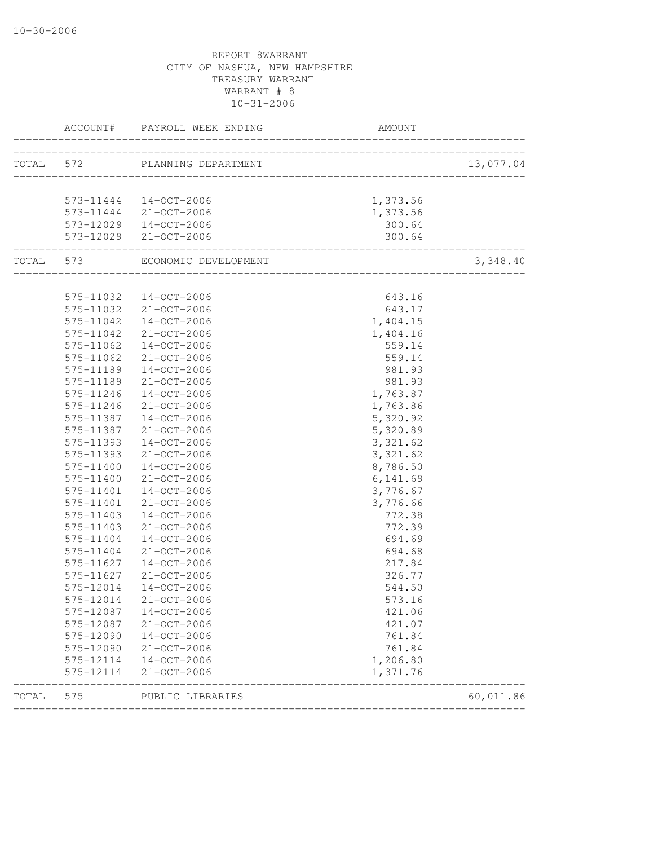|           |                        | ACCOUNT# PAYROLL WEEK ENDING                                        | AMOUNT                         |           |
|-----------|------------------------|---------------------------------------------------------------------|--------------------------------|-----------|
|           |                        | TOTAL 572 PLANNING DEPARTMENT                                       |                                | 13,077.04 |
|           |                        |                                                                     |                                |           |
|           |                        | 573-11444  14-OCT-2006                                              | 1,373.56                       |           |
|           |                        | 573-11444 21-OCT-2006                                               | 1,373.56                       |           |
|           |                        | 573-12029  14-OCT-2006                                              | 300.64                         |           |
|           |                        | 573-12029 21-OCT-2006                                               | 300.64                         |           |
|           |                        | TOTAL 573 ECONOMIC DEVELOPMENT                                      | ______________________________ | 3,348.40  |
|           |                        |                                                                     |                                |           |
|           |                        | 575-11032  14-OCT-2006                                              | 643.16                         |           |
|           |                        | 575-11032 21-OCT-2006                                               | 643.17                         |           |
|           |                        | 575-11042  14-OCT-2006                                              | 1,404.15                       |           |
|           | 575-11042              | 21-OCT-2006                                                         | 1,404.16                       |           |
|           | 575-11062              | 14-OCT-2006                                                         | 559.14                         |           |
|           | 575-11062              | 21-OCT-2006                                                         | 559.14                         |           |
|           | 575-11189              | $14 - OCT - 2006$<br>$21 - OCT - 2006$                              | 981.93                         |           |
|           | 575-11189<br>575-11246 | $14 - OCT - 2006$                                                   | 981.93                         |           |
|           | 575-11246              | 21-OCT-2006                                                         | 1,763.87<br>1,763.86           |           |
|           | 575-11387              | $14 - OCT - 2006$                                                   | 5,320.92                       |           |
|           | 575-11387              | $21 - OCT - 2006$                                                   | 5,320.89                       |           |
|           | 575-11393              | $14 - OCT - 2006$                                                   | 3,321.62                       |           |
|           | 575-11393              | 21-OCT-2006                                                         | 3,321.62                       |           |
|           | 575-11400              | $14 - OCT - 2006$                                                   | 8,786.50                       |           |
|           | 575-11400              | 21-OCT-2006                                                         | 6,141.69                       |           |
|           | 575-11401              | $14 - OCT - 2006$                                                   | 3,776.67                       |           |
|           | 575-11401              | 21-OCT-2006                                                         | 3,776.66                       |           |
|           | 575-11403              | $14 - OCT - 2006$                                                   | 772.38                         |           |
|           | 575-11403              | 21-OCT-2006                                                         | 772.39                         |           |
|           | 575-11404              | 14-OCT-2006                                                         | 694.69                         |           |
|           | 575-11404              | 21-OCT-2006                                                         | 694.68                         |           |
|           | 575-11627              | 14-OCT-2006                                                         | 217.84                         |           |
|           | 575-11627              | 21-OCT-2006                                                         | 326.77                         |           |
|           | 575-12014              | 14-OCT-2006                                                         | 544.50                         |           |
|           | 575-12014              | 21-OCT-2006                                                         | 573.16                         |           |
|           | 575-12087              | 14-OCT-2006                                                         | 421.06                         |           |
|           |                        | 575-12087 21-OCT-2006                                               | 421.07                         |           |
|           |                        | 575-12090  14-OCT-2006                                              | 761.84                         |           |
|           |                        | 575-12090 21-OCT-2006                                               | 761.84                         |           |
|           |                        | 575-12114 14-OCT-2006                                               | 1,206.80                       |           |
|           |                        | 575-12114 21-OCT-2006                                               | 1,371.76                       |           |
| TOTAL 575 |                        | --------------------------------<br>-----------<br>PUBLIC LIBRARIES |                                | 60,011.86 |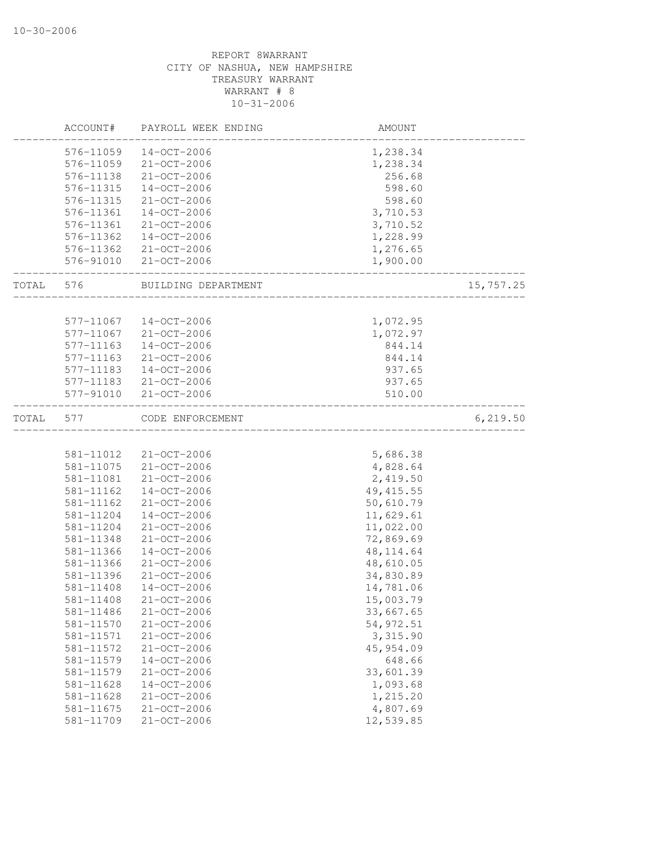|       | ACCOUNT#               | PAYROLL WEEK ENDING                    | AMOUNT           |           |
|-------|------------------------|----------------------------------------|------------------|-----------|
|       | 576-11059              | $14-OCT-2006$                          | 1,238.34         |           |
|       | 576-11059              | 21-OCT-2006                            | 1,238.34         |           |
|       | 576-11138              | 21-OCT-2006                            | 256.68           |           |
|       | 576-11315              | $14 - OCT - 2006$                      | 598.60           |           |
|       | 576-11315              | 21-OCT-2006                            | 598.60           |           |
|       | 576-11361              | $14 - OCT - 2006$                      | 3,710.53         |           |
|       | 576-11361              | 21-OCT-2006                            | 3,710.52         |           |
|       | 576-11362              | $14 - OCT - 2006$                      | 1,228.99         |           |
|       | 576-11362              | 21-OCT-2006                            | 1,276.65         |           |
|       | 576-91010              | 21-OCT-2006                            | 1,900.00         |           |
| TOTAL | 576                    | BUILDING DEPARTMENT                    |                  | 15,757.25 |
|       |                        |                                        |                  |           |
|       | 577-11067              | $14 - OCT - 2006$                      | 1,072.95         |           |
|       | 577-11067              | $21 - OCT - 2006$<br>$14 - OCT - 2006$ | 1,072.97         |           |
|       | 577-11163              | 21-OCT-2006                            | 844.14           |           |
|       | 577-11163              |                                        | 844.14           |           |
|       | 577-11183              | $14 - OCT - 2006$                      | 937.65           |           |
|       | 577-11183<br>577-91010 | 21-OCT-2006<br>21-OCT-2006             | 937.65<br>510.00 |           |
| TOTAL | 577                    | CODE ENFORCEMENT                       |                  | 6, 219.50 |
|       |                        |                                        |                  |           |
|       | 581-11012              | 21-OCT-2006                            | 5,686.38         |           |
|       | 581-11075              | 21-OCT-2006                            | 4,828.64         |           |
|       | 581-11081              | 21-OCT-2006                            | 2,419.50         |           |
|       | 581-11162              | $14 - OCT - 2006$                      | 49, 415.55       |           |
|       | 581-11162              | 21-OCT-2006                            | 50,610.79        |           |
|       | 581-11204              | $14 - OCT - 2006$                      | 11,629.61        |           |
|       | 581-11204              | $21 - OCT - 2006$                      | 11,022.00        |           |
|       | 581-11348              | $21 - OCT - 2006$                      | 72,869.69        |           |
|       | 581-11366              | $14 - OCT - 2006$                      | 48, 114.64       |           |
|       | 581-11366              | 21-OCT-2006                            | 48,610.05        |           |
|       | 581-11396              | $21 - OCT - 2006$                      | 34,830.89        |           |
|       | 581-11408              | $14 - OCT - 2006$                      | 14,781.06        |           |
|       | 581-11408              | 21-OCT-2006                            | 15,003.79        |           |
|       | 581-11486              | $21 - OCT - 2006$                      | 33,667.65        |           |
|       | 581-11570              | $21 - OCT - 2006$                      | 54, 972.51       |           |
|       | 581-11571              | 21-OCT-2006                            | 3,315.90         |           |
|       | 581-11572              | 21-OCT-2006                            | 45, 954.09       |           |
|       | 581-11579              | $14 - OCT - 2006$                      | 648.66           |           |
|       | 581-11579              | $21 - OCT - 2006$                      | 33,601.39        |           |
|       | 581-11628              | $14 - OCT - 2006$                      | 1,093.68         |           |
|       | 581-11628              | $21 - OCT - 2006$                      | 1,215.20         |           |
|       | 581-11675              | $21 - OCT - 2006$                      | 4,807.69         |           |
|       | 581-11709              | $21 - OCT - 2006$                      | 12,539.85        |           |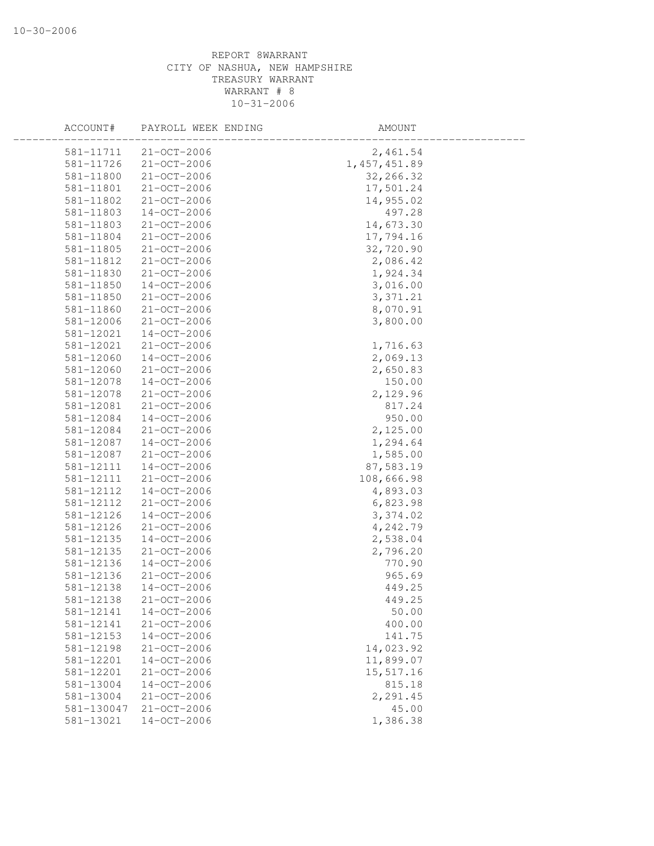| ACCOUNT#   | PAYROLL WEEK ENDING | AMOUNT         |  |
|------------|---------------------|----------------|--|
| 581-11711  | $21 - OCT - 2006$   | 2,461.54       |  |
| 581-11726  | 21-OCT-2006         | 1, 457, 451.89 |  |
| 581-11800  | 21-OCT-2006         | 32,266.32      |  |
| 581-11801  | 21-OCT-2006         | 17,501.24      |  |
| 581-11802  | 21-OCT-2006         | 14,955.02      |  |
| 581-11803  | $14 - OCT - 2006$   | 497.28         |  |
| 581-11803  | 21-OCT-2006         | 14,673.30      |  |
| 581-11804  | 21-OCT-2006         | 17,794.16      |  |
| 581-11805  | $21 - OCT - 2006$   | 32,720.90      |  |
| 581-11812  | $21 - OCT - 2006$   | 2,086.42       |  |
| 581-11830  | 21-OCT-2006         | 1,924.34       |  |
| 581-11850  | 14-OCT-2006         | 3,016.00       |  |
| 581-11850  | 21-OCT-2006         | 3, 371.21      |  |
| 581-11860  | 21-OCT-2006         | 8,070.91       |  |
| 581-12006  | 21-OCT-2006         | 3,800.00       |  |
| 581-12021  | 14-OCT-2006         |                |  |
| 581-12021  | 21-OCT-2006         | 1,716.63       |  |
| 581-12060  | $14 - OCT - 2006$   | 2,069.13       |  |
| 581-12060  | 21-OCT-2006         | 2,650.83       |  |
| 581-12078  | $14 - OCT - 2006$   | 150.00         |  |
| 581-12078  | 21-OCT-2006         | 2,129.96       |  |
| 581-12081  | 21-OCT-2006         | 817.24         |  |
| 581-12084  | 14-OCT-2006         | 950.00         |  |
| 581-12084  | 21-OCT-2006         | 2,125.00       |  |
| 581-12087  | 14-OCT-2006         | 1,294.64       |  |
| 581-12087  | 21-OCT-2006         | 1,585.00       |  |
| 581-12111  | $14 - OCT - 2006$   | 87,583.19      |  |
| 581-12111  | 21-OCT-2006         | 108,666.98     |  |
| 581-12112  | $14 - OCT - 2006$   | 4,893.03       |  |
| 581-12112  | 21-OCT-2006         | 6,823.98       |  |
| 581-12126  | 14-OCT-2006         | 3,374.02       |  |
| 581-12126  | 21-OCT-2006         | 4,242.79       |  |
| 581-12135  | $14 - OCT - 2006$   | 2,538.04       |  |
| 581-12135  | 21-OCT-2006         | 2,796.20       |  |
| 581-12136  | 14-OCT-2006         | 770.90         |  |
| 581-12136  | $21 - OCT - 2006$   | 965.69         |  |
| 581-12138  | $14 - OCT - 2006$   | 449.25         |  |
| 581-12138  | 21-OCT-2006         | 449.25         |  |
| 581-12141  | $14 - OCT - 2006$   | 50.00          |  |
| 581-12141  | 21-OCT-2006         | 400.00         |  |
| 581-12153  | $14 - OCT - 2006$   | 141.75         |  |
| 581-12198  | 21-OCT-2006         | 14,023.92      |  |
| 581-12201  | $14 - OCT - 2006$   | 11,899.07      |  |
| 581-12201  | 21-OCT-2006         | 15,517.16      |  |
| 581-13004  | $14 - OCT - 2006$   | 815.18         |  |
| 581-13004  | 21-OCT-2006         | 2,291.45       |  |
| 581-130047 | 21-OCT-2006         | 45.00          |  |
| 581-13021  | $14-OCT-2006$       | 1,386.38       |  |
|            |                     |                |  |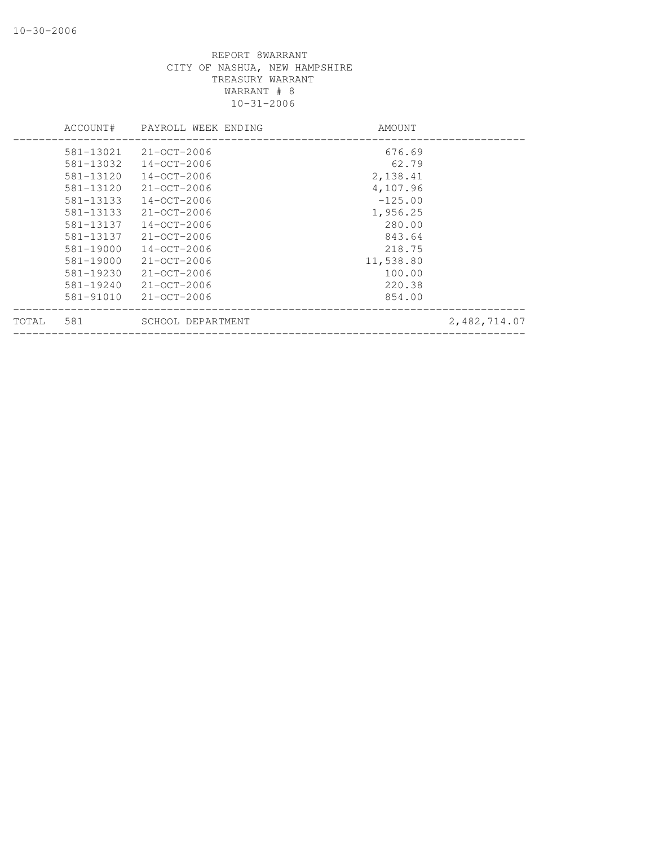|       | ACCOUNT#  | PAYROLL WEEK ENDING | AMOUNT    |              |
|-------|-----------|---------------------|-----------|--------------|
|       | 581-13021 | $21 - CCT - 2006$   | 676.69    |              |
|       | 581-13032 | $14 - OCT - 2006$   | 62.79     |              |
|       | 581-13120 | $14 - OCT - 2006$   | 2,138.41  |              |
|       | 581-13120 | $21 - OCT - 2006$   | 4,107.96  |              |
|       | 581-13133 | $14 - OCT - 2006$   | $-125.00$ |              |
|       | 581-13133 | $21 - CCT - 2006$   | 1,956.25  |              |
|       | 581-13137 | $14 - OCT - 2006$   | 280.00    |              |
|       | 581-13137 | $21 - OCT - 2006$   | 843.64    |              |
|       | 581-19000 | $14 - OCT - 2006$   | 218.75    |              |
|       | 581-19000 | $21 - 0CT - 2006$   | 11,538.80 |              |
|       | 581-19230 | $21 - CCT - 2006$   | 100.00    |              |
|       | 581-19240 | $21 - OCT - 2006$   | 220.38    |              |
|       | 581-91010 | $21 - OCT - 2006$   | 854.00    |              |
| TOTAL | 581       | SCHOOL DEPARTMENT   |           | 2,482,714.07 |
|       |           |                     |           |              |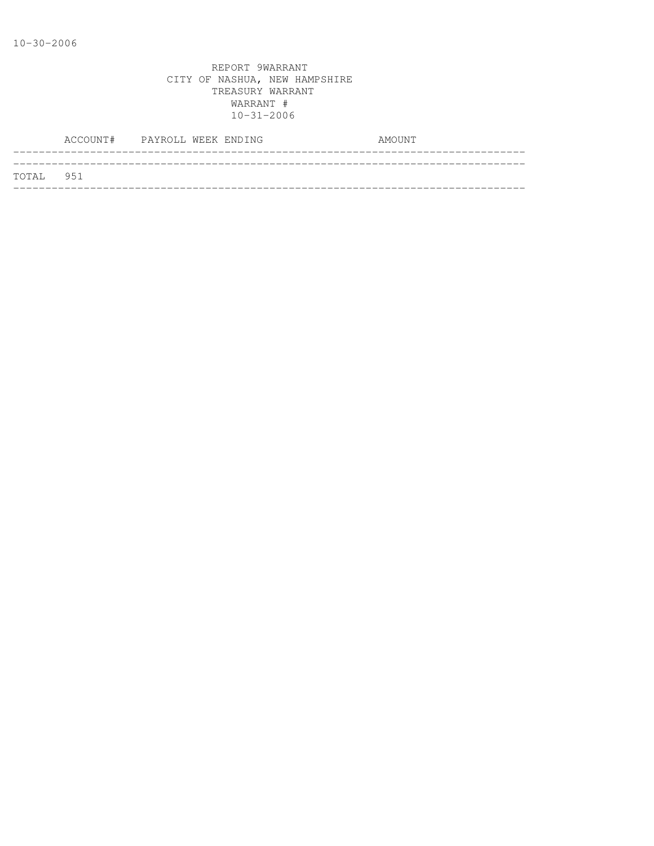|           | ACCOUNT# PAYROLL WEEK ENDING |  |  | AMOUNT |
|-----------|------------------------------|--|--|--------|
| TOTAL 951 |                              |  |  |        |
|           |                              |  |  |        |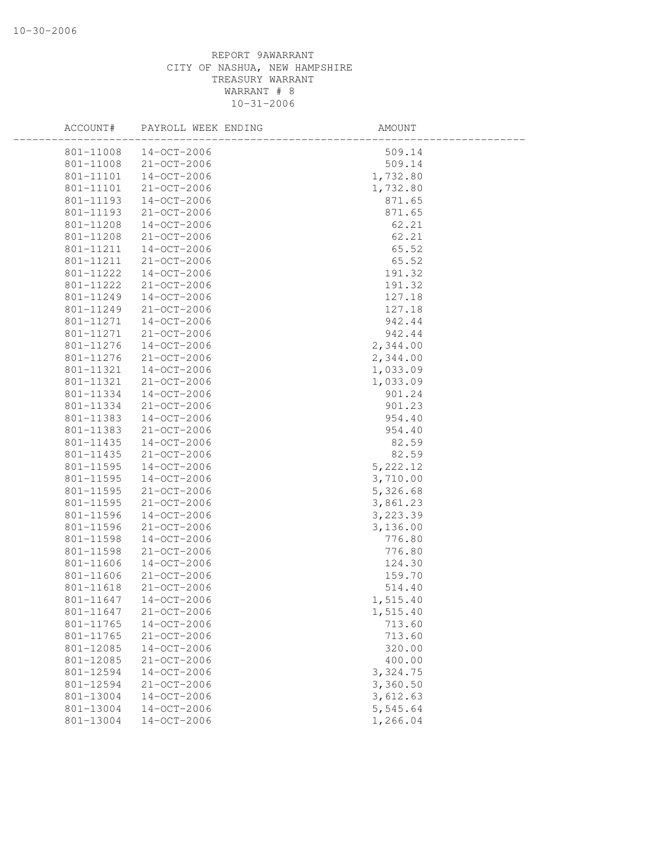| ACCOUNT#  | PAYROLL WEEK ENDING | AMOUNT   |  |
|-----------|---------------------|----------|--|
| 801-11008 | 14-OCT-2006         | 509.14   |  |
| 801-11008 | 21-OCT-2006         | 509.14   |  |
| 801-11101 | $14 - OCT - 2006$   | 1,732.80 |  |
| 801-11101 | 21-OCT-2006         | 1,732.80 |  |
| 801-11193 | 14-OCT-2006         | 871.65   |  |
| 801-11193 | 21-OCT-2006         | 871.65   |  |
| 801-11208 | 14-OCT-2006         | 62.21    |  |
| 801-11208 | 21-OCT-2006         | 62.21    |  |
| 801-11211 | $14 - OCT - 2006$   | 65.52    |  |
| 801-11211 | 21-OCT-2006         | 65.52    |  |
| 801-11222 | $14 - OCT - 2006$   | 191.32   |  |
| 801-11222 | 21-OCT-2006         | 191.32   |  |
| 801-11249 | 14-OCT-2006         | 127.18   |  |
| 801-11249 | 21-OCT-2006         | 127.18   |  |
| 801-11271 | $14 - OCT - 2006$   | 942.44   |  |
| 801-11271 | 21-OCT-2006         | 942.44   |  |
| 801-11276 | 14-OCT-2006         | 2,344.00 |  |
| 801-11276 | 21-OCT-2006         | 2,344.00 |  |
| 801-11321 | $14 - OCT - 2006$   | 1,033.09 |  |
| 801-11321 | $21 - OCT - 2006$   | 1,033.09 |  |
| 801-11334 | $14 - OCT - 2006$   | 901.24   |  |
| 801-11334 | 21-OCT-2006         | 901.23   |  |
| 801-11383 | 14-OCT-2006         | 954.40   |  |
| 801-11383 | 21-OCT-2006         | 954.40   |  |
| 801-11435 | 14-OCT-2006         | 82.59    |  |
| 801-11435 | 21-OCT-2006         | 82.59    |  |
| 801-11595 | $14 - OCT - 2006$   | 5,222.12 |  |
| 801-11595 | $14 - OCT - 2006$   | 3,710.00 |  |
| 801-11595 | 21-OCT-2006         | 5,326.68 |  |
| 801-11595 | 21-OCT-2006         | 3,861.23 |  |
| 801-11596 | 14-OCT-2006         | 3,223.39 |  |
| 801-11596 | 21-OCT-2006         | 3,136.00 |  |
| 801-11598 | $14 - OCT - 2006$   | 776.80   |  |
| 801-11598 | 21-OCT-2006         | 776.80   |  |
| 801-11606 | $14 - OCT - 2006$   | 124.30   |  |
| 801-11606 | 21-OCT-2006         | 159.70   |  |
| 801-11618 | $21 - OCT - 2006$   | 514.40   |  |
| 801-11647 | $14-OCT-2006$       | 1,515.40 |  |
| 801-11647 | 21-OCT-2006         | 1,515.40 |  |
| 801-11765 | $14 - OCT - 2006$   | 713.60   |  |
| 801-11765 | 21-OCT-2006         | 713.60   |  |
| 801-12085 | $14 - OCT - 2006$   | 320.00   |  |
| 801-12085 | 21-OCT-2006         | 400.00   |  |
| 801-12594 | $14 - OCT - 2006$   | 3,324.75 |  |
| 801-12594 | $21 - OCT - 2006$   | 3,360.50 |  |
| 801-13004 | $14 - OCT - 2006$   | 3,612.63 |  |
| 801-13004 | $14 - OCT - 2006$   | 5,545.64 |  |
| 801-13004 | $14 - OCT - 2006$   | 1,266.04 |  |
|           |                     |          |  |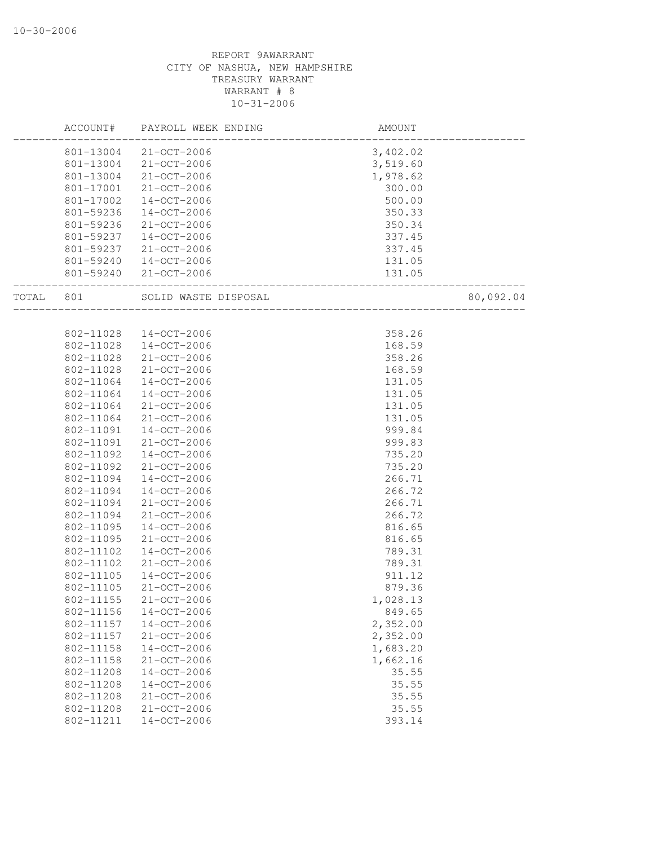|       | ACCOUNT#  | PAYROLL WEEK ENDING  | AMOUNT   |           |
|-------|-----------|----------------------|----------|-----------|
|       | 801-13004 | 21-OCT-2006          | 3,402.02 |           |
|       | 801-13004 | 21-OCT-2006          | 3,519.60 |           |
|       | 801-13004 | 21-OCT-2006          | 1,978.62 |           |
|       | 801-17001 | 21-OCT-2006          | 300.00   |           |
|       | 801-17002 | $14 - OCT - 2006$    | 500.00   |           |
|       | 801-59236 | $14 - OCT - 2006$    | 350.33   |           |
|       | 801-59236 | $21 - OCT - 2006$    | 350.34   |           |
|       | 801-59237 | $14 - OCT - 2006$    | 337.45   |           |
|       | 801-59237 | 21-OCT-2006          | 337.45   |           |
|       | 801-59240 | 14-OCT-2006          | 131.05   |           |
|       | 801-59240 | 21-OCT-2006          | 131.05   |           |
| TOTAL | 801       | SOLID WASTE DISPOSAL |          | 80,092.04 |
|       |           |                      |          |           |
|       | 802-11028 | $14 - OCT - 2006$    | 358.26   |           |
|       | 802-11028 | $14 - OCT - 2006$    | 168.59   |           |
|       | 802-11028 | 21-OCT-2006          | 358.26   |           |
|       | 802-11028 | 21-OCT-2006          | 168.59   |           |
|       | 802-11064 | $14 - OCT - 2006$    | 131.05   |           |
|       | 802-11064 | 14-OCT-2006          | 131.05   |           |
|       | 802-11064 | 21-OCT-2006          | 131.05   |           |
|       | 802-11064 | 21-OCT-2006          | 131.05   |           |
|       | 802-11091 | $14 - OCT - 2006$    | 999.84   |           |
|       | 802-11091 | $21 - OCT - 2006$    | 999.83   |           |
|       | 802-11092 | $14 - OCT - 2006$    | 735.20   |           |
|       | 802-11092 | 21-OCT-2006          | 735.20   |           |
|       | 802-11094 | $14 - OCT - 2006$    | 266.71   |           |
|       | 802-11094 | $14 - OCT - 2006$    | 266.72   |           |
|       | 802-11094 | $21 - OCT - 2006$    | 266.71   |           |
|       | 802-11094 | $21 - OCT - 2006$    | 266.72   |           |
|       | 802-11095 | $14 - OCT - 2006$    | 816.65   |           |
|       | 802-11095 | $21 - OCT - 2006$    | 816.65   |           |
|       | 802-11102 | $14 - OCT - 2006$    | 789.31   |           |
|       | 802-11102 | $21 - OCT - 2006$    | 789.31   |           |
|       | 802-11105 | $14 - OCT - 2006$    | 911.12   |           |
|       | 802-11105 | $21 - OCT - 2006$    | 879.36   |           |
|       | 802-11155 | 21-OCT-2006          | 1,028.13 |           |
|       | 802-11156 | $14 - OCT - 2006$    | 849.65   |           |
|       | 802-11157 | $14 - OCT - 2006$    | 2,352.00 |           |
|       | 802-11157 | $21 - OCT - 2006$    | 2,352.00 |           |
|       | 802-11158 | $14 - OCT - 2006$    | 1,683.20 |           |
|       | 802-11158 | $21 - OCT - 2006$    | 1,662.16 |           |
|       | 802-11208 | $14 - OCT - 2006$    | 35.55    |           |
|       | 802-11208 | $14 - OCT - 2006$    | 35.55    |           |
|       | 802-11208 | $21 - OCT - 2006$    | 35.55    |           |
|       | 802-11208 | 21-OCT-2006          | 35.55    |           |
|       | 802-11211 | $14 - OCT - 2006$    | 393.14   |           |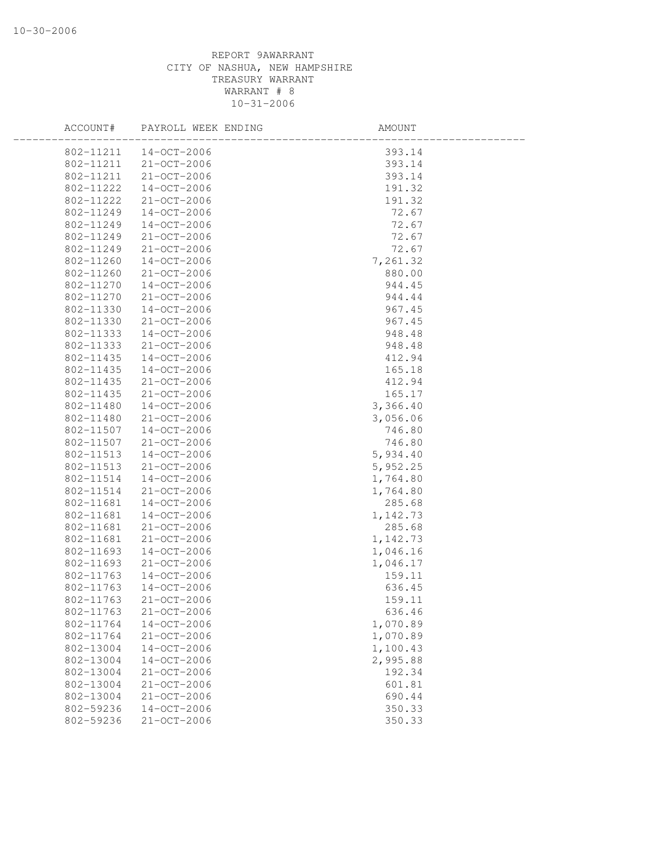| ACCOUNT#  | PAYROLL WEEK ENDING | AMOUNT   |  |
|-----------|---------------------|----------|--|
| 802-11211 | $14 - OCT - 2006$   | 393.14   |  |
| 802-11211 | 21-OCT-2006         | 393.14   |  |
| 802-11211 | 21-OCT-2006         | 393.14   |  |
| 802-11222 | 14-OCT-2006         | 191.32   |  |
| 802-11222 | 21-OCT-2006         | 191.32   |  |
| 802-11249 | $14 - OCT - 2006$   | 72.67    |  |
| 802-11249 | 14-OCT-2006         | 72.67    |  |
| 802-11249 | $21 - OCT - 2006$   | 72.67    |  |
| 802-11249 | 21-OCT-2006         | 72.67    |  |
| 802-11260 | $14 - OCT - 2006$   | 7,261.32 |  |
| 802-11260 | $21 - OCT - 2006$   | 880.00   |  |
| 802-11270 | $14 - OCT - 2006$   | 944.45   |  |
| 802-11270 | $21 - OCT - 2006$   | 944.44   |  |
| 802-11330 | $14 - OCT - 2006$   | 967.45   |  |
| 802-11330 | 21-OCT-2006         | 967.45   |  |
| 802-11333 | 14-OCT-2006         | 948.48   |  |
| 802-11333 | $21 - OCT - 2006$   | 948.48   |  |
| 802-11435 | $14 - OCT - 2006$   | 412.94   |  |
| 802-11435 | $14 - OCT - 2006$   | 165.18   |  |
| 802-11435 | $21 - OCT - 2006$   | 412.94   |  |
| 802-11435 | $21 - OCT - 2006$   | 165.17   |  |
| 802-11480 | 14-OCT-2006         | 3,366.40 |  |
| 802-11480 | 21-OCT-2006         | 3,056.06 |  |
| 802-11507 | $14 - OCT - 2006$   | 746.80   |  |
| 802-11507 | 21-OCT-2006         | 746.80   |  |
| 802-11513 | 14-OCT-2006         | 5,934.40 |  |
| 802-11513 | 21-OCT-2006         | 5,952.25 |  |
| 802-11514 | $14 - OCT - 2006$   | 1,764.80 |  |
| 802-11514 | $21 - OCT - 2006$   | 1,764.80 |  |
| 802-11681 | $14 - OCT - 2006$   | 285.68   |  |
| 802-11681 | $14 - OCT - 2006$   | 1,142.73 |  |
| 802-11681 | $21 - OCT - 2006$   | 285.68   |  |
| 802-11681 | 21-OCT-2006         | 1,142.73 |  |
| 802-11693 | 14-OCT-2006         | 1,046.16 |  |
| 802-11693 | $21 - OCT - 2006$   | 1,046.17 |  |
| 802-11763 | 14-OCT-2006         | 159.11   |  |
| 802-11763 | $14 - OCT - 2006$   | 636.45   |  |
| 802-11763 | $21 - OCT - 2006$   | 159.11   |  |
| 802-11763 | $21 - OCT - 2006$   | 636.46   |  |
| 802-11764 | $14 - OCT - 2006$   | 1,070.89 |  |
| 802-11764 | 21-OCT-2006         | 1,070.89 |  |
| 802-13004 | $14 - OCT - 2006$   | 1,100.43 |  |
|           | $14-OCT-2006$       | 2,995.88 |  |
| 802-13004 |                     |          |  |
| 802-13004 | 21-OCT-2006         | 192.34   |  |
| 802-13004 | $21 - OCT - 2006$   | 601.81   |  |
| 802-13004 | 21-OCT-2006         | 690.44   |  |
| 802-59236 | $14 - OCT - 2006$   | 350.33   |  |
| 802-59236 | 21-OCT-2006         | 350.33   |  |